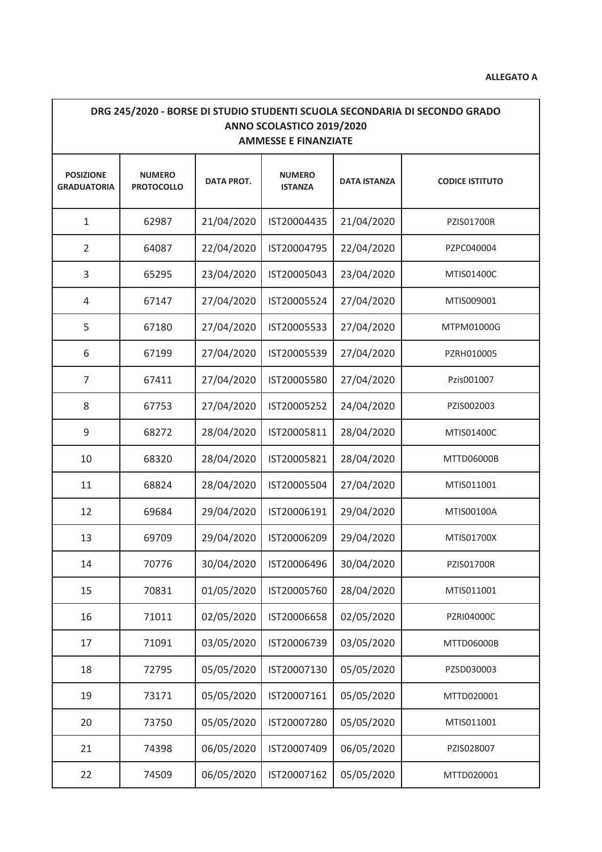| DRG 245/2020 - BORSE DI STUDIO STUDENTI SCUOLA SECONDARIA DI SECONDO GRADO<br>ANNO SCOLASTICO 2019/2020<br><b>AMMESSE E FINANZIATE</b> |                                    |                   |                                 |                     |                        |  |  |  |
|----------------------------------------------------------------------------------------------------------------------------------------|------------------------------------|-------------------|---------------------------------|---------------------|------------------------|--|--|--|
| <b>POSIZIONE</b><br><b>GRADUATORIA</b>                                                                                                 | <b>NUMERO</b><br><b>PROTOCOLLO</b> | <b>DATA PROT.</b> | <b>NUMERO</b><br><b>ISTANZA</b> | <b>DATA ISTANZA</b> | <b>CODICE ISTITUTO</b> |  |  |  |
| $\mathbf{1}$                                                                                                                           | 62987                              | 21/04/2020        | IST20004435                     | 21/04/2020          | <b>PZIS01700R</b>      |  |  |  |
| $\overline{2}$                                                                                                                         | 64087                              | 22/04/2020        | IST20004795                     | 22/04/2020          | PZPC040004             |  |  |  |
| 3                                                                                                                                      | 65295                              | 23/04/2020        | IST20005043                     | 23/04/2020          | MTIS01400C             |  |  |  |
| 4                                                                                                                                      | 67147                              | 27/04/2020        | IST20005524                     | 27/04/2020          | MTIS009001             |  |  |  |
| 5                                                                                                                                      | 67180                              | 27/04/2020        | IST20005533                     | 27/04/2020          | MTPM01000G             |  |  |  |
| 6                                                                                                                                      | 67199                              | 27/04/2020        | IST20005539                     | 27/04/2020          | PZRH010005             |  |  |  |
| $\overline{7}$                                                                                                                         | 67411                              | 27/04/2020        | IST20005580                     | 27/04/2020          | Pzis001007             |  |  |  |
| 8                                                                                                                                      | 67753                              | 27/04/2020        | IST20005252                     | 24/04/2020          | PZIS002003             |  |  |  |
| 9                                                                                                                                      | 68272                              | 28/04/2020        | IST20005811                     | 28/04/2020          | MTIS01400C             |  |  |  |
| 10                                                                                                                                     | 68320                              | 28/04/2020        | IST20005821                     | 28/04/2020          | MTTD06000B             |  |  |  |
| 11                                                                                                                                     | 68824                              | 28/04/2020        | IST20005504                     | 27/04/2020          | MTIS011001             |  |  |  |
| 12                                                                                                                                     | 69684                              | 29/04/2020        | IST20006191                     | 29/04/2020          | MTIS00100A             |  |  |  |
| 13                                                                                                                                     | 69709                              | 29/04/2020        | IST20006209                     | 29/04/2020          | MTIS01700X             |  |  |  |
| 14                                                                                                                                     | 70776                              | 30/04/2020        | IST20006496                     | 30/04/2020          | PZIS01700R             |  |  |  |
| 15                                                                                                                                     | 70831                              | 01/05/2020        | IST20005760                     | 28/04/2020          | MTIS011001             |  |  |  |
| 16                                                                                                                                     | 71011                              | 02/05/2020        | IST20006658                     | 02/05/2020          | PZRI04000C             |  |  |  |
| 17                                                                                                                                     | 71091                              | 03/05/2020        | IST20006739                     | 03/05/2020          | MTTD06000B             |  |  |  |
| 18                                                                                                                                     | 72795                              | 05/05/2020        | IST20007130                     | 05/05/2020          | PZSD030003             |  |  |  |
| 19                                                                                                                                     | 73171                              | 05/05/2020        | IST20007161                     | 05/05/2020          | MTTD020001             |  |  |  |
| 20                                                                                                                                     | 73750                              | 05/05/2020        | IST20007280                     | 05/05/2020          | MTIS011001             |  |  |  |
| 21                                                                                                                                     | 74398                              | 06/05/2020        | IST20007409                     | 06/05/2020          | PZIS028007             |  |  |  |
| 22                                                                                                                                     | 74509                              | 06/05/2020        | IST20007162                     | 05/05/2020          | MTTD020001             |  |  |  |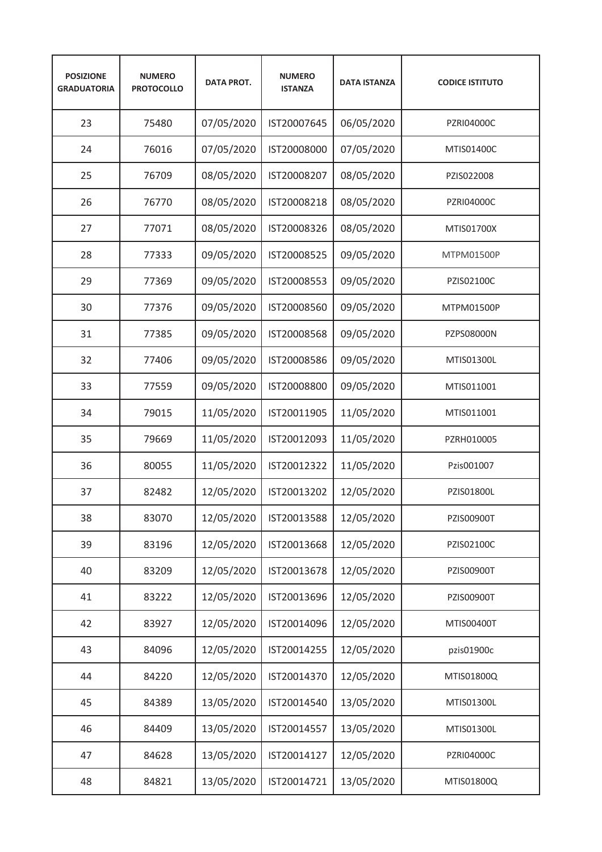| <b>POSIZIONE</b><br><b>GRADUATORIA</b> | <b>NUMERO</b><br><b>PROTOCOLLO</b> | <b>DATA PROT.</b> | <b>NUMERO</b><br><b>ISTANZA</b> | <b>DATA ISTANZA</b> | <b>CODICE ISTITUTO</b> |
|----------------------------------------|------------------------------------|-------------------|---------------------------------|---------------------|------------------------|
| 23                                     | 75480                              | 07/05/2020        | IST20007645                     | 06/05/2020          | PZRI04000C             |
| 24                                     | 76016                              | 07/05/2020        | IST20008000                     | 07/05/2020          | MTIS01400C             |
| 25                                     | 76709                              | 08/05/2020        | IST20008207                     | 08/05/2020          | PZIS022008             |
| 26                                     | 76770                              | 08/05/2020        | IST20008218                     | 08/05/2020          | <b>PZRI04000C</b>      |
| 27                                     | 77071                              | 08/05/2020        | IST20008326                     | 08/05/2020          | MTIS01700X             |
| 28                                     | 77333                              | 09/05/2020        | IST20008525                     | 09/05/2020          | MTPM01500P             |
| 29                                     | 77369                              | 09/05/2020        | IST20008553                     | 09/05/2020          | PZIS02100C             |
| 30                                     | 77376                              | 09/05/2020        | IST20008560                     | 09/05/2020          | MTPM01500P             |
| 31                                     | 77385                              | 09/05/2020        | IST20008568                     | 09/05/2020          | <b>PZPS08000N</b>      |
| 32                                     | 77406                              | 09/05/2020        | IST20008586                     | 09/05/2020          | MTIS01300L             |
| 33                                     | 77559                              | 09/05/2020        | IST20008800                     | 09/05/2020          | MTIS011001             |
| 34                                     | 79015                              | 11/05/2020        | IST20011905                     | 11/05/2020          | MTIS011001             |
| 35                                     | 79669                              | 11/05/2020        | IST20012093                     | 11/05/2020          | PZRH010005             |
| 36                                     | 80055                              | 11/05/2020        | IST20012322                     | 11/05/2020          | Pzis001007             |
| 37                                     | 82482                              | 12/05/2020        | IST20013202                     | 12/05/2020          | PZIS01800L             |
| 38                                     | 83070                              | 12/05/2020        | IST20013588                     | 12/05/2020          | PZIS00900T             |
| 39                                     | 83196                              | 12/05/2020        | IST20013668                     | 12/05/2020          | PZIS02100C             |
| 40                                     | 83209                              | 12/05/2020        | IST20013678                     | 12/05/2020          | PZIS00900T             |
| 41                                     | 83222                              | 12/05/2020        | IST20013696                     | 12/05/2020          | PZIS00900T             |
| 42                                     | 83927                              | 12/05/2020        | IST20014096                     | 12/05/2020          | MTIS00400T             |
| 43                                     | 84096                              | 12/05/2020        | IST20014255                     | 12/05/2020          | pzis01900c             |
| 44                                     | 84220                              | 12/05/2020        | IST20014370                     | 12/05/2020          | MTIS01800Q             |
| 45                                     | 84389                              | 13/05/2020        | IST20014540                     | 13/05/2020          | MTIS01300L             |
| 46                                     | 84409                              | 13/05/2020        | IST20014557                     | 13/05/2020          | MTIS01300L             |
| 47                                     | 84628                              | 13/05/2020        | IST20014127                     | 12/05/2020          | PZRI04000C             |
| 48                                     | 84821                              | 13/05/2020        | IST20014721                     | 13/05/2020          | MTIS01800Q             |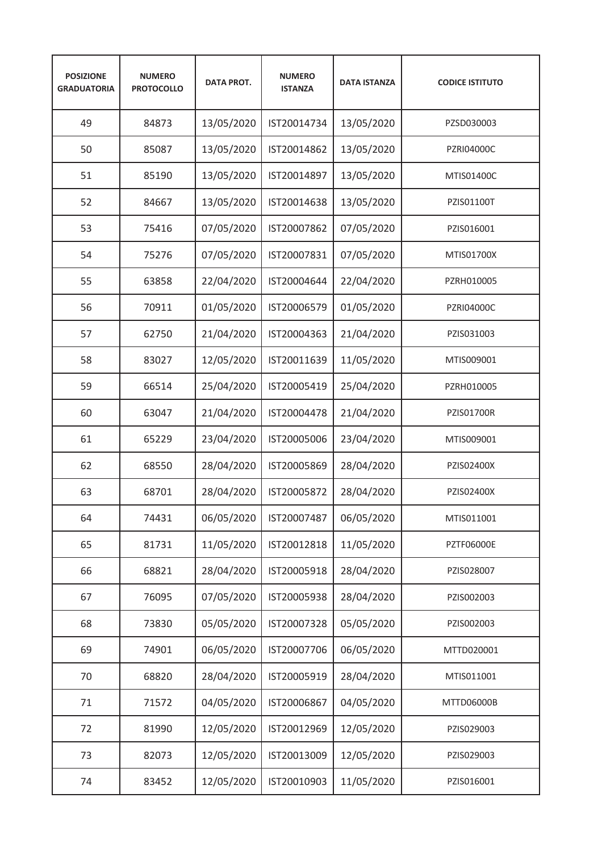| <b>POSIZIONE</b><br><b>GRADUATORIA</b> | <b>NUMERO</b><br><b>PROTOCOLLO</b> | <b>DATA PROT.</b> | <b>NUMERO</b><br><b>ISTANZA</b> | <b>DATA ISTANZA</b> | <b>CODICE ISTITUTO</b> |
|----------------------------------------|------------------------------------|-------------------|---------------------------------|---------------------|------------------------|
| 49                                     | 84873                              | 13/05/2020        | IST20014734                     | 13/05/2020          | PZSD030003             |
| 50                                     | 85087                              | 13/05/2020        | IST20014862                     | 13/05/2020          | <b>PZRI04000C</b>      |
| 51                                     | 85190                              | 13/05/2020        | IST20014897                     | 13/05/2020          | MTIS01400C             |
| 52                                     | 84667                              | 13/05/2020        | IST20014638                     | 13/05/2020          | PZIS01100T             |
| 53                                     | 75416                              | 07/05/2020        | IST20007862                     | 07/05/2020          | PZIS016001             |
| 54                                     | 75276                              | 07/05/2020        | IST20007831                     | 07/05/2020          | MTIS01700X             |
| 55                                     | 63858                              | 22/04/2020        | IST20004644                     | 22/04/2020          | PZRH010005             |
| 56                                     | 70911                              | 01/05/2020        | IST20006579                     | 01/05/2020          | <b>PZRI04000C</b>      |
| 57                                     | 62750                              | 21/04/2020        | IST20004363                     | 21/04/2020          | PZIS031003             |
| 58                                     | 83027                              | 12/05/2020        | IST20011639                     | 11/05/2020          | MTIS009001             |
| 59                                     | 66514                              | 25/04/2020        | IST20005419                     | 25/04/2020          | PZRH010005             |
| 60                                     | 63047                              | 21/04/2020        | IST20004478                     | 21/04/2020          | PZIS01700R             |
| 61                                     | 65229                              | 23/04/2020        | IST20005006                     | 23/04/2020          | MTIS009001             |
| 62                                     | 68550                              | 28/04/2020        | IST20005869                     | 28/04/2020          | PZIS02400X             |
| 63                                     | 68701                              | 28/04/2020        | IST20005872                     | 28/04/2020          | PZIS02400X             |
| 64                                     | 74431                              | 06/05/2020        | IST20007487                     | 06/05/2020          | MTIS011001             |
| 65                                     | 81731                              | 11/05/2020        | IST20012818                     | 11/05/2020          | <b>PZTF06000E</b>      |
| 66                                     | 68821                              | 28/04/2020        | IST20005918                     | 28/04/2020          | PZIS028007             |
| 67                                     | 76095                              | 07/05/2020        | IST20005938                     | 28/04/2020          | PZIS002003             |
| 68                                     | 73830                              | 05/05/2020        | IST20007328                     | 05/05/2020          | PZIS002003             |
| 69                                     | 74901                              | 06/05/2020        | IST20007706                     | 06/05/2020          | MTTD020001             |
| 70                                     | 68820                              | 28/04/2020        | IST20005919                     | 28/04/2020          | MTIS011001             |
| 71                                     | 71572                              | 04/05/2020        | IST20006867                     | 04/05/2020          | MTTD06000B             |
| 72                                     | 81990                              | 12/05/2020        | IST20012969                     | 12/05/2020          | PZIS029003             |
| 73                                     | 82073                              | 12/05/2020        | IST20013009                     | 12/05/2020          | PZIS029003             |
| 74                                     | 83452                              | 12/05/2020        | IST20010903                     | 11/05/2020          | PZIS016001             |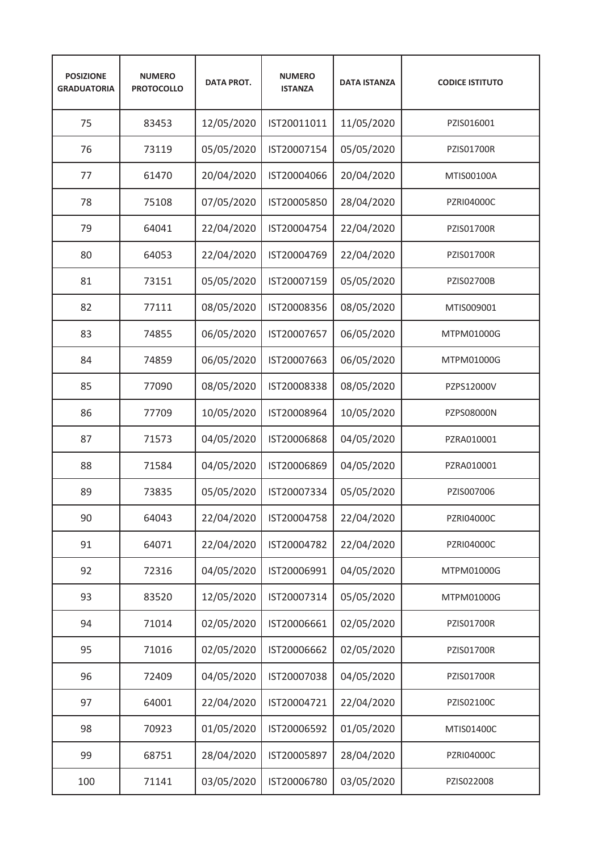| <b>POSIZIONE</b><br><b>GRADUATORIA</b> | <b>NUMERO</b><br><b>PROTOCOLLO</b> | <b>DATA PROT.</b> | <b>NUMERO</b><br><b>ISTANZA</b> | <b>DATA ISTANZA</b> | <b>CODICE ISTITUTO</b> |
|----------------------------------------|------------------------------------|-------------------|---------------------------------|---------------------|------------------------|
| 75                                     | 83453                              | 12/05/2020        | IST20011011                     | 11/05/2020          | PZIS016001             |
| 76                                     | 73119                              | 05/05/2020        | IST20007154                     | 05/05/2020          | <b>PZIS01700R</b>      |
| 77                                     | 61470                              | 20/04/2020        | IST20004066                     | 20/04/2020          | MTIS00100A             |
| 78                                     | 75108                              | 07/05/2020        | IST20005850                     | 28/04/2020          | <b>PZRI04000C</b>      |
| 79                                     | 64041                              | 22/04/2020        | IST20004754                     | 22/04/2020          | <b>PZIS01700R</b>      |
| 80                                     | 64053                              | 22/04/2020        | IST20004769                     | 22/04/2020          | <b>PZIS01700R</b>      |
| 81                                     | 73151                              | 05/05/2020        | IST20007159                     | 05/05/2020          | PZIS02700B             |
| 82                                     | 77111                              | 08/05/2020        | IST20008356                     | 08/05/2020          | MTIS009001             |
| 83                                     | 74855                              | 06/05/2020        | IST20007657                     | 06/05/2020          | MTPM01000G             |
| 84                                     | 74859                              | 06/05/2020        | IST20007663                     | 06/05/2020          | MTPM01000G             |
| 85                                     | 77090                              | 08/05/2020        | IST20008338                     | 08/05/2020          | PZPS12000V             |
| 86                                     | 77709                              | 10/05/2020        | IST20008964                     | 10/05/2020          | PZPS08000N             |
| 87                                     | 71573                              | 04/05/2020        | IST20006868                     | 04/05/2020          | PZRA010001             |
| 88                                     | 71584                              | 04/05/2020        | IST20006869                     | 04/05/2020          | PZRA010001             |
| 89                                     | 73835                              | 05/05/2020        | IST20007334                     | 05/05/2020          | PZIS007006             |
| 90                                     | 64043                              | 22/04/2020        | IST20004758                     | 22/04/2020          | PZRI04000C             |
| 91                                     | 64071                              | 22/04/2020        | IST20004782                     | 22/04/2020          | PZRI04000C             |
| 92                                     | 72316                              | 04/05/2020        | IST20006991                     | 04/05/2020          | MTPM01000G             |
| 93                                     | 83520                              | 12/05/2020        | IST20007314                     | 05/05/2020          | MTPM01000G             |
| 94                                     | 71014                              | 02/05/2020        | IST20006661                     | 02/05/2020          | PZIS01700R             |
| 95                                     | 71016                              | 02/05/2020        | IST20006662                     | 02/05/2020          | PZIS01700R             |
| 96                                     | 72409                              | 04/05/2020        | IST20007038                     | 04/05/2020          | PZIS01700R             |
| 97                                     | 64001                              | 22/04/2020        | IST20004721                     | 22/04/2020          | PZIS02100C             |
| 98                                     | 70923                              | 01/05/2020        | IST20006592                     | 01/05/2020          | MTIS01400C             |
| 99                                     | 68751                              | 28/04/2020        | IST20005897                     | 28/04/2020          | PZRI04000C             |
| 100                                    | 71141                              | 03/05/2020        | IST20006780                     | 03/05/2020          | PZIS022008             |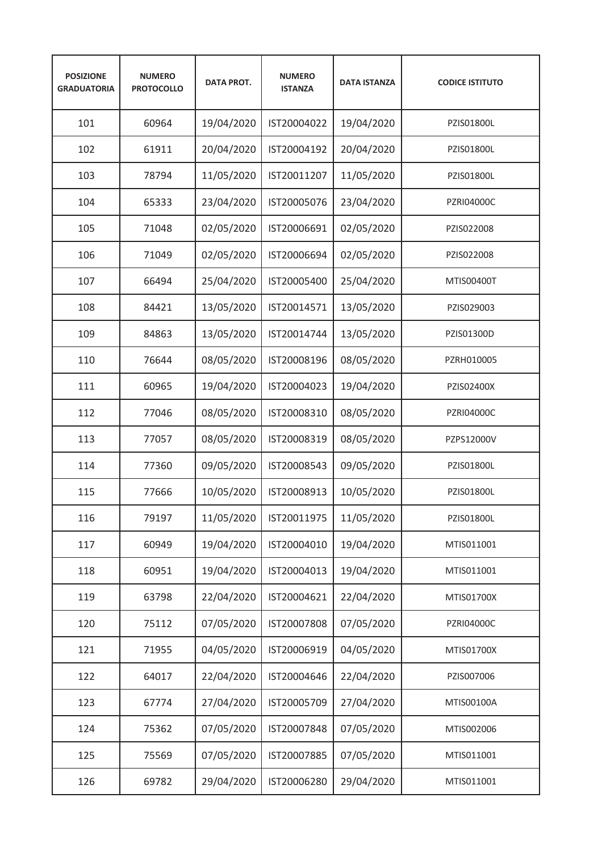| <b>POSIZIONE</b><br><b>GRADUATORIA</b> | <b>NUMERO</b><br><b>PROTOCOLLO</b> | <b>DATA PROT.</b> | <b>NUMERO</b><br><b>ISTANZA</b> | <b>DATA ISTANZA</b> | <b>CODICE ISTITUTO</b> |
|----------------------------------------|------------------------------------|-------------------|---------------------------------|---------------------|------------------------|
| 101                                    | 60964                              | 19/04/2020        | IST20004022                     | 19/04/2020          | PZIS01800L             |
| 102                                    | 61911                              | 20/04/2020        | IST20004192                     | 20/04/2020          | PZIS01800L             |
| 103                                    | 78794                              | 11/05/2020        | IST20011207                     | 11/05/2020          | PZIS01800L             |
| 104                                    | 65333                              | 23/04/2020        | IST20005076                     | 23/04/2020          | <b>PZRI04000C</b>      |
| 105                                    | 71048                              | 02/05/2020        | IST20006691                     | 02/05/2020          | PZIS022008             |
| 106                                    | 71049                              | 02/05/2020        | IST20006694                     | 02/05/2020          | PZIS022008             |
| 107                                    | 66494                              | 25/04/2020        | IST20005400                     | 25/04/2020          | MTIS00400T             |
| 108                                    | 84421                              | 13/05/2020        | IST20014571                     | 13/05/2020          | PZIS029003             |
| 109                                    | 84863                              | 13/05/2020        | IST20014744                     | 13/05/2020          | PZIS01300D             |
| 110                                    | 76644                              | 08/05/2020        | IST20008196                     | 08/05/2020          | PZRH010005             |
| 111                                    | 60965                              | 19/04/2020        | IST20004023                     | 19/04/2020          | PZIS02400X             |
| 112                                    | 77046                              | 08/05/2020        | IST20008310                     | 08/05/2020          | PZRI04000C             |
| 113                                    | 77057                              | 08/05/2020        | IST20008319                     | 08/05/2020          | PZPS12000V             |
| 114                                    | 77360                              | 09/05/2020        | IST20008543                     | 09/05/2020          | PZIS01800L             |
| 115                                    | 77666                              | 10/05/2020        | IST20008913                     | 10/05/2020          | PZIS01800L             |
| 116                                    | 79197                              | 11/05/2020        | IST20011975                     | 11/05/2020          | PZIS01800L             |
| 117                                    | 60949                              | 19/04/2020        | IST20004010                     | 19/04/2020          | MTIS011001             |
| 118                                    | 60951                              | 19/04/2020        | IST20004013                     | 19/04/2020          | MTIS011001             |
| 119                                    | 63798                              | 22/04/2020        | IST20004621                     | 22/04/2020          | MTIS01700X             |
| 120                                    | 75112                              | 07/05/2020        | IST20007808                     | 07/05/2020          | PZRI04000C             |
| 121                                    | 71955                              | 04/05/2020        | IST20006919                     | 04/05/2020          | MTIS01700X             |
| 122                                    | 64017                              | 22/04/2020        | IST20004646                     | 22/04/2020          | PZIS007006             |
| 123                                    | 67774                              | 27/04/2020        | IST20005709                     | 27/04/2020          | MTIS00100A             |
| 124                                    | 75362                              | 07/05/2020        | IST20007848                     | 07/05/2020          | MTIS002006             |
| 125                                    | 75569                              | 07/05/2020        | IST20007885                     | 07/05/2020          | MTIS011001             |
| 126                                    | 69782                              | 29/04/2020        | IST20006280                     | 29/04/2020          | MTIS011001             |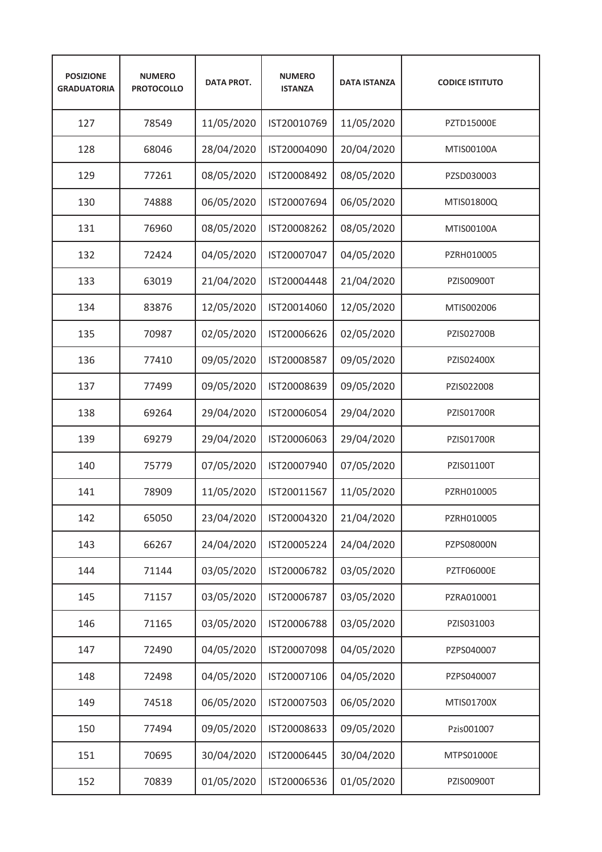| <b>POSIZIONE</b><br><b>GRADUATORIA</b> | <b>NUMERO</b><br><b>PROTOCOLLO</b> | <b>DATA PROT.</b> | <b>NUMERO</b><br><b>ISTANZA</b> | <b>DATA ISTANZA</b> | <b>CODICE ISTITUTO</b> |
|----------------------------------------|------------------------------------|-------------------|---------------------------------|---------------------|------------------------|
| 127                                    | 78549                              | 11/05/2020        | IST20010769                     | 11/05/2020          | PZTD15000E             |
| 128                                    | 68046                              | 28/04/2020        | IST20004090                     | 20/04/2020          | MTIS00100A             |
| 129                                    | 77261                              | 08/05/2020        | IST20008492                     | 08/05/2020          | PZSD030003             |
| 130                                    | 74888                              | 06/05/2020        | IST20007694                     | 06/05/2020          | MTIS01800Q             |
| 131                                    | 76960                              | 08/05/2020        | IST20008262                     | 08/05/2020          | MTIS00100A             |
| 132                                    | 72424                              | 04/05/2020        | IST20007047                     | 04/05/2020          | PZRH010005             |
| 133                                    | 63019                              | 21/04/2020        | IST20004448                     | 21/04/2020          | PZIS00900T             |
| 134                                    | 83876                              | 12/05/2020        | IST20014060                     | 12/05/2020          | MTIS002006             |
| 135                                    | 70987                              | 02/05/2020        | IST20006626                     | 02/05/2020          | <b>PZIS02700B</b>      |
| 136                                    | 77410                              | 09/05/2020        | IST20008587                     | 09/05/2020          | PZIS02400X             |
| 137                                    | 77499                              | 09/05/2020        | IST20008639                     | 09/05/2020          | PZIS022008             |
| 138                                    | 69264                              | 29/04/2020        | IST20006054                     | 29/04/2020          | PZIS01700R             |
| 139                                    | 69279                              | 29/04/2020        | IST20006063                     | 29/04/2020          | PZIS01700R             |
| 140                                    | 75779                              | 07/05/2020        | IST20007940                     | 07/05/2020          | PZIS01100T             |
| 141                                    | 78909                              | 11/05/2020        | IST20011567                     | 11/05/2020          | PZRH010005             |
| 142                                    | 65050                              | 23/04/2020        | IST20004320                     | 21/04/2020          | PZRH010005             |
| 143                                    | 66267                              | 24/04/2020        | IST20005224                     | 24/04/2020          | PZPS08000N             |
| 144                                    | 71144                              | 03/05/2020        | IST20006782                     | 03/05/2020          | <b>PZTF06000E</b>      |
| 145                                    | 71157                              | 03/05/2020        | IST20006787                     | 03/05/2020          | PZRA010001             |
| 146                                    | 71165                              | 03/05/2020        | IST20006788                     | 03/05/2020          | PZIS031003             |
| 147                                    | 72490                              | 04/05/2020        | IST20007098                     | 04/05/2020          | PZPS040007             |
| 148                                    | 72498                              | 04/05/2020        | IST20007106                     | 04/05/2020          | PZPS040007             |
| 149                                    | 74518                              | 06/05/2020        | IST20007503                     | 06/05/2020          | MTIS01700X             |
| 150                                    | 77494                              | 09/05/2020        | IST20008633                     | 09/05/2020          | Pzis001007             |
| 151                                    | 70695                              | 30/04/2020        | IST20006445                     | 30/04/2020          | MTPS01000E             |
| 152                                    | 70839                              | 01/05/2020        | IST20006536                     | 01/05/2020          | PZIS00900T             |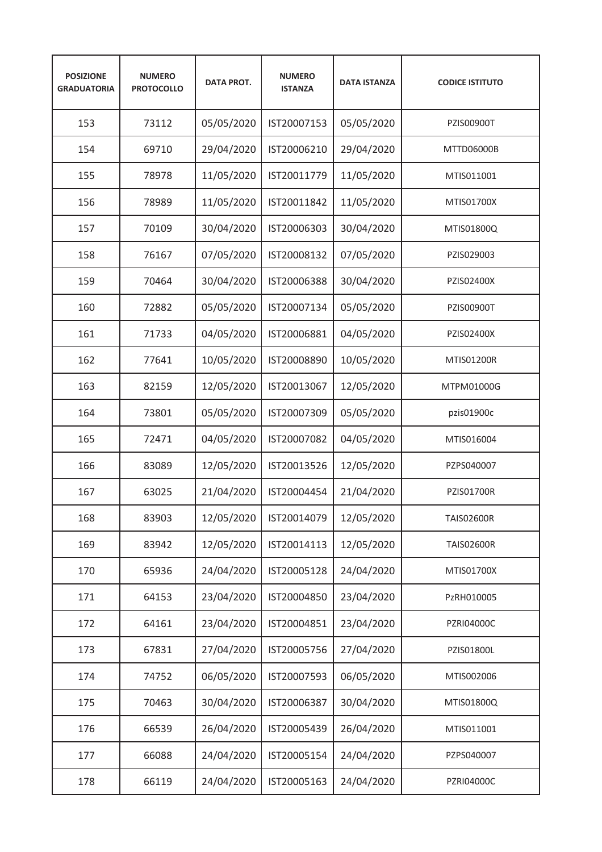| <b>POSIZIONE</b><br><b>GRADUATORIA</b> | <b>NUMERO</b><br><b>PROTOCOLLO</b> | <b>DATA PROT.</b> | <b>NUMERO</b><br><b>ISTANZA</b> | <b>DATA ISTANZA</b> | <b>CODICE ISTITUTO</b> |
|----------------------------------------|------------------------------------|-------------------|---------------------------------|---------------------|------------------------|
| 153                                    | 73112                              | 05/05/2020        | IST20007153                     | 05/05/2020          | PZIS00900T             |
| 154                                    | 69710                              | 29/04/2020        | IST20006210                     | 29/04/2020          | MTTD06000B             |
| 155                                    | 78978                              | 11/05/2020        | IST20011779                     | 11/05/2020          | MTIS011001             |
| 156                                    | 78989                              | 11/05/2020        | IST20011842                     | 11/05/2020          | MTIS01700X             |
| 157                                    | 70109                              | 30/04/2020        | IST20006303                     | 30/04/2020          | MTIS01800Q             |
| 158                                    | 76167                              | 07/05/2020        | IST20008132                     | 07/05/2020          | PZIS029003             |
| 159                                    | 70464                              | 30/04/2020        | IST20006388                     | 30/04/2020          | PZIS02400X             |
| 160                                    | 72882                              | 05/05/2020        | IST20007134                     | 05/05/2020          | <b>PZIS00900T</b>      |
| 161                                    | 71733                              | 04/05/2020        | IST20006881                     | 04/05/2020          | PZIS02400X             |
| 162                                    | 77641                              | 10/05/2020        | IST20008890                     | 10/05/2020          | MTIS01200R             |
| 163                                    | 82159                              | 12/05/2020        | IST20013067                     | 12/05/2020          | MTPM01000G             |
| 164                                    | 73801                              | 05/05/2020        | IST20007309                     | 05/05/2020          | pzis01900c             |
| 165                                    | 72471                              | 04/05/2020        | IST20007082                     | 04/05/2020          | MTIS016004             |
| 166                                    | 83089                              | 12/05/2020        | IST20013526                     | 12/05/2020          | PZPS040007             |
| 167                                    | 63025                              | 21/04/2020        | IST20004454                     | 21/04/2020          | <b>PZIS01700R</b>      |
| 168                                    | 83903                              | 12/05/2020        | IST20014079                     | 12/05/2020          | <b>TAIS02600R</b>      |
| 169                                    | 83942                              | 12/05/2020        | IST20014113                     | 12/05/2020          | <b>TAIS02600R</b>      |
| 170                                    | 65936                              | 24/04/2020        | IST20005128                     | 24/04/2020          | MTIS01700X             |
| 171                                    | 64153                              | 23/04/2020        | IST20004850                     | 23/04/2020          | PzRH010005             |
| 172                                    | 64161                              | 23/04/2020        | IST20004851                     | 23/04/2020          | PZRI04000C             |
| 173                                    | 67831                              | 27/04/2020        | IST20005756                     | 27/04/2020          | PZIS01800L             |
| 174                                    | 74752                              | 06/05/2020        | IST20007593                     | 06/05/2020          | MTIS002006             |
| 175                                    | 70463                              | 30/04/2020        | IST20006387                     | 30/04/2020          | MTIS01800Q             |
| 176                                    | 66539                              | 26/04/2020        | IST20005439                     | 26/04/2020          | MTIS011001             |
| 177                                    | 66088                              | 24/04/2020        | IST20005154                     | 24/04/2020          | PZPS040007             |
| 178                                    | 66119                              | 24/04/2020        | IST20005163                     | 24/04/2020          | PZRI04000C             |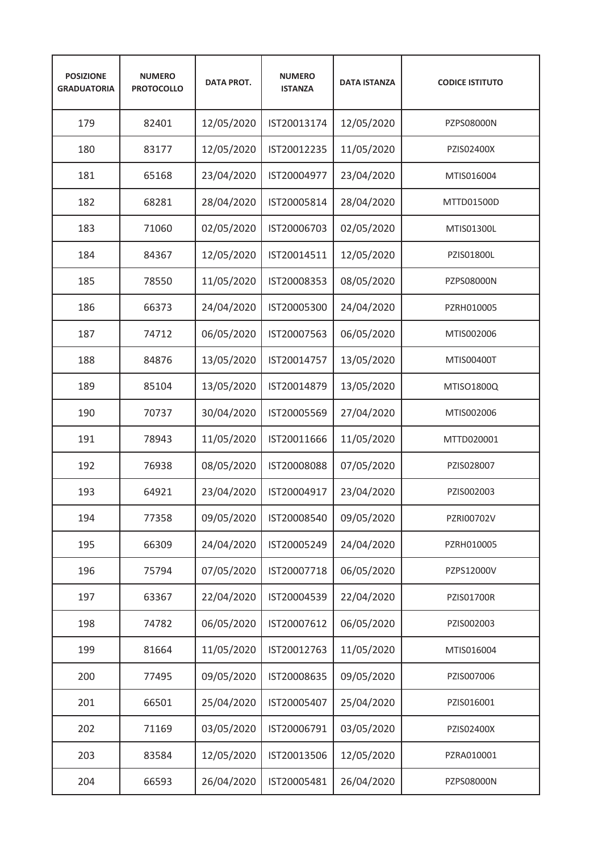| <b>POSIZIONE</b><br><b>GRADUATORIA</b> | <b>NUMERO</b><br><b>PROTOCOLLO</b> | <b>DATA PROT.</b> | <b>NUMERO</b><br><b>ISTANZA</b> | <b>DATA ISTANZA</b> | <b>CODICE ISTITUTO</b> |
|----------------------------------------|------------------------------------|-------------------|---------------------------------|---------------------|------------------------|
| 179                                    | 82401                              | 12/05/2020        | IST20013174                     | 12/05/2020          | PZPS08000N             |
| 180                                    | 83177                              | 12/05/2020        | IST20012235                     | 11/05/2020          | PZIS02400X             |
| 181                                    | 65168                              | 23/04/2020        | IST20004977                     | 23/04/2020          | MTIS016004             |
| 182                                    | 68281                              | 28/04/2020        | IST20005814                     | 28/04/2020          | MTTD01500D             |
| 183                                    | 71060                              | 02/05/2020        | IST20006703                     | 02/05/2020          | MTIS01300L             |
| 184                                    | 84367                              | 12/05/2020        | IST20014511                     | 12/05/2020          | PZIS01800L             |
| 185                                    | 78550                              | 11/05/2020        | IST20008353                     | 08/05/2020          | PZPS08000N             |
| 186                                    | 66373                              | 24/04/2020        | IST20005300                     | 24/04/2020          | PZRH010005             |
| 187                                    | 74712                              | 06/05/2020        | IST20007563                     | 06/05/2020          | MTIS002006             |
| 188                                    | 84876                              | 13/05/2020        | IST20014757                     | 13/05/2020          | MTIS00400T             |
| 189                                    | 85104                              | 13/05/2020        | IST20014879                     | 13/05/2020          | MTISO1800Q             |
| 190                                    | 70737                              | 30/04/2020        | IST20005569                     | 27/04/2020          | MTIS002006             |
| 191                                    | 78943                              | 11/05/2020        | IST20011666                     | 11/05/2020          | MTTD020001             |
| 192                                    | 76938                              | 08/05/2020        | IST20008088                     | 07/05/2020          | PZIS028007             |
| 193                                    | 64921                              | 23/04/2020        | IST20004917                     | 23/04/2020          | PZIS002003             |
| 194                                    | 77358                              | 09/05/2020        | IST20008540                     | 09/05/2020          | PZRI00702V             |
| 195                                    | 66309                              | 24/04/2020        | IST20005249                     | 24/04/2020          | PZRH010005             |
| 196                                    | 75794                              | 07/05/2020        | IST20007718                     | 06/05/2020          | PZPS12000V             |
| 197                                    | 63367                              | 22/04/2020        | IST20004539                     | 22/04/2020          | PZIS01700R             |
| 198                                    | 74782                              | 06/05/2020        | IST20007612                     | 06/05/2020          | PZIS002003             |
| 199                                    | 81664                              | 11/05/2020        | IST20012763                     | 11/05/2020          | MTIS016004             |
| 200                                    | 77495                              | 09/05/2020        | IST20008635                     | 09/05/2020          | PZIS007006             |
| 201                                    | 66501                              | 25/04/2020        | IST20005407                     | 25/04/2020          | PZIS016001             |
| 202                                    | 71169                              | 03/05/2020        | IST20006791                     | 03/05/2020          | PZIS02400X             |
| 203                                    | 83584                              | 12/05/2020        | IST20013506                     | 12/05/2020          | PZRA010001             |
| 204                                    | 66593                              | 26/04/2020        | IST20005481                     | 26/04/2020          | PZPS08000N             |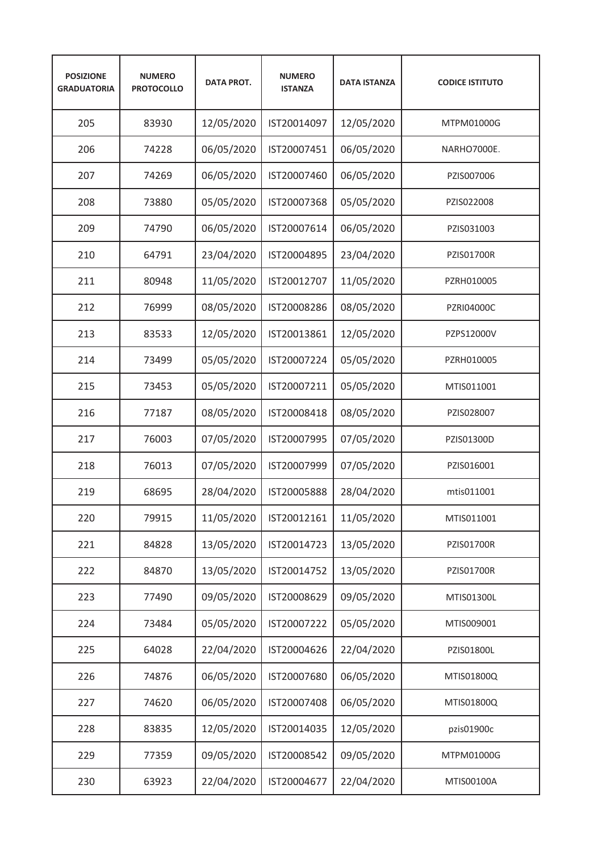| <b>POSIZIONE</b><br><b>GRADUATORIA</b> | <b>NUMERO</b><br><b>PROTOCOLLO</b> | <b>DATA PROT.</b> | <b>NUMERO</b><br><b>ISTANZA</b> | <b>DATA ISTANZA</b> | <b>CODICE ISTITUTO</b> |
|----------------------------------------|------------------------------------|-------------------|---------------------------------|---------------------|------------------------|
| 205                                    | 83930                              | 12/05/2020        | IST20014097                     | 12/05/2020          | MTPM01000G             |
| 206                                    | 74228                              | 06/05/2020        | IST20007451                     | 06/05/2020          | NARHO7000E.            |
| 207                                    | 74269                              | 06/05/2020        | IST20007460                     | 06/05/2020          | PZIS007006             |
| 208                                    | 73880                              | 05/05/2020        | IST20007368                     | 05/05/2020          | PZIS022008             |
| 209                                    | 74790                              | 06/05/2020        | IST20007614                     | 06/05/2020          | PZIS031003             |
| 210                                    | 64791                              | 23/04/2020        | IST20004895                     | 23/04/2020          | <b>PZIS01700R</b>      |
| 211                                    | 80948                              | 11/05/2020        | IST20012707                     | 11/05/2020          | PZRH010005             |
| 212                                    | 76999                              | 08/05/2020        | IST20008286                     | 08/05/2020          | <b>PZRI04000C</b>      |
| 213                                    | 83533                              | 12/05/2020        | IST20013861                     | 12/05/2020          | PZPS12000V             |
| 214                                    | 73499                              | 05/05/2020        | IST20007224                     | 05/05/2020          | PZRH010005             |
| 215                                    | 73453                              | 05/05/2020        | IST20007211                     | 05/05/2020          | MTIS011001             |
| 216                                    | 77187                              | 08/05/2020        | IST20008418                     | 08/05/2020          | PZIS028007             |
| 217                                    | 76003                              | 07/05/2020        | IST20007995                     | 07/05/2020          | PZIS01300D             |
| 218                                    | 76013                              | 07/05/2020        | IST20007999                     | 07/05/2020          | PZIS016001             |
| 219                                    | 68695                              | 28/04/2020        | IST20005888                     | 28/04/2020          | mtis011001             |
| 220                                    | 79915                              | 11/05/2020        | IST20012161                     | 11/05/2020          | MTIS011001             |
| 221                                    | 84828                              | 13/05/2020        | IST20014723                     | 13/05/2020          | PZIS01700R             |
| 222                                    | 84870                              | 13/05/2020        | IST20014752                     | 13/05/2020          | PZIS01700R             |
| 223                                    | 77490                              | 09/05/2020        | IST20008629                     | 09/05/2020          | MTIS01300L             |
| 224                                    | 73484                              | 05/05/2020        | IST20007222                     | 05/05/2020          | MTIS009001             |
| 225                                    | 64028                              | 22/04/2020        | IST20004626                     | 22/04/2020          | PZIS01800L             |
| 226                                    | 74876                              | 06/05/2020        | IST20007680                     | 06/05/2020          | MTIS01800Q             |
| 227                                    | 74620                              | 06/05/2020        | IST20007408                     | 06/05/2020          | MTIS01800Q             |
| 228                                    | 83835                              | 12/05/2020        | IST20014035                     | 12/05/2020          | pzis01900c             |
| 229                                    | 77359                              | 09/05/2020        | IST20008542                     | 09/05/2020          | MTPM01000G             |
| 230                                    | 63923                              | 22/04/2020        | IST20004677                     | 22/04/2020          | MTIS00100A             |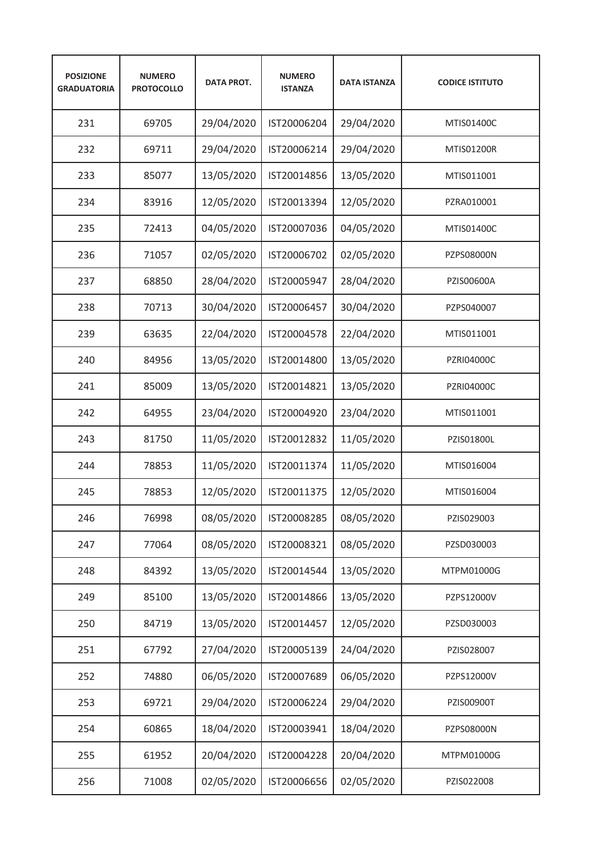| <b>POSIZIONE</b><br><b>GRADUATORIA</b> | <b>NUMERO</b><br><b>PROTOCOLLO</b> | <b>DATA PROT.</b> | <b>NUMERO</b><br><b>ISTANZA</b> | <b>DATA ISTANZA</b> | <b>CODICE ISTITUTO</b> |
|----------------------------------------|------------------------------------|-------------------|---------------------------------|---------------------|------------------------|
| 231                                    | 69705                              | 29/04/2020        | IST20006204                     | 29/04/2020          | MTIS01400C             |
| 232                                    | 69711                              | 29/04/2020        | IST20006214                     | 29/04/2020          | MTIS01200R             |
| 233                                    | 85077                              | 13/05/2020        | IST20014856                     | 13/05/2020          | MTIS011001             |
| 234                                    | 83916                              | 12/05/2020        | IST20013394                     | 12/05/2020          | PZRA010001             |
| 235                                    | 72413                              | 04/05/2020        | IST20007036                     | 04/05/2020          | MTIS01400C             |
| 236                                    | 71057                              | 02/05/2020        | IST20006702                     | 02/05/2020          | PZPS08000N             |
| 237                                    | 68850                              | 28/04/2020        | IST20005947                     | 28/04/2020          | PZIS00600A             |
| 238                                    | 70713                              | 30/04/2020        | IST20006457                     | 30/04/2020          | PZPS040007             |
| 239                                    | 63635                              | 22/04/2020        | IST20004578                     | 22/04/2020          | MTIS011001             |
| 240                                    | 84956                              | 13/05/2020        | IST20014800                     | 13/05/2020          | <b>PZRI04000C</b>      |
| 241                                    | 85009                              | 13/05/2020        | IST20014821                     | 13/05/2020          | <b>PZRI04000C</b>      |
| 242                                    | 64955                              | 23/04/2020        | IST20004920                     | 23/04/2020          | MTIS011001             |
| 243                                    | 81750                              | 11/05/2020        | IST20012832                     | 11/05/2020          | PZIS01800L             |
| 244                                    | 78853                              | 11/05/2020        | IST20011374                     | 11/05/2020          | MTIS016004             |
| 245                                    | 78853                              | 12/05/2020        | IST20011375                     | 12/05/2020          | MTIS016004             |
| 246                                    | 76998                              | 08/05/2020        | IST20008285                     | 08/05/2020          | PZIS029003             |
| 247                                    | 77064                              | 08/05/2020        | IST20008321                     | 08/05/2020          | PZSD030003             |
| 248                                    | 84392                              | 13/05/2020        | IST20014544                     | 13/05/2020          | MTPM01000G             |
| 249                                    | 85100                              | 13/05/2020        | IST20014866                     | 13/05/2020          | PZPS12000V             |
| 250                                    | 84719                              | 13/05/2020        | IST20014457                     | 12/05/2020          | PZSD030003             |
| 251                                    | 67792                              | 27/04/2020        | IST20005139                     | 24/04/2020          | PZIS028007             |
| 252                                    | 74880                              | 06/05/2020        | IST20007689                     | 06/05/2020          | PZPS12000V             |
| 253                                    | 69721                              | 29/04/2020        | IST20006224                     | 29/04/2020          | PZIS00900T             |
| 254                                    | 60865                              | 18/04/2020        | IST20003941                     | 18/04/2020          | PZPS08000N             |
| 255                                    | 61952                              | 20/04/2020        | IST20004228                     | 20/04/2020          | MTPM01000G             |
| 256                                    | 71008                              | 02/05/2020        | IST20006656                     | 02/05/2020          | PZIS022008             |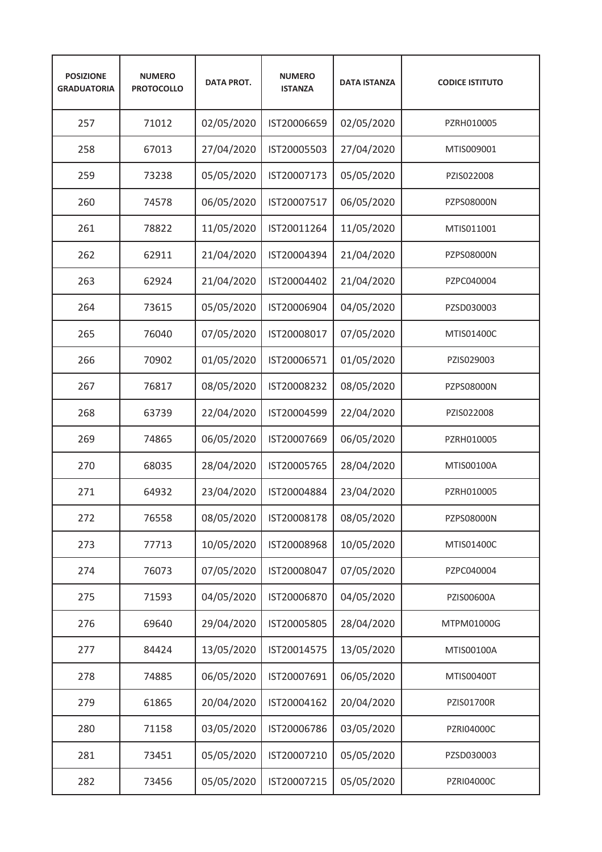| <b>POSIZIONE</b><br><b>GRADUATORIA</b> | <b>NUMERO</b><br><b>PROTOCOLLO</b> | <b>DATA PROT.</b> | <b>NUMERO</b><br><b>ISTANZA</b> | <b>DATA ISTANZA</b> | <b>CODICE ISTITUTO</b> |
|----------------------------------------|------------------------------------|-------------------|---------------------------------|---------------------|------------------------|
| 257                                    | 71012                              | 02/05/2020        | IST20006659                     | 02/05/2020          | PZRH010005             |
| 258                                    | 67013                              | 27/04/2020        | IST20005503                     | 27/04/2020          | MTIS009001             |
| 259                                    | 73238                              | 05/05/2020        | IST20007173                     | 05/05/2020          | PZIS022008             |
| 260                                    | 74578                              | 06/05/2020        | IST20007517                     | 06/05/2020          | PZPS08000N             |
| 261                                    | 78822                              | 11/05/2020        | IST20011264                     | 11/05/2020          | MTIS011001             |
| 262                                    | 62911                              | 21/04/2020        | IST20004394                     | 21/04/2020          | PZPS08000N             |
| 263                                    | 62924                              | 21/04/2020        | IST20004402                     | 21/04/2020          | PZPC040004             |
| 264                                    | 73615                              | 05/05/2020        | IST20006904                     | 04/05/2020          | PZSD030003             |
| 265                                    | 76040                              | 07/05/2020        | IST20008017                     | 07/05/2020          | MTIS01400C             |
| 266                                    | 70902                              | 01/05/2020        | IST20006571                     | 01/05/2020          | PZIS029003             |
| 267                                    | 76817                              | 08/05/2020        | IST20008232                     | 08/05/2020          | PZPS08000N             |
| 268                                    | 63739                              | 22/04/2020        | IST20004599                     | 22/04/2020          | PZIS022008             |
| 269                                    | 74865                              | 06/05/2020        | IST20007669                     | 06/05/2020          | PZRH010005             |
| 270                                    | 68035                              | 28/04/2020        | IST20005765                     | 28/04/2020          | MTIS00100A             |
| 271                                    | 64932                              | 23/04/2020        | IST20004884                     | 23/04/2020          | PZRH010005             |
| 272                                    | 76558                              | 08/05/2020        | IST20008178                     | 08/05/2020          | PZPS08000N             |
| 273                                    | 77713                              | 10/05/2020        | IST20008968                     | 10/05/2020          | MTIS01400C             |
| 274                                    | 76073                              | 07/05/2020        | IST20008047                     | 07/05/2020          | PZPC040004             |
| 275                                    | 71593                              | 04/05/2020        | IST20006870                     | 04/05/2020          | PZIS00600A             |
| 276                                    | 69640                              | 29/04/2020        | IST20005805                     | 28/04/2020          | MTPM01000G             |
| 277                                    | 84424                              | 13/05/2020        | IST20014575                     | 13/05/2020          | MTIS00100A             |
| 278                                    | 74885                              | 06/05/2020        | IST20007691                     | 06/05/2020          | MTIS00400T             |
| 279                                    | 61865                              | 20/04/2020        | IST20004162                     | 20/04/2020          | PZIS01700R             |
| 280                                    | 71158                              | 03/05/2020        | IST20006786                     | 03/05/2020          | PZRI04000C             |
| 281                                    | 73451                              | 05/05/2020        | IST20007210                     | 05/05/2020          | PZSD030003             |
| 282                                    | 73456                              | 05/05/2020        | IST20007215                     | 05/05/2020          | PZRI04000C             |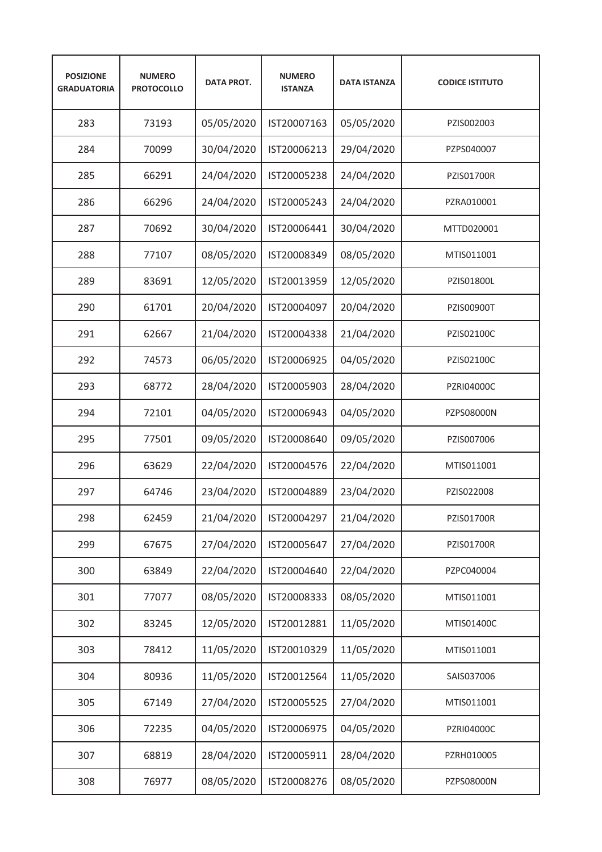| <b>POSIZIONE</b><br><b>GRADUATORIA</b> | <b>NUMERO</b><br><b>PROTOCOLLO</b> | <b>DATA PROT.</b> | <b>NUMERO</b><br><b>ISTANZA</b> | <b>DATA ISTANZA</b> | <b>CODICE ISTITUTO</b> |
|----------------------------------------|------------------------------------|-------------------|---------------------------------|---------------------|------------------------|
| 283                                    | 73193                              | 05/05/2020        | IST20007163                     | 05/05/2020          | PZIS002003             |
| 284                                    | 70099                              | 30/04/2020        | IST20006213                     | 29/04/2020          | PZPS040007             |
| 285                                    | 66291                              | 24/04/2020        | IST20005238                     | 24/04/2020          | <b>PZIS01700R</b>      |
| 286                                    | 66296                              | 24/04/2020        | IST20005243                     | 24/04/2020          | PZRA010001             |
| 287                                    | 70692                              | 30/04/2020        | IST20006441                     | 30/04/2020          | MTTD020001             |
| 288                                    | 77107                              | 08/05/2020        | IST20008349                     | 08/05/2020          | MTIS011001             |
| 289                                    | 83691                              | 12/05/2020        | IST20013959                     | 12/05/2020          | PZIS01800L             |
| 290                                    | 61701                              | 20/04/2020        | IST20004097                     | 20/04/2020          | <b>PZIS00900T</b>      |
| 291                                    | 62667                              | 21/04/2020        | IST20004338                     | 21/04/2020          | PZIS02100C             |
| 292                                    | 74573                              | 06/05/2020        | IST20006925                     | 04/05/2020          | PZIS02100C             |
| 293                                    | 68772                              | 28/04/2020        | IST20005903                     | 28/04/2020          | <b>PZRI04000C</b>      |
| 294                                    | 72101                              | 04/05/2020        | IST20006943                     | 04/05/2020          | PZPS08000N             |
| 295                                    | 77501                              | 09/05/2020        | IST20008640                     | 09/05/2020          | PZIS007006             |
| 296                                    | 63629                              | 22/04/2020        | IST20004576                     | 22/04/2020          | MTIS011001             |
| 297                                    | 64746                              | 23/04/2020        | IST20004889                     | 23/04/2020          | PZIS022008             |
| 298                                    | 62459                              | 21/04/2020        | IST20004297                     | 21/04/2020          | PZIS01700R             |
| 299                                    | 67675                              | 27/04/2020        | IST20005647                     | 27/04/2020          | PZIS01700R             |
| 300                                    | 63849                              | 22/04/2020        | IST20004640                     | 22/04/2020          | PZPC040004             |
| 301                                    | 77077                              | 08/05/2020        | IST20008333                     | 08/05/2020          | MTIS011001             |
| 302                                    | 83245                              | 12/05/2020        | IST20012881                     | 11/05/2020          | MTIS01400C             |
| 303                                    | 78412                              | 11/05/2020        | IST20010329                     | 11/05/2020          | MTIS011001             |
| 304                                    | 80936                              | 11/05/2020        | IST20012564                     | 11/05/2020          | SAIS037006             |
| 305                                    | 67149                              | 27/04/2020        | IST20005525                     | 27/04/2020          | MTIS011001             |
| 306                                    | 72235                              | 04/05/2020        | IST20006975                     | 04/05/2020          | PZRI04000C             |
| 307                                    | 68819                              | 28/04/2020        | IST20005911                     | 28/04/2020          | PZRH010005             |
| 308                                    | 76977                              | 08/05/2020        | IST20008276                     | 08/05/2020          | PZPS08000N             |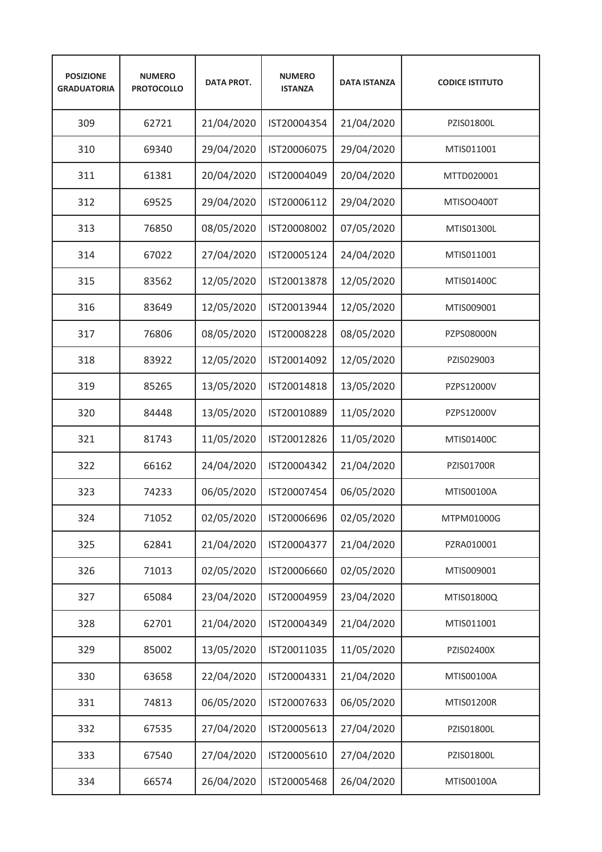| <b>POSIZIONE</b><br><b>GRADUATORIA</b> | <b>NUMERO</b><br><b>PROTOCOLLO</b> | <b>DATA PROT.</b> | <b>NUMERO</b><br><b>ISTANZA</b> | <b>DATA ISTANZA</b> | <b>CODICE ISTITUTO</b> |
|----------------------------------------|------------------------------------|-------------------|---------------------------------|---------------------|------------------------|
| 309                                    | 62721                              | 21/04/2020        | IST20004354                     | 21/04/2020          | PZIS01800L             |
| 310                                    | 69340                              | 29/04/2020        | IST20006075                     | 29/04/2020          | MTIS011001             |
| 311                                    | 61381                              | 20/04/2020        | IST20004049                     | 20/04/2020          | MTTD020001             |
| 312                                    | 69525                              | 29/04/2020        | IST20006112                     | 29/04/2020          | MTISOO400T             |
| 313                                    | 76850                              | 08/05/2020        | IST20008002                     | 07/05/2020          | MTIS01300L             |
| 314                                    | 67022                              | 27/04/2020        | IST20005124                     | 24/04/2020          | MTIS011001             |
| 315                                    | 83562                              | 12/05/2020        | IST20013878                     | 12/05/2020          | MTIS01400C             |
| 316                                    | 83649                              | 12/05/2020        | IST20013944                     | 12/05/2020          | MTIS009001             |
| 317                                    | 76806                              | 08/05/2020        | IST20008228                     | 08/05/2020          | <b>PZPS08000N</b>      |
| 318                                    | 83922                              | 12/05/2020        | IST20014092                     | 12/05/2020          | PZIS029003             |
| 319                                    | 85265                              | 13/05/2020        | IST20014818                     | 13/05/2020          | PZPS12000V             |
| 320                                    | 84448                              | 13/05/2020        | IST20010889                     | 11/05/2020          | PZPS12000V             |
| 321                                    | 81743                              | 11/05/2020        | IST20012826                     | 11/05/2020          | MTIS01400C             |
| 322                                    | 66162                              | 24/04/2020        | IST20004342                     | 21/04/2020          | <b>PZIS01700R</b>      |
| 323                                    | 74233                              | 06/05/2020        | IST20007454                     | 06/05/2020          | MTIS00100A             |
| 324                                    | 71052                              | 02/05/2020        | IST20006696                     | 02/05/2020          | MTPM01000G             |
| 325                                    | 62841                              | 21/04/2020        | IST20004377                     | 21/04/2020          | PZRA010001             |
| 326                                    | 71013                              | 02/05/2020        | IST20006660                     | 02/05/2020          | MTIS009001             |
| 327                                    | 65084                              | 23/04/2020        | IST20004959                     | 23/04/2020          | MTIS01800Q             |
| 328                                    | 62701                              | 21/04/2020        | IST20004349                     | 21/04/2020          | MTIS011001             |
| 329                                    | 85002                              | 13/05/2020        | IST20011035                     | 11/05/2020          | PZIS02400X             |
| 330                                    | 63658                              | 22/04/2020        | IST20004331                     | 21/04/2020          | MTIS00100A             |
| 331                                    | 74813                              | 06/05/2020        | IST20007633                     | 06/05/2020          | MTIS01200R             |
| 332                                    | 67535                              | 27/04/2020        | IST20005613                     | 27/04/2020          | PZIS01800L             |
| 333                                    | 67540                              | 27/04/2020        | IST20005610                     | 27/04/2020          | PZIS01800L             |
| 334                                    | 66574                              | 26/04/2020        | IST20005468                     | 26/04/2020          | MTIS00100A             |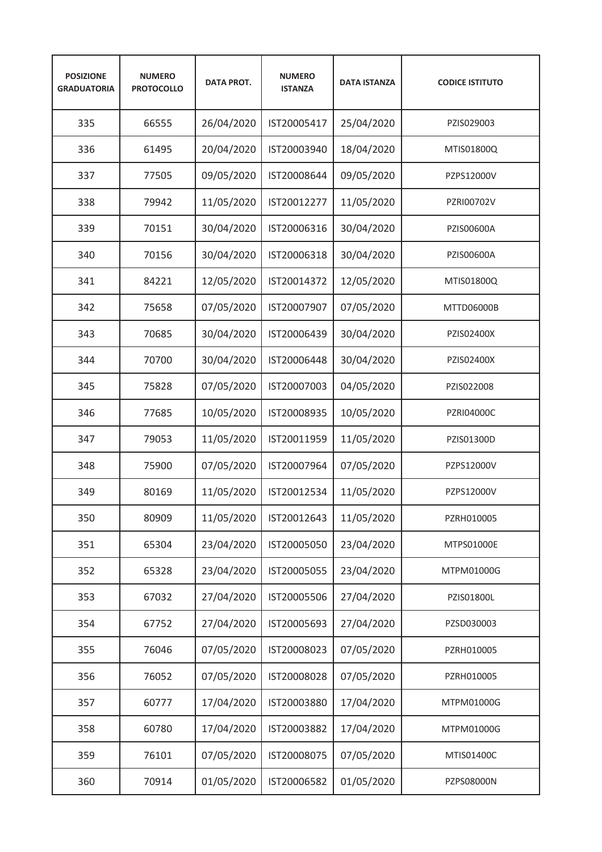| <b>POSIZIONE</b><br><b>GRADUATORIA</b> | <b>NUMERO</b><br><b>PROTOCOLLO</b> | <b>DATA PROT.</b> | <b>NUMERO</b><br><b>ISTANZA</b> | <b>DATA ISTANZA</b> | <b>CODICE ISTITUTO</b> |
|----------------------------------------|------------------------------------|-------------------|---------------------------------|---------------------|------------------------|
| 335                                    | 66555                              | 26/04/2020        | IST20005417                     | 25/04/2020          | PZIS029003             |
| 336                                    | 61495                              | 20/04/2020        | IST20003940                     | 18/04/2020          | MTIS01800Q             |
| 337                                    | 77505                              | 09/05/2020        | IST20008644                     | 09/05/2020          | PZPS12000V             |
| 338                                    | 79942                              | 11/05/2020        | IST20012277                     | 11/05/2020          | PZRI00702V             |
| 339                                    | 70151                              | 30/04/2020        | IST20006316                     | 30/04/2020          | PZIS00600A             |
| 340                                    | 70156                              | 30/04/2020        | IST20006318                     | 30/04/2020          | PZIS00600A             |
| 341                                    | 84221                              | 12/05/2020        | IST20014372                     | 12/05/2020          | MTIS01800Q             |
| 342                                    | 75658                              | 07/05/2020        | IST20007907                     | 07/05/2020          | MTTD06000B             |
| 343                                    | 70685                              | 30/04/2020        | IST20006439                     | 30/04/2020          | PZIS02400X             |
| 344                                    | 70700                              | 30/04/2020        | IST20006448                     | 30/04/2020          | PZIS02400X             |
| 345                                    | 75828                              | 07/05/2020        | IST20007003                     | 04/05/2020          | PZIS022008             |
| 346                                    | 77685                              | 10/05/2020        | IST20008935                     | 10/05/2020          | <b>PZRI04000C</b>      |
| 347                                    | 79053                              | 11/05/2020        | IST20011959                     | 11/05/2020          | PZIS01300D             |
| 348                                    | 75900                              | 07/05/2020        | IST20007964                     | 07/05/2020          | PZPS12000V             |
| 349                                    | 80169                              | 11/05/2020        | IST20012534                     | 11/05/2020          | PZPS12000V             |
| 350                                    | 80909                              | 11/05/2020        | IST20012643                     | 11/05/2020          | PZRH010005             |
| 351                                    | 65304                              | 23/04/2020        | IST20005050                     | 23/04/2020          | MTPS01000E             |
| 352                                    | 65328                              | 23/04/2020        | IST20005055                     | 23/04/2020          | MTPM01000G             |
| 353                                    | 67032                              | 27/04/2020        | IST20005506                     | 27/04/2020          | PZIS01800L             |
| 354                                    | 67752                              | 27/04/2020        | IST20005693                     | 27/04/2020          | PZSD030003             |
| 355                                    | 76046                              | 07/05/2020        | IST20008023                     | 07/05/2020          | PZRH010005             |
| 356                                    | 76052                              | 07/05/2020        | IST20008028                     | 07/05/2020          | PZRH010005             |
| 357                                    | 60777                              | 17/04/2020        | IST20003880                     | 17/04/2020          | MTPM01000G             |
| 358                                    | 60780                              | 17/04/2020        | IST20003882                     | 17/04/2020          | MTPM01000G             |
| 359                                    | 76101                              | 07/05/2020        | IST20008075                     | 07/05/2020          | MTIS01400C             |
| 360                                    | 70914                              | 01/05/2020        | IST20006582                     | 01/05/2020          | PZPS08000N             |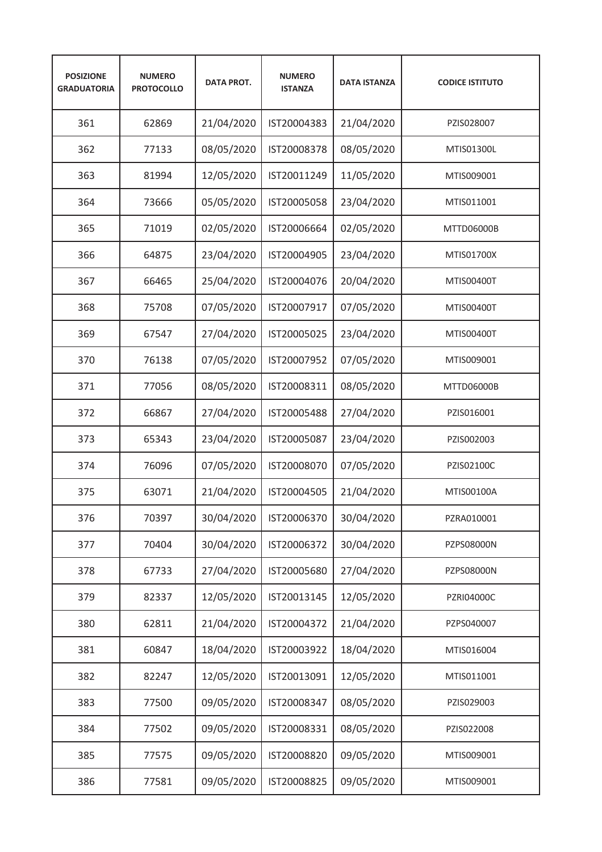| <b>POSIZIONE</b><br><b>GRADUATORIA</b> | <b>NUMERO</b><br><b>PROTOCOLLO</b> | <b>DATA PROT.</b> | <b>NUMERO</b><br><b>ISTANZA</b> | <b>DATA ISTANZA</b> | <b>CODICE ISTITUTO</b> |
|----------------------------------------|------------------------------------|-------------------|---------------------------------|---------------------|------------------------|
| 361                                    | 62869                              | 21/04/2020        | IST20004383                     | 21/04/2020          | PZIS028007             |
| 362                                    | 77133                              | 08/05/2020        | IST20008378                     | 08/05/2020          | MTIS01300L             |
| 363                                    | 81994                              | 12/05/2020        | IST20011249                     | 11/05/2020          | MTIS009001             |
| 364                                    | 73666                              | 05/05/2020        | IST20005058                     | 23/04/2020          | MTIS011001             |
| 365                                    | 71019                              | 02/05/2020        | IST20006664                     | 02/05/2020          | <b>MTTD06000B</b>      |
| 366                                    | 64875                              | 23/04/2020        | IST20004905                     | 23/04/2020          | MTIS01700X             |
| 367                                    | 66465                              | 25/04/2020        | IST20004076                     | 20/04/2020          | MTIS00400T             |
| 368                                    | 75708                              | 07/05/2020        | IST20007917                     | 07/05/2020          | MTIS00400T             |
| 369                                    | 67547                              | 27/04/2020        | IST20005025                     | 23/04/2020          | MTIS00400T             |
| 370                                    | 76138                              | 07/05/2020        | IST20007952                     | 07/05/2020          | MTIS009001             |
| 371                                    | 77056                              | 08/05/2020        | IST20008311                     | 08/05/2020          | <b>MTTD06000B</b>      |
| 372                                    | 66867                              | 27/04/2020        | IST20005488                     | 27/04/2020          | PZIS016001             |
| 373                                    | 65343                              | 23/04/2020        | IST20005087                     | 23/04/2020          | PZIS002003             |
| 374                                    | 76096                              | 07/05/2020        | IST20008070                     | 07/05/2020          | PZIS02100C             |
| 375                                    | 63071                              | 21/04/2020        | IST20004505                     | 21/04/2020          | MTIS00100A             |
| 376                                    | 70397                              | 30/04/2020        | IST20006370                     | 30/04/2020          | PZRA010001             |
| 377                                    | 70404                              | 30/04/2020        | IST20006372                     | 30/04/2020          | PZPS08000N             |
| 378                                    | 67733                              | 27/04/2020        | IST20005680                     | 27/04/2020          | PZPS08000N             |
| 379                                    | 82337                              | 12/05/2020        | IST20013145                     | 12/05/2020          | PZRI04000C             |
| 380                                    | 62811                              | 21/04/2020        | IST20004372                     | 21/04/2020          | PZPS040007             |
| 381                                    | 60847                              | 18/04/2020        | IST20003922                     | 18/04/2020          | MTIS016004             |
| 382                                    | 82247                              | 12/05/2020        | IST20013091                     | 12/05/2020          | MTIS011001             |
| 383                                    | 77500                              | 09/05/2020        | IST20008347                     | 08/05/2020          | PZIS029003             |
| 384                                    | 77502                              | 09/05/2020        | IST20008331                     | 08/05/2020          | PZIS022008             |
| 385                                    | 77575                              | 09/05/2020        | IST20008820                     | 09/05/2020          | MTIS009001             |
| 386                                    | 77581                              | 09/05/2020        | IST20008825                     | 09/05/2020          | MTIS009001             |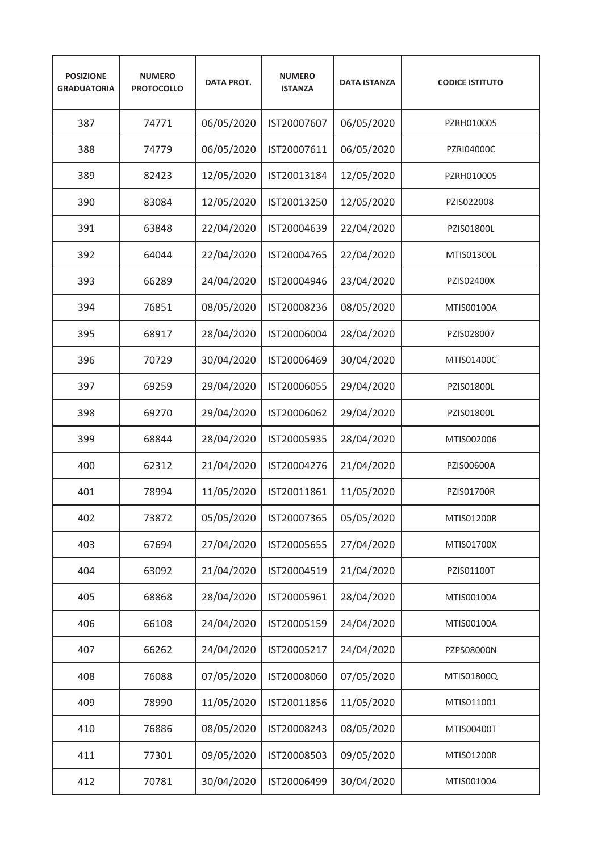| <b>POSIZIONE</b><br><b>GRADUATORIA</b> | <b>NUMERO</b><br><b>PROTOCOLLO</b> | <b>DATA PROT.</b> | <b>NUMERO</b><br><b>ISTANZA</b> | <b>DATA ISTANZA</b> | <b>CODICE ISTITUTO</b> |
|----------------------------------------|------------------------------------|-------------------|---------------------------------|---------------------|------------------------|
| 387                                    | 74771                              | 06/05/2020        | IST20007607                     | 06/05/2020          | PZRH010005             |
| 388                                    | 74779                              | 06/05/2020        | IST20007611                     | 06/05/2020          | <b>PZRI04000C</b>      |
| 389                                    | 82423                              | 12/05/2020        | IST20013184                     | 12/05/2020          | PZRH010005             |
| 390                                    | 83084                              | 12/05/2020        | IST20013250                     | 12/05/2020          | PZIS022008             |
| 391                                    | 63848                              | 22/04/2020        | IST20004639                     | 22/04/2020          | PZIS01800L             |
| 392                                    | 64044                              | 22/04/2020        | IST20004765                     | 22/04/2020          | MTIS01300L             |
| 393                                    | 66289                              | 24/04/2020        | IST20004946                     | 23/04/2020          | PZIS02400X             |
| 394                                    | 76851                              | 08/05/2020        | IST20008236                     | 08/05/2020          | MTIS00100A             |
| 395                                    | 68917                              | 28/04/2020        | IST20006004                     | 28/04/2020          | PZIS028007             |
| 396                                    | 70729                              | 30/04/2020        | IST20006469                     | 30/04/2020          | MTIS01400C             |
| 397                                    | 69259                              | 29/04/2020        | IST20006055                     | 29/04/2020          | PZIS01800L             |
| 398                                    | 69270                              | 29/04/2020        | IST20006062                     | 29/04/2020          | PZIS01800L             |
| 399                                    | 68844                              | 28/04/2020        | IST20005935                     | 28/04/2020          | MTIS002006             |
| 400                                    | 62312                              | 21/04/2020        | IST20004276                     | 21/04/2020          | PZIS00600A             |
| 401                                    | 78994                              | 11/05/2020        | IST20011861                     | 11/05/2020          | <b>PZIS01700R</b>      |
| 402                                    | 73872                              | 05/05/2020        | IST20007365                     | 05/05/2020          | MTIS01200R             |
| 403                                    | 67694                              | 27/04/2020        | IST20005655                     | 27/04/2020          | MTIS01700X             |
| 404                                    | 63092                              | 21/04/2020        | IST20004519                     | 21/04/2020          | PZIS01100T             |
| 405                                    | 68868                              | 28/04/2020        | IST20005961                     | 28/04/2020          | MTIS00100A             |
| 406                                    | 66108                              | 24/04/2020        | IST20005159                     | 24/04/2020          | MTIS00100A             |
| 407                                    | 66262                              | 24/04/2020        | IST20005217                     | 24/04/2020          | PZPS08000N             |
| 408                                    | 76088                              | 07/05/2020        | IST20008060                     | 07/05/2020          | MTIS01800Q             |
| 409                                    | 78990                              | 11/05/2020        | IST20011856                     | 11/05/2020          | MTIS011001             |
| 410                                    | 76886                              | 08/05/2020        | IST20008243                     | 08/05/2020          | MTIS00400T             |
| 411                                    | 77301                              | 09/05/2020        | IST20008503                     | 09/05/2020          | <b>MTIS01200R</b>      |
| 412                                    | 70781                              | 30/04/2020        | IST20006499                     | 30/04/2020          | MTIS00100A             |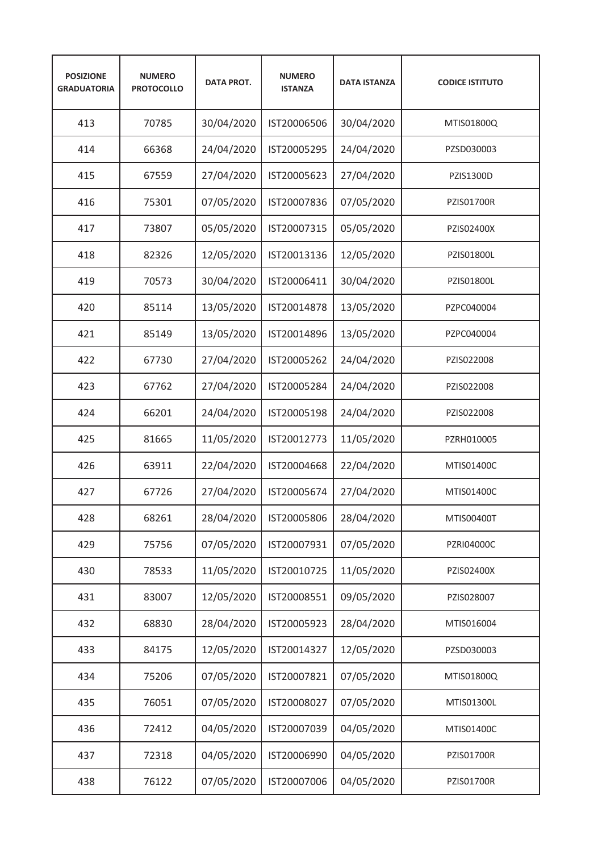| <b>POSIZIONE</b><br><b>GRADUATORIA</b> | <b>NUMERO</b><br><b>PROTOCOLLO</b> | <b>DATA PROT.</b> | <b>NUMERO</b><br><b>ISTANZA</b> | <b>DATA ISTANZA</b> | <b>CODICE ISTITUTO</b> |
|----------------------------------------|------------------------------------|-------------------|---------------------------------|---------------------|------------------------|
| 413                                    | 70785                              | 30/04/2020        | IST20006506                     | 30/04/2020          | MTIS01800Q             |
| 414                                    | 66368                              | 24/04/2020        | IST20005295                     | 24/04/2020          | PZSD030003             |
| 415                                    | 67559                              | 27/04/2020        | IST20005623                     | 27/04/2020          | PZIS1300D              |
| 416                                    | 75301                              | 07/05/2020        | IST20007836                     | 07/05/2020          | <b>PZIS01700R</b>      |
| 417                                    | 73807                              | 05/05/2020        | IST20007315                     | 05/05/2020          | PZIS02400X             |
| 418                                    | 82326                              | 12/05/2020        | IST20013136                     | 12/05/2020          | PZIS01800L             |
| 419                                    | 70573                              | 30/04/2020        | IST20006411                     | 30/04/2020          | PZIS01800L             |
| 420                                    | 85114                              | 13/05/2020        | IST20014878                     | 13/05/2020          | PZPC040004             |
| 421                                    | 85149                              | 13/05/2020        | IST20014896                     | 13/05/2020          | PZPC040004             |
| 422                                    | 67730                              | 27/04/2020        | IST20005262                     | 24/04/2020          | PZIS022008             |
| 423                                    | 67762                              | 27/04/2020        | IST20005284                     | 24/04/2020          | PZIS022008             |
| 424                                    | 66201                              | 24/04/2020        | IST20005198                     | 24/04/2020          | PZIS022008             |
| 425                                    | 81665                              | 11/05/2020        | IST20012773                     | 11/05/2020          | PZRH010005             |
| 426                                    | 63911                              | 22/04/2020        | IST20004668                     | 22/04/2020          | MTIS01400C             |
| 427                                    | 67726                              | 27/04/2020        | IST20005674                     | 27/04/2020          | MTIS01400C             |
| 428                                    | 68261                              | 28/04/2020        | IST20005806                     | 28/04/2020          | MTIS00400T             |
| 429                                    | 75756                              | 07/05/2020        | IST20007931                     | 07/05/2020          | PZRI04000C             |
| 430                                    | 78533                              | 11/05/2020        | IST20010725                     | 11/05/2020          | PZIS02400X             |
| 431                                    | 83007                              | 12/05/2020        | IST20008551                     | 09/05/2020          | PZIS028007             |
| 432                                    | 68830                              | 28/04/2020        | IST20005923                     | 28/04/2020          | MTIS016004             |
| 433                                    | 84175                              | 12/05/2020        | IST20014327                     | 12/05/2020          | PZSD030003             |
| 434                                    | 75206                              | 07/05/2020        | IST20007821                     | 07/05/2020          | MTIS01800Q             |
| 435                                    | 76051                              | 07/05/2020        | IST20008027                     | 07/05/2020          | MTIS01300L             |
| 436                                    | 72412                              | 04/05/2020        | IST20007039                     | 04/05/2020          | MTIS01400C             |
| 437                                    | 72318                              | 04/05/2020        | IST20006990                     | 04/05/2020          | PZIS01700R             |
| 438                                    | 76122                              | 07/05/2020        | IST20007006                     | 04/05/2020          | PZIS01700R             |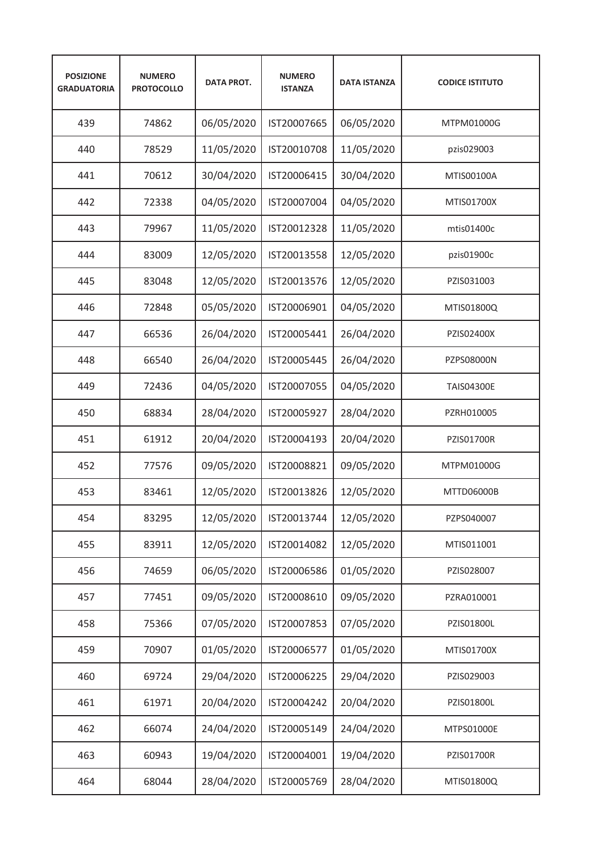| <b>POSIZIONE</b><br><b>GRADUATORIA</b> | <b>NUMERO</b><br><b>PROTOCOLLO</b> | <b>DATA PROT.</b> | <b>NUMERO</b><br><b>ISTANZA</b> | <b>DATA ISTANZA</b> | <b>CODICE ISTITUTO</b> |
|----------------------------------------|------------------------------------|-------------------|---------------------------------|---------------------|------------------------|
| 439                                    | 74862                              | 06/05/2020        | IST20007665                     | 06/05/2020          | MTPM01000G             |
| 440                                    | 78529                              | 11/05/2020        | IST20010708                     | 11/05/2020          | pzis029003             |
| 441                                    | 70612                              | 30/04/2020        | IST20006415                     | 30/04/2020          | MTIS00100A             |
| 442                                    | 72338                              | 04/05/2020        | IST20007004                     | 04/05/2020          | MTIS01700X             |
| 443                                    | 79967                              | 11/05/2020        | IST20012328                     | 11/05/2020          | mtis01400c             |
| 444                                    | 83009                              | 12/05/2020        | IST20013558                     | 12/05/2020          | pzis01900c             |
| 445                                    | 83048                              | 12/05/2020        | IST20013576                     | 12/05/2020          | PZIS031003             |
| 446                                    | 72848                              | 05/05/2020        | IST20006901                     | 04/05/2020          | MTIS01800Q             |
| 447                                    | 66536                              | 26/04/2020        | IST20005441                     | 26/04/2020          | PZIS02400X             |
| 448                                    | 66540                              | 26/04/2020        | IST20005445                     | 26/04/2020          | <b>PZPS08000N</b>      |
| 449                                    | 72436                              | 04/05/2020        | IST20007055                     | 04/05/2020          | <b>TAIS04300E</b>      |
| 450                                    | 68834                              | 28/04/2020        | IST20005927                     | 28/04/2020          | PZRH010005             |
| 451                                    | 61912                              | 20/04/2020        | IST20004193                     | 20/04/2020          | PZIS01700R             |
| 452                                    | 77576                              | 09/05/2020        | IST20008821                     | 09/05/2020          | MTPM01000G             |
| 453                                    | 83461                              | 12/05/2020        | IST20013826                     | 12/05/2020          | MTTD06000B             |
| 454                                    | 83295                              | 12/05/2020        | IST20013744                     | 12/05/2020          | PZPS040007             |
| 455                                    | 83911                              | 12/05/2020        | IST20014082                     | 12/05/2020          | MTIS011001             |
| 456                                    | 74659                              | 06/05/2020        | IST20006586                     | 01/05/2020          | PZIS028007             |
| 457                                    | 77451                              | 09/05/2020        | IST20008610                     | 09/05/2020          | PZRA010001             |
| 458                                    | 75366                              | 07/05/2020        | IST20007853                     | 07/05/2020          | PZIS01800L             |
| 459                                    | 70907                              | 01/05/2020        | IST20006577                     | 01/05/2020          | MTIS01700X             |
| 460                                    | 69724                              | 29/04/2020        | IST20006225                     | 29/04/2020          | PZIS029003             |
| 461                                    | 61971                              | 20/04/2020        | IST20004242                     | 20/04/2020          | PZIS01800L             |
| 462                                    | 66074                              | 24/04/2020        | IST20005149                     | 24/04/2020          | MTPS01000E             |
| 463                                    | 60943                              | 19/04/2020        | IST20004001                     | 19/04/2020          | PZIS01700R             |
| 464                                    | 68044                              | 28/04/2020        | IST20005769                     | 28/04/2020          | MTIS01800Q             |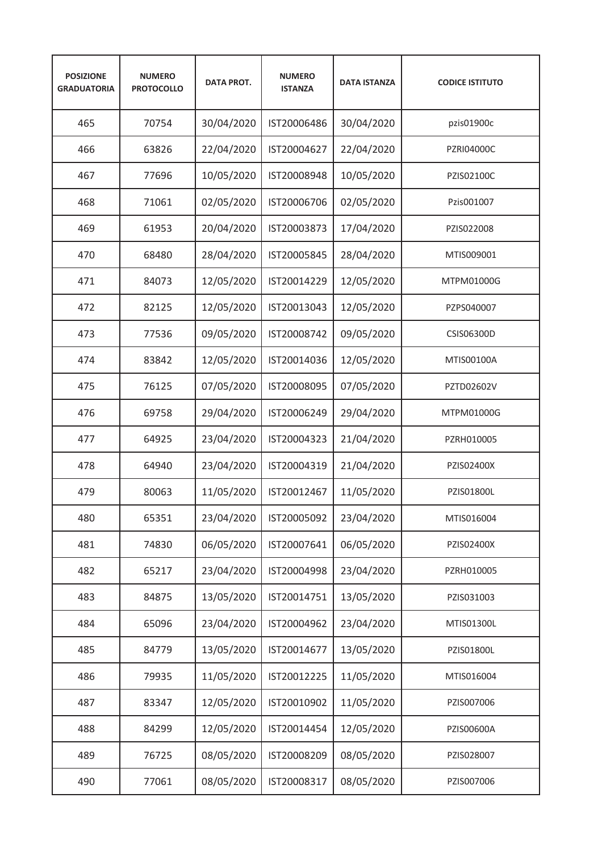| <b>POSIZIONE</b><br><b>GRADUATORIA</b> | <b>NUMERO</b><br><b>PROTOCOLLO</b> | <b>DATA PROT.</b> | <b>NUMERO</b><br><b>ISTANZA</b> | <b>DATA ISTANZA</b> | <b>CODICE ISTITUTO</b> |
|----------------------------------------|------------------------------------|-------------------|---------------------------------|---------------------|------------------------|
| 465                                    | 70754                              | 30/04/2020        | IST20006486                     | 30/04/2020          | pzis01900c             |
| 466                                    | 63826                              | 22/04/2020        | IST20004627                     | 22/04/2020          | <b>PZRI04000C</b>      |
| 467                                    | 77696                              | 10/05/2020        | IST20008948                     | 10/05/2020          | PZIS02100C             |
| 468                                    | 71061                              | 02/05/2020        | IST20006706                     | 02/05/2020          | Pzis001007             |
| 469                                    | 61953                              | 20/04/2020        | IST20003873                     | 17/04/2020          | PZIS022008             |
| 470                                    | 68480                              | 28/04/2020        | IST20005845                     | 28/04/2020          | MTIS009001             |
| 471                                    | 84073                              | 12/05/2020        | IST20014229                     | 12/05/2020          | MTPM01000G             |
| 472                                    | 82125                              | 12/05/2020        | IST20013043                     | 12/05/2020          | PZPS040007             |
| 473                                    | 77536                              | 09/05/2020        | IST20008742                     | 09/05/2020          | CSIS06300D             |
| 474                                    | 83842                              | 12/05/2020        | IST20014036                     | 12/05/2020          | MTIS00100A             |
| 475                                    | 76125                              | 07/05/2020        | IST20008095                     | 07/05/2020          | PZTD02602V             |
| 476                                    | 69758                              | 29/04/2020        | IST20006249                     | 29/04/2020          | MTPM01000G             |
| 477                                    | 64925                              | 23/04/2020        | IST20004323                     | 21/04/2020          | PZRH010005             |
| 478                                    | 64940                              | 23/04/2020        | IST20004319                     | 21/04/2020          | PZIS02400X             |
| 479                                    | 80063                              | 11/05/2020        | IST20012467                     | 11/05/2020          | PZIS01800L             |
| 480                                    | 65351                              | 23/04/2020        | IST20005092                     | 23/04/2020          | MTIS016004             |
| 481                                    | 74830                              | 06/05/2020        | IST20007641                     | 06/05/2020          | PZIS02400X             |
| 482                                    | 65217                              | 23/04/2020        | IST20004998                     | 23/04/2020          | PZRH010005             |
| 483                                    | 84875                              | 13/05/2020        | IST20014751                     | 13/05/2020          | PZIS031003             |
| 484                                    | 65096                              | 23/04/2020        | IST20004962                     | 23/04/2020          | MTIS01300L             |
| 485                                    | 84779                              | 13/05/2020        | IST20014677                     | 13/05/2020          | PZIS01800L             |
| 486                                    | 79935                              | 11/05/2020        | IST20012225                     | 11/05/2020          | MTIS016004             |
| 487                                    | 83347                              | 12/05/2020        | IST20010902                     | 11/05/2020          | PZIS007006             |
| 488                                    | 84299                              | 12/05/2020        | IST20014454                     | 12/05/2020          | PZIS00600A             |
| 489                                    | 76725                              | 08/05/2020        | IST20008209                     | 08/05/2020          | PZIS028007             |
| 490                                    | 77061                              | 08/05/2020        | IST20008317                     | 08/05/2020          | PZIS007006             |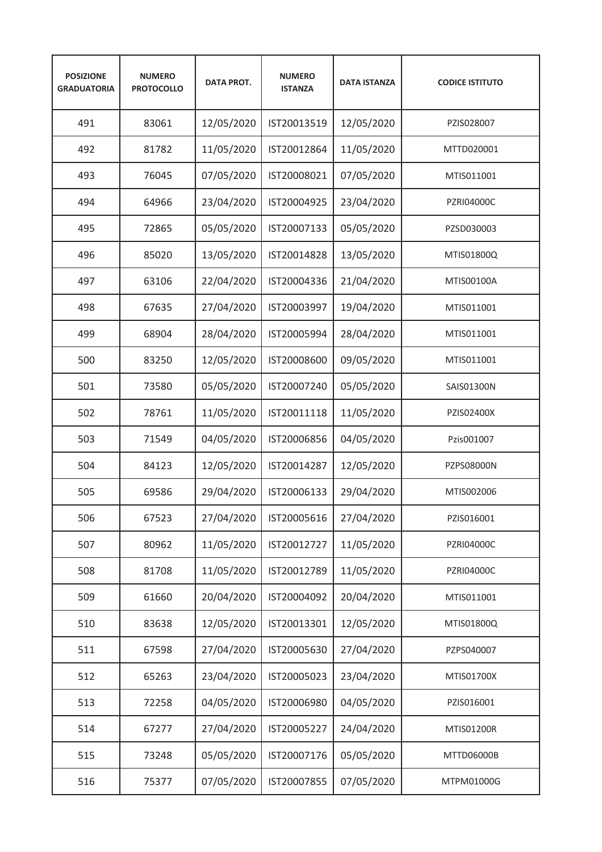| <b>POSIZIONE</b><br><b>GRADUATORIA</b> | <b>NUMERO</b><br><b>PROTOCOLLO</b> | <b>DATA PROT.</b> | <b>NUMERO</b><br><b>ISTANZA</b> | <b>DATA ISTANZA</b> | <b>CODICE ISTITUTO</b> |
|----------------------------------------|------------------------------------|-------------------|---------------------------------|---------------------|------------------------|
| 491                                    | 83061                              | 12/05/2020        | IST20013519                     | 12/05/2020          | PZIS028007             |
| 492                                    | 81782                              | 11/05/2020        | IST20012864                     | 11/05/2020          | MTTD020001             |
| 493                                    | 76045                              | 07/05/2020        | IST20008021                     | 07/05/2020          | MTIS011001             |
| 494                                    | 64966                              | 23/04/2020        | IST20004925                     | 23/04/2020          | <b>PZRI04000C</b>      |
| 495                                    | 72865                              | 05/05/2020        | IST20007133                     | 05/05/2020          | PZSD030003             |
| 496                                    | 85020                              | 13/05/2020        | IST20014828                     | 13/05/2020          | MTIS01800Q             |
| 497                                    | 63106                              | 22/04/2020        | IST20004336                     | 21/04/2020          | MTIS00100A             |
| 498                                    | 67635                              | 27/04/2020        | IST20003997                     | 19/04/2020          | MTIS011001             |
| 499                                    | 68904                              | 28/04/2020        | IST20005994                     | 28/04/2020          | MTIS011001             |
| 500                                    | 83250                              | 12/05/2020        | IST20008600                     | 09/05/2020          | MTIS011001             |
| 501                                    | 73580                              | 05/05/2020        | IST20007240                     | 05/05/2020          | SAIS01300N             |
| 502                                    | 78761                              | 11/05/2020        | IST20011118                     | 11/05/2020          | PZIS02400X             |
| 503                                    | 71549                              | 04/05/2020        | IST20006856                     | 04/05/2020          | Pzis001007             |
| 504                                    | 84123                              | 12/05/2020        | IST20014287                     | 12/05/2020          | <b>PZPS08000N</b>      |
| 505                                    | 69586                              | 29/04/2020        | IST20006133                     | 29/04/2020          | MTIS002006             |
| 506                                    | 67523                              | 27/04/2020        | IST20005616                     | 27/04/2020          | PZIS016001             |
| 507                                    | 80962                              | 11/05/2020        | IST20012727                     | 11/05/2020          | PZRI04000C             |
| 508                                    | 81708                              | 11/05/2020        | IST20012789                     | 11/05/2020          | PZRI04000C             |
| 509                                    | 61660                              | 20/04/2020        | IST20004092                     | 20/04/2020          | MTIS011001             |
| 510                                    | 83638                              | 12/05/2020        | IST20013301                     | 12/05/2020          | MTIS01800Q             |
| 511                                    | 67598                              | 27/04/2020        | IST20005630                     | 27/04/2020          | PZPS040007             |
| 512                                    | 65263                              | 23/04/2020        | IST20005023                     | 23/04/2020          | MTIS01700X             |
| 513                                    | 72258                              | 04/05/2020        | IST20006980                     | 04/05/2020          | PZIS016001             |
| 514                                    | 67277                              | 27/04/2020        | IST20005227                     | 24/04/2020          | MTIS01200R             |
| 515                                    | 73248                              | 05/05/2020        | IST20007176                     | 05/05/2020          | MTTD06000B             |
| 516                                    | 75377                              | 07/05/2020        | IST20007855                     | 07/05/2020          | MTPM01000G             |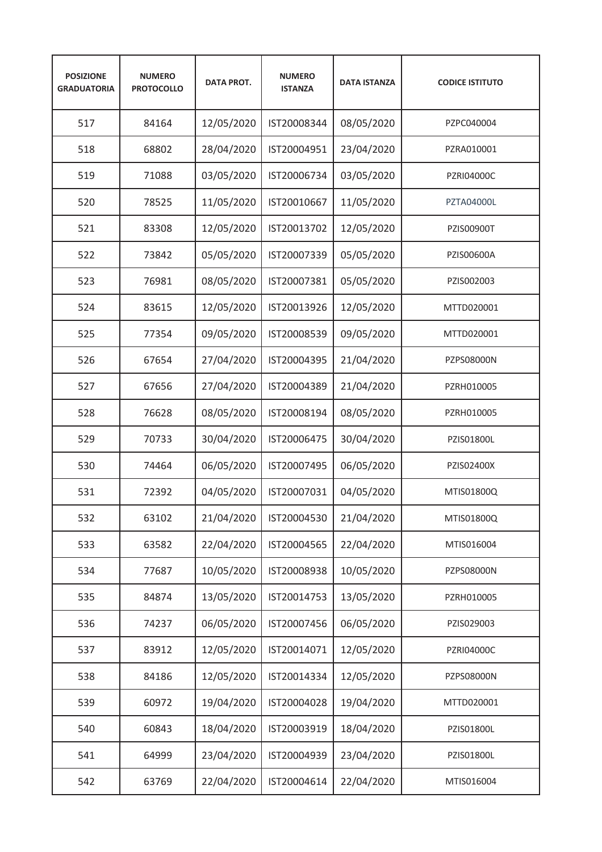| <b>POSIZIONE</b><br><b>GRADUATORIA</b> | <b>NUMERO</b><br><b>PROTOCOLLO</b> | <b>DATA PROT.</b> | <b>NUMERO</b><br><b>ISTANZA</b> | <b>DATA ISTANZA</b> | <b>CODICE ISTITUTO</b> |
|----------------------------------------|------------------------------------|-------------------|---------------------------------|---------------------|------------------------|
| 517                                    | 84164                              | 12/05/2020        | IST20008344                     | 08/05/2020          | PZPC040004             |
| 518                                    | 68802                              | 28/04/2020        | IST20004951                     | 23/04/2020          | PZRA010001             |
| 519                                    | 71088                              | 03/05/2020        | IST20006734                     | 03/05/2020          | <b>PZRI04000C</b>      |
| 520                                    | 78525                              | 11/05/2020        | IST20010667                     | 11/05/2020          | <b>PZTA04000L</b>      |
| 521                                    | 83308                              | 12/05/2020        | IST20013702                     | 12/05/2020          | PZIS00900T             |
| 522                                    | 73842                              | 05/05/2020        | IST20007339                     | 05/05/2020          | PZIS00600A             |
| 523                                    | 76981                              | 08/05/2020        | IST20007381                     | 05/05/2020          | PZIS002003             |
| 524                                    | 83615                              | 12/05/2020        | IST20013926                     | 12/05/2020          | MTTD020001             |
| 525                                    | 77354                              | 09/05/2020        | IST20008539                     | 09/05/2020          | MTTD020001             |
| 526                                    | 67654                              | 27/04/2020        | IST20004395                     | 21/04/2020          | PZPS08000N             |
| 527                                    | 67656                              | 27/04/2020        | IST20004389                     | 21/04/2020          | PZRH010005             |
| 528                                    | 76628                              | 08/05/2020        | IST20008194                     | 08/05/2020          | PZRH010005             |
| 529                                    | 70733                              | 30/04/2020        | IST20006475                     | 30/04/2020          | PZIS01800L             |
| 530                                    | 74464                              | 06/05/2020        | IST20007495                     | 06/05/2020          | PZIS02400X             |
| 531                                    | 72392                              | 04/05/2020        | IST20007031                     | 04/05/2020          | MTIS01800Q             |
| 532                                    | 63102                              | 21/04/2020        | IST20004530                     | 21/04/2020          | MTIS01800Q             |
| 533                                    | 63582                              | 22/04/2020        | IST20004565                     | 22/04/2020          | MTIS016004             |
| 534                                    | 77687                              | 10/05/2020        | IST20008938                     | 10/05/2020          | PZPS08000N             |
| 535                                    | 84874                              | 13/05/2020        | IST20014753                     | 13/05/2020          | PZRH010005             |
| 536                                    | 74237                              | 06/05/2020        | IST20007456                     | 06/05/2020          | PZIS029003             |
| 537                                    | 83912                              | 12/05/2020        | IST20014071                     | 12/05/2020          | PZRI04000C             |
| 538                                    | 84186                              | 12/05/2020        | IST20014334                     | 12/05/2020          | PZPS08000N             |
| 539                                    | 60972                              | 19/04/2020        | IST20004028                     | 19/04/2020          | MTTD020001             |
| 540                                    | 60843                              | 18/04/2020        | IST20003919                     | 18/04/2020          | PZIS01800L             |
| 541                                    | 64999                              | 23/04/2020        | IST20004939                     | 23/04/2020          | PZIS01800L             |
| 542                                    | 63769                              | 22/04/2020        | IST20004614                     | 22/04/2020          | MTIS016004             |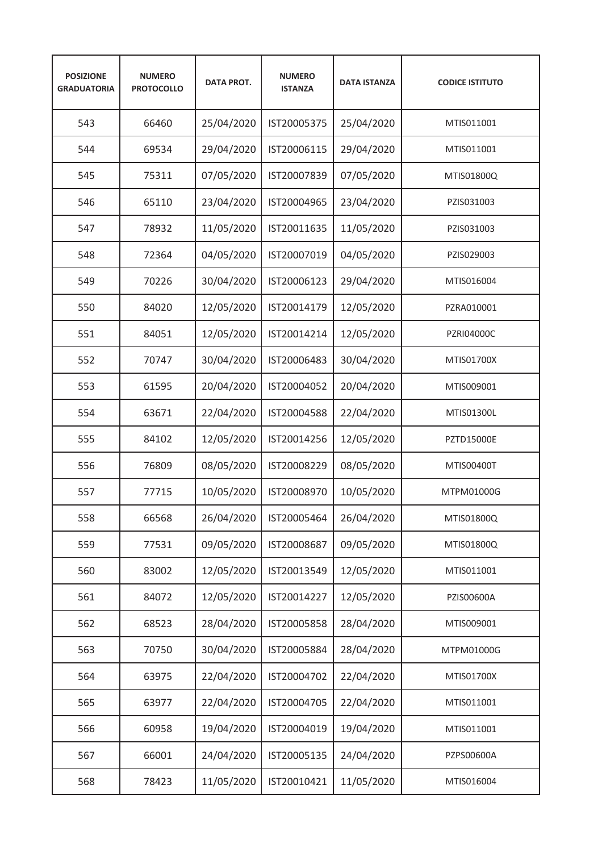| <b>POSIZIONE</b><br><b>GRADUATORIA</b> | <b>NUMERO</b><br><b>PROTOCOLLO</b> | <b>DATA PROT.</b> | <b>NUMERO</b><br><b>ISTANZA</b> | <b>DATA ISTANZA</b> | <b>CODICE ISTITUTO</b> |
|----------------------------------------|------------------------------------|-------------------|---------------------------------|---------------------|------------------------|
| 543                                    | 66460                              | 25/04/2020        | IST20005375                     | 25/04/2020          | MTIS011001             |
| 544                                    | 69534                              | 29/04/2020        | IST20006115                     | 29/04/2020          | MTIS011001             |
| 545                                    | 75311                              | 07/05/2020        | IST20007839                     | 07/05/2020          | MTIS01800Q             |
| 546                                    | 65110                              | 23/04/2020        | IST20004965                     | 23/04/2020          | PZIS031003             |
| 547                                    | 78932                              | 11/05/2020        | IST20011635                     | 11/05/2020          | PZIS031003             |
| 548                                    | 72364                              | 04/05/2020        | IST20007019                     | 04/05/2020          | PZIS029003             |
| 549                                    | 70226                              | 30/04/2020        | IST20006123                     | 29/04/2020          | MTIS016004             |
| 550                                    | 84020                              | 12/05/2020        | IST20014179                     | 12/05/2020          | PZRA010001             |
| 551                                    | 84051                              | 12/05/2020        | IST20014214                     | 12/05/2020          | <b>PZRI04000C</b>      |
| 552                                    | 70747                              | 30/04/2020        | IST20006483                     | 30/04/2020          | MTIS01700X             |
| 553                                    | 61595                              | 20/04/2020        | IST20004052                     | 20/04/2020          | MTIS009001             |
| 554                                    | 63671                              | 22/04/2020        | IST20004588                     | 22/04/2020          | MTIS01300L             |
| 555                                    | 84102                              | 12/05/2020        | IST20014256                     | 12/05/2020          | <b>PZTD15000E</b>      |
| 556                                    | 76809                              | 08/05/2020        | IST20008229                     | 08/05/2020          | MTIS00400T             |
| 557                                    | 77715                              | 10/05/2020        | IST20008970                     | 10/05/2020          | MTPM01000G             |
| 558                                    | 66568                              | 26/04/2020        | IST20005464                     | 26/04/2020          | MTIS01800Q             |
| 559                                    | 77531                              | 09/05/2020        | IST20008687                     | 09/05/2020          | MTIS01800Q             |
| 560                                    | 83002                              | 12/05/2020        | IST20013549                     | 12/05/2020          | MTIS011001             |
| 561                                    | 84072                              | 12/05/2020        | IST20014227                     | 12/05/2020          | PZIS00600A             |
| 562                                    | 68523                              | 28/04/2020        | IST20005858                     | 28/04/2020          | MTIS009001             |
| 563                                    | 70750                              | 30/04/2020        | IST20005884                     | 28/04/2020          | MTPM01000G             |
| 564                                    | 63975                              | 22/04/2020        | IST20004702                     | 22/04/2020          | MTIS01700X             |
| 565                                    | 63977                              | 22/04/2020        | IST20004705                     | 22/04/2020          | MTIS011001             |
| 566                                    | 60958                              | 19/04/2020        | IST20004019                     | 19/04/2020          | MTIS011001             |
| 567                                    | 66001                              | 24/04/2020        | IST20005135                     | 24/04/2020          | PZPS00600A             |
| 568                                    | 78423                              | 11/05/2020        | IST20010421                     | 11/05/2020          | MTIS016004             |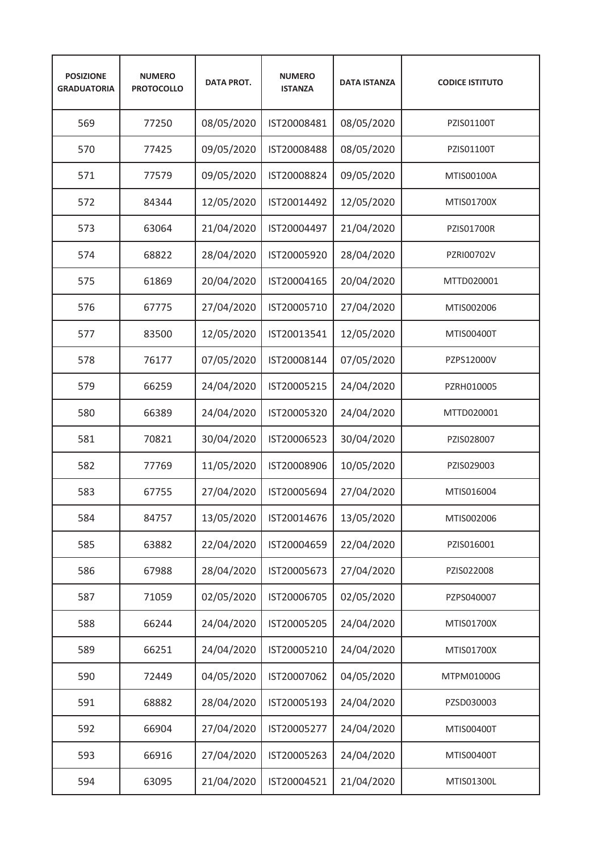| <b>POSIZIONE</b><br><b>GRADUATORIA</b> | <b>NUMERO</b><br><b>PROTOCOLLO</b> | <b>DATA PROT.</b> | <b>NUMERO</b><br><b>ISTANZA</b> | <b>DATA ISTANZA</b> | <b>CODICE ISTITUTO</b> |
|----------------------------------------|------------------------------------|-------------------|---------------------------------|---------------------|------------------------|
| 569                                    | 77250                              | 08/05/2020        | IST20008481                     | 08/05/2020          | PZIS01100T             |
| 570                                    | 77425                              | 09/05/2020        | IST20008488                     | 08/05/2020          | PZIS01100T             |
| 571                                    | 77579                              | 09/05/2020        | IST20008824                     | 09/05/2020          | MTIS00100A             |
| 572                                    | 84344                              | 12/05/2020        | IST20014492                     | 12/05/2020          | <b>MTIS01700X</b>      |
| 573                                    | 63064                              | 21/04/2020        | IST20004497                     | 21/04/2020          | <b>PZIS01700R</b>      |
| 574                                    | 68822                              | 28/04/2020        | IST20005920                     | 28/04/2020          | PZRI00702V             |
| 575                                    | 61869                              | 20/04/2020        | IST20004165                     | 20/04/2020          | MTTD020001             |
| 576                                    | 67775                              | 27/04/2020        | IST20005710                     | 27/04/2020          | MTIS002006             |
| 577                                    | 83500                              | 12/05/2020        | IST20013541                     | 12/05/2020          | MTIS00400T             |
| 578                                    | 76177                              | 07/05/2020        | IST20008144                     | 07/05/2020          | PZPS12000V             |
| 579                                    | 66259                              | 24/04/2020        | IST20005215                     | 24/04/2020          | PZRH010005             |
| 580                                    | 66389                              | 24/04/2020        | IST20005320                     | 24/04/2020          | MTTD020001             |
| 581                                    | 70821                              | 30/04/2020        | IST20006523                     | 30/04/2020          | PZIS028007             |
| 582                                    | 77769                              | 11/05/2020        | IST20008906                     | 10/05/2020          | PZIS029003             |
| 583                                    | 67755                              | 27/04/2020        | IST20005694                     | 27/04/2020          | MTIS016004             |
| 584                                    | 84757                              | 13/05/2020        | IST20014676                     | 13/05/2020          | MTIS002006             |
| 585                                    | 63882                              | 22/04/2020        | IST20004659                     | 22/04/2020          | PZIS016001             |
| 586                                    | 67988                              | 28/04/2020        | IST20005673                     | 27/04/2020          | PZIS022008             |
| 587                                    | 71059                              | 02/05/2020        | IST20006705                     | 02/05/2020          | PZPS040007             |
| 588                                    | 66244                              | 24/04/2020        | IST20005205                     | 24/04/2020          | MTIS01700X             |
| 589                                    | 66251                              | 24/04/2020        | IST20005210                     | 24/04/2020          | MTIS01700X             |
| 590                                    | 72449                              | 04/05/2020        | IST20007062                     | 04/05/2020          | MTPM01000G             |
| 591                                    | 68882                              | 28/04/2020        | IST20005193                     | 24/04/2020          | PZSD030003             |
| 592                                    | 66904                              | 27/04/2020        | IST20005277                     | 24/04/2020          | MTIS00400T             |
| 593                                    | 66916                              | 27/04/2020        | IST20005263                     | 24/04/2020          | MTIS00400T             |
| 594                                    | 63095                              | 21/04/2020        | IST20004521                     | 21/04/2020          | MTIS01300L             |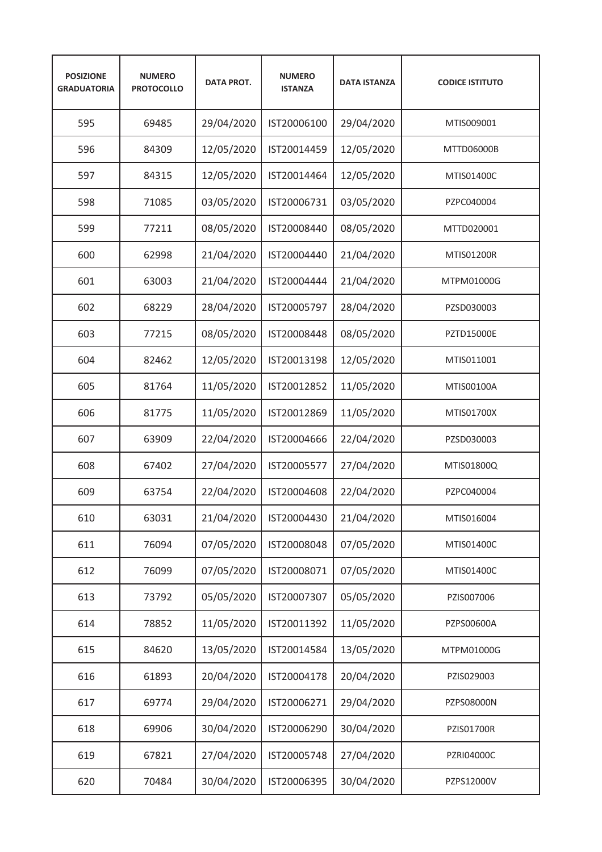| <b>POSIZIONE</b><br><b>GRADUATORIA</b> | <b>NUMERO</b><br><b>PROTOCOLLO</b> | <b>DATA PROT.</b> | <b>NUMERO</b><br><b>ISTANZA</b> | <b>DATA ISTANZA</b> | <b>CODICE ISTITUTO</b> |
|----------------------------------------|------------------------------------|-------------------|---------------------------------|---------------------|------------------------|
| 595                                    | 69485                              | 29/04/2020        | IST20006100                     | 29/04/2020          | MTIS009001             |
| 596                                    | 84309                              | 12/05/2020        | IST20014459                     | 12/05/2020          | MTTD06000B             |
| 597                                    | 84315                              | 12/05/2020        | IST20014464                     | 12/05/2020          | MTIS01400C             |
| 598                                    | 71085                              | 03/05/2020        | IST20006731                     | 03/05/2020          | PZPC040004             |
| 599                                    | 77211                              | 08/05/2020        | IST20008440                     | 08/05/2020          | MTTD020001             |
| 600                                    | 62998                              | 21/04/2020        | IST20004440                     | 21/04/2020          | <b>MTIS01200R</b>      |
| 601                                    | 63003                              | 21/04/2020        | IST20004444                     | 21/04/2020          | MTPM01000G             |
| 602                                    | 68229                              | 28/04/2020        | IST20005797                     | 28/04/2020          | PZSD030003             |
| 603                                    | 77215                              | 08/05/2020        | IST20008448                     | 08/05/2020          | <b>PZTD15000E</b>      |
| 604                                    | 82462                              | 12/05/2020        | IST20013198                     | 12/05/2020          | MTIS011001             |
| 605                                    | 81764                              | 11/05/2020        | IST20012852                     | 11/05/2020          | MTIS00100A             |
| 606                                    | 81775                              | 11/05/2020        | IST20012869                     | 11/05/2020          | MTIS01700X             |
| 607                                    | 63909                              | 22/04/2020        | IST20004666                     | 22/04/2020          | PZSD030003             |
| 608                                    | 67402                              | 27/04/2020        | IST20005577                     | 27/04/2020          | MTIS01800Q             |
| 609                                    | 63754                              | 22/04/2020        | IST20004608                     | 22/04/2020          | PZPC040004             |
| 610                                    | 63031                              | 21/04/2020        | IST20004430                     | 21/04/2020          | MTIS016004             |
| 611                                    | 76094                              | 07/05/2020        | IST20008048                     | 07/05/2020          | MTIS01400C             |
| 612                                    | 76099                              | 07/05/2020        | IST20008071                     | 07/05/2020          | MTIS01400C             |
| 613                                    | 73792                              | 05/05/2020        | IST20007307                     | 05/05/2020          | PZIS007006             |
| 614                                    | 78852                              | 11/05/2020        | IST20011392                     | 11/05/2020          | PZPS00600A             |
| 615                                    | 84620                              | 13/05/2020        | IST20014584                     | 13/05/2020          | MTPM01000G             |
| 616                                    | 61893                              | 20/04/2020        | IST20004178                     | 20/04/2020          | PZIS029003             |
| 617                                    | 69774                              | 29/04/2020        | IST20006271                     | 29/04/2020          | PZPS08000N             |
| 618                                    | 69906                              | 30/04/2020        | IST20006290                     | 30/04/2020          | PZIS01700R             |
| 619                                    | 67821                              | 27/04/2020        | IST20005748                     | 27/04/2020          | PZRI04000C             |
| 620                                    | 70484                              | 30/04/2020        | IST20006395                     | 30/04/2020          | PZPS12000V             |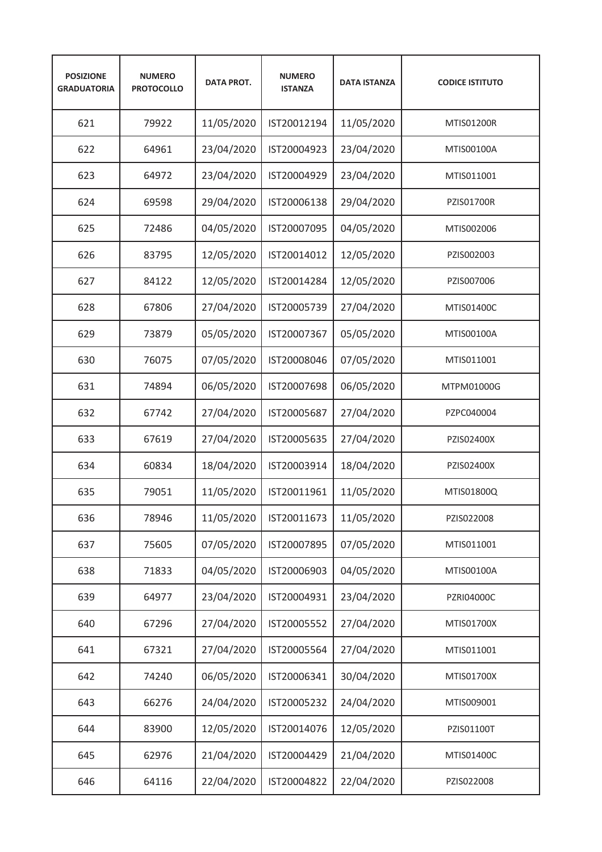| <b>POSIZIONE</b><br><b>GRADUATORIA</b> | <b>NUMERO</b><br><b>PROTOCOLLO</b> | <b>DATA PROT.</b> | <b>NUMERO</b><br><b>ISTANZA</b> | <b>DATA ISTANZA</b> | <b>CODICE ISTITUTO</b> |
|----------------------------------------|------------------------------------|-------------------|---------------------------------|---------------------|------------------------|
| 621                                    | 79922                              | 11/05/2020        | IST20012194                     | 11/05/2020          | MTIS01200R             |
| 622                                    | 64961                              | 23/04/2020        | IST20004923                     | 23/04/2020          | MTIS00100A             |
| 623                                    | 64972                              | 23/04/2020        | IST20004929                     | 23/04/2020          | MTIS011001             |
| 624                                    | 69598                              | 29/04/2020        | IST20006138                     | 29/04/2020          | <b>PZIS01700R</b>      |
| 625                                    | 72486                              | 04/05/2020        | IST20007095                     | 04/05/2020          | MTIS002006             |
| 626                                    | 83795                              | 12/05/2020        | IST20014012                     | 12/05/2020          | PZIS002003             |
| 627                                    | 84122                              | 12/05/2020        | IST20014284                     | 12/05/2020          | PZIS007006             |
| 628                                    | 67806                              | 27/04/2020        | IST20005739                     | 27/04/2020          | MTIS01400C             |
| 629                                    | 73879                              | 05/05/2020        | IST20007367                     | 05/05/2020          | MTIS00100A             |
| 630                                    | 76075                              | 07/05/2020        | IST20008046                     | 07/05/2020          | MTIS011001             |
| 631                                    | 74894                              | 06/05/2020        | IST20007698                     | 06/05/2020          | MTPM01000G             |
| 632                                    | 67742                              | 27/04/2020        | IST20005687                     | 27/04/2020          | PZPC040004             |
| 633                                    | 67619                              | 27/04/2020        | IST20005635                     | 27/04/2020          | PZIS02400X             |
| 634                                    | 60834                              | 18/04/2020        | IST20003914                     | 18/04/2020          | PZIS02400X             |
| 635                                    | 79051                              | 11/05/2020        | IST20011961                     | 11/05/2020          | MTIS01800Q             |
| 636                                    | 78946                              | 11/05/2020        | IST20011673                     | 11/05/2020          | PZIS022008             |
| 637                                    | 75605                              | 07/05/2020        | IST20007895                     | 07/05/2020          | MTIS011001             |
| 638                                    | 71833                              | 04/05/2020        | IST20006903                     | 04/05/2020          | MTIS00100A             |
| 639                                    | 64977                              | 23/04/2020        | IST20004931                     | 23/04/2020          | PZRI04000C             |
| 640                                    | 67296                              | 27/04/2020        | IST20005552                     | 27/04/2020          | MTIS01700X             |
| 641                                    | 67321                              | 27/04/2020        | IST20005564                     | 27/04/2020          | MTIS011001             |
| 642                                    | 74240                              | 06/05/2020        | IST20006341                     | 30/04/2020          | MTIS01700X             |
| 643                                    | 66276                              | 24/04/2020        | IST20005232                     | 24/04/2020          | MTIS009001             |
| 644                                    | 83900                              | 12/05/2020        | IST20014076                     | 12/05/2020          | PZIS01100T             |
| 645                                    | 62976                              | 21/04/2020        | IST20004429                     | 21/04/2020          | MTIS01400C             |
| 646                                    | 64116                              | 22/04/2020        | IST20004822                     | 22/04/2020          | PZIS022008             |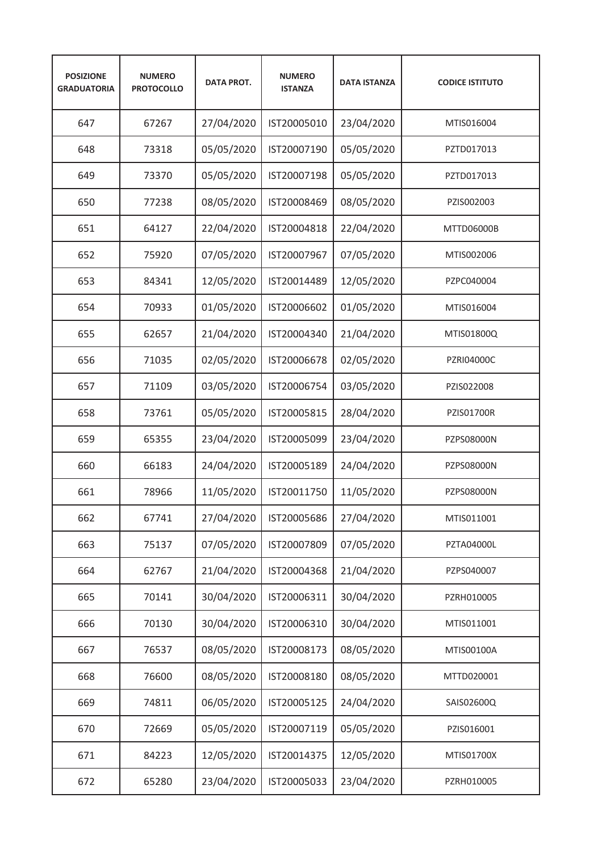| <b>POSIZIONE</b><br><b>GRADUATORIA</b> | <b>NUMERO</b><br><b>PROTOCOLLO</b> | <b>DATA PROT.</b> | <b>NUMERO</b><br><b>ISTANZA</b> | <b>DATA ISTANZA</b> | <b>CODICE ISTITUTO</b> |
|----------------------------------------|------------------------------------|-------------------|---------------------------------|---------------------|------------------------|
| 647                                    | 67267                              | 27/04/2020        | IST20005010                     | 23/04/2020          | MTIS016004             |
| 648                                    | 73318                              | 05/05/2020        | IST20007190                     | 05/05/2020          | PZTD017013             |
| 649                                    | 73370                              | 05/05/2020        | IST20007198                     | 05/05/2020          | PZTD017013             |
| 650                                    | 77238                              | 08/05/2020        | IST20008469                     | 08/05/2020          | PZIS002003             |
| 651                                    | 64127                              | 22/04/2020        | IST20004818                     | 22/04/2020          | MTTD06000B             |
| 652                                    | 75920                              | 07/05/2020        | IST20007967                     | 07/05/2020          | MTIS002006             |
| 653                                    | 84341                              | 12/05/2020        | IST20014489                     | 12/05/2020          | PZPC040004             |
| 654                                    | 70933                              | 01/05/2020        | IST20006602                     | 01/05/2020          | MTIS016004             |
| 655                                    | 62657                              | 21/04/2020        | IST20004340                     | 21/04/2020          | MTIS01800Q             |
| 656                                    | 71035                              | 02/05/2020        | IST20006678                     | 02/05/2020          | PZRI04000C             |
| 657                                    | 71109                              | 03/05/2020        | IST20006754                     | 03/05/2020          | PZIS022008             |
| 658                                    | 73761                              | 05/05/2020        | IST20005815                     | 28/04/2020          | <b>PZIS01700R</b>      |
| 659                                    | 65355                              | 23/04/2020        | IST20005099                     | 23/04/2020          | PZPS08000N             |
| 660                                    | 66183                              | 24/04/2020        | IST20005189                     | 24/04/2020          | <b>PZPS08000N</b>      |
| 661                                    | 78966                              | 11/05/2020        | IST20011750                     | 11/05/2020          | <b>PZPS08000N</b>      |
| 662                                    | 67741                              | 27/04/2020        | IST20005686                     | 27/04/2020          | MTIS011001             |
| 663                                    | 75137                              | 07/05/2020        | IST20007809                     | 07/05/2020          | PZTA04000L             |
| 664                                    | 62767                              | 21/04/2020        | IST20004368                     | 21/04/2020          | PZPS040007             |
| 665                                    | 70141                              | 30/04/2020        | IST20006311                     | 30/04/2020          | PZRH010005             |
| 666                                    | 70130                              | 30/04/2020        | IST20006310                     | 30/04/2020          | MTIS011001             |
| 667                                    | 76537                              | 08/05/2020        | IST20008173                     | 08/05/2020          | MTIS00100A             |
| 668                                    | 76600                              | 08/05/2020        | IST20008180                     | 08/05/2020          | MTTD020001             |
| 669                                    | 74811                              | 06/05/2020        | IST20005125                     | 24/04/2020          | SAIS02600Q             |
| 670                                    | 72669                              | 05/05/2020        | IST20007119                     | 05/05/2020          | PZIS016001             |
| 671                                    | 84223                              | 12/05/2020        | IST20014375                     | 12/05/2020          | MTIS01700X             |
| 672                                    | 65280                              | 23/04/2020        | IST20005033                     | 23/04/2020          | PZRH010005             |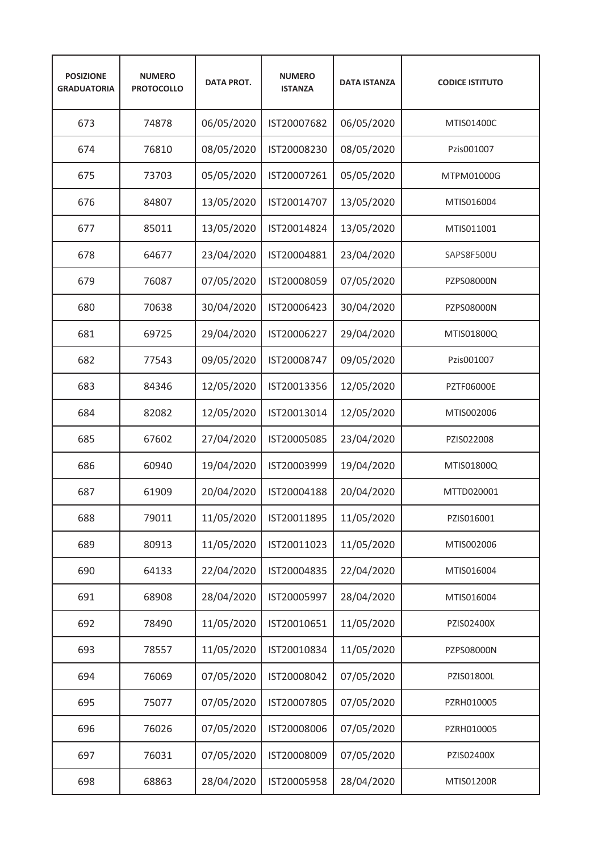| <b>POSIZIONE</b><br><b>GRADUATORIA</b> | <b>NUMERO</b><br><b>PROTOCOLLO</b> | <b>DATA PROT.</b> | <b>NUMERO</b><br><b>ISTANZA</b> | <b>DATA ISTANZA</b> | <b>CODICE ISTITUTO</b> |
|----------------------------------------|------------------------------------|-------------------|---------------------------------|---------------------|------------------------|
| 673                                    | 74878                              | 06/05/2020        | IST20007682                     | 06/05/2020          | MTIS01400C             |
| 674                                    | 76810                              | 08/05/2020        | IST20008230                     | 08/05/2020          | Pzis001007             |
| 675                                    | 73703                              | 05/05/2020        | IST20007261                     | 05/05/2020          | MTPM01000G             |
| 676                                    | 84807                              | 13/05/2020        | IST20014707                     | 13/05/2020          | MTIS016004             |
| 677                                    | 85011                              | 13/05/2020        | IST20014824                     | 13/05/2020          | MTIS011001             |
| 678                                    | 64677                              | 23/04/2020        | IST20004881                     | 23/04/2020          | SAPS8F500U             |
| 679                                    | 76087                              | 07/05/2020        | IST20008059                     | 07/05/2020          | <b>PZPS08000N</b>      |
| 680                                    | 70638                              | 30/04/2020        | IST20006423                     | 30/04/2020          | <b>PZPS08000N</b>      |
| 681                                    | 69725                              | 29/04/2020        | IST20006227                     | 29/04/2020          | MTIS01800Q             |
| 682                                    | 77543                              | 09/05/2020        | IST20008747                     | 09/05/2020          | Pzis001007             |
| 683                                    | 84346                              | 12/05/2020        | IST20013356                     | 12/05/2020          | <b>PZTF06000E</b>      |
| 684                                    | 82082                              | 12/05/2020        | IST20013014                     | 12/05/2020          | MTIS002006             |
| 685                                    | 67602                              | 27/04/2020        | IST20005085                     | 23/04/2020          | PZIS022008             |
| 686                                    | 60940                              | 19/04/2020        | IST20003999                     | 19/04/2020          | MTIS01800Q             |
| 687                                    | 61909                              | 20/04/2020        | IST20004188                     | 20/04/2020          | MTTD020001             |
| 688                                    | 79011                              | 11/05/2020        | IST20011895                     | 11/05/2020          | PZIS016001             |
| 689                                    | 80913                              | 11/05/2020        | IST20011023                     | 11/05/2020          | MTIS002006             |
| 690                                    | 64133                              | 22/04/2020        | IST20004835                     | 22/04/2020          | MTIS016004             |
| 691                                    | 68908                              | 28/04/2020        | IST20005997                     | 28/04/2020          | MTIS016004             |
| 692                                    | 78490                              | 11/05/2020        | IST20010651                     | 11/05/2020          | PZIS02400X             |
| 693                                    | 78557                              | 11/05/2020        | IST20010834                     | 11/05/2020          | PZPS08000N             |
| 694                                    | 76069                              | 07/05/2020        | IST20008042                     | 07/05/2020          | PZIS01800L             |
| 695                                    | 75077                              | 07/05/2020        | IST20007805                     | 07/05/2020          | PZRH010005             |
| 696                                    | 76026                              | 07/05/2020        | IST20008006                     | 07/05/2020          | PZRH010005             |
| 697                                    | 76031                              | 07/05/2020        | IST20008009                     | 07/05/2020          | PZIS02400X             |
| 698                                    | 68863                              | 28/04/2020        | IST20005958                     | 28/04/2020          | MTIS01200R             |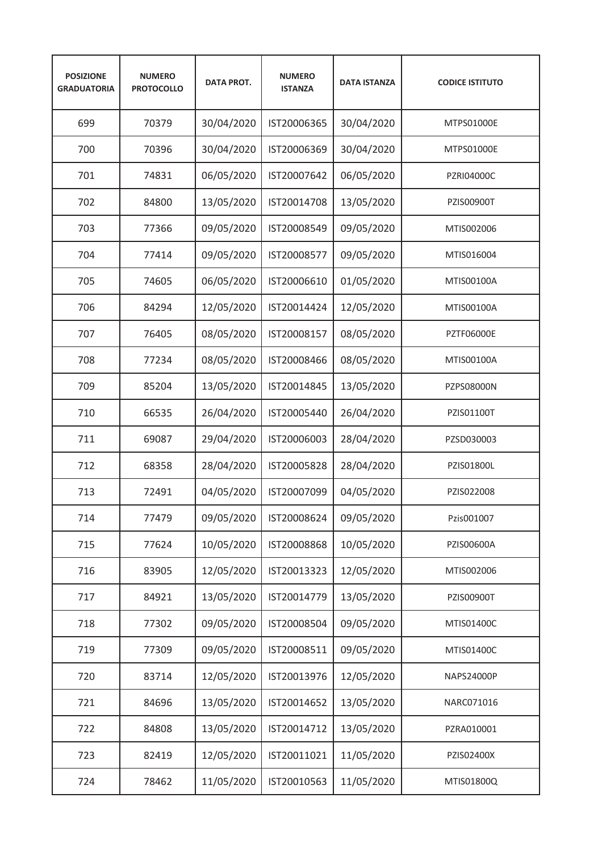| <b>POSIZIONE</b><br><b>GRADUATORIA</b> | <b>NUMERO</b><br><b>PROTOCOLLO</b> | <b>DATA PROT.</b> | <b>NUMERO</b><br><b>ISTANZA</b> | <b>DATA ISTANZA</b> | <b>CODICE ISTITUTO</b> |
|----------------------------------------|------------------------------------|-------------------|---------------------------------|---------------------|------------------------|
| 699                                    | 70379                              | 30/04/2020        | IST20006365                     | 30/04/2020          | MTPS01000E             |
| 700                                    | 70396                              | 30/04/2020        | IST20006369                     | 30/04/2020          | MTPS01000E             |
| 701                                    | 74831                              | 06/05/2020        | IST20007642                     | 06/05/2020          | <b>PZRI04000C</b>      |
| 702                                    | 84800                              | 13/05/2020        | IST20014708                     | 13/05/2020          | <b>PZIS00900T</b>      |
| 703                                    | 77366                              | 09/05/2020        | IST20008549                     | 09/05/2020          | MTIS002006             |
| 704                                    | 77414                              | 09/05/2020        | IST20008577                     | 09/05/2020          | MTIS016004             |
| 705                                    | 74605                              | 06/05/2020        | IST20006610                     | 01/05/2020          | MTIS00100A             |
| 706                                    | 84294                              | 12/05/2020        | IST20014424                     | 12/05/2020          | MTIS00100A             |
| 707                                    | 76405                              | 08/05/2020        | IST20008157                     | 08/05/2020          | <b>PZTF06000E</b>      |
| 708                                    | 77234                              | 08/05/2020        | IST20008466                     | 08/05/2020          | MTIS00100A             |
| 709                                    | 85204                              | 13/05/2020        | IST20014845                     | 13/05/2020          | PZPS08000N             |
| 710                                    | 66535                              | 26/04/2020        | IST20005440                     | 26/04/2020          | PZIS01100T             |
| 711                                    | 69087                              | 29/04/2020        | IST20006003                     | 28/04/2020          | PZSD030003             |
| 712                                    | 68358                              | 28/04/2020        | IST20005828                     | 28/04/2020          | PZIS01800L             |
| 713                                    | 72491                              | 04/05/2020        | IST20007099                     | 04/05/2020          | PZIS022008             |
| 714                                    | 77479                              | 09/05/2020        | IST20008624                     | 09/05/2020          | Pzis001007             |
| 715                                    | 77624                              | 10/05/2020        | IST20008868                     | 10/05/2020          | PZIS00600A             |
| 716                                    | 83905                              | 12/05/2020        | IST20013323                     | 12/05/2020          | MTIS002006             |
| 717                                    | 84921                              | 13/05/2020        | IST20014779                     | 13/05/2020          | PZIS00900T             |
| 718                                    | 77302                              | 09/05/2020        | IST20008504                     | 09/05/2020          | MTIS01400C             |
| 719                                    | 77309                              | 09/05/2020        | IST20008511                     | 09/05/2020          | MTIS01400C             |
| 720                                    | 83714                              | 12/05/2020        | IST20013976                     | 12/05/2020          | NAPS24000P             |
| 721                                    | 84696                              | 13/05/2020        | IST20014652                     | 13/05/2020          | NARC071016             |
| 722                                    | 84808                              | 13/05/2020        | IST20014712                     | 13/05/2020          | PZRA010001             |
| 723                                    | 82419                              | 12/05/2020        | IST20011021                     | 11/05/2020          | PZIS02400X             |
| 724                                    | 78462                              | 11/05/2020        | IST20010563                     | 11/05/2020          | MTIS01800Q             |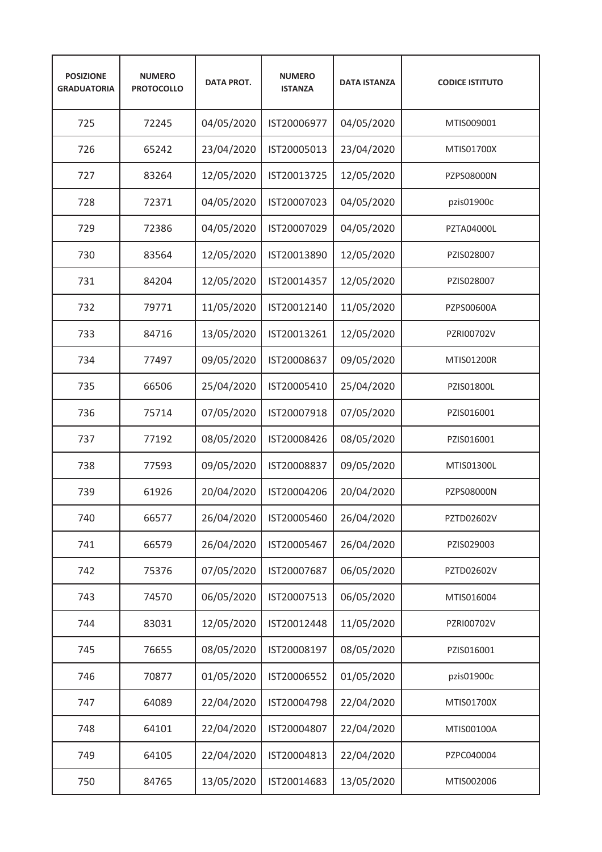| <b>POSIZIONE</b><br><b>GRADUATORIA</b> | <b>NUMERO</b><br><b>PROTOCOLLO</b> | <b>DATA PROT.</b> | <b>NUMERO</b><br><b>ISTANZA</b> | <b>DATA ISTANZA</b> | <b>CODICE ISTITUTO</b> |
|----------------------------------------|------------------------------------|-------------------|---------------------------------|---------------------|------------------------|
| 725                                    | 72245                              | 04/05/2020        | IST20006977                     | 04/05/2020          | MTIS009001             |
| 726                                    | 65242                              | 23/04/2020        | IST20005013                     | 23/04/2020          | MTIS01700X             |
| 727                                    | 83264                              | 12/05/2020        | IST20013725                     | 12/05/2020          | <b>PZPS08000N</b>      |
| 728                                    | 72371                              | 04/05/2020        | IST20007023                     | 04/05/2020          | pzis01900c             |
| 729                                    | 72386                              | 04/05/2020        | IST20007029                     | 04/05/2020          | <b>PZTA04000L</b>      |
| 730                                    | 83564                              | 12/05/2020        | IST20013890                     | 12/05/2020          | PZIS028007             |
| 731                                    | 84204                              | 12/05/2020        | IST20014357                     | 12/05/2020          | PZIS028007             |
| 732                                    | 79771                              | 11/05/2020        | IST20012140                     | 11/05/2020          | PZPS00600A             |
| 733                                    | 84716                              | 13/05/2020        | IST20013261                     | 12/05/2020          | PZRI00702V             |
| 734                                    | 77497                              | 09/05/2020        | IST20008637                     | 09/05/2020          | MTIS01200R             |
| 735                                    | 66506                              | 25/04/2020        | IST20005410                     | 25/04/2020          | PZIS01800L             |
| 736                                    | 75714                              | 07/05/2020        | IST20007918                     | 07/05/2020          | PZIS016001             |
| 737                                    | 77192                              | 08/05/2020        | IST20008426                     | 08/05/2020          | PZIS016001             |
| 738                                    | 77593                              | 09/05/2020        | IST20008837                     | 09/05/2020          | MTIS01300L             |
| 739                                    | 61926                              | 20/04/2020        | IST20004206                     | 20/04/2020          | <b>PZPS08000N</b>      |
| 740                                    | 66577                              | 26/04/2020        | IST20005460                     | 26/04/2020          | PZTD02602V             |
| 741                                    | 66579                              | 26/04/2020        | IST20005467                     | 26/04/2020          | PZIS029003             |
| 742                                    | 75376                              | 07/05/2020        | IST20007687                     | 06/05/2020          | PZTD02602V             |
| 743                                    | 74570                              | 06/05/2020        | IST20007513                     | 06/05/2020          | MTIS016004             |
| 744                                    | 83031                              | 12/05/2020        | IST20012448                     | 11/05/2020          | PZRI00702V             |
| 745                                    | 76655                              | 08/05/2020        | IST20008197                     | 08/05/2020          | PZIS016001             |
| 746                                    | 70877                              | 01/05/2020        | IST20006552                     | 01/05/2020          | pzis01900c             |
| 747                                    | 64089                              | 22/04/2020        | IST20004798                     | 22/04/2020          | MTIS01700X             |
| 748                                    | 64101                              | 22/04/2020        | IST20004807                     | 22/04/2020          | MTIS00100A             |
| 749                                    | 64105                              | 22/04/2020        | IST20004813                     | 22/04/2020          | PZPC040004             |
| 750                                    | 84765                              | 13/05/2020        | IST20014683                     | 13/05/2020          | MTIS002006             |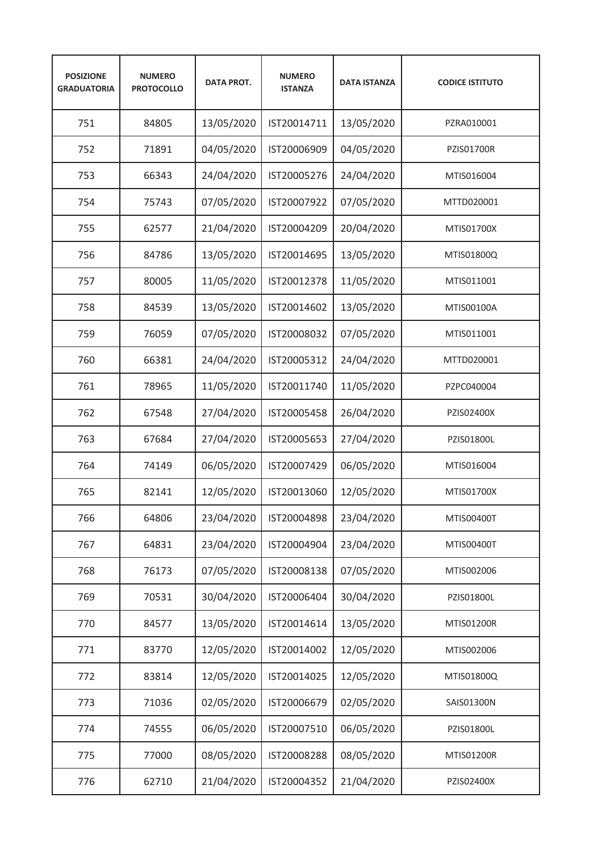| <b>POSIZIONE</b><br><b>GRADUATORIA</b> | <b>NUMERO</b><br><b>PROTOCOLLO</b> | <b>DATA PROT.</b> | <b>NUMERO</b><br><b>ISTANZA</b> | <b>DATA ISTANZA</b> | <b>CODICE ISTITUTO</b> |
|----------------------------------------|------------------------------------|-------------------|---------------------------------|---------------------|------------------------|
| 751                                    | 84805                              | 13/05/2020        | IST20014711                     | 13/05/2020          | PZRA010001             |
| 752                                    | 71891                              | 04/05/2020        | IST20006909                     | 04/05/2020          | <b>PZIS01700R</b>      |
| 753                                    | 66343                              | 24/04/2020        | IST20005276                     | 24/04/2020          | MTIS016004             |
| 754                                    | 75743                              | 07/05/2020        | IST20007922                     | 07/05/2020          | MTTD020001             |
| 755                                    | 62577                              | 21/04/2020        | IST20004209                     | 20/04/2020          | MTIS01700X             |
| 756                                    | 84786                              | 13/05/2020        | IST20014695                     | 13/05/2020          | MTIS01800Q             |
| 757                                    | 80005                              | 11/05/2020        | IST20012378                     | 11/05/2020          | MTIS011001             |
| 758                                    | 84539                              | 13/05/2020        | IST20014602                     | 13/05/2020          | MTIS00100A             |
| 759                                    | 76059                              | 07/05/2020        | IST20008032                     | 07/05/2020          | MTIS011001             |
| 760                                    | 66381                              | 24/04/2020        | IST20005312                     | 24/04/2020          | MTTD020001             |
| 761                                    | 78965                              | 11/05/2020        | IST20011740                     | 11/05/2020          | PZPC040004             |
| 762                                    | 67548                              | 27/04/2020        | IST20005458                     | 26/04/2020          | PZIS02400X             |
| 763                                    | 67684                              | 27/04/2020        | IST20005653                     | 27/04/2020          | PZIS01800L             |
| 764                                    | 74149                              | 06/05/2020        | IST20007429                     | 06/05/2020          | MTIS016004             |
| 765                                    | 82141                              | 12/05/2020        | IST20013060                     | 12/05/2020          | MTIS01700X             |
| 766                                    | 64806                              | 23/04/2020        | IST20004898                     | 23/04/2020          | MTIS00400T             |
| 767                                    | 64831                              | 23/04/2020        | IST20004904                     | 23/04/2020          | MTIS00400T             |
| 768                                    | 76173                              | 07/05/2020        | IST20008138                     | 07/05/2020          | MTIS002006             |
| 769                                    | 70531                              | 30/04/2020        | IST20006404                     | 30/04/2020          | PZIS01800L             |
| 770                                    | 84577                              | 13/05/2020        | IST20014614                     | 13/05/2020          | MTIS01200R             |
| 771                                    | 83770                              | 12/05/2020        | IST20014002                     | 12/05/2020          | MTIS002006             |
| 772                                    | 83814                              | 12/05/2020        | IST20014025                     | 12/05/2020          | MTIS01800Q             |
| 773                                    | 71036                              | 02/05/2020        | IST20006679                     | 02/05/2020          | SAIS01300N             |
| 774                                    | 74555                              | 06/05/2020        | IST20007510                     | 06/05/2020          | PZIS01800L             |
| 775                                    | 77000                              | 08/05/2020        | IST20008288                     | 08/05/2020          | MTIS01200R             |
| 776                                    | 62710                              | 21/04/2020        | IST20004352                     | 21/04/2020          | PZIS02400X             |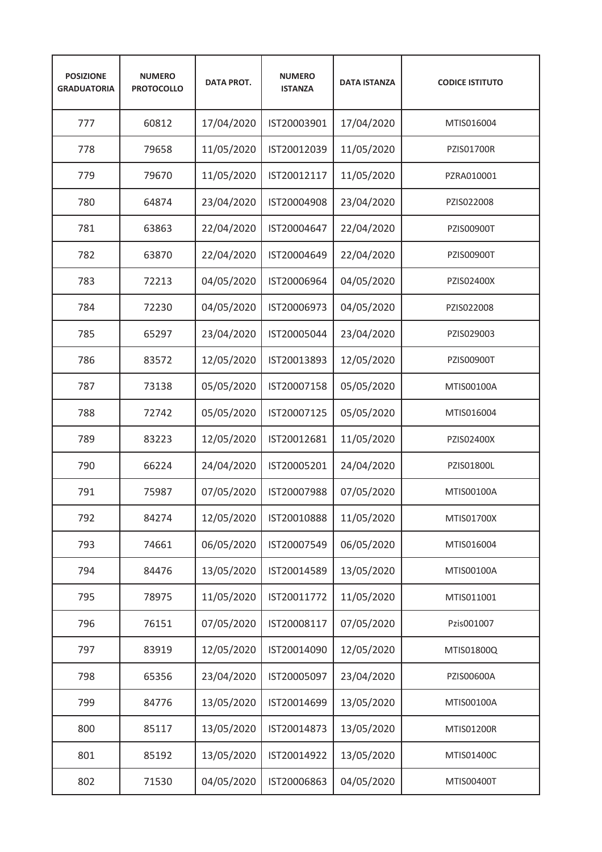| <b>POSIZIONE</b><br><b>GRADUATORIA</b> | <b>NUMERO</b><br><b>PROTOCOLLO</b> | <b>DATA PROT.</b> | <b>NUMERO</b><br><b>ISTANZA</b> | <b>DATA ISTANZA</b> | <b>CODICE ISTITUTO</b> |
|----------------------------------------|------------------------------------|-------------------|---------------------------------|---------------------|------------------------|
| 777                                    | 60812                              | 17/04/2020        | IST20003901                     | 17/04/2020          | MTIS016004             |
| 778                                    | 79658                              | 11/05/2020        | IST20012039                     | 11/05/2020          | <b>PZIS01700R</b>      |
| 779                                    | 79670                              | 11/05/2020        | IST20012117                     | 11/05/2020          | PZRA010001             |
| 780                                    | 64874                              | 23/04/2020        | IST20004908                     | 23/04/2020          | PZIS022008             |
| 781                                    | 63863                              | 22/04/2020        | IST20004647                     | 22/04/2020          | PZIS00900T             |
| 782                                    | 63870                              | 22/04/2020        | IST20004649                     | 22/04/2020          | PZIS00900T             |
| 783                                    | 72213                              | 04/05/2020        | IST20006964                     | 04/05/2020          | PZIS02400X             |
| 784                                    | 72230                              | 04/05/2020        | IST20006973                     | 04/05/2020          | PZIS022008             |
| 785                                    | 65297                              | 23/04/2020        | IST20005044                     | 23/04/2020          | PZIS029003             |
| 786                                    | 83572                              | 12/05/2020        | IST20013893                     | 12/05/2020          | PZIS00900T             |
| 787                                    | 73138                              | 05/05/2020        | IST20007158                     | 05/05/2020          | MTIS00100A             |
| 788                                    | 72742                              | 05/05/2020        | IST20007125                     | 05/05/2020          | MTIS016004             |
| 789                                    | 83223                              | 12/05/2020        | IST20012681                     | 11/05/2020          | PZIS02400X             |
| 790                                    | 66224                              | 24/04/2020        | IST20005201                     | 24/04/2020          | PZIS01800L             |
| 791                                    | 75987                              | 07/05/2020        | IST20007988                     | 07/05/2020          | MTIS00100A             |
| 792                                    | 84274                              | 12/05/2020        | IST20010888                     | 11/05/2020          | MTIS01700X             |
| 793                                    | 74661                              | 06/05/2020        | IST20007549                     | 06/05/2020          | MTIS016004             |
| 794                                    | 84476                              | 13/05/2020        | IST20014589                     | 13/05/2020          | MTIS00100A             |
| 795                                    | 78975                              | 11/05/2020        | IST20011772                     | 11/05/2020          | MTIS011001             |
| 796                                    | 76151                              | 07/05/2020        | IST20008117                     | 07/05/2020          | Pzis001007             |
| 797                                    | 83919                              | 12/05/2020        | IST20014090                     | 12/05/2020          | MTIS01800Q             |
| 798                                    | 65356                              | 23/04/2020        | IST20005097                     | 23/04/2020          | PZIS00600A             |
| 799                                    | 84776                              | 13/05/2020        | IST20014699                     | 13/05/2020          | MTIS00100A             |
| 800                                    | 85117                              | 13/05/2020        | IST20014873                     | 13/05/2020          | MTIS01200R             |
| 801                                    | 85192                              | 13/05/2020        | IST20014922                     | 13/05/2020          | MTIS01400C             |
| 802                                    | 71530                              | 04/05/2020        | IST20006863                     | 04/05/2020          | MTIS00400T             |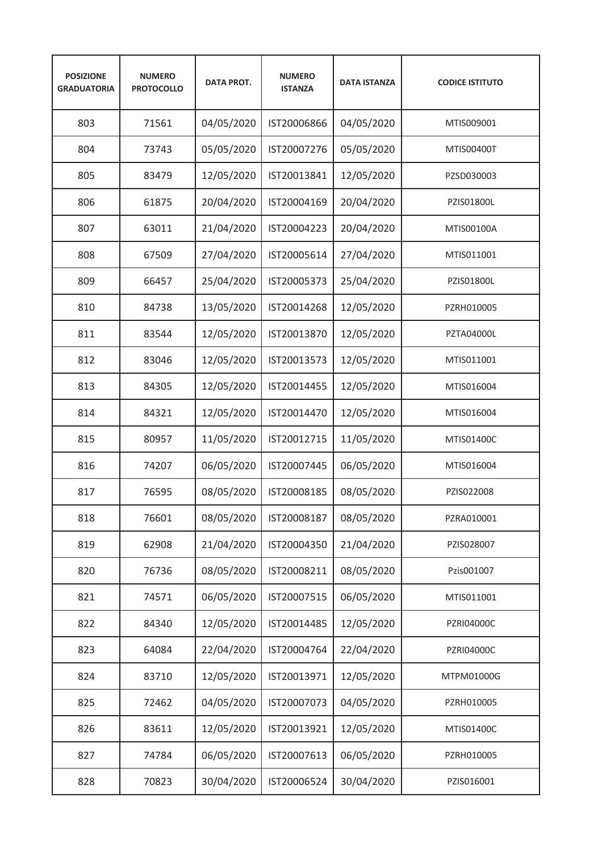| <b>POSIZIONE</b><br><b>GRADUATORIA</b> | <b>NUMERO</b><br><b>PROTOCOLLO</b> | <b>DATA PROT.</b> | <b>NUMERO</b><br><b>ISTANZA</b> | <b>DATA ISTANZA</b> | <b>CODICE ISTITUTO</b> |
|----------------------------------------|------------------------------------|-------------------|---------------------------------|---------------------|------------------------|
| 803                                    | 71561                              | 04/05/2020        | IST20006866                     | 04/05/2020          | MTIS009001             |
| 804                                    | 73743                              | 05/05/2020        | IST20007276                     | 05/05/2020          | MTIS00400T             |
| 805                                    | 83479                              | 12/05/2020        | IST20013841                     | 12/05/2020          | PZSD030003             |
| 806                                    | 61875                              | 20/04/2020        | IST20004169                     | 20/04/2020          | PZIS01800L             |
| 807                                    | 63011                              | 21/04/2020        | IST20004223                     | 20/04/2020          | MTIS00100A             |
| 808                                    | 67509                              | 27/04/2020        | IST20005614                     | 27/04/2020          | MTIS011001             |
| 809                                    | 66457                              | 25/04/2020        | IST20005373                     | 25/04/2020          | PZIS01800L             |
| 810                                    | 84738                              | 13/05/2020        | IST20014268                     | 12/05/2020          | PZRH010005             |
| 811                                    | 83544                              | 12/05/2020        | IST20013870                     | 12/05/2020          | <b>PZTA04000L</b>      |
| 812                                    | 83046                              | 12/05/2020        | IST20013573                     | 12/05/2020          | MTIS011001             |
| 813                                    | 84305                              | 12/05/2020        | IST20014455                     | 12/05/2020          | MTIS016004             |
| 814                                    | 84321                              | 12/05/2020        | IST20014470                     | 12/05/2020          | MTIS016004             |
| 815                                    | 80957                              | 11/05/2020        | IST20012715                     | 11/05/2020          | MTIS01400C             |
| 816                                    | 74207                              | 06/05/2020        | IST20007445                     | 06/05/2020          | MTIS016004             |
| 817                                    | 76595                              | 08/05/2020        | IST20008185                     | 08/05/2020          | PZIS022008             |
| 818                                    | 76601                              | 08/05/2020        | IST20008187                     | 08/05/2020          | PZRA010001             |
| 819                                    | 62908                              | 21/04/2020        | IST20004350                     | 21/04/2020          | PZIS028007             |
| 820                                    | 76736                              | 08/05/2020        | IST20008211                     | 08/05/2020          | Pzis001007             |
| 821                                    | 74571                              | 06/05/2020        | IST20007515                     | 06/05/2020          | MTIS011001             |
| 822                                    | 84340                              | 12/05/2020        | IST20014485                     | 12/05/2020          | PZRI04000C             |
| 823                                    | 64084                              | 22/04/2020        | IST20004764                     | 22/04/2020          | PZRI04000C             |
| 824                                    | 83710                              | 12/05/2020        | IST20013971                     | 12/05/2020          | MTPM01000G             |
| 825                                    | 72462                              | 04/05/2020        | IST20007073                     | 04/05/2020          | PZRH010005             |
| 826                                    | 83611                              | 12/05/2020        | IST20013921                     | 12/05/2020          | MTIS01400C             |
| 827                                    | 74784                              | 06/05/2020        | IST20007613                     | 06/05/2020          | PZRH010005             |
| 828                                    | 70823                              | 30/04/2020        | IST20006524                     | 30/04/2020          | PZIS016001             |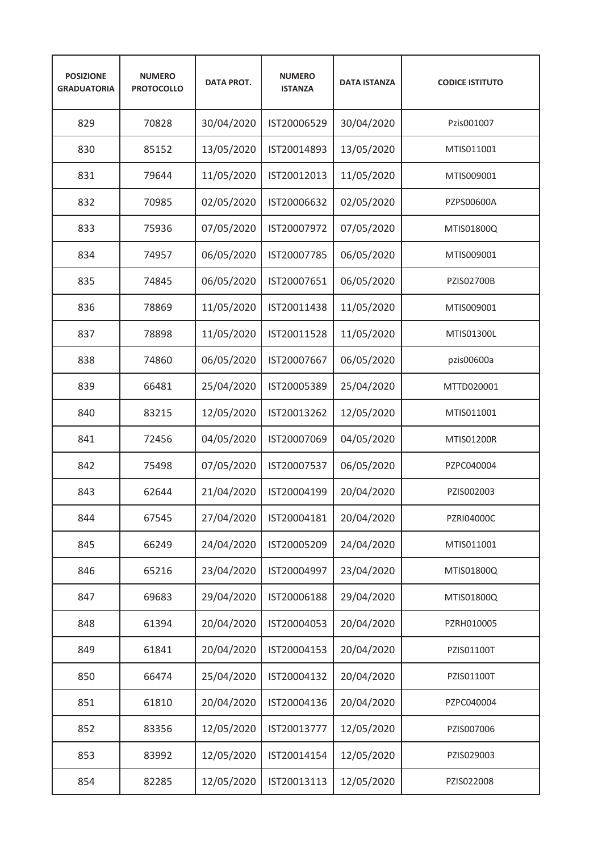| <b>POSIZIONE</b><br><b>GRADUATORIA</b> | <b>NUMERO</b><br><b>PROTOCOLLO</b> | <b>DATA PROT.</b> | <b>NUMERO</b><br><b>ISTANZA</b> | <b>DATA ISTANZA</b> | <b>CODICE ISTITUTO</b> |
|----------------------------------------|------------------------------------|-------------------|---------------------------------|---------------------|------------------------|
| 829                                    | 70828                              | 30/04/2020        | IST20006529                     | 30/04/2020          | Pzis001007             |
| 830                                    | 85152                              | 13/05/2020        | IST20014893                     | 13/05/2020          | MTIS011001             |
| 831                                    | 79644                              | 11/05/2020        | IST20012013                     | 11/05/2020          | MTIS009001             |
| 832                                    | 70985                              | 02/05/2020        | IST20006632                     | 02/05/2020          | PZPS00600A             |
| 833                                    | 75936                              | 07/05/2020        | IST20007972                     | 07/05/2020          | MTIS01800Q             |
| 834                                    | 74957                              | 06/05/2020        | IST20007785                     | 06/05/2020          | MTIS009001             |
| 835                                    | 74845                              | 06/05/2020        | IST20007651                     | 06/05/2020          | <b>PZIS02700B</b>      |
| 836                                    | 78869                              | 11/05/2020        | IST20011438                     | 11/05/2020          | MTIS009001             |
| 837                                    | 78898                              | 11/05/2020        | IST20011528                     | 11/05/2020          | MTIS01300L             |
| 838                                    | 74860                              | 06/05/2020        | IST20007667                     | 06/05/2020          | pzis00600a             |
| 839                                    | 66481                              | 25/04/2020        | IST20005389                     | 25/04/2020          | MTTD020001             |
| 840                                    | 83215                              | 12/05/2020        | IST20013262                     | 12/05/2020          | MTIS011001             |
| 841                                    | 72456                              | 04/05/2020        | IST20007069                     | 04/05/2020          | MTIS01200R             |
| 842                                    | 75498                              | 07/05/2020        | IST20007537                     | 06/05/2020          | PZPC040004             |
| 843                                    | 62644                              | 21/04/2020        | IST20004199                     | 20/04/2020          | PZIS002003             |
| 844                                    | 67545                              | 27/04/2020        | IST20004181                     | 20/04/2020          | PZRI04000C             |
| 845                                    | 66249                              | 24/04/2020        | IST20005209                     | 24/04/2020          | MTIS011001             |
| 846                                    | 65216                              | 23/04/2020        | IST20004997                     | 23/04/2020          | MTIS01800Q             |
| 847                                    | 69683                              | 29/04/2020        | IST20006188                     | 29/04/2020          | MTIS01800Q             |
| 848                                    | 61394                              | 20/04/2020        | IST20004053                     | 20/04/2020          | PZRH010005             |
| 849                                    | 61841                              | 20/04/2020        | IST20004153                     | 20/04/2020          | PZIS01100T             |
| 850                                    | 66474                              | 25/04/2020        | IST20004132                     | 20/04/2020          | PZIS01100T             |
| 851                                    | 61810                              | 20/04/2020        | IST20004136                     | 20/04/2020          | PZPC040004             |
| 852                                    | 83356                              | 12/05/2020        | IST20013777                     | 12/05/2020          | PZIS007006             |
| 853                                    | 83992                              | 12/05/2020        | IST20014154                     | 12/05/2020          | PZIS029003             |
| 854                                    | 82285                              | 12/05/2020        | IST20013113                     | 12/05/2020          | PZIS022008             |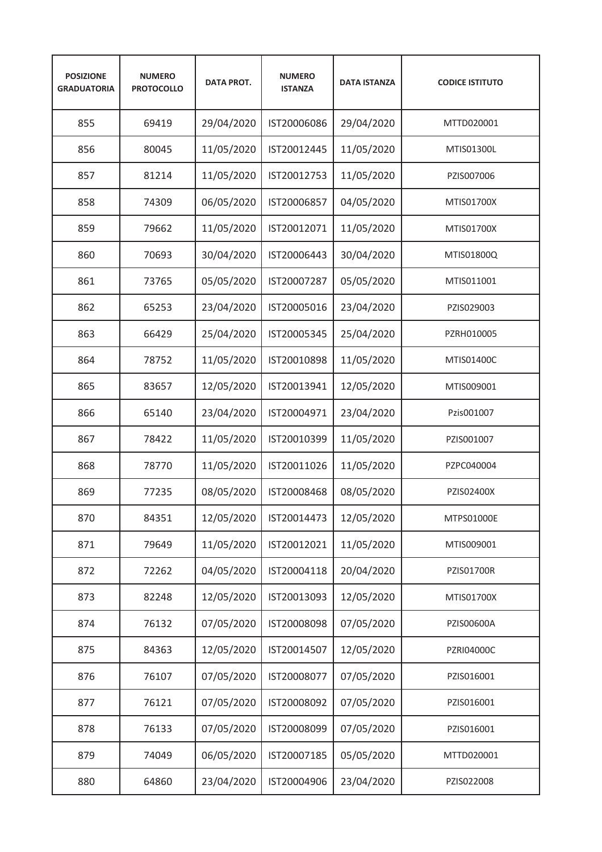| <b>POSIZIONE</b><br><b>GRADUATORIA</b> | <b>NUMERO</b><br><b>PROTOCOLLO</b> | <b>DATA PROT.</b> | <b>NUMERO</b><br><b>ISTANZA</b> | <b>DATA ISTANZA</b> | <b>CODICE ISTITUTO</b> |
|----------------------------------------|------------------------------------|-------------------|---------------------------------|---------------------|------------------------|
| 855                                    | 69419                              | 29/04/2020        | IST20006086                     | 29/04/2020          | MTTD020001             |
| 856                                    | 80045                              | 11/05/2020        | IST20012445                     | 11/05/2020          | MTIS01300L             |
| 857                                    | 81214                              | 11/05/2020        | IST20012753                     | 11/05/2020          | PZIS007006             |
| 858                                    | 74309                              | 06/05/2020        | IST20006857                     | 04/05/2020          | MTIS01700X             |
| 859                                    | 79662                              | 11/05/2020        | IST20012071                     | 11/05/2020          | MTIS01700X             |
| 860                                    | 70693                              | 30/04/2020        | IST20006443                     | 30/04/2020          | MTIS01800Q             |
| 861                                    | 73765                              | 05/05/2020        | IST20007287                     | 05/05/2020          | MTIS011001             |
| 862                                    | 65253                              | 23/04/2020        | IST20005016                     | 23/04/2020          | PZIS029003             |
| 863                                    | 66429                              | 25/04/2020        | IST20005345                     | 25/04/2020          | PZRH010005             |
| 864                                    | 78752                              | 11/05/2020        | IST20010898                     | 11/05/2020          | MTIS01400C             |
| 865                                    | 83657                              | 12/05/2020        | IST20013941                     | 12/05/2020          | MTIS009001             |
| 866                                    | 65140                              | 23/04/2020        | IST20004971                     | 23/04/2020          | Pzis001007             |
| 867                                    | 78422                              | 11/05/2020        | IST20010399                     | 11/05/2020          | PZIS001007             |
| 868                                    | 78770                              | 11/05/2020        | IST20011026                     | 11/05/2020          | PZPC040004             |
| 869                                    | 77235                              | 08/05/2020        | IST20008468                     | 08/05/2020          | PZIS02400X             |
| 870                                    | 84351                              | 12/05/2020        | IST20014473                     | 12/05/2020          | MTPS01000E             |
| 871                                    | 79649                              | 11/05/2020        | IST20012021                     | 11/05/2020          | MTIS009001             |
| 872                                    | 72262                              | 04/05/2020        | IST20004118                     | 20/04/2020          | PZIS01700R             |
| 873                                    | 82248                              | 12/05/2020        | IST20013093                     | 12/05/2020          | MTIS01700X             |
| 874                                    | 76132                              | 07/05/2020        | IST20008098                     | 07/05/2020          | PZIS00600A             |
| 875                                    | 84363                              | 12/05/2020        | IST20014507                     | 12/05/2020          | PZRI04000C             |
| 876                                    | 76107                              | 07/05/2020        | IST20008077                     | 07/05/2020          | PZIS016001             |
| 877                                    | 76121                              | 07/05/2020        | IST20008092                     | 07/05/2020          | PZIS016001             |
| 878                                    | 76133                              | 07/05/2020        | IST20008099                     | 07/05/2020          | PZIS016001             |
| 879                                    | 74049                              | 06/05/2020        | IST20007185                     | 05/05/2020          | MTTD020001             |
| 880                                    | 64860                              | 23/04/2020        | IST20004906                     | 23/04/2020          | PZIS022008             |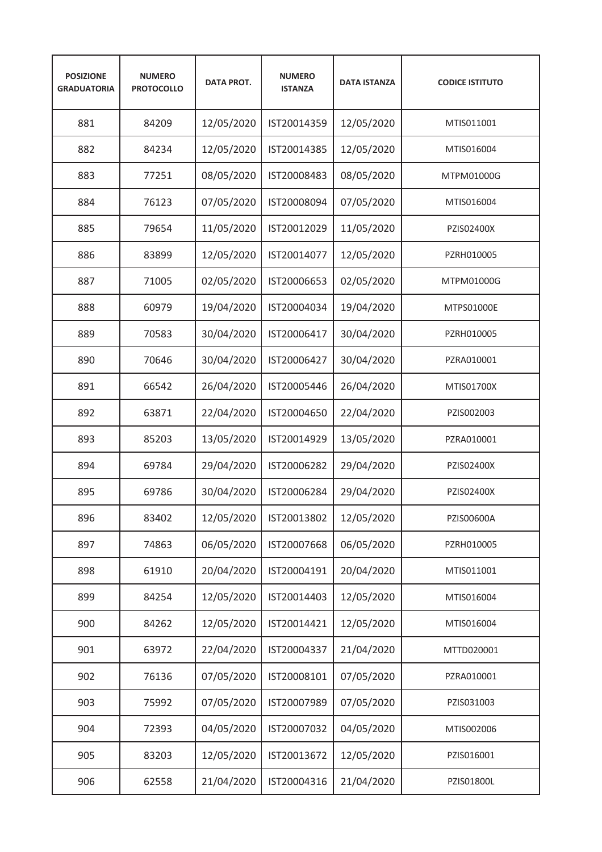| <b>POSIZIONE</b><br><b>GRADUATORIA</b> | <b>NUMERO</b><br><b>PROTOCOLLO</b> | <b>DATA PROT.</b> | <b>NUMERO</b><br><b>ISTANZA</b> | <b>DATA ISTANZA</b> | <b>CODICE ISTITUTO</b> |
|----------------------------------------|------------------------------------|-------------------|---------------------------------|---------------------|------------------------|
| 881                                    | 84209                              | 12/05/2020        | IST20014359                     | 12/05/2020          | MTIS011001             |
| 882                                    | 84234                              | 12/05/2020        | IST20014385                     | 12/05/2020          | MTIS016004             |
| 883                                    | 77251                              | 08/05/2020        | IST20008483                     | 08/05/2020          | MTPM01000G             |
| 884                                    | 76123                              | 07/05/2020        | IST20008094                     | 07/05/2020          | MTIS016004             |
| 885                                    | 79654                              | 11/05/2020        | IST20012029                     | 11/05/2020          | PZIS02400X             |
| 886                                    | 83899                              | 12/05/2020        | IST20014077                     | 12/05/2020          | PZRH010005             |
| 887                                    | 71005                              | 02/05/2020        | IST20006653                     | 02/05/2020          | MTPM01000G             |
| 888                                    | 60979                              | 19/04/2020        | IST20004034                     | 19/04/2020          | MTPS01000E             |
| 889                                    | 70583                              | 30/04/2020        | IST20006417                     | 30/04/2020          | PZRH010005             |
| 890                                    | 70646                              | 30/04/2020        | IST20006427                     | 30/04/2020          | PZRA010001             |
| 891                                    | 66542                              | 26/04/2020        | IST20005446                     | 26/04/2020          | MTIS01700X             |
| 892                                    | 63871                              | 22/04/2020        | IST20004650                     | 22/04/2020          | PZIS002003             |
| 893                                    | 85203                              | 13/05/2020        | IST20014929                     | 13/05/2020          | PZRA010001             |
| 894                                    | 69784                              | 29/04/2020        | IST20006282                     | 29/04/2020          | PZIS02400X             |
| 895                                    | 69786                              | 30/04/2020        | IST20006284                     | 29/04/2020          | PZIS02400X             |
| 896                                    | 83402                              | 12/05/2020        | IST20013802                     | 12/05/2020          | PZIS00600A             |
| 897                                    | 74863                              | 06/05/2020        | IST20007668                     | 06/05/2020          | PZRH010005             |
| 898                                    | 61910                              | 20/04/2020        | IST20004191                     | 20/04/2020          | MTIS011001             |
| 899                                    | 84254                              | 12/05/2020        | IST20014403                     | 12/05/2020          | MTIS016004             |
| 900                                    | 84262                              | 12/05/2020        | IST20014421                     | 12/05/2020          | MTIS016004             |
| 901                                    | 63972                              | 22/04/2020        | IST20004337                     | 21/04/2020          | MTTD020001             |
| 902                                    | 76136                              | 07/05/2020        | IST20008101                     | 07/05/2020          | PZRA010001             |
| 903                                    | 75992                              | 07/05/2020        | IST20007989                     | 07/05/2020          | PZIS031003             |
| 904                                    | 72393                              | 04/05/2020        | IST20007032                     | 04/05/2020          | MTIS002006             |
| 905                                    | 83203                              | 12/05/2020        | IST20013672                     | 12/05/2020          | PZIS016001             |
| 906                                    | 62558                              | 21/04/2020        | IST20004316                     | 21/04/2020          | PZIS01800L             |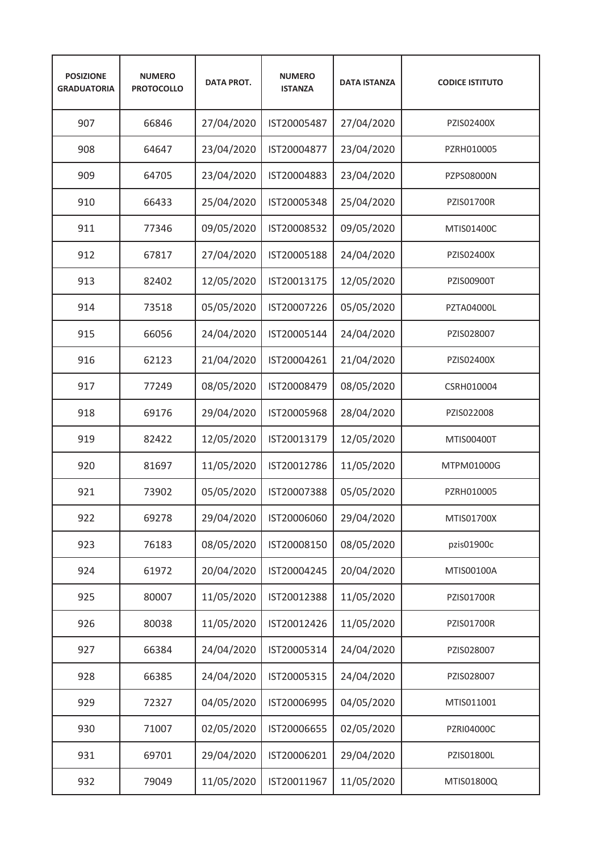| <b>POSIZIONE</b><br><b>GRADUATORIA</b> | <b>NUMERO</b><br><b>PROTOCOLLO</b> | <b>DATA PROT.</b> | <b>NUMERO</b><br><b>ISTANZA</b> | <b>DATA ISTANZA</b> | <b>CODICE ISTITUTO</b> |
|----------------------------------------|------------------------------------|-------------------|---------------------------------|---------------------|------------------------|
| 907                                    | 66846                              | 27/04/2020        | IST20005487                     | 27/04/2020          | PZIS02400X             |
| 908                                    | 64647                              | 23/04/2020        | IST20004877                     | 23/04/2020          | PZRH010005             |
| 909                                    | 64705                              | 23/04/2020        | IST20004883                     | 23/04/2020          | PZPS08000N             |
| 910                                    | 66433                              | 25/04/2020        | IST20005348                     | 25/04/2020          | <b>PZIS01700R</b>      |
| 911                                    | 77346                              | 09/05/2020        | IST20008532                     | 09/05/2020          | MTIS01400C             |
| 912                                    | 67817                              | 27/04/2020        | IST20005188                     | 24/04/2020          | PZIS02400X             |
| 913                                    | 82402                              | 12/05/2020        | IST20013175                     | 12/05/2020          | PZIS00900T             |
| 914                                    | 73518                              | 05/05/2020        | IST20007226                     | 05/05/2020          | <b>PZTA04000L</b>      |
| 915                                    | 66056                              | 24/04/2020        | IST20005144                     | 24/04/2020          | PZIS028007             |
| 916                                    | 62123                              | 21/04/2020        | IST20004261                     | 21/04/2020          | PZIS02400X             |
| 917                                    | 77249                              | 08/05/2020        | IST20008479                     | 08/05/2020          | CSRH010004             |
| 918                                    | 69176                              | 29/04/2020        | IST20005968                     | 28/04/2020          | PZIS022008             |
| 919                                    | 82422                              | 12/05/2020        | IST20013179                     | 12/05/2020          | MTIS00400T             |
| 920                                    | 81697                              | 11/05/2020        | IST20012786                     | 11/05/2020          | MTPM01000G             |
| 921                                    | 73902                              | 05/05/2020        | IST20007388                     | 05/05/2020          | PZRH010005             |
| 922                                    | 69278                              | 29/04/2020        | IST20006060                     | 29/04/2020          | MTIS01700X             |
| 923                                    | 76183                              | 08/05/2020        | IST20008150                     | 08/05/2020          | pzis01900c             |
| 924                                    | 61972                              | 20/04/2020        | IST20004245                     | 20/04/2020          | MTIS00100A             |
| 925                                    | 80007                              | 11/05/2020        | IST20012388                     | 11/05/2020          | PZIS01700R             |
| 926                                    | 80038                              | 11/05/2020        | IST20012426                     | 11/05/2020          | PZIS01700R             |
| 927                                    | 66384                              | 24/04/2020        | IST20005314                     | 24/04/2020          | PZIS028007             |
| 928                                    | 66385                              | 24/04/2020        | IST20005315                     | 24/04/2020          | PZIS028007             |
| 929                                    | 72327                              | 04/05/2020        | IST20006995                     | 04/05/2020          | MTIS011001             |
| 930                                    | 71007                              | 02/05/2020        | IST20006655                     | 02/05/2020          | PZRI04000C             |
| 931                                    | 69701                              | 29/04/2020        | IST20006201                     | 29/04/2020          | PZIS01800L             |
| 932                                    | 79049                              | 11/05/2020        | IST20011967                     | 11/05/2020          | MTIS01800Q             |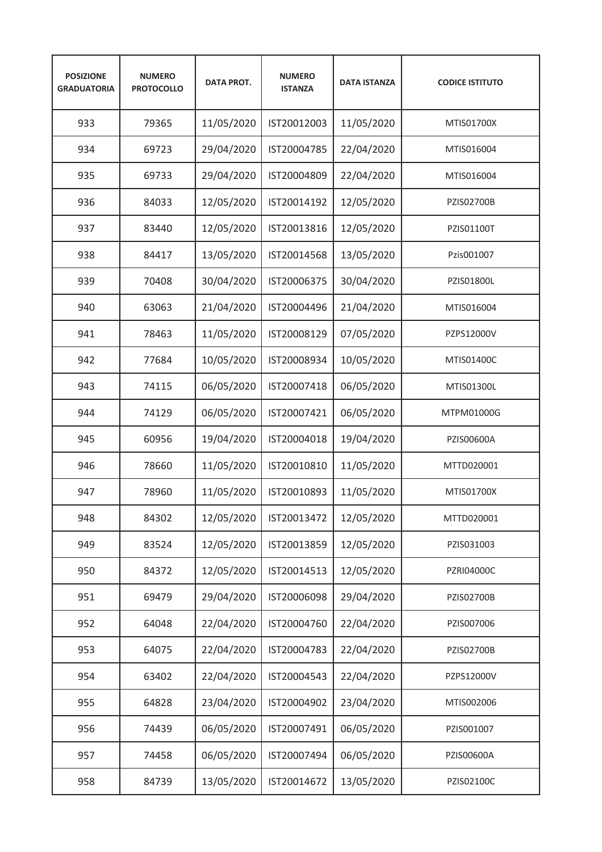| <b>POSIZIONE</b><br><b>GRADUATORIA</b> | <b>NUMERO</b><br><b>PROTOCOLLO</b> | <b>DATA PROT.</b> | <b>NUMERO</b><br><b>ISTANZA</b> | <b>DATA ISTANZA</b> | <b>CODICE ISTITUTO</b> |
|----------------------------------------|------------------------------------|-------------------|---------------------------------|---------------------|------------------------|
| 933                                    | 79365                              | 11/05/2020        | IST20012003                     | 11/05/2020          | MTIS01700X             |
| 934                                    | 69723                              | 29/04/2020        | IST20004785                     | 22/04/2020          | MTIS016004             |
| 935                                    | 69733                              | 29/04/2020        | IST20004809                     | 22/04/2020          | MTIS016004             |
| 936                                    | 84033                              | 12/05/2020        | IST20014192                     | 12/05/2020          | <b>PZIS02700B</b>      |
| 937                                    | 83440                              | 12/05/2020        | IST20013816                     | 12/05/2020          | PZIS01100T             |
| 938                                    | 84417                              | 13/05/2020        | IST20014568                     | 13/05/2020          | Pzis001007             |
| 939                                    | 70408                              | 30/04/2020        | IST20006375                     | 30/04/2020          | PZIS01800L             |
| 940                                    | 63063                              | 21/04/2020        | IST20004496                     | 21/04/2020          | MTIS016004             |
| 941                                    | 78463                              | 11/05/2020        | IST20008129                     | 07/05/2020          | PZPS12000V             |
| 942                                    | 77684                              | 10/05/2020        | IST20008934                     | 10/05/2020          | MTIS01400C             |
| 943                                    | 74115                              | 06/05/2020        | IST20007418                     | 06/05/2020          | MTIS01300L             |
| 944                                    | 74129                              | 06/05/2020        | IST20007421                     | 06/05/2020          | MTPM01000G             |
| 945                                    | 60956                              | 19/04/2020        | IST20004018                     | 19/04/2020          | PZIS00600A             |
| 946                                    | 78660                              | 11/05/2020        | IST20010810                     | 11/05/2020          | MTTD020001             |
| 947                                    | 78960                              | 11/05/2020        | IST20010893                     | 11/05/2020          | MTIS01700X             |
| 948                                    | 84302                              | 12/05/2020        | IST20013472                     | 12/05/2020          | MTTD020001             |
| 949                                    | 83524                              | 12/05/2020        | IST20013859                     | 12/05/2020          | PZIS031003             |
| 950                                    | 84372                              | 12/05/2020        | IST20014513                     | 12/05/2020          | PZRI04000C             |
| 951                                    | 69479                              | 29/04/2020        | IST20006098                     | 29/04/2020          | PZIS02700B             |
| 952                                    | 64048                              | 22/04/2020        | IST20004760                     | 22/04/2020          | PZIS007006             |
| 953                                    | 64075                              | 22/04/2020        | IST20004783                     | 22/04/2020          | PZIS02700B             |
| 954                                    | 63402                              | 22/04/2020        | IST20004543                     | 22/04/2020          | PZPS12000V             |
| 955                                    | 64828                              | 23/04/2020        | IST20004902                     | 23/04/2020          | MTIS002006             |
| 956                                    | 74439                              | 06/05/2020        | IST20007491                     | 06/05/2020          | PZIS001007             |
| 957                                    | 74458                              | 06/05/2020        | IST20007494                     | 06/05/2020          | PZIS00600A             |
| 958                                    | 84739                              | 13/05/2020        | IST20014672                     | 13/05/2020          | PZIS02100C             |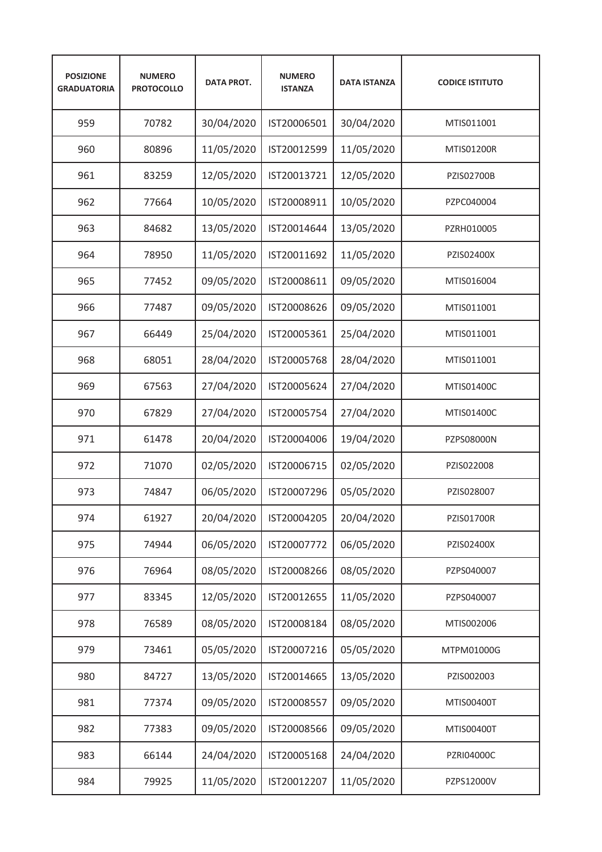| <b>POSIZIONE</b><br><b>GRADUATORIA</b> | <b>NUMERO</b><br><b>PROTOCOLLO</b> | <b>DATA PROT.</b> | <b>NUMERO</b><br><b>ISTANZA</b> | <b>DATA ISTANZA</b> | <b>CODICE ISTITUTO</b> |
|----------------------------------------|------------------------------------|-------------------|---------------------------------|---------------------|------------------------|
| 959                                    | 70782                              | 30/04/2020        | IST20006501                     | 30/04/2020          | MTIS011001             |
| 960                                    | 80896                              | 11/05/2020        | IST20012599                     | 11/05/2020          | MTIS01200R             |
| 961                                    | 83259                              | 12/05/2020        | IST20013721                     | 12/05/2020          | <b>PZIS02700B</b>      |
| 962                                    | 77664                              | 10/05/2020        | IST20008911                     | 10/05/2020          | PZPC040004             |
| 963                                    | 84682                              | 13/05/2020        | IST20014644                     | 13/05/2020          | PZRH010005             |
| 964                                    | 78950                              | 11/05/2020        | IST20011692                     | 11/05/2020          | PZIS02400X             |
| 965                                    | 77452                              | 09/05/2020        | IST20008611                     | 09/05/2020          | MTIS016004             |
| 966                                    | 77487                              | 09/05/2020        | IST20008626                     | 09/05/2020          | MTIS011001             |
| 967                                    | 66449                              | 25/04/2020        | IST20005361                     | 25/04/2020          | MTIS011001             |
| 968                                    | 68051                              | 28/04/2020        | IST20005768                     | 28/04/2020          | MTIS011001             |
| 969                                    | 67563                              | 27/04/2020        | IST20005624                     | 27/04/2020          | MTIS01400C             |
| 970                                    | 67829                              | 27/04/2020        | IST20005754                     | 27/04/2020          | MTIS01400C             |
| 971                                    | 61478                              | 20/04/2020        | IST20004006                     | 19/04/2020          | PZPS08000N             |
| 972                                    | 71070                              | 02/05/2020        | IST20006715                     | 02/05/2020          | PZIS022008             |
| 973                                    | 74847                              | 06/05/2020        | IST20007296                     | 05/05/2020          | PZIS028007             |
| 974                                    | 61927                              | 20/04/2020        | IST20004205                     | 20/04/2020          | PZIS01700R             |
| 975                                    | 74944                              | 06/05/2020        | IST20007772                     | 06/05/2020          | PZIS02400X             |
| 976                                    | 76964                              | 08/05/2020        | IST20008266                     | 08/05/2020          | PZPS040007             |
| 977                                    | 83345                              | 12/05/2020        | IST20012655                     | 11/05/2020          | PZPS040007             |
| 978                                    | 76589                              | 08/05/2020        | IST20008184                     | 08/05/2020          | MTIS002006             |
| 979                                    | 73461                              | 05/05/2020        | IST20007216                     | 05/05/2020          | MTPM01000G             |
| 980                                    | 84727                              | 13/05/2020        | IST20014665                     | 13/05/2020          | PZIS002003             |
| 981                                    | 77374                              | 09/05/2020        | IST20008557                     | 09/05/2020          | MTIS00400T             |
| 982                                    | 77383                              | 09/05/2020        | IST20008566                     | 09/05/2020          | MTIS00400T             |
| 983                                    | 66144                              | 24/04/2020        | IST20005168                     | 24/04/2020          | PZRI04000C             |
| 984                                    | 79925                              | 11/05/2020        | IST20012207                     | 11/05/2020          | PZPS12000V             |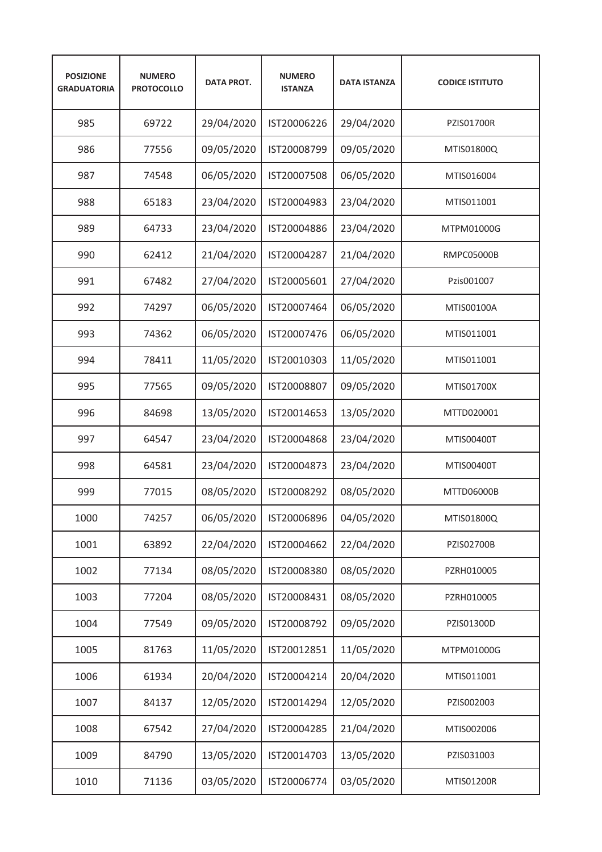| <b>POSIZIONE</b><br><b>GRADUATORIA</b> | <b>NUMERO</b><br><b>PROTOCOLLO</b> | <b>DATA PROT.</b> | <b>NUMERO</b><br><b>ISTANZA</b> | <b>DATA ISTANZA</b> | <b>CODICE ISTITUTO</b> |
|----------------------------------------|------------------------------------|-------------------|---------------------------------|---------------------|------------------------|
| 985                                    | 69722                              | 29/04/2020        | IST20006226                     | 29/04/2020          | <b>PZIS01700R</b>      |
| 986                                    | 77556                              | 09/05/2020        | IST20008799                     | 09/05/2020          | MTIS01800Q             |
| 987                                    | 74548                              | 06/05/2020        | IST20007508                     | 06/05/2020          | MTIS016004             |
| 988                                    | 65183                              | 23/04/2020        | IST20004983                     | 23/04/2020          | MTIS011001             |
| 989                                    | 64733                              | 23/04/2020        | IST20004886                     | 23/04/2020          | MTPM01000G             |
| 990                                    | 62412                              | 21/04/2020        | IST20004287                     | 21/04/2020          | <b>RMPC05000B</b>      |
| 991                                    | 67482                              | 27/04/2020        | IST20005601                     | 27/04/2020          | Pzis001007             |
| 992                                    | 74297                              | 06/05/2020        | IST20007464                     | 06/05/2020          | MTIS00100A             |
| 993                                    | 74362                              | 06/05/2020        | IST20007476                     | 06/05/2020          | MTIS011001             |
| 994                                    | 78411                              | 11/05/2020        | IST20010303                     | 11/05/2020          | MTIS011001             |
| 995                                    | 77565                              | 09/05/2020        | IST20008807                     | 09/05/2020          | MTIS01700X             |
| 996                                    | 84698                              | 13/05/2020        | IST20014653                     | 13/05/2020          | MTTD020001             |
| 997                                    | 64547                              | 23/04/2020        | IST20004868                     | 23/04/2020          | MTIS00400T             |
| 998                                    | 64581                              | 23/04/2020        | IST20004873                     | 23/04/2020          | MTIS00400T             |
| 999                                    | 77015                              | 08/05/2020        | IST20008292                     | 08/05/2020          | MTTD06000B             |
| 1000                                   | 74257                              | 06/05/2020        | IST20006896                     | 04/05/2020          | MTIS01800Q             |
| 1001                                   | 63892                              | 22/04/2020        | IST20004662                     | 22/04/2020          | PZIS02700B             |
| 1002                                   | 77134                              | 08/05/2020        | IST20008380                     | 08/05/2020          | PZRH010005             |
| 1003                                   | 77204                              | 08/05/2020        | IST20008431                     | 08/05/2020          | PZRH010005             |
| 1004                                   | 77549                              | 09/05/2020        | IST20008792                     | 09/05/2020          | PZIS01300D             |
| 1005                                   | 81763                              | 11/05/2020        | IST20012851                     | 11/05/2020          | MTPM01000G             |
| 1006                                   | 61934                              | 20/04/2020        | IST20004214                     | 20/04/2020          | MTIS011001             |
| 1007                                   | 84137                              | 12/05/2020        | IST20014294                     | 12/05/2020          | PZIS002003             |
| 1008                                   | 67542                              | 27/04/2020        | IST20004285                     | 21/04/2020          | MTIS002006             |
| 1009                                   | 84790                              | 13/05/2020        | IST20014703                     | 13/05/2020          | PZIS031003             |
| 1010                                   | 71136                              | 03/05/2020        | IST20006774                     | 03/05/2020          | MTIS01200R             |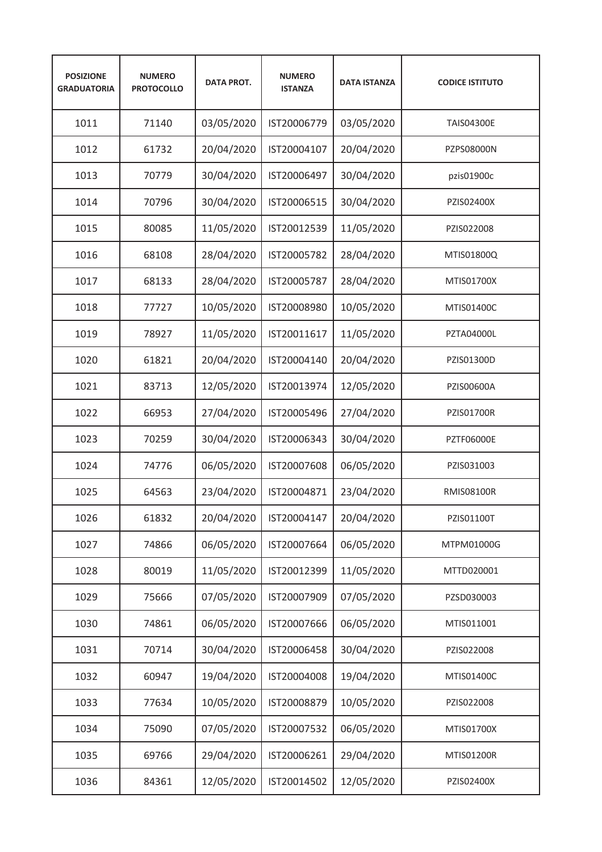| <b>POSIZIONE</b><br><b>GRADUATORIA</b> | <b>NUMERO</b><br><b>PROTOCOLLO</b> | <b>DATA PROT.</b> | <b>NUMERO</b><br><b>ISTANZA</b> | <b>DATA ISTANZA</b> | <b>CODICE ISTITUTO</b> |
|----------------------------------------|------------------------------------|-------------------|---------------------------------|---------------------|------------------------|
| 1011                                   | 71140                              | 03/05/2020        | IST20006779                     | 03/05/2020          | <b>TAIS04300E</b>      |
| 1012                                   | 61732                              | 20/04/2020        | IST20004107                     | 20/04/2020          | PZPS08000N             |
| 1013                                   | 70779                              | 30/04/2020        | IST20006497                     | 30/04/2020          | pzis01900c             |
| 1014                                   | 70796                              | 30/04/2020        | IST20006515                     | 30/04/2020          | PZIS02400X             |
| 1015                                   | 80085                              | 11/05/2020        | IST20012539                     | 11/05/2020          | PZIS022008             |
| 1016                                   | 68108                              | 28/04/2020        | IST20005782                     | 28/04/2020          | MTIS01800Q             |
| 1017                                   | 68133                              | 28/04/2020        | IST20005787                     | 28/04/2020          | MTIS01700X             |
| 1018                                   | 77727                              | 10/05/2020        | IST20008980                     | 10/05/2020          | MTIS01400C             |
| 1019                                   | 78927                              | 11/05/2020        | IST20011617                     | 11/05/2020          | <b>PZTA04000L</b>      |
| 1020                                   | 61821                              | 20/04/2020        | IST20004140                     | 20/04/2020          | PZIS01300D             |
| 1021                                   | 83713                              | 12/05/2020        | IST20013974                     | 12/05/2020          | PZIS00600A             |
| 1022                                   | 66953                              | 27/04/2020        | IST20005496                     | 27/04/2020          | <b>PZIS01700R</b>      |
| 1023                                   | 70259                              | 30/04/2020        | IST20006343                     | 30/04/2020          | <b>PZTF06000E</b>      |
| 1024                                   | 74776                              | 06/05/2020        | IST20007608                     | 06/05/2020          | PZIS031003             |
| 1025                                   | 64563                              | 23/04/2020        | IST20004871                     | 23/04/2020          | <b>RMIS08100R</b>      |
| 1026                                   | 61832                              | 20/04/2020        | IST20004147                     | 20/04/2020          | PZIS01100T             |
| 1027                                   | 74866                              | 06/05/2020        | IST20007664                     | 06/05/2020          | MTPM01000G             |
| 1028                                   | 80019                              | 11/05/2020        | IST20012399                     | 11/05/2020          | MTTD020001             |
| 1029                                   | 75666                              | 07/05/2020        | IST20007909                     | 07/05/2020          | PZSD030003             |
| 1030                                   | 74861                              | 06/05/2020        | IST20007666                     | 06/05/2020          | MTIS011001             |
| 1031                                   | 70714                              | 30/04/2020        | IST20006458                     | 30/04/2020          | PZIS022008             |
| 1032                                   | 60947                              | 19/04/2020        | IST20004008                     | 19/04/2020          | MTIS01400C             |
| 1033                                   | 77634                              | 10/05/2020        | IST20008879                     | 10/05/2020          | PZIS022008             |
| 1034                                   | 75090                              | 07/05/2020        | IST20007532                     | 06/05/2020          | MTIS01700X             |
| 1035                                   | 69766                              | 29/04/2020        | IST20006261                     | 29/04/2020          | MTIS01200R             |
| 1036                                   | 84361                              | 12/05/2020        | IST20014502                     | 12/05/2020          | PZIS02400X             |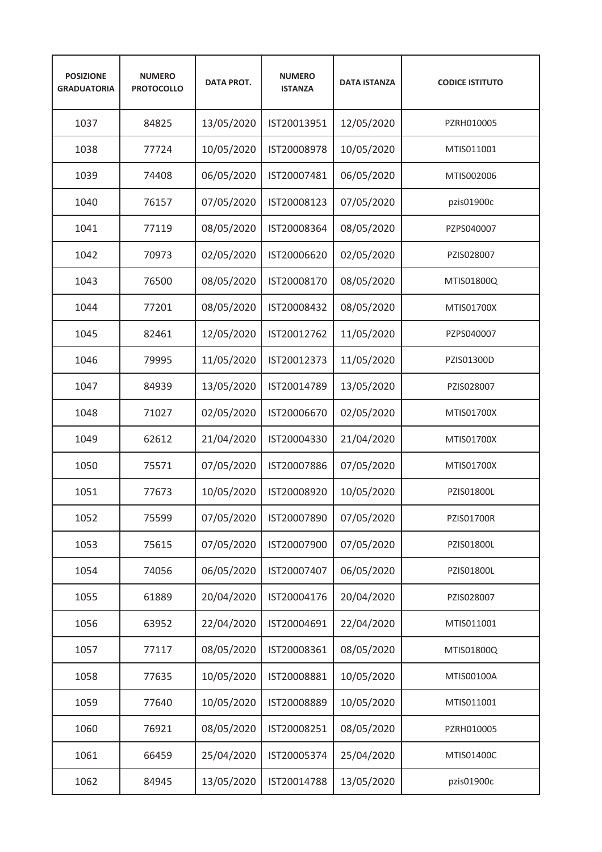| <b>POSIZIONE</b><br><b>GRADUATORIA</b> | <b>NUMERO</b><br><b>PROTOCOLLO</b> | <b>DATA PROT.</b> | <b>NUMERO</b><br><b>ISTANZA</b> | <b>DATA ISTANZA</b> | <b>CODICE ISTITUTO</b> |
|----------------------------------------|------------------------------------|-------------------|---------------------------------|---------------------|------------------------|
| 1037                                   | 84825                              | 13/05/2020        | IST20013951                     | 12/05/2020          | PZRH010005             |
| 1038                                   | 77724                              | 10/05/2020        | IST20008978                     | 10/05/2020          | MTIS011001             |
| 1039                                   | 74408                              | 06/05/2020        | IST20007481                     | 06/05/2020          | MTIS002006             |
| 1040                                   | 76157                              | 07/05/2020        | IST20008123                     | 07/05/2020          | pzis01900c             |
| 1041                                   | 77119                              | 08/05/2020        | IST20008364                     | 08/05/2020          | PZPS040007             |
| 1042                                   | 70973                              | 02/05/2020        | IST20006620                     | 02/05/2020          | PZIS028007             |
| 1043                                   | 76500                              | 08/05/2020        | IST20008170                     | 08/05/2020          | MTIS01800Q             |
| 1044                                   | 77201                              | 08/05/2020        | IST20008432                     | 08/05/2020          | MTIS01700X             |
| 1045                                   | 82461                              | 12/05/2020        | IST20012762                     | 11/05/2020          | PZPS040007             |
| 1046                                   | 79995                              | 11/05/2020        | IST20012373                     | 11/05/2020          | PZIS01300D             |
| 1047                                   | 84939                              | 13/05/2020        | IST20014789                     | 13/05/2020          | PZIS028007             |
| 1048                                   | 71027                              | 02/05/2020        | IST20006670                     | 02/05/2020          | MTIS01700X             |
| 1049                                   | 62612                              | 21/04/2020        | IST20004330                     | 21/04/2020          | MTIS01700X             |
| 1050                                   | 75571                              | 07/05/2020        | IST20007886                     | 07/05/2020          | MTIS01700X             |
| 1051                                   | 77673                              | 10/05/2020        | IST20008920                     | 10/05/2020          | PZIS01800L             |
| 1052                                   | 75599                              | 07/05/2020        | IST20007890                     | 07/05/2020          | PZIS01700R             |
| 1053                                   | 75615                              | 07/05/2020        | IST20007900                     | 07/05/2020          | PZIS01800L             |
| 1054                                   | 74056                              | 06/05/2020        | IST20007407                     | 06/05/2020          | PZIS01800L             |
| 1055                                   | 61889                              | 20/04/2020        | IST20004176                     | 20/04/2020          | PZIS028007             |
| 1056                                   | 63952                              | 22/04/2020        | IST20004691                     | 22/04/2020          | MTIS011001             |
| 1057                                   | 77117                              | 08/05/2020        | IST20008361                     | 08/05/2020          | MTIS01800Q             |
| 1058                                   | 77635                              | 10/05/2020        | IST20008881                     | 10/05/2020          | MTIS00100A             |
| 1059                                   | 77640                              | 10/05/2020        | IST20008889                     | 10/05/2020          | MTIS011001             |
| 1060                                   | 76921                              | 08/05/2020        | IST20008251                     | 08/05/2020          | PZRH010005             |
| 1061                                   | 66459                              | 25/04/2020        | IST20005374                     | 25/04/2020          | MTIS01400C             |
| 1062                                   | 84945                              | 13/05/2020        | IST20014788                     | 13/05/2020          | pzis01900c             |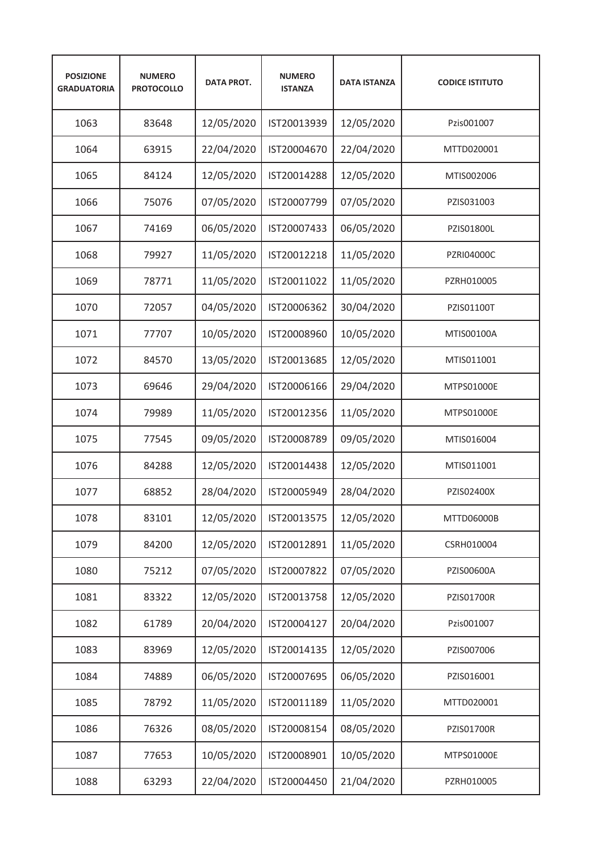| <b>POSIZIONE</b><br><b>GRADUATORIA</b> | <b>NUMERO</b><br><b>PROTOCOLLO</b> | <b>DATA PROT.</b> | <b>NUMERO</b><br><b>ISTANZA</b> | <b>DATA ISTANZA</b> | <b>CODICE ISTITUTO</b> |
|----------------------------------------|------------------------------------|-------------------|---------------------------------|---------------------|------------------------|
| 1063                                   | 83648                              | 12/05/2020        | IST20013939                     | 12/05/2020          | Pzis001007             |
| 1064                                   | 63915                              | 22/04/2020        | IST20004670                     | 22/04/2020          | MTTD020001             |
| 1065                                   | 84124                              | 12/05/2020        | IST20014288                     | 12/05/2020          | MTIS002006             |
| 1066                                   | 75076                              | 07/05/2020        | IST20007799                     | 07/05/2020          | PZIS031003             |
| 1067                                   | 74169                              | 06/05/2020        | IST20007433                     | 06/05/2020          | PZIS01800L             |
| 1068                                   | 79927                              | 11/05/2020        | IST20012218                     | 11/05/2020          | <b>PZRI04000C</b>      |
| 1069                                   | 78771                              | 11/05/2020        | IST20011022                     | 11/05/2020          | PZRH010005             |
| 1070                                   | 72057                              | 04/05/2020        | IST20006362                     | 30/04/2020          | PZIS01100T             |
| 1071                                   | 77707                              | 10/05/2020        | IST20008960                     | 10/05/2020          | MTIS00100A             |
| 1072                                   | 84570                              | 13/05/2020        | IST20013685                     | 12/05/2020          | MTIS011001             |
| 1073                                   | 69646                              | 29/04/2020        | IST20006166                     | 29/04/2020          | MTPS01000E             |
| 1074                                   | 79989                              | 11/05/2020        | IST20012356                     | 11/05/2020          | MTPS01000E             |
| 1075                                   | 77545                              | 09/05/2020        | IST20008789                     | 09/05/2020          | MTIS016004             |
| 1076                                   | 84288                              | 12/05/2020        | IST20014438                     | 12/05/2020          | MTIS011001             |
| 1077                                   | 68852                              | 28/04/2020        | IST20005949                     | 28/04/2020          | PZIS02400X             |
| 1078                                   | 83101                              | 12/05/2020        | IST20013575                     | 12/05/2020          | MTTD06000B             |
| 1079                                   | 84200                              | 12/05/2020        | IST20012891                     | 11/05/2020          | CSRH010004             |
| 1080                                   | 75212                              | 07/05/2020        | IST20007822                     | 07/05/2020          | PZIS00600A             |
| 1081                                   | 83322                              | 12/05/2020        | IST20013758                     | 12/05/2020          | PZIS01700R             |
| 1082                                   | 61789                              | 20/04/2020        | IST20004127                     | 20/04/2020          | Pzis001007             |
| 1083                                   | 83969                              | 12/05/2020        | IST20014135                     | 12/05/2020          | PZIS007006             |
| 1084                                   | 74889                              | 06/05/2020        | IST20007695                     | 06/05/2020          | PZIS016001             |
| 1085                                   | 78792                              | 11/05/2020        | IST20011189                     | 11/05/2020          | MTTD020001             |
| 1086                                   | 76326                              | 08/05/2020        | IST20008154                     | 08/05/2020          | PZIS01700R             |
| 1087                                   | 77653                              | 10/05/2020        | IST20008901                     | 10/05/2020          | MTPS01000E             |
| 1088                                   | 63293                              | 22/04/2020        | IST20004450                     | 21/04/2020          | PZRH010005             |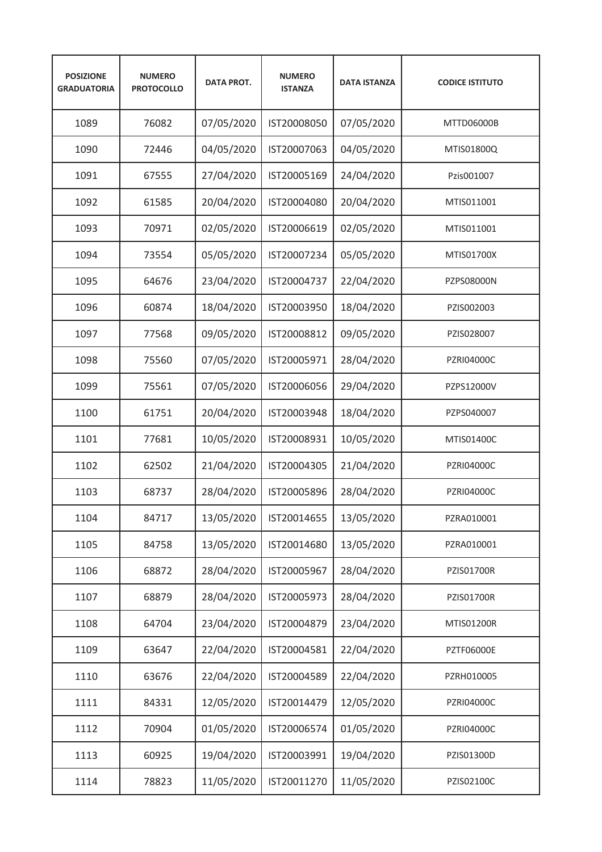| <b>POSIZIONE</b><br><b>GRADUATORIA</b> | <b>NUMERO</b><br><b>PROTOCOLLO</b> | <b>DATA PROT.</b> | <b>NUMERO</b><br><b>ISTANZA</b> | <b>DATA ISTANZA</b> | <b>CODICE ISTITUTO</b> |
|----------------------------------------|------------------------------------|-------------------|---------------------------------|---------------------|------------------------|
| 1089                                   | 76082                              | 07/05/2020        | IST20008050                     | 07/05/2020          | MTTD06000B             |
| 1090                                   | 72446                              | 04/05/2020        | IST20007063                     | 04/05/2020          | MTIS01800Q             |
| 1091                                   | 67555                              | 27/04/2020        | IST20005169                     | 24/04/2020          | Pzis001007             |
| 1092                                   | 61585                              | 20/04/2020        | IST20004080                     | 20/04/2020          | MTIS011001             |
| 1093                                   | 70971                              | 02/05/2020        | IST20006619                     | 02/05/2020          | MTIS011001             |
| 1094                                   | 73554                              | 05/05/2020        | IST20007234                     | 05/05/2020          | MTIS01700X             |
| 1095                                   | 64676                              | 23/04/2020        | IST20004737                     | 22/04/2020          | PZPS08000N             |
| 1096                                   | 60874                              | 18/04/2020        | IST20003950                     | 18/04/2020          | PZIS002003             |
| 1097                                   | 77568                              | 09/05/2020        | IST20008812                     | 09/05/2020          | PZIS028007             |
| 1098                                   | 75560                              | 07/05/2020        | IST20005971                     | 28/04/2020          | <b>PZRI04000C</b>      |
| 1099                                   | 75561                              | 07/05/2020        | IST20006056                     | 29/04/2020          | PZPS12000V             |
| 1100                                   | 61751                              | 20/04/2020        | IST20003948                     | 18/04/2020          | PZPS040007             |
| 1101                                   | 77681                              | 10/05/2020        | IST20008931                     | 10/05/2020          | MTIS01400C             |
| 1102                                   | 62502                              | 21/04/2020        | IST20004305                     | 21/04/2020          | <b>PZRI04000C</b>      |
| 1103                                   | 68737                              | 28/04/2020        | IST20005896                     | 28/04/2020          | <b>PZRI04000C</b>      |
| 1104                                   | 84717                              | 13/05/2020        | IST20014655                     | 13/05/2020          | PZRA010001             |
| 1105                                   | 84758                              | 13/05/2020        | IST20014680                     | 13/05/2020          | PZRA010001             |
| 1106                                   | 68872                              | 28/04/2020        | IST20005967                     | 28/04/2020          | PZIS01700R             |
| 1107                                   | 68879                              | 28/04/2020        | IST20005973                     | 28/04/2020          | PZIS01700R             |
| 1108                                   | 64704                              | 23/04/2020        | IST20004879                     | 23/04/2020          | <b>MTIS01200R</b>      |
| 1109                                   | 63647                              | 22/04/2020        | IST20004581                     | 22/04/2020          | <b>PZTF06000E</b>      |
| 1110                                   | 63676                              | 22/04/2020        | IST20004589                     | 22/04/2020          | PZRH010005             |
| 1111                                   | 84331                              | 12/05/2020        | IST20014479                     | 12/05/2020          | PZRI04000C             |
| 1112                                   | 70904                              | 01/05/2020        | IST20006574                     | 01/05/2020          | PZRI04000C             |
| 1113                                   | 60925                              | 19/04/2020        | IST20003991                     | 19/04/2020          | PZIS01300D             |
| 1114                                   | 78823                              | 11/05/2020        | IST20011270                     | 11/05/2020          | PZIS02100C             |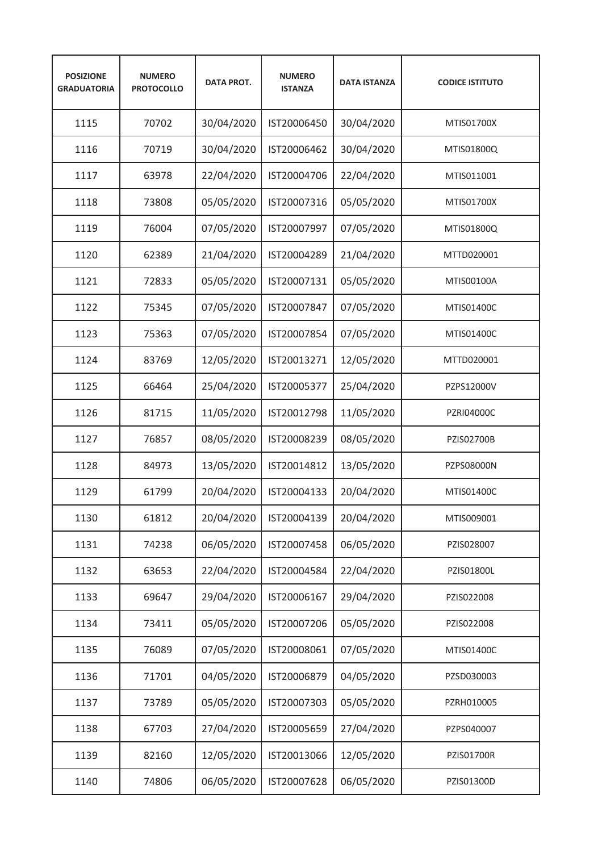| <b>POSIZIONE</b><br><b>GRADUATORIA</b> | <b>NUMERO</b><br><b>PROTOCOLLO</b> | <b>DATA PROT.</b> | <b>NUMERO</b><br><b>ISTANZA</b> | <b>DATA ISTANZA</b> | <b>CODICE ISTITUTO</b> |
|----------------------------------------|------------------------------------|-------------------|---------------------------------|---------------------|------------------------|
| 1115                                   | 70702                              | 30/04/2020        | IST20006450                     | 30/04/2020          | MTIS01700X             |
| 1116                                   | 70719                              | 30/04/2020        | IST20006462                     | 30/04/2020          | MTIS01800Q             |
| 1117                                   | 63978                              | 22/04/2020        | IST20004706                     | 22/04/2020          | MTIS011001             |
| 1118                                   | 73808                              | 05/05/2020        | IST20007316                     | 05/05/2020          | MTIS01700X             |
| 1119                                   | 76004                              | 07/05/2020        | IST20007997                     | 07/05/2020          | MTIS01800Q             |
| 1120                                   | 62389                              | 21/04/2020        | IST20004289                     | 21/04/2020          | MTTD020001             |
| 1121                                   | 72833                              | 05/05/2020        | IST20007131                     | 05/05/2020          | MTIS00100A             |
| 1122                                   | 75345                              | 07/05/2020        | IST20007847                     | 07/05/2020          | MTIS01400C             |
| 1123                                   | 75363                              | 07/05/2020        | IST20007854                     | 07/05/2020          | MTIS01400C             |
| 1124                                   | 83769                              | 12/05/2020        | IST20013271                     | 12/05/2020          | MTTD020001             |
| 1125                                   | 66464                              | 25/04/2020        | IST20005377                     | 25/04/2020          | PZPS12000V             |
| 1126                                   | 81715                              | 11/05/2020        | IST20012798                     | 11/05/2020          | PZRI04000C             |
| 1127                                   | 76857                              | 08/05/2020        | IST20008239                     | 08/05/2020          | PZIS02700B             |
| 1128                                   | 84973                              | 13/05/2020        | IST20014812                     | 13/05/2020          | PZPS08000N             |
| 1129                                   | 61799                              | 20/04/2020        | IST20004133                     | 20/04/2020          | MTIS01400C             |
| 1130                                   | 61812                              | 20/04/2020        | IST20004139                     | 20/04/2020          | MTIS009001             |
| 1131                                   | 74238                              | 06/05/2020        | IST20007458                     | 06/05/2020          | PZIS028007             |
| 1132                                   | 63653                              | 22/04/2020        | IST20004584                     | 22/04/2020          | PZIS01800L             |
| 1133                                   | 69647                              | 29/04/2020        | IST20006167                     | 29/04/2020          | PZIS022008             |
| 1134                                   | 73411                              | 05/05/2020        | IST20007206                     | 05/05/2020          | PZIS022008             |
| 1135                                   | 76089                              | 07/05/2020        | IST20008061                     | 07/05/2020          | MTIS01400C             |
| 1136                                   | 71701                              | 04/05/2020        | IST20006879                     | 04/05/2020          | PZSD030003             |
| 1137                                   | 73789                              | 05/05/2020        | IST20007303                     | 05/05/2020          | PZRH010005             |
| 1138                                   | 67703                              | 27/04/2020        | IST20005659                     | 27/04/2020          | PZPS040007             |
| 1139                                   | 82160                              | 12/05/2020        | IST20013066                     | 12/05/2020          | PZIS01700R             |
| 1140                                   | 74806                              | 06/05/2020        | IST20007628                     | 06/05/2020          | PZIS01300D             |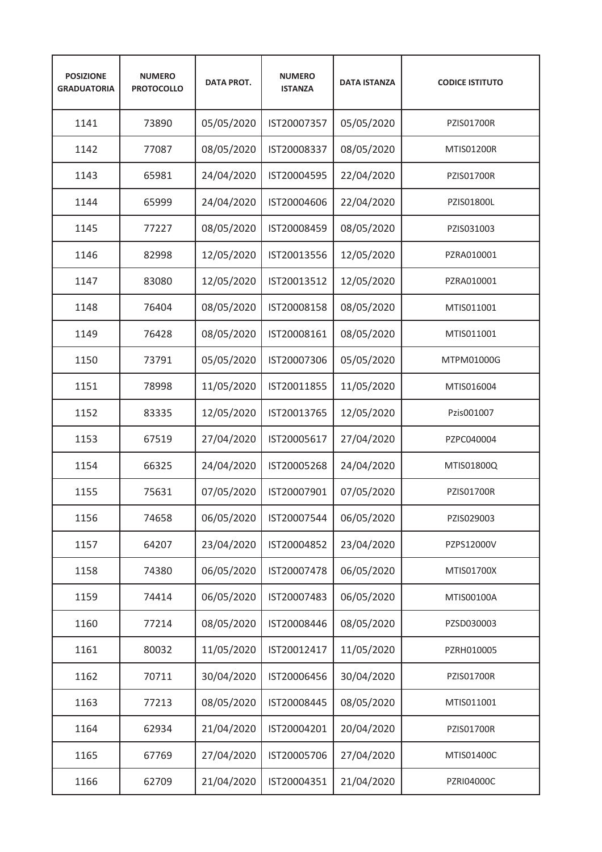| <b>POSIZIONE</b><br><b>GRADUATORIA</b> | <b>NUMERO</b><br><b>PROTOCOLLO</b> | <b>DATA PROT.</b> | <b>NUMERO</b><br><b>ISTANZA</b> | <b>DATA ISTANZA</b> | <b>CODICE ISTITUTO</b> |
|----------------------------------------|------------------------------------|-------------------|---------------------------------|---------------------|------------------------|
| 1141                                   | 73890                              | 05/05/2020        | IST20007357                     | 05/05/2020          | <b>PZIS01700R</b>      |
| 1142                                   | 77087                              | 08/05/2020        | IST20008337                     | 08/05/2020          | MTIS01200R             |
| 1143                                   | 65981                              | 24/04/2020        | IST20004595                     | 22/04/2020          | <b>PZIS01700R</b>      |
| 1144                                   | 65999                              | 24/04/2020        | IST20004606                     | 22/04/2020          | PZIS01800L             |
| 1145                                   | 77227                              | 08/05/2020        | IST20008459                     | 08/05/2020          | PZIS031003             |
| 1146                                   | 82998                              | 12/05/2020        | IST20013556                     | 12/05/2020          | PZRA010001             |
| 1147                                   | 83080                              | 12/05/2020        | IST20013512                     | 12/05/2020          | PZRA010001             |
| 1148                                   | 76404                              | 08/05/2020        | IST20008158                     | 08/05/2020          | MTIS011001             |
| 1149                                   | 76428                              | 08/05/2020        | IST20008161                     | 08/05/2020          | MTIS011001             |
| 1150                                   | 73791                              | 05/05/2020        | IST20007306                     | 05/05/2020          | MTPM01000G             |
| 1151                                   | 78998                              | 11/05/2020        | IST20011855                     | 11/05/2020          | MTIS016004             |
| 1152                                   | 83335                              | 12/05/2020        | IST20013765                     | 12/05/2020          | Pzis001007             |
| 1153                                   | 67519                              | 27/04/2020        | IST20005617                     | 27/04/2020          | PZPC040004             |
| 1154                                   | 66325                              | 24/04/2020        | IST20005268                     | 24/04/2020          | MTIS01800Q             |
| 1155                                   | 75631                              | 07/05/2020        | IST20007901                     | 07/05/2020          | <b>PZIS01700R</b>      |
| 1156                                   | 74658                              | 06/05/2020        | IST20007544                     | 06/05/2020          | PZIS029003             |
| 1157                                   | 64207                              | 23/04/2020        | IST20004852                     | 23/04/2020          | PZPS12000V             |
| 1158                                   | 74380                              | 06/05/2020        | IST20007478                     | 06/05/2020          | MTIS01700X             |
| 1159                                   | 74414                              | 06/05/2020        | IST20007483                     | 06/05/2020          | MTIS00100A             |
| 1160                                   | 77214                              | 08/05/2020        | IST20008446                     | 08/05/2020          | PZSD030003             |
| 1161                                   | 80032                              | 11/05/2020        | IST20012417                     | 11/05/2020          | PZRH010005             |
| 1162                                   | 70711                              | 30/04/2020        | IST20006456                     | 30/04/2020          | PZIS01700R             |
| 1163                                   | 77213                              | 08/05/2020        | IST20008445                     | 08/05/2020          | MTIS011001             |
| 1164                                   | 62934                              | 21/04/2020        | IST20004201                     | 20/04/2020          | PZIS01700R             |
| 1165                                   | 67769                              | 27/04/2020        | IST20005706                     | 27/04/2020          | MTIS01400C             |
| 1166                                   | 62709                              | 21/04/2020        | IST20004351                     | 21/04/2020          | PZRI04000C             |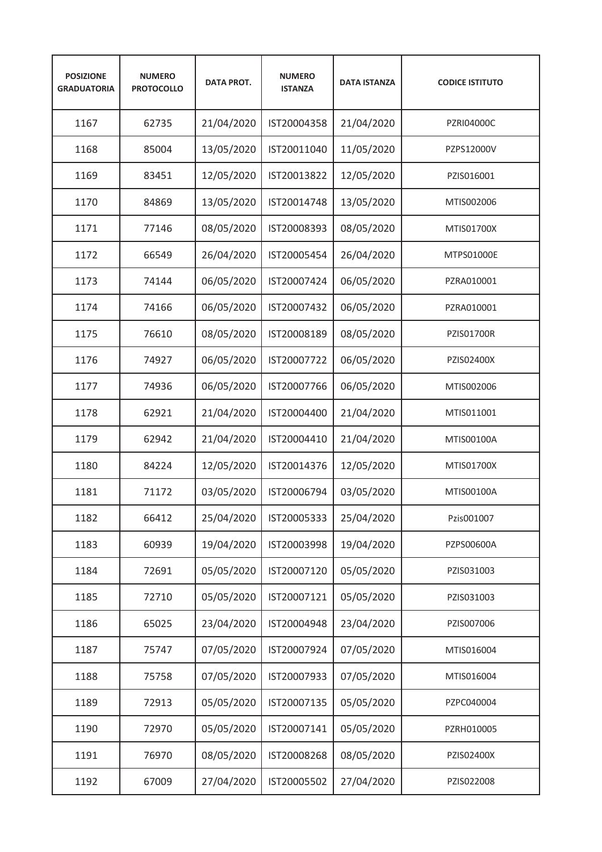| <b>POSIZIONE</b><br><b>GRADUATORIA</b> | <b>NUMERO</b><br><b>PROTOCOLLO</b> | <b>DATA PROT.</b> | <b>NUMERO</b><br><b>ISTANZA</b> | <b>DATA ISTANZA</b> | <b>CODICE ISTITUTO</b> |
|----------------------------------------|------------------------------------|-------------------|---------------------------------|---------------------|------------------------|
| 1167                                   | 62735                              | 21/04/2020        | IST20004358                     | 21/04/2020          | PZRI04000C             |
| 1168                                   | 85004                              | 13/05/2020        | IST20011040                     | 11/05/2020          | PZPS12000V             |
| 1169                                   | 83451                              | 12/05/2020        | IST20013822                     | 12/05/2020          | PZIS016001             |
| 1170                                   | 84869                              | 13/05/2020        | IST20014748                     | 13/05/2020          | MTIS002006             |
| 1171                                   | 77146                              | 08/05/2020        | IST20008393                     | 08/05/2020          | MTIS01700X             |
| 1172                                   | 66549                              | 26/04/2020        | IST20005454                     | 26/04/2020          | MTPS01000E             |
| 1173                                   | 74144                              | 06/05/2020        | IST20007424                     | 06/05/2020          | PZRA010001             |
| 1174                                   | 74166                              | 06/05/2020        | IST20007432                     | 06/05/2020          | PZRA010001             |
| 1175                                   | 76610                              | 08/05/2020        | IST20008189                     | 08/05/2020          | <b>PZIS01700R</b>      |
| 1176                                   | 74927                              | 06/05/2020        | IST20007722                     | 06/05/2020          | PZIS02400X             |
| 1177                                   | 74936                              | 06/05/2020        | IST20007766                     | 06/05/2020          | MTIS002006             |
| 1178                                   | 62921                              | 21/04/2020        | IST20004400                     | 21/04/2020          | MTIS011001             |
| 1179                                   | 62942                              | 21/04/2020        | IST20004410                     | 21/04/2020          | MTIS00100A             |
| 1180                                   | 84224                              | 12/05/2020        | IST20014376                     | 12/05/2020          | MTIS01700X             |
| 1181                                   | 71172                              | 03/05/2020        | IST20006794                     | 03/05/2020          | MTIS00100A             |
| 1182                                   | 66412                              | 25/04/2020        | IST20005333                     | 25/04/2020          | Pzis001007             |
| 1183                                   | 60939                              | 19/04/2020        | IST20003998                     | 19/04/2020          | PZPS00600A             |
| 1184                                   | 72691                              | 05/05/2020        | IST20007120                     | 05/05/2020          | PZIS031003             |
| 1185                                   | 72710                              | 05/05/2020        | IST20007121                     | 05/05/2020          | PZIS031003             |
| 1186                                   | 65025                              | 23/04/2020        | IST20004948                     | 23/04/2020          | PZIS007006             |
| 1187                                   | 75747                              | 07/05/2020        | IST20007924                     | 07/05/2020          | MTIS016004             |
| 1188                                   | 75758                              | 07/05/2020        | IST20007933                     | 07/05/2020          | MTIS016004             |
| 1189                                   | 72913                              | 05/05/2020        | IST20007135                     | 05/05/2020          | PZPC040004             |
| 1190                                   | 72970                              | 05/05/2020        | IST20007141                     | 05/05/2020          | PZRH010005             |
| 1191                                   | 76970                              | 08/05/2020        | IST20008268                     | 08/05/2020          | PZIS02400X             |
| 1192                                   | 67009                              | 27/04/2020        | IST20005502                     | 27/04/2020          | PZIS022008             |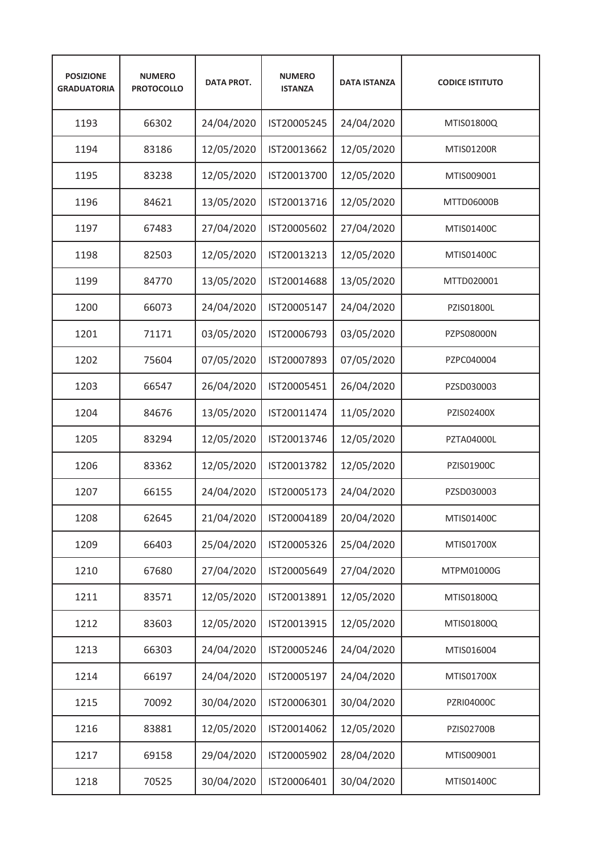| <b>POSIZIONE</b><br><b>GRADUATORIA</b> | <b>NUMERO</b><br><b>PROTOCOLLO</b> | <b>DATA PROT.</b> | <b>NUMERO</b><br><b>ISTANZA</b> | <b>DATA ISTANZA</b> | <b>CODICE ISTITUTO</b> |
|----------------------------------------|------------------------------------|-------------------|---------------------------------|---------------------|------------------------|
| 1193                                   | 66302                              | 24/04/2020        | IST20005245                     | 24/04/2020          | MTIS01800Q             |
| 1194                                   | 83186                              | 12/05/2020        | IST20013662                     | 12/05/2020          | <b>MTIS01200R</b>      |
| 1195                                   | 83238                              | 12/05/2020        | IST20013700                     | 12/05/2020          | MTIS009001             |
| 1196                                   | 84621                              | 13/05/2020        | IST20013716                     | 12/05/2020          | MTTD06000B             |
| 1197                                   | 67483                              | 27/04/2020        | IST20005602                     | 27/04/2020          | MTIS01400C             |
| 1198                                   | 82503                              | 12/05/2020        | IST20013213                     | 12/05/2020          | MTIS01400C             |
| 1199                                   | 84770                              | 13/05/2020        | IST20014688                     | 13/05/2020          | MTTD020001             |
| 1200                                   | 66073                              | 24/04/2020        | IST20005147                     | 24/04/2020          | PZIS01800L             |
| 1201                                   | 71171                              | 03/05/2020        | IST20006793                     | 03/05/2020          | <b>PZPS08000N</b>      |
| 1202                                   | 75604                              | 07/05/2020        | IST20007893                     | 07/05/2020          | PZPC040004             |
| 1203                                   | 66547                              | 26/04/2020        | IST20005451                     | 26/04/2020          | PZSD030003             |
| 1204                                   | 84676                              | 13/05/2020        | IST20011474                     | 11/05/2020          | PZIS02400X             |
| 1205                                   | 83294                              | 12/05/2020        | IST20013746                     | 12/05/2020          | PZTA04000L             |
| 1206                                   | 83362                              | 12/05/2020        | IST20013782                     | 12/05/2020          | PZIS01900C             |
| 1207                                   | 66155                              | 24/04/2020        | IST20005173                     | 24/04/2020          | PZSD030003             |
| 1208                                   | 62645                              | 21/04/2020        | IST20004189                     | 20/04/2020          | MTIS01400C             |
| 1209                                   | 66403                              | 25/04/2020        | IST20005326                     | 25/04/2020          | MTIS01700X             |
| 1210                                   | 67680                              | 27/04/2020        | IST20005649                     | 27/04/2020          | MTPM01000G             |
| 1211                                   | 83571                              | 12/05/2020        | IST20013891                     | 12/05/2020          | MTIS01800Q             |
| 1212                                   | 83603                              | 12/05/2020        | IST20013915                     | 12/05/2020          | MTIS01800Q             |
| 1213                                   | 66303                              | 24/04/2020        | IST20005246                     | 24/04/2020          | MTIS016004             |
| 1214                                   | 66197                              | 24/04/2020        | IST20005197                     | 24/04/2020          | MTIS01700X             |
| 1215                                   | 70092                              | 30/04/2020        | IST20006301                     | 30/04/2020          | PZRI04000C             |
| 1216                                   | 83881                              | 12/05/2020        | IST20014062                     | 12/05/2020          | PZIS02700B             |
| 1217                                   | 69158                              | 29/04/2020        | IST20005902                     | 28/04/2020          | MTIS009001             |
| 1218                                   | 70525                              | 30/04/2020        | IST20006401                     | 30/04/2020          | MTIS01400C             |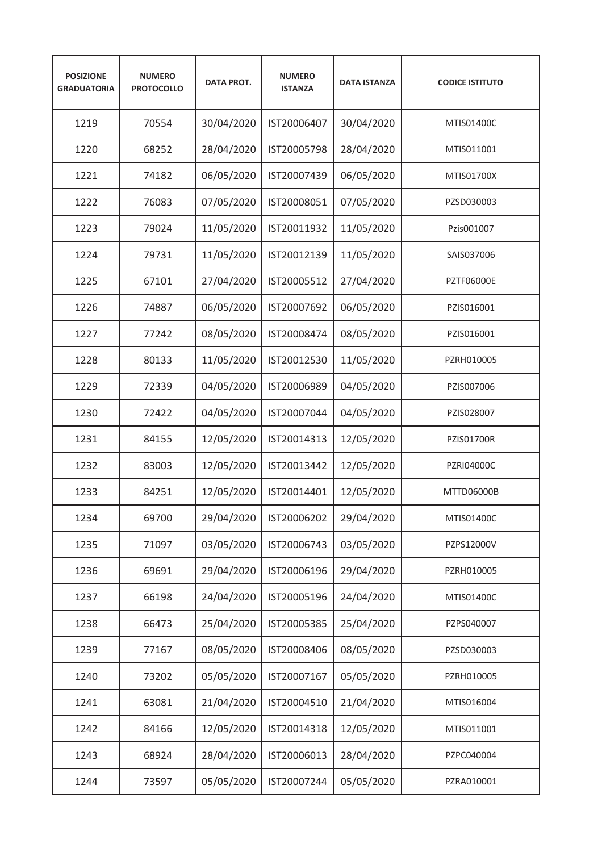| <b>POSIZIONE</b><br><b>GRADUATORIA</b> | <b>NUMERO</b><br><b>PROTOCOLLO</b> | <b>DATA PROT.</b> | <b>NUMERO</b><br><b>ISTANZA</b> | <b>DATA ISTANZA</b> | <b>CODICE ISTITUTO</b> |
|----------------------------------------|------------------------------------|-------------------|---------------------------------|---------------------|------------------------|
| 1219                                   | 70554                              | 30/04/2020        | IST20006407                     | 30/04/2020          | MTIS01400C             |
| 1220                                   | 68252                              | 28/04/2020        | IST20005798                     | 28/04/2020          | MTIS011001             |
| 1221                                   | 74182                              | 06/05/2020        | IST20007439                     | 06/05/2020          | MTIS01700X             |
| 1222                                   | 76083                              | 07/05/2020        | IST20008051                     | 07/05/2020          | PZSD030003             |
| 1223                                   | 79024                              | 11/05/2020        | IST20011932                     | 11/05/2020          | Pzis001007             |
| 1224                                   | 79731                              | 11/05/2020        | IST20012139                     | 11/05/2020          | SAIS037006             |
| 1225                                   | 67101                              | 27/04/2020        | IST20005512                     | 27/04/2020          | <b>PZTF06000E</b>      |
| 1226                                   | 74887                              | 06/05/2020        | IST20007692                     | 06/05/2020          | PZIS016001             |
| 1227                                   | 77242                              | 08/05/2020        | IST20008474                     | 08/05/2020          | PZIS016001             |
| 1228                                   | 80133                              | 11/05/2020        | IST20012530                     | 11/05/2020          | PZRH010005             |
| 1229                                   | 72339                              | 04/05/2020        | IST20006989                     | 04/05/2020          | PZIS007006             |
| 1230                                   | 72422                              | 04/05/2020        | IST20007044                     | 04/05/2020          | PZIS028007             |
| 1231                                   | 84155                              | 12/05/2020        | IST20014313                     | 12/05/2020          | <b>PZIS01700R</b>      |
| 1232                                   | 83003                              | 12/05/2020        | IST20013442                     | 12/05/2020          | <b>PZRI04000C</b>      |
| 1233                                   | 84251                              | 12/05/2020        | IST20014401                     | 12/05/2020          | MTTD06000B             |
| 1234                                   | 69700                              | 29/04/2020        | IST20006202                     | 29/04/2020          | MTIS01400C             |
| 1235                                   | 71097                              | 03/05/2020        | IST20006743                     | 03/05/2020          | PZPS12000V             |
| 1236                                   | 69691                              | 29/04/2020        | IST20006196                     | 29/04/2020          | PZRH010005             |
| 1237                                   | 66198                              | 24/04/2020        | IST20005196                     | 24/04/2020          | MTIS01400C             |
| 1238                                   | 66473                              | 25/04/2020        | IST20005385                     | 25/04/2020          | PZPS040007             |
| 1239                                   | 77167                              | 08/05/2020        | IST20008406                     | 08/05/2020          | PZSD030003             |
| 1240                                   | 73202                              | 05/05/2020        | IST20007167                     | 05/05/2020          | PZRH010005             |
| 1241                                   | 63081                              | 21/04/2020        | IST20004510                     | 21/04/2020          | MTIS016004             |
| 1242                                   | 84166                              | 12/05/2020        | IST20014318                     | 12/05/2020          | MTIS011001             |
| 1243                                   | 68924                              | 28/04/2020        | IST20006013                     | 28/04/2020          | PZPC040004             |
| 1244                                   | 73597                              | 05/05/2020        | IST20007244                     | 05/05/2020          | PZRA010001             |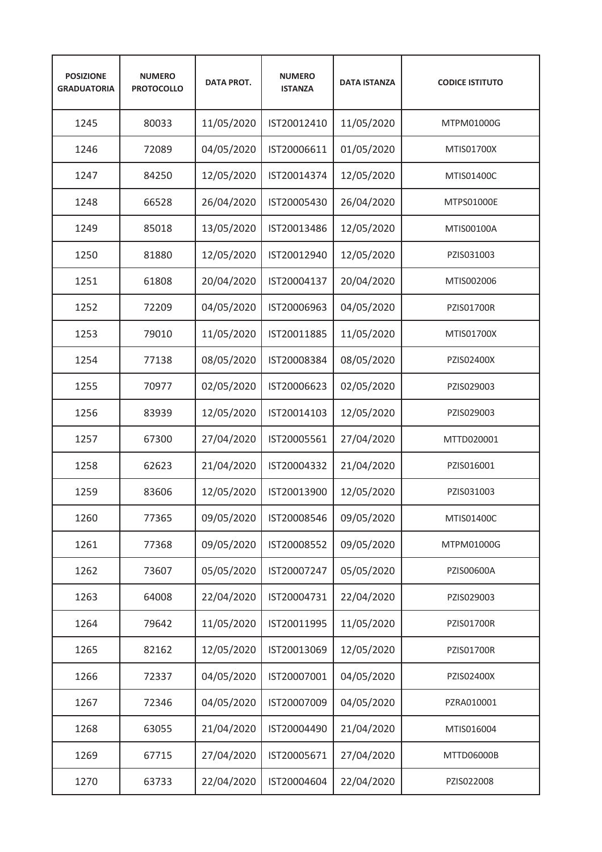| <b>POSIZIONE</b><br><b>GRADUATORIA</b> | <b>NUMERO</b><br><b>PROTOCOLLO</b> | <b>DATA PROT.</b> | <b>NUMERO</b><br><b>ISTANZA</b> | <b>DATA ISTANZA</b> | <b>CODICE ISTITUTO</b> |
|----------------------------------------|------------------------------------|-------------------|---------------------------------|---------------------|------------------------|
| 1245                                   | 80033                              | 11/05/2020        | IST20012410                     | 11/05/2020          | MTPM01000G             |
| 1246                                   | 72089                              | 04/05/2020        | IST20006611                     | 01/05/2020          | MTIS01700X             |
| 1247                                   | 84250                              | 12/05/2020        | IST20014374                     | 12/05/2020          | MTIS01400C             |
| 1248                                   | 66528                              | 26/04/2020        | IST20005430                     | 26/04/2020          | MTPS01000E             |
| 1249                                   | 85018                              | 13/05/2020        | IST20013486                     | 12/05/2020          | MTIS00100A             |
| 1250                                   | 81880                              | 12/05/2020        | IST20012940                     | 12/05/2020          | PZIS031003             |
| 1251                                   | 61808                              | 20/04/2020        | IST20004137                     | 20/04/2020          | MTIS002006             |
| 1252                                   | 72209                              | 04/05/2020        | IST20006963                     | 04/05/2020          | PZIS01700R             |
| 1253                                   | 79010                              | 11/05/2020        | IST20011885                     | 11/05/2020          | MTIS01700X             |
| 1254                                   | 77138                              | 08/05/2020        | IST20008384                     | 08/05/2020          | PZIS02400X             |
| 1255                                   | 70977                              | 02/05/2020        | IST20006623                     | 02/05/2020          | PZIS029003             |
| 1256                                   | 83939                              | 12/05/2020        | IST20014103                     | 12/05/2020          | PZIS029003             |
| 1257                                   | 67300                              | 27/04/2020        | IST20005561                     | 27/04/2020          | MTTD020001             |
| 1258                                   | 62623                              | 21/04/2020        | IST20004332                     | 21/04/2020          | PZIS016001             |
| 1259                                   | 83606                              | 12/05/2020        | IST20013900                     | 12/05/2020          | PZIS031003             |
| 1260                                   | 77365                              | 09/05/2020        | IST20008546                     | 09/05/2020          | MTIS01400C             |
| 1261                                   | 77368                              | 09/05/2020        | IST20008552                     | 09/05/2020          | MTPM01000G             |
| 1262                                   | 73607                              | 05/05/2020        | IST20007247                     | 05/05/2020          | PZIS00600A             |
| 1263                                   | 64008                              | 22/04/2020        | IST20004731                     | 22/04/2020          | PZIS029003             |
| 1264                                   | 79642                              | 11/05/2020        | IST20011995                     | 11/05/2020          | PZIS01700R             |
| 1265                                   | 82162                              | 12/05/2020        | IST20013069                     | 12/05/2020          | PZIS01700R             |
| 1266                                   | 72337                              | 04/05/2020        | IST20007001                     | 04/05/2020          | PZIS02400X             |
| 1267                                   | 72346                              | 04/05/2020        | IST20007009                     | 04/05/2020          | PZRA010001             |
| 1268                                   | 63055                              | 21/04/2020        | IST20004490                     | 21/04/2020          | MTIS016004             |
| 1269                                   | 67715                              | 27/04/2020        | IST20005671                     | 27/04/2020          | MTTD06000B             |
| 1270                                   | 63733                              | 22/04/2020        | IST20004604                     | 22/04/2020          | PZIS022008             |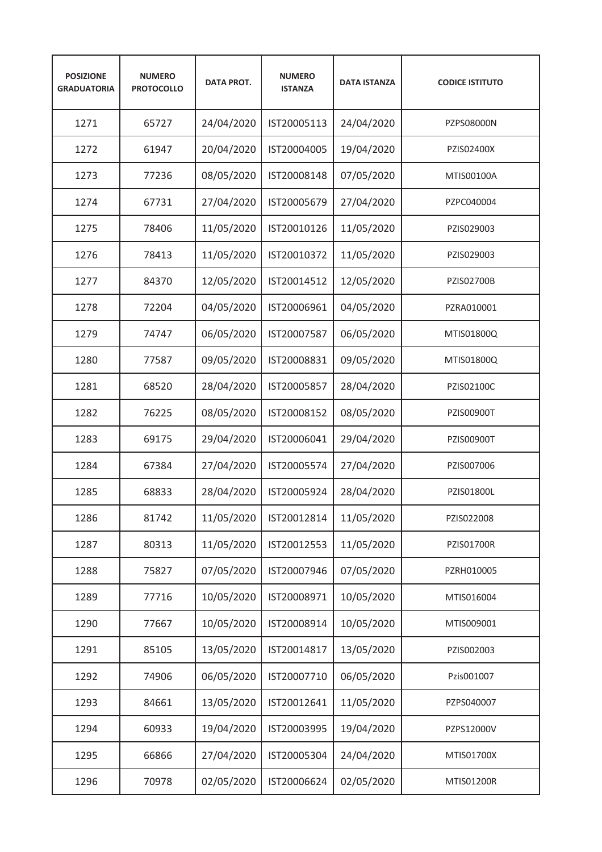| <b>POSIZIONE</b><br><b>GRADUATORIA</b> | <b>NUMERO</b><br><b>PROTOCOLLO</b> | <b>DATA PROT.</b> | <b>NUMERO</b><br><b>ISTANZA</b> | <b>DATA ISTANZA</b> | <b>CODICE ISTITUTO</b> |
|----------------------------------------|------------------------------------|-------------------|---------------------------------|---------------------|------------------------|
| 1271                                   | 65727                              | 24/04/2020        | IST20005113                     | 24/04/2020          | PZPS08000N             |
| 1272                                   | 61947                              | 20/04/2020        | IST20004005                     | 19/04/2020          | PZIS02400X             |
| 1273                                   | 77236                              | 08/05/2020        | IST20008148                     | 07/05/2020          | MTIS00100A             |
| 1274                                   | 67731                              | 27/04/2020        | IST20005679                     | 27/04/2020          | PZPC040004             |
| 1275                                   | 78406                              | 11/05/2020        | IST20010126                     | 11/05/2020          | PZIS029003             |
| 1276                                   | 78413                              | 11/05/2020        | IST20010372                     | 11/05/2020          | PZIS029003             |
| 1277                                   | 84370                              | 12/05/2020        | IST20014512                     | 12/05/2020          | PZIS02700B             |
| 1278                                   | 72204                              | 04/05/2020        | IST20006961                     | 04/05/2020          | PZRA010001             |
| 1279                                   | 74747                              | 06/05/2020        | IST20007587                     | 06/05/2020          | MTIS01800Q             |
| 1280                                   | 77587                              | 09/05/2020        | IST20008831                     | 09/05/2020          | MTIS01800Q             |
| 1281                                   | 68520                              | 28/04/2020        | IST20005857                     | 28/04/2020          | PZIS02100C             |
| 1282                                   | 76225                              | 08/05/2020        | IST20008152                     | 08/05/2020          | PZIS00900T             |
| 1283                                   | 69175                              | 29/04/2020        | IST20006041                     | 29/04/2020          | PZIS00900T             |
| 1284                                   | 67384                              | 27/04/2020        | IST20005574                     | 27/04/2020          | PZIS007006             |
| 1285                                   | 68833                              | 28/04/2020        | IST20005924                     | 28/04/2020          | PZIS01800L             |
| 1286                                   | 81742                              | 11/05/2020        | IST20012814                     | 11/05/2020          | PZIS022008             |
| 1287                                   | 80313                              | 11/05/2020        | IST20012553                     | 11/05/2020          | PZIS01700R             |
| 1288                                   | 75827                              | 07/05/2020        | IST20007946                     | 07/05/2020          | PZRH010005             |
| 1289                                   | 77716                              | 10/05/2020        | IST20008971                     | 10/05/2020          | MTIS016004             |
| 1290                                   | 77667                              | 10/05/2020        | IST20008914                     | 10/05/2020          | MTIS009001             |
| 1291                                   | 85105                              | 13/05/2020        | IST20014817                     | 13/05/2020          | PZIS002003             |
| 1292                                   | 74906                              | 06/05/2020        | IST20007710                     | 06/05/2020          | Pzis001007             |
| 1293                                   | 84661                              | 13/05/2020        | IST20012641                     | 11/05/2020          | PZPS040007             |
| 1294                                   | 60933                              | 19/04/2020        | IST20003995                     | 19/04/2020          | PZPS12000V             |
| 1295                                   | 66866                              | 27/04/2020        | IST20005304                     | 24/04/2020          | MTIS01700X             |
| 1296                                   | 70978                              | 02/05/2020        | IST20006624                     | 02/05/2020          | MTIS01200R             |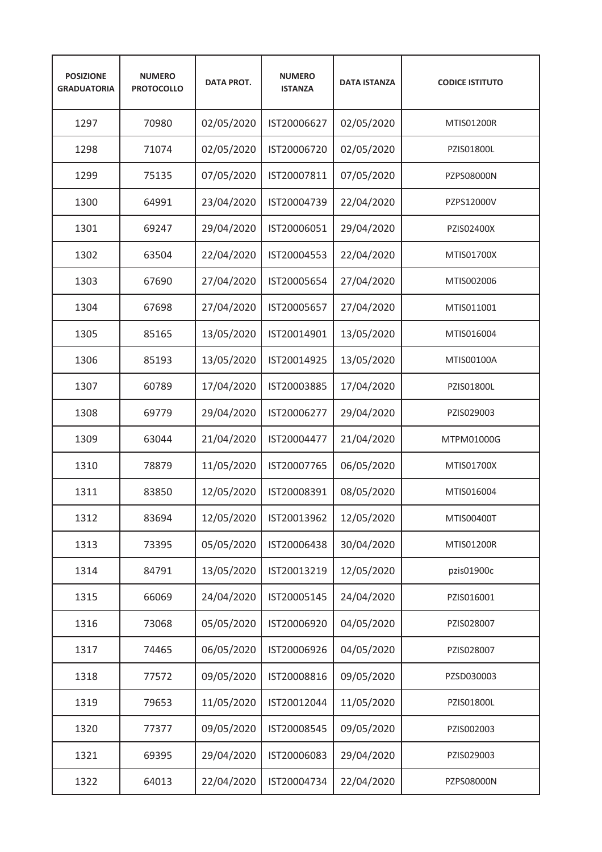| <b>POSIZIONE</b><br><b>GRADUATORIA</b> | <b>NUMERO</b><br><b>PROTOCOLLO</b> | <b>DATA PROT.</b> | <b>NUMERO</b><br><b>ISTANZA</b> | <b>DATA ISTANZA</b> | <b>CODICE ISTITUTO</b> |
|----------------------------------------|------------------------------------|-------------------|---------------------------------|---------------------|------------------------|
| 1297                                   | 70980                              | 02/05/2020        | IST20006627                     | 02/05/2020          | MTIS01200R             |
| 1298                                   | 71074                              | 02/05/2020        | IST20006720                     | 02/05/2020          | PZIS01800L             |
| 1299                                   | 75135                              | 07/05/2020        | IST20007811                     | 07/05/2020          | PZPS08000N             |
| 1300                                   | 64991                              | 23/04/2020        | IST20004739                     | 22/04/2020          | PZPS12000V             |
| 1301                                   | 69247                              | 29/04/2020        | IST20006051                     | 29/04/2020          | PZIS02400X             |
| 1302                                   | 63504                              | 22/04/2020        | IST20004553                     | 22/04/2020          | MTIS01700X             |
| 1303                                   | 67690                              | 27/04/2020        | IST20005654                     | 27/04/2020          | MTIS002006             |
| 1304                                   | 67698                              | 27/04/2020        | IST20005657                     | 27/04/2020          | MTIS011001             |
| 1305                                   | 85165                              | 13/05/2020        | IST20014901                     | 13/05/2020          | MTIS016004             |
| 1306                                   | 85193                              | 13/05/2020        | IST20014925                     | 13/05/2020          | MTIS00100A             |
| 1307                                   | 60789                              | 17/04/2020        | IST20003885                     | 17/04/2020          | PZIS01800L             |
| 1308                                   | 69779                              | 29/04/2020        | IST20006277                     | 29/04/2020          | PZIS029003             |
| 1309                                   | 63044                              | 21/04/2020        | IST20004477                     | 21/04/2020          | MTPM01000G             |
| 1310                                   | 78879                              | 11/05/2020        | IST20007765                     | 06/05/2020          | MTIS01700X             |
| 1311                                   | 83850                              | 12/05/2020        | IST20008391                     | 08/05/2020          | MTIS016004             |
| 1312                                   | 83694                              | 12/05/2020        | IST20013962                     | 12/05/2020          | MTIS00400T             |
| 1313                                   | 73395                              | 05/05/2020        | IST20006438                     | 30/04/2020          | MTIS01200R             |
| 1314                                   | 84791                              | 13/05/2020        | IST20013219                     | 12/05/2020          | pzis01900c             |
| 1315                                   | 66069                              | 24/04/2020        | IST20005145                     | 24/04/2020          | PZIS016001             |
| 1316                                   | 73068                              | 05/05/2020        | IST20006920                     | 04/05/2020          | PZIS028007             |
| 1317                                   | 74465                              | 06/05/2020        | IST20006926                     | 04/05/2020          | PZIS028007             |
| 1318                                   | 77572                              | 09/05/2020        | IST20008816                     | 09/05/2020          | PZSD030003             |
| 1319                                   | 79653                              | 11/05/2020        | IST20012044                     | 11/05/2020          | PZIS01800L             |
| 1320                                   | 77377                              | 09/05/2020        | IST20008545                     | 09/05/2020          | PZIS002003             |
| 1321                                   | 69395                              | 29/04/2020        | IST20006083                     | 29/04/2020          | PZIS029003             |
| 1322                                   | 64013                              | 22/04/2020        | IST20004734                     | 22/04/2020          | PZPS08000N             |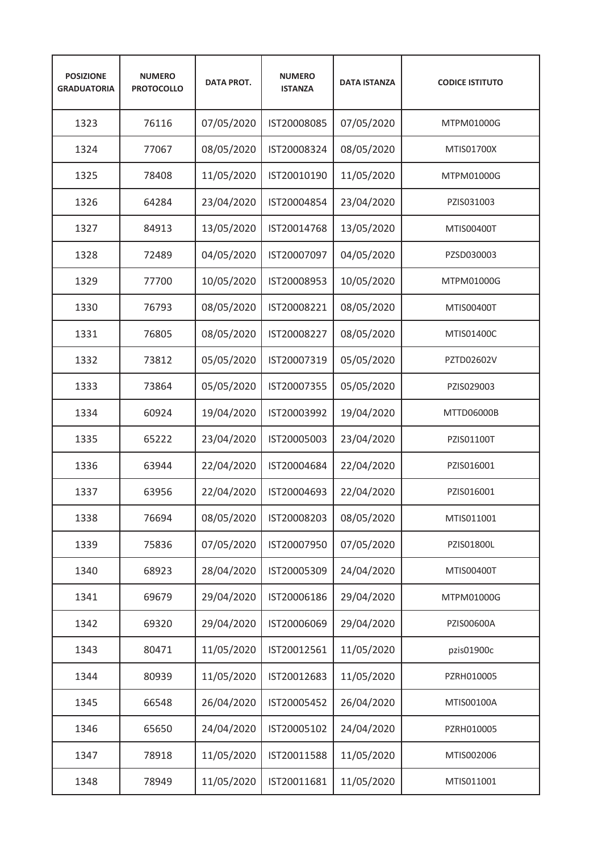| <b>POSIZIONE</b><br><b>GRADUATORIA</b> | <b>NUMERO</b><br><b>PROTOCOLLO</b> | <b>DATA PROT.</b> | <b>NUMERO</b><br><b>ISTANZA</b> | <b>DATA ISTANZA</b> | <b>CODICE ISTITUTO</b> |
|----------------------------------------|------------------------------------|-------------------|---------------------------------|---------------------|------------------------|
| 1323                                   | 76116                              | 07/05/2020        | IST20008085                     | 07/05/2020          | MTPM01000G             |
| 1324                                   | 77067                              | 08/05/2020        | IST20008324                     | 08/05/2020          | MTIS01700X             |
| 1325                                   | 78408                              | 11/05/2020        | IST20010190                     | 11/05/2020          | MTPM01000G             |
| 1326                                   | 64284                              | 23/04/2020        | IST20004854                     | 23/04/2020          | PZIS031003             |
| 1327                                   | 84913                              | 13/05/2020        | IST20014768                     | 13/05/2020          | MTIS00400T             |
| 1328                                   | 72489                              | 04/05/2020        | IST20007097                     | 04/05/2020          | PZSD030003             |
| 1329                                   | 77700                              | 10/05/2020        | IST20008953                     | 10/05/2020          | MTPM01000G             |
| 1330                                   | 76793                              | 08/05/2020        | IST20008221                     | 08/05/2020          | MTIS00400T             |
| 1331                                   | 76805                              | 08/05/2020        | IST20008227                     | 08/05/2020          | MTIS01400C             |
| 1332                                   | 73812                              | 05/05/2020        | IST20007319                     | 05/05/2020          | PZTD02602V             |
| 1333                                   | 73864                              | 05/05/2020        | IST20007355                     | 05/05/2020          | PZIS029003             |
| 1334                                   | 60924                              | 19/04/2020        | IST20003992                     | 19/04/2020          | MTTD06000B             |
| 1335                                   | 65222                              | 23/04/2020        | IST20005003                     | 23/04/2020          | PZIS01100T             |
| 1336                                   | 63944                              | 22/04/2020        | IST20004684                     | 22/04/2020          | PZIS016001             |
| 1337                                   | 63956                              | 22/04/2020        | IST20004693                     | 22/04/2020          | PZIS016001             |
| 1338                                   | 76694                              | 08/05/2020        | IST20008203                     | 08/05/2020          | MTIS011001             |
| 1339                                   | 75836                              | 07/05/2020        | IST20007950                     | 07/05/2020          | PZIS01800L             |
| 1340                                   | 68923                              | 28/04/2020        | IST20005309                     | 24/04/2020          | MTIS00400T             |
| 1341                                   | 69679                              | 29/04/2020        | IST20006186                     | 29/04/2020          | MTPM01000G             |
| 1342                                   | 69320                              | 29/04/2020        | IST20006069                     | 29/04/2020          | PZIS00600A             |
| 1343                                   | 80471                              | 11/05/2020        | IST20012561                     | 11/05/2020          | pzis01900c             |
| 1344                                   | 80939                              | 11/05/2020        | IST20012683                     | 11/05/2020          | PZRH010005             |
| 1345                                   | 66548                              | 26/04/2020        | IST20005452                     | 26/04/2020          | MTIS00100A             |
| 1346                                   | 65650                              | 24/04/2020        | IST20005102                     | 24/04/2020          | PZRH010005             |
| 1347                                   | 78918                              | 11/05/2020        | IST20011588                     | 11/05/2020          | MTIS002006             |
| 1348                                   | 78949                              | 11/05/2020        | IST20011681                     | 11/05/2020          | MTIS011001             |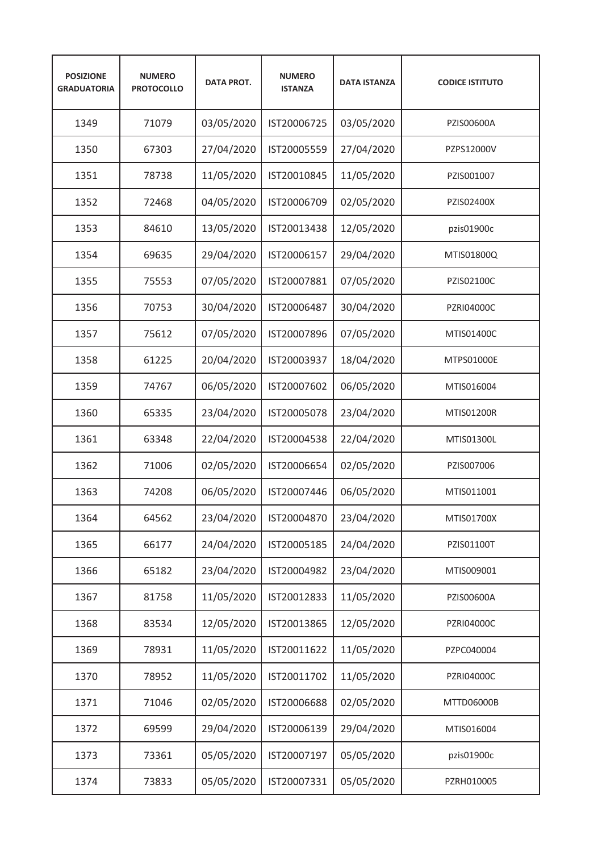| <b>POSIZIONE</b><br><b>GRADUATORIA</b> | <b>NUMERO</b><br><b>PROTOCOLLO</b> | <b>DATA PROT.</b> | <b>NUMERO</b><br><b>ISTANZA</b> | <b>DATA ISTANZA</b> | <b>CODICE ISTITUTO</b> |
|----------------------------------------|------------------------------------|-------------------|---------------------------------|---------------------|------------------------|
| 1349                                   | 71079                              | 03/05/2020        | IST20006725                     | 03/05/2020          | PZIS00600A             |
| 1350                                   | 67303                              | 27/04/2020        | IST20005559                     | 27/04/2020          | PZPS12000V             |
| 1351                                   | 78738                              | 11/05/2020        | IST20010845                     | 11/05/2020          | PZIS001007             |
| 1352                                   | 72468                              | 04/05/2020        | IST20006709                     | 02/05/2020          | PZIS02400X             |
| 1353                                   | 84610                              | 13/05/2020        | IST20013438                     | 12/05/2020          | pzis01900c             |
| 1354                                   | 69635                              | 29/04/2020        | IST20006157                     | 29/04/2020          | MTIS01800Q             |
| 1355                                   | 75553                              | 07/05/2020        | IST20007881                     | 07/05/2020          | PZIS02100C             |
| 1356                                   | 70753                              | 30/04/2020        | IST20006487                     | 30/04/2020          | <b>PZRI04000C</b>      |
| 1357                                   | 75612                              | 07/05/2020        | IST20007896                     | 07/05/2020          | MTIS01400C             |
| 1358                                   | 61225                              | 20/04/2020        | IST20003937                     | 18/04/2020          | MTPS01000E             |
| 1359                                   | 74767                              | 06/05/2020        | IST20007602                     | 06/05/2020          | MTIS016004             |
| 1360                                   | 65335                              | 23/04/2020        | IST20005078                     | 23/04/2020          | MTIS01200R             |
| 1361                                   | 63348                              | 22/04/2020        | IST20004538                     | 22/04/2020          | MTIS01300L             |
| 1362                                   | 71006                              | 02/05/2020        | IST20006654                     | 02/05/2020          | PZIS007006             |
| 1363                                   | 74208                              | 06/05/2020        | IST20007446                     | 06/05/2020          | MTIS011001             |
| 1364                                   | 64562                              | 23/04/2020        | IST20004870                     | 23/04/2020          | MTIS01700X             |
| 1365                                   | 66177                              | 24/04/2020        | IST20005185                     | 24/04/2020          | PZIS01100T             |
| 1366                                   | 65182                              | 23/04/2020        | IST20004982                     | 23/04/2020          | MTIS009001             |
| 1367                                   | 81758                              | 11/05/2020        | IST20012833                     | 11/05/2020          | PZIS00600A             |
| 1368                                   | 83534                              | 12/05/2020        | IST20013865                     | 12/05/2020          | PZRI04000C             |
| 1369                                   | 78931                              | 11/05/2020        | IST20011622                     | 11/05/2020          | PZPC040004             |
| 1370                                   | 78952                              | 11/05/2020        | IST20011702                     | 11/05/2020          | PZRI04000C             |
| 1371                                   | 71046                              | 02/05/2020        | IST20006688                     | 02/05/2020          | MTTD06000B             |
| 1372                                   | 69599                              | 29/04/2020        | IST20006139                     | 29/04/2020          | MTIS016004             |
| 1373                                   | 73361                              | 05/05/2020        | IST20007197                     | 05/05/2020          | pzis01900c             |
| 1374                                   | 73833                              | 05/05/2020        | IST20007331                     | 05/05/2020          | PZRH010005             |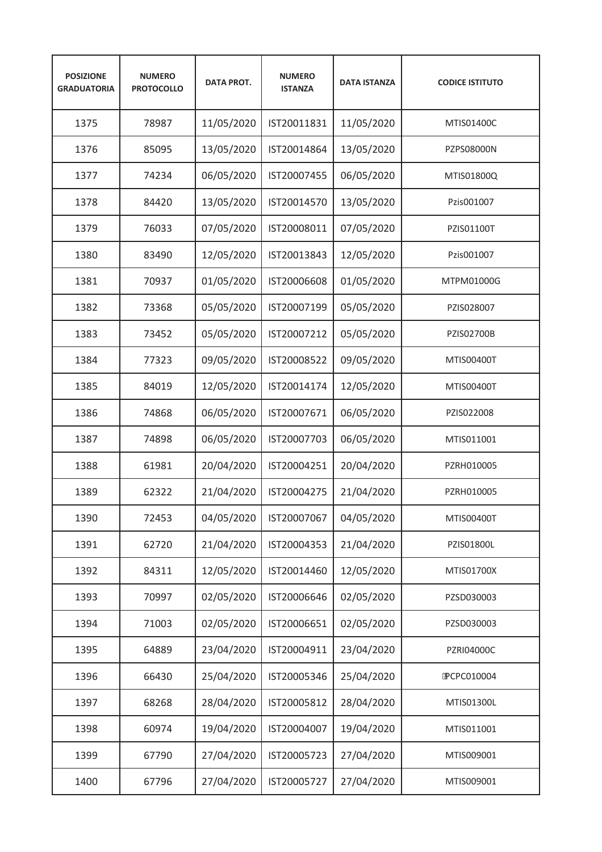| <b>POSIZIONE</b><br><b>GRADUATORIA</b> | <b>NUMERO</b><br><b>PROTOCOLLO</b> | <b>DATA PROT.</b> | <b>NUMERO</b><br><b>ISTANZA</b> | <b>DATA ISTANZA</b> | <b>CODICE ISTITUTO</b> |
|----------------------------------------|------------------------------------|-------------------|---------------------------------|---------------------|------------------------|
| 1375                                   | 78987                              | 11/05/2020        | IST20011831                     | 11/05/2020          | MTIS01400C             |
| 1376                                   | 85095                              | 13/05/2020        | IST20014864                     | 13/05/2020          | PZPS08000N             |
| 1377                                   | 74234                              | 06/05/2020        | IST20007455                     | 06/05/2020          | MTIS01800Q             |
| 1378                                   | 84420                              | 13/05/2020        | IST20014570                     | 13/05/2020          | Pzis001007             |
| 1379                                   | 76033                              | 07/05/2020        | IST20008011                     | 07/05/2020          | PZIS01100T             |
| 1380                                   | 83490                              | 12/05/2020        | IST20013843                     | 12/05/2020          | Pzis001007             |
| 1381                                   | 70937                              | 01/05/2020        | IST20006608                     | 01/05/2020          | MTPM01000G             |
| 1382                                   | 73368                              | 05/05/2020        | IST20007199                     | 05/05/2020          | PZIS028007             |
| 1383                                   | 73452                              | 05/05/2020        | IST20007212                     | 05/05/2020          | <b>PZIS02700B</b>      |
| 1384                                   | 77323                              | 09/05/2020        | IST20008522                     | 09/05/2020          | MTIS00400T             |
| 1385                                   | 84019                              | 12/05/2020        | IST20014174                     | 12/05/2020          | MTIS00400T             |
| 1386                                   | 74868                              | 06/05/2020        | IST20007671                     | 06/05/2020          | PZIS022008             |
| 1387                                   | 74898                              | 06/05/2020        | IST20007703                     | 06/05/2020          | MTIS011001             |
| 1388                                   | 61981                              | 20/04/2020        | IST20004251                     | 20/04/2020          | PZRH010005             |
| 1389                                   | 62322                              | 21/04/2020        | IST20004275                     | 21/04/2020          | PZRH010005             |
| 1390                                   | 72453                              | 04/05/2020        | IST20007067                     | 04/05/2020          | MTIS00400T             |
| 1391                                   | 62720                              | 21/04/2020        | IST20004353                     | 21/04/2020          | PZIS01800L             |
| 1392                                   | 84311                              | 12/05/2020        | IST20014460                     | 12/05/2020          | MTIS01700X             |
| 1393                                   | 70997                              | 02/05/2020        | IST20006646                     | 02/05/2020          | PZSD030003             |
| 1394                                   | 71003                              | 02/05/2020        | IST20006651                     | 02/05/2020          | PZSD030003             |
| 1395                                   | 64889                              | 23/04/2020        | IST20004911                     | 23/04/2020          | PZRI04000C             |
| 1396                                   | 66430                              | 25/04/2020        | IST20005346                     | 25/04/2020          | <b>PCPC010004</b>      |
| 1397                                   | 68268                              | 28/04/2020        | IST20005812                     | 28/04/2020          | MTIS01300L             |
| 1398                                   | 60974                              | 19/04/2020        | IST20004007                     | 19/04/2020          | MTIS011001             |
| 1399                                   | 67790                              | 27/04/2020        | IST20005723                     | 27/04/2020          | MTIS009001             |
| 1400                                   | 67796                              | 27/04/2020        | IST20005727                     | 27/04/2020          | MTIS009001             |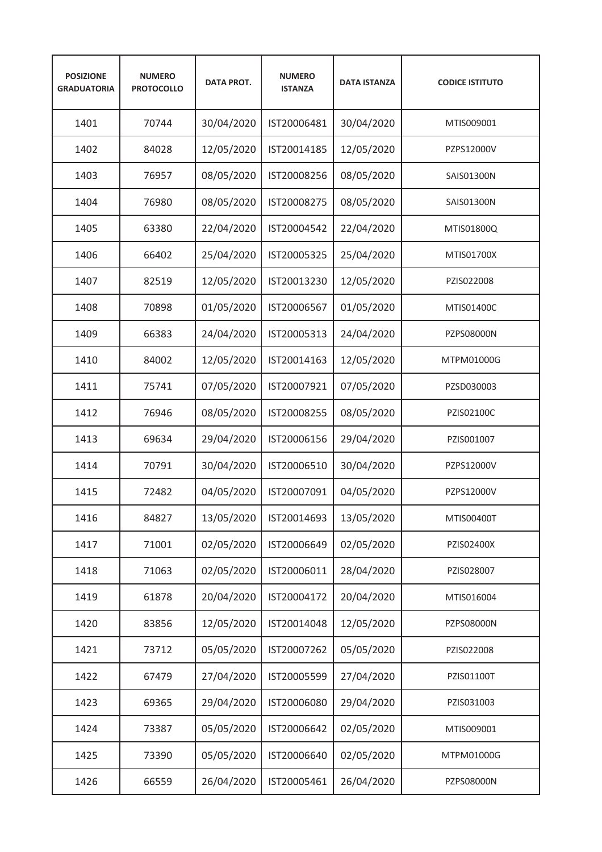| <b>POSIZIONE</b><br><b>GRADUATORIA</b> | <b>NUMERO</b><br><b>PROTOCOLLO</b> | <b>DATA PROT.</b> | <b>NUMERO</b><br><b>ISTANZA</b> | <b>DATA ISTANZA</b> | <b>CODICE ISTITUTO</b> |
|----------------------------------------|------------------------------------|-------------------|---------------------------------|---------------------|------------------------|
| 1401                                   | 70744                              | 30/04/2020        | IST20006481                     | 30/04/2020          | MTIS009001             |
| 1402                                   | 84028                              | 12/05/2020        | IST20014185                     | 12/05/2020          | PZPS12000V             |
| 1403                                   | 76957                              | 08/05/2020        | IST20008256                     | 08/05/2020          | SAIS01300N             |
| 1404                                   | 76980                              | 08/05/2020        | IST20008275                     | 08/05/2020          | SAIS01300N             |
| 1405                                   | 63380                              | 22/04/2020        | IST20004542                     | 22/04/2020          | MTIS01800Q             |
| 1406                                   | 66402                              | 25/04/2020        | IST20005325                     | 25/04/2020          | MTIS01700X             |
| 1407                                   | 82519                              | 12/05/2020        | IST20013230                     | 12/05/2020          | PZIS022008             |
| 1408                                   | 70898                              | 01/05/2020        | IST20006567                     | 01/05/2020          | MTIS01400C             |
| 1409                                   | 66383                              | 24/04/2020        | IST20005313                     | 24/04/2020          | <b>PZPS08000N</b>      |
| 1410                                   | 84002                              | 12/05/2020        | IST20014163                     | 12/05/2020          | MTPM01000G             |
| 1411                                   | 75741                              | 07/05/2020        | IST20007921                     | 07/05/2020          | PZSD030003             |
| 1412                                   | 76946                              | 08/05/2020        | IST20008255                     | 08/05/2020          | PZIS02100C             |
| 1413                                   | 69634                              | 29/04/2020        | IST20006156                     | 29/04/2020          | PZIS001007             |
| 1414                                   | 70791                              | 30/04/2020        | IST20006510                     | 30/04/2020          | PZPS12000V             |
| 1415                                   | 72482                              | 04/05/2020        | IST20007091                     | 04/05/2020          | PZPS12000V             |
| 1416                                   | 84827                              | 13/05/2020        | IST20014693                     | 13/05/2020          | MTIS00400T             |
| 1417                                   | 71001                              | 02/05/2020        | IST20006649                     | 02/05/2020          | PZIS02400X             |
| 1418                                   | 71063                              | 02/05/2020        | IST20006011                     | 28/04/2020          | PZIS028007             |
| 1419                                   | 61878                              | 20/04/2020        | IST20004172                     | 20/04/2020          | MTIS016004             |
| 1420                                   | 83856                              | 12/05/2020        | IST20014048                     | 12/05/2020          | PZPS08000N             |
| 1421                                   | 73712                              | 05/05/2020        | IST20007262                     | 05/05/2020          | PZIS022008             |
| 1422                                   | 67479                              | 27/04/2020        | IST20005599                     | 27/04/2020          | PZIS01100T             |
| 1423                                   | 69365                              | 29/04/2020        | IST20006080                     | 29/04/2020          | PZIS031003             |
| 1424                                   | 73387                              | 05/05/2020        | IST20006642                     | 02/05/2020          | MTIS009001             |
| 1425                                   | 73390                              | 05/05/2020        | IST20006640                     | 02/05/2020          | MTPM01000G             |
| 1426                                   | 66559                              | 26/04/2020        | IST20005461                     | 26/04/2020          | PZPS08000N             |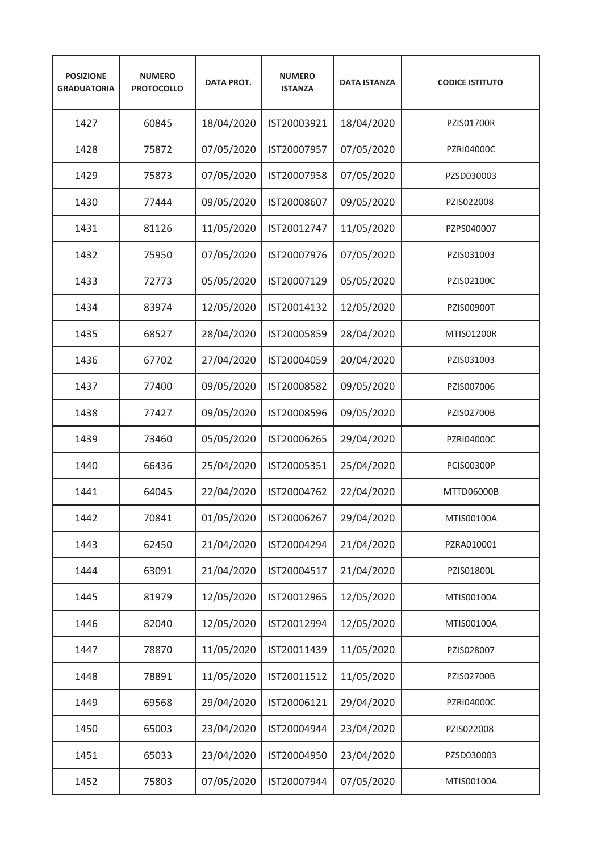| <b>POSIZIONE</b><br><b>GRADUATORIA</b> | <b>NUMERO</b><br><b>PROTOCOLLO</b> | <b>DATA PROT.</b> | <b>NUMERO</b><br><b>ISTANZA</b> | <b>DATA ISTANZA</b> | <b>CODICE ISTITUTO</b> |
|----------------------------------------|------------------------------------|-------------------|---------------------------------|---------------------|------------------------|
| 1427                                   | 60845                              | 18/04/2020        | IST20003921                     | 18/04/2020          | <b>PZIS01700R</b>      |
| 1428                                   | 75872                              | 07/05/2020        | IST20007957                     | 07/05/2020          | <b>PZRI04000C</b>      |
| 1429                                   | 75873                              | 07/05/2020        | IST20007958                     | 07/05/2020          | PZSD030003             |
| 1430                                   | 77444                              | 09/05/2020        | IST20008607                     | 09/05/2020          | PZIS022008             |
| 1431                                   | 81126                              | 11/05/2020        | IST20012747                     | 11/05/2020          | PZPS040007             |
| 1432                                   | 75950                              | 07/05/2020        | IST20007976                     | 07/05/2020          | PZIS031003             |
| 1433                                   | 72773                              | 05/05/2020        | IST20007129                     | 05/05/2020          | PZIS02100C             |
| 1434                                   | 83974                              | 12/05/2020        | IST20014132                     | 12/05/2020          | <b>PZIS00900T</b>      |
| 1435                                   | 68527                              | 28/04/2020        | IST20005859                     | 28/04/2020          | <b>MTIS01200R</b>      |
| 1436                                   | 67702                              | 27/04/2020        | IST20004059                     | 20/04/2020          | PZIS031003             |
| 1437                                   | 77400                              | 09/05/2020        | IST20008582                     | 09/05/2020          | PZIS007006             |
| 1438                                   | 77427                              | 09/05/2020        | IST20008596                     | 09/05/2020          | PZIS02700B             |
| 1439                                   | 73460                              | 05/05/2020        | IST20006265                     | 29/04/2020          | PZRI04000C             |
| 1440                                   | 66436                              | 25/04/2020        | IST20005351                     | 25/04/2020          | <b>PCIS00300P</b>      |
| 1441                                   | 64045                              | 22/04/2020        | IST20004762                     | 22/04/2020          | MTTD06000B             |
| 1442                                   | 70841                              | 01/05/2020        | IST20006267                     | 29/04/2020          | MTIS00100A             |
| 1443                                   | 62450                              | 21/04/2020        | IST20004294                     | 21/04/2020          | PZRA010001             |
| 1444                                   | 63091                              | 21/04/2020        | IST20004517                     | 21/04/2020          | PZIS01800L             |
| 1445                                   | 81979                              | 12/05/2020        | IST20012965                     | 12/05/2020          | MTIS00100A             |
| 1446                                   | 82040                              | 12/05/2020        | IST20012994                     | 12/05/2020          | MTIS00100A             |
| 1447                                   | 78870                              | 11/05/2020        | IST20011439                     | 11/05/2020          | PZIS028007             |
| 1448                                   | 78891                              | 11/05/2020        | IST20011512                     | 11/05/2020          | PZIS02700B             |
| 1449                                   | 69568                              | 29/04/2020        | IST20006121                     | 29/04/2020          | PZRI04000C             |
| 1450                                   | 65003                              | 23/04/2020        | IST20004944                     | 23/04/2020          | PZIS022008             |
| 1451                                   | 65033                              | 23/04/2020        | IST20004950                     | 23/04/2020          | PZSD030003             |
| 1452                                   | 75803                              | 07/05/2020        | IST20007944                     | 07/05/2020          | MTIS00100A             |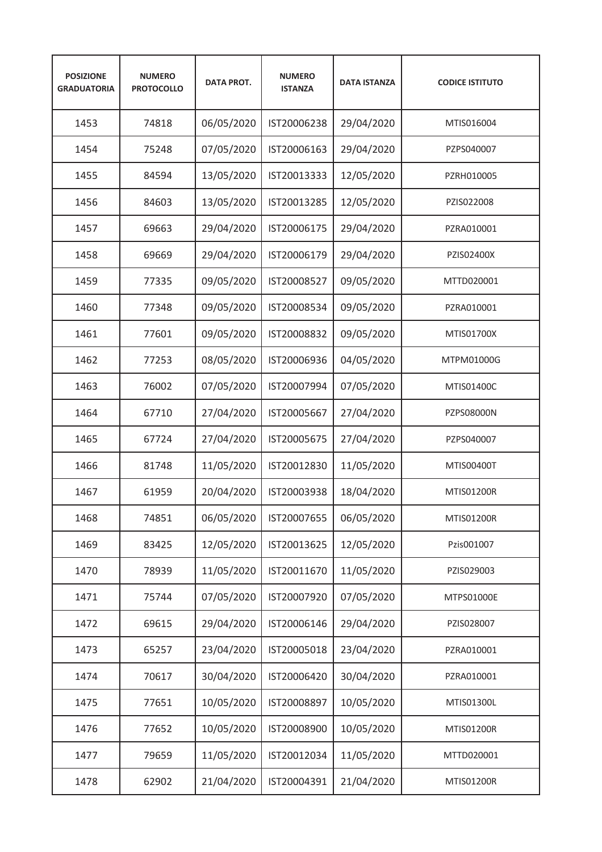| <b>POSIZIONE</b><br><b>GRADUATORIA</b> | <b>NUMERO</b><br><b>PROTOCOLLO</b> | <b>DATA PROT.</b> | <b>NUMERO</b><br><b>ISTANZA</b> | <b>DATA ISTANZA</b> | <b>CODICE ISTITUTO</b> |
|----------------------------------------|------------------------------------|-------------------|---------------------------------|---------------------|------------------------|
| 1453                                   | 74818                              | 06/05/2020        | IST20006238                     | 29/04/2020          | MTIS016004             |
| 1454                                   | 75248                              | 07/05/2020        | IST20006163                     | 29/04/2020          | PZPS040007             |
| 1455                                   | 84594                              | 13/05/2020        | IST20013333                     | 12/05/2020          | PZRH010005             |
| 1456                                   | 84603                              | 13/05/2020        | IST20013285                     | 12/05/2020          | PZIS022008             |
| 1457                                   | 69663                              | 29/04/2020        | IST20006175                     | 29/04/2020          | PZRA010001             |
| 1458                                   | 69669                              | 29/04/2020        | IST20006179                     | 29/04/2020          | PZIS02400X             |
| 1459                                   | 77335                              | 09/05/2020        | IST20008527                     | 09/05/2020          | MTTD020001             |
| 1460                                   | 77348                              | 09/05/2020        | IST20008534                     | 09/05/2020          | PZRA010001             |
| 1461                                   | 77601                              | 09/05/2020        | IST20008832                     | 09/05/2020          | MTIS01700X             |
| 1462                                   | 77253                              | 08/05/2020        | IST20006936                     | 04/05/2020          | MTPM01000G             |
| 1463                                   | 76002                              | 07/05/2020        | IST20007994                     | 07/05/2020          | MTIS01400C             |
| 1464                                   | 67710                              | 27/04/2020        | IST20005667                     | 27/04/2020          | PZPS08000N             |
| 1465                                   | 67724                              | 27/04/2020        | IST20005675                     | 27/04/2020          | PZPS040007             |
| 1466                                   | 81748                              | 11/05/2020        | IST20012830                     | 11/05/2020          | MTIS00400T             |
| 1467                                   | 61959                              | 20/04/2020        | IST20003938                     | 18/04/2020          | <b>MTIS01200R</b>      |
| 1468                                   | 74851                              | 06/05/2020        | IST20007655                     | 06/05/2020          | MTIS01200R             |
| 1469                                   | 83425                              | 12/05/2020        | IST20013625                     | 12/05/2020          | Pzis001007             |
| 1470                                   | 78939                              | 11/05/2020        | IST20011670                     | 11/05/2020          | PZIS029003             |
| 1471                                   | 75744                              | 07/05/2020        | IST20007920                     | 07/05/2020          | MTPS01000E             |
| 1472                                   | 69615                              | 29/04/2020        | IST20006146                     | 29/04/2020          | PZIS028007             |
| 1473                                   | 65257                              | 23/04/2020        | IST20005018                     | 23/04/2020          | PZRA010001             |
| 1474                                   | 70617                              | 30/04/2020        | IST20006420                     | 30/04/2020          | PZRA010001             |
| 1475                                   | 77651                              | 10/05/2020        | IST20008897                     | 10/05/2020          | MTIS01300L             |
| 1476                                   | 77652                              | 10/05/2020        | IST20008900                     | 10/05/2020          | MTIS01200R             |
| 1477                                   | 79659                              | 11/05/2020        | IST20012034                     | 11/05/2020          | MTTD020001             |
| 1478                                   | 62902                              | 21/04/2020        | IST20004391                     | 21/04/2020          | MTIS01200R             |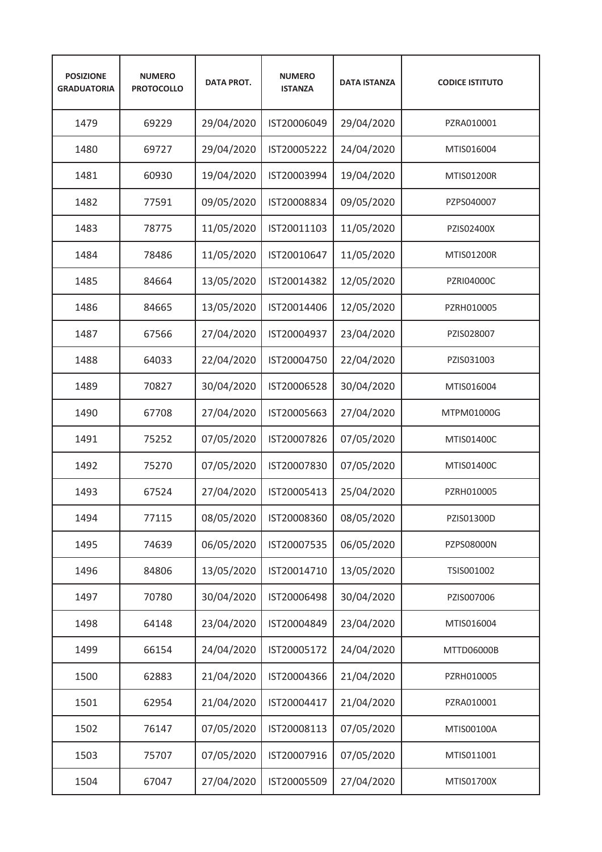| <b>POSIZIONE</b><br><b>GRADUATORIA</b> | <b>NUMERO</b><br><b>PROTOCOLLO</b> | <b>DATA PROT.</b> | <b>NUMERO</b><br><b>ISTANZA</b> | <b>DATA ISTANZA</b> | <b>CODICE ISTITUTO</b> |
|----------------------------------------|------------------------------------|-------------------|---------------------------------|---------------------|------------------------|
| 1479                                   | 69229                              | 29/04/2020        | IST20006049                     | 29/04/2020          | PZRA010001             |
| 1480                                   | 69727                              | 29/04/2020        | IST20005222                     | 24/04/2020          | MTIS016004             |
| 1481                                   | 60930                              | 19/04/2020        | IST20003994                     | 19/04/2020          | <b>MTIS01200R</b>      |
| 1482                                   | 77591                              | 09/05/2020        | IST20008834                     | 09/05/2020          | PZPS040007             |
| 1483                                   | 78775                              | 11/05/2020        | IST20011103                     | 11/05/2020          | PZIS02400X             |
| 1484                                   | 78486                              | 11/05/2020        | IST20010647                     | 11/05/2020          | <b>MTIS01200R</b>      |
| 1485                                   | 84664                              | 13/05/2020        | IST20014382                     | 12/05/2020          | PZRI04000C             |
| 1486                                   | 84665                              | 13/05/2020        | IST20014406                     | 12/05/2020          | PZRH010005             |
| 1487                                   | 67566                              | 27/04/2020        | IST20004937                     | 23/04/2020          | PZIS028007             |
| 1488                                   | 64033                              | 22/04/2020        | IST20004750                     | 22/04/2020          | PZIS031003             |
| 1489                                   | 70827                              | 30/04/2020        | IST20006528                     | 30/04/2020          | MTIS016004             |
| 1490                                   | 67708                              | 27/04/2020        | IST20005663                     | 27/04/2020          | MTPM01000G             |
| 1491                                   | 75252                              | 07/05/2020        | IST20007826                     | 07/05/2020          | MTIS01400C             |
| 1492                                   | 75270                              | 07/05/2020        | IST20007830                     | 07/05/2020          | MTIS01400C             |
| 1493                                   | 67524                              | 27/04/2020        | IST20005413                     | 25/04/2020          | PZRH010005             |
| 1494                                   | 77115                              | 08/05/2020        | IST20008360                     | 08/05/2020          | PZIS01300D             |
| 1495                                   | 74639                              | 06/05/2020        | IST20007535                     | 06/05/2020          | PZPS08000N             |
| 1496                                   | 84806                              | 13/05/2020        | IST20014710                     | 13/05/2020          | TSIS001002             |
| 1497                                   | 70780                              | 30/04/2020        | IST20006498                     | 30/04/2020          | PZIS007006             |
| 1498                                   | 64148                              | 23/04/2020        | IST20004849                     | 23/04/2020          | MTIS016004             |
| 1499                                   | 66154                              | 24/04/2020        | IST20005172                     | 24/04/2020          | MTTD06000B             |
| 1500                                   | 62883                              | 21/04/2020        | IST20004366                     | 21/04/2020          | PZRH010005             |
| 1501                                   | 62954                              | 21/04/2020        | IST20004417                     | 21/04/2020          | PZRA010001             |
| 1502                                   | 76147                              | 07/05/2020        | IST20008113                     | 07/05/2020          | MTIS00100A             |
| 1503                                   | 75707                              | 07/05/2020        | IST20007916                     | 07/05/2020          | MTIS011001             |
| 1504                                   | 67047                              | 27/04/2020        | IST20005509                     | 27/04/2020          | MTIS01700X             |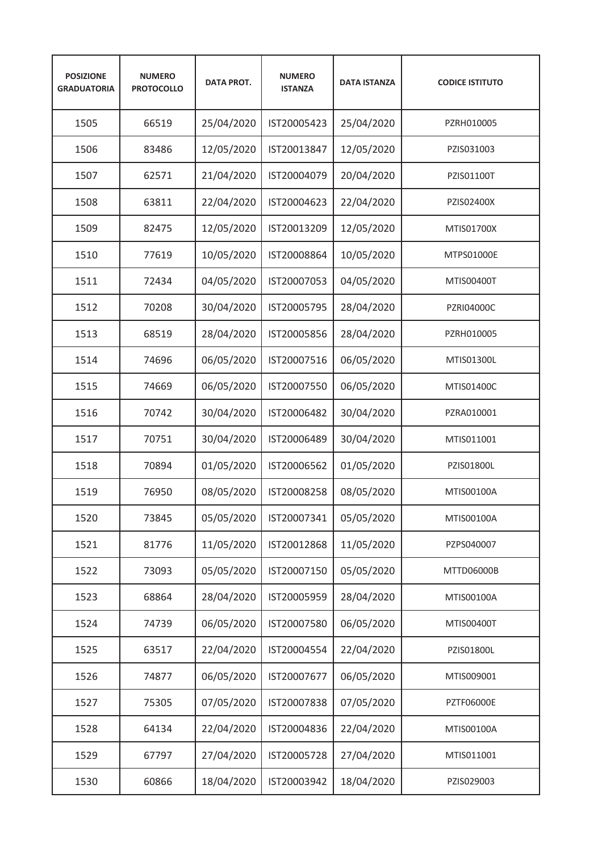| <b>POSIZIONE</b><br><b>GRADUATORIA</b> | <b>NUMERO</b><br><b>PROTOCOLLO</b> | <b>DATA PROT.</b> | <b>NUMERO</b><br><b>ISTANZA</b> | <b>DATA ISTANZA</b> | <b>CODICE ISTITUTO</b> |
|----------------------------------------|------------------------------------|-------------------|---------------------------------|---------------------|------------------------|
| 1505                                   | 66519                              | 25/04/2020        | IST20005423                     | 25/04/2020          | PZRH010005             |
| 1506                                   | 83486                              | 12/05/2020        | IST20013847                     | 12/05/2020          | PZIS031003             |
| 1507                                   | 62571                              | 21/04/2020        | IST20004079                     | 20/04/2020          | PZIS01100T             |
| 1508                                   | 63811                              | 22/04/2020        | IST20004623                     | 22/04/2020          | PZIS02400X             |
| 1509                                   | 82475                              | 12/05/2020        | IST20013209                     | 12/05/2020          | MTIS01700X             |
| 1510                                   | 77619                              | 10/05/2020        | IST20008864                     | 10/05/2020          | MTPS01000E             |
| 1511                                   | 72434                              | 04/05/2020        | IST20007053                     | 04/05/2020          | MTIS00400T             |
| 1512                                   | 70208                              | 30/04/2020        | IST20005795                     | 28/04/2020          | <b>PZRI04000C</b>      |
| 1513                                   | 68519                              | 28/04/2020        | IST20005856                     | 28/04/2020          | PZRH010005             |
| 1514                                   | 74696                              | 06/05/2020        | IST20007516                     | 06/05/2020          | MTIS01300L             |
| 1515                                   | 74669                              | 06/05/2020        | IST20007550                     | 06/05/2020          | MTIS01400C             |
| 1516                                   | 70742                              | 30/04/2020        | IST20006482                     | 30/04/2020          | PZRA010001             |
| 1517                                   | 70751                              | 30/04/2020        | IST20006489                     | 30/04/2020          | MTIS011001             |
| 1518                                   | 70894                              | 01/05/2020        | IST20006562                     | 01/05/2020          | PZIS01800L             |
| 1519                                   | 76950                              | 08/05/2020        | IST20008258                     | 08/05/2020          | MTIS00100A             |
| 1520                                   | 73845                              | 05/05/2020        | IST20007341                     | 05/05/2020          | MTIS00100A             |
| 1521                                   | 81776                              | 11/05/2020        | IST20012868                     | 11/05/2020          | PZPS040007             |
| 1522                                   | 73093                              | 05/05/2020        | IST20007150                     | 05/05/2020          | MTTD06000B             |
| 1523                                   | 68864                              | 28/04/2020        | IST20005959                     | 28/04/2020          | MTIS00100A             |
| 1524                                   | 74739                              | 06/05/2020        | IST20007580                     | 06/05/2020          | MTIS00400T             |
| 1525                                   | 63517                              | 22/04/2020        | IST20004554                     | 22/04/2020          | PZIS01800L             |
| 1526                                   | 74877                              | 06/05/2020        | IST20007677                     | 06/05/2020          | MTIS009001             |
| 1527                                   | 75305                              | 07/05/2020        | IST20007838                     | 07/05/2020          | PZTF06000E             |
| 1528                                   | 64134                              | 22/04/2020        | IST20004836                     | 22/04/2020          | MTIS00100A             |
| 1529                                   | 67797                              | 27/04/2020        | IST20005728                     | 27/04/2020          | MTIS011001             |
| 1530                                   | 60866                              | 18/04/2020        | IST20003942                     | 18/04/2020          | PZIS029003             |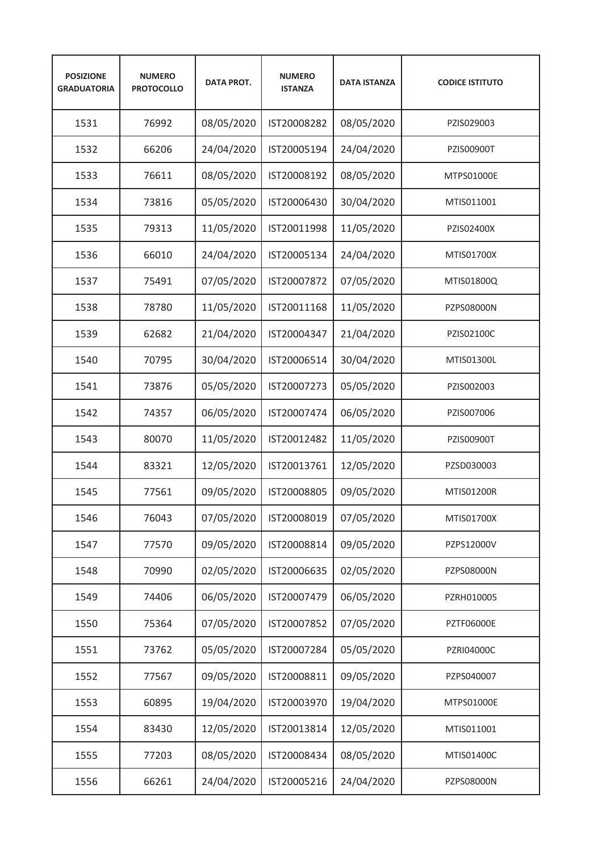| <b>POSIZIONE</b><br><b>GRADUATORIA</b> | <b>NUMERO</b><br><b>PROTOCOLLO</b> | <b>DATA PROT.</b> | <b>NUMERO</b><br><b>ISTANZA</b> | <b>DATA ISTANZA</b> | <b>CODICE ISTITUTO</b> |
|----------------------------------------|------------------------------------|-------------------|---------------------------------|---------------------|------------------------|
| 1531                                   | 76992                              | 08/05/2020        | IST20008282                     | 08/05/2020          | PZIS029003             |
| 1532                                   | 66206                              | 24/04/2020        | IST20005194                     | 24/04/2020          | PZIS00900T             |
| 1533                                   | 76611                              | 08/05/2020        | IST20008192                     | 08/05/2020          | MTPS01000E             |
| 1534                                   | 73816                              | 05/05/2020        | IST20006430                     | 30/04/2020          | MTIS011001             |
| 1535                                   | 79313                              | 11/05/2020        | IST20011998                     | 11/05/2020          | PZIS02400X             |
| 1536                                   | 66010                              | 24/04/2020        | IST20005134                     | 24/04/2020          | MTIS01700X             |
| 1537                                   | 75491                              | 07/05/2020        | IST20007872                     | 07/05/2020          | MTIS01800Q             |
| 1538                                   | 78780                              | 11/05/2020        | IST20011168                     | 11/05/2020          | PZPS08000N             |
| 1539                                   | 62682                              | 21/04/2020        | IST20004347                     | 21/04/2020          | PZIS02100C             |
| 1540                                   | 70795                              | 30/04/2020        | IST20006514                     | 30/04/2020          | MTIS01300L             |
| 1541                                   | 73876                              | 05/05/2020        | IST20007273                     | 05/05/2020          | PZIS002003             |
| 1542                                   | 74357                              | 06/05/2020        | IST20007474                     | 06/05/2020          | PZIS007006             |
| 1543                                   | 80070                              | 11/05/2020        | IST20012482                     | 11/05/2020          | PZIS00900T             |
| 1544                                   | 83321                              | 12/05/2020        | IST20013761                     | 12/05/2020          | PZSD030003             |
| 1545                                   | 77561                              | 09/05/2020        | IST20008805                     | 09/05/2020          | <b>MTIS01200R</b>      |
| 1546                                   | 76043                              | 07/05/2020        | IST20008019                     | 07/05/2020          | MTIS01700X             |
| 1547                                   | 77570                              | 09/05/2020        | IST20008814                     | 09/05/2020          | PZPS12000V             |
| 1548                                   | 70990                              | 02/05/2020        | IST20006635                     | 02/05/2020          | PZPS08000N             |
| 1549                                   | 74406                              | 06/05/2020        | IST20007479                     | 06/05/2020          | PZRH010005             |
| 1550                                   | 75364                              | 07/05/2020        | IST20007852                     | 07/05/2020          | PZTF06000E             |
| 1551                                   | 73762                              | 05/05/2020        | IST20007284                     | 05/05/2020          | PZRI04000C             |
| 1552                                   | 77567                              | 09/05/2020        | IST20008811                     | 09/05/2020          | PZPS040007             |
| 1553                                   | 60895                              | 19/04/2020        | IST20003970                     | 19/04/2020          | MTPS01000E             |
| 1554                                   | 83430                              | 12/05/2020        | IST20013814                     | 12/05/2020          | MTIS011001             |
| 1555                                   | 77203                              | 08/05/2020        | IST20008434                     | 08/05/2020          | MTIS01400C             |
| 1556                                   | 66261                              | 24/04/2020        | IST20005216                     | 24/04/2020          | PZPS08000N             |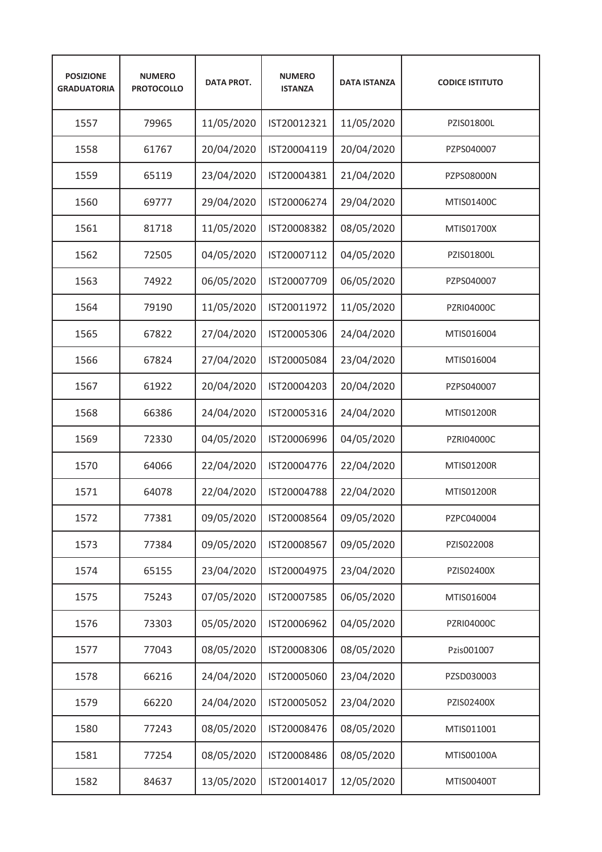| <b>POSIZIONE</b><br><b>GRADUATORIA</b> | <b>NUMERO</b><br><b>PROTOCOLLO</b> | <b>DATA PROT.</b> | <b>NUMERO</b><br><b>ISTANZA</b> | <b>DATA ISTANZA</b> | <b>CODICE ISTITUTO</b> |
|----------------------------------------|------------------------------------|-------------------|---------------------------------|---------------------|------------------------|
| 1557                                   | 79965                              | 11/05/2020        | IST20012321                     | 11/05/2020          | PZIS01800L             |
| 1558                                   | 61767                              | 20/04/2020        | IST20004119                     | 20/04/2020          | PZPS040007             |
| 1559                                   | 65119                              | 23/04/2020        | IST20004381                     | 21/04/2020          | PZPS08000N             |
| 1560                                   | 69777                              | 29/04/2020        | IST20006274                     | 29/04/2020          | MTIS01400C             |
| 1561                                   | 81718                              | 11/05/2020        | IST20008382                     | 08/05/2020          | MTIS01700X             |
| 1562                                   | 72505                              | 04/05/2020        | IST20007112                     | 04/05/2020          | PZIS01800L             |
| 1563                                   | 74922                              | 06/05/2020        | IST20007709                     | 06/05/2020          | PZPS040007             |
| 1564                                   | 79190                              | 11/05/2020        | IST20011972                     | 11/05/2020          | <b>PZRI04000C</b>      |
| 1565                                   | 67822                              | 27/04/2020        | IST20005306                     | 24/04/2020          | MTIS016004             |
| 1566                                   | 67824                              | 27/04/2020        | IST20005084                     | 23/04/2020          | MTIS016004             |
| 1567                                   | 61922                              | 20/04/2020        | IST20004203                     | 20/04/2020          | PZPS040007             |
| 1568                                   | 66386                              | 24/04/2020        | IST20005316                     | 24/04/2020          | MTIS01200R             |
| 1569                                   | 72330                              | 04/05/2020        | IST20006996                     | 04/05/2020          | PZRI04000C             |
| 1570                                   | 64066                              | 22/04/2020        | IST20004776                     | 22/04/2020          | MTIS01200R             |
| 1571                                   | 64078                              | 22/04/2020        | IST20004788                     | 22/04/2020          | <b>MTIS01200R</b>      |
| 1572                                   | 77381                              | 09/05/2020        | IST20008564                     | 09/05/2020          | PZPC040004             |
| 1573                                   | 77384                              | 09/05/2020        | IST20008567                     | 09/05/2020          | PZIS022008             |
| 1574                                   | 65155                              | 23/04/2020        | IST20004975                     | 23/04/2020          | PZIS02400X             |
| 1575                                   | 75243                              | 07/05/2020        | IST20007585                     | 06/05/2020          | MTIS016004             |
| 1576                                   | 73303                              | 05/05/2020        | IST20006962                     | 04/05/2020          | PZRI04000C             |
| 1577                                   | 77043                              | 08/05/2020        | IST20008306                     | 08/05/2020          | Pzis001007             |
| 1578                                   | 66216                              | 24/04/2020        | IST20005060                     | 23/04/2020          | PZSD030003             |
| 1579                                   | 66220                              | 24/04/2020        | IST20005052                     | 23/04/2020          | PZIS02400X             |
| 1580                                   | 77243                              | 08/05/2020        | IST20008476                     | 08/05/2020          | MTIS011001             |
| 1581                                   | 77254                              | 08/05/2020        | IST20008486                     | 08/05/2020          | MTIS00100A             |
| 1582                                   | 84637                              | 13/05/2020        | IST20014017                     | 12/05/2020          | MTIS00400T             |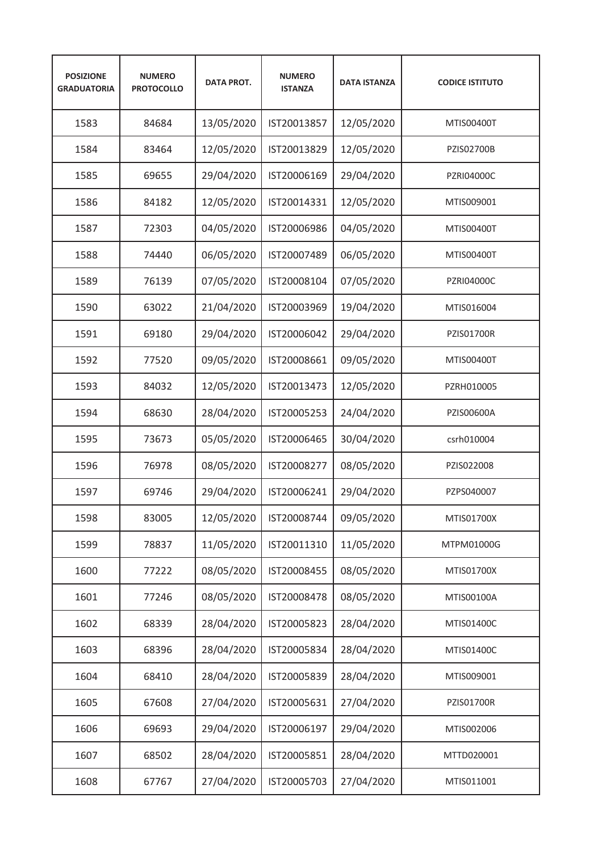| <b>POSIZIONE</b><br><b>GRADUATORIA</b> | <b>NUMERO</b><br><b>PROTOCOLLO</b> | <b>DATA PROT.</b> | <b>NUMERO</b><br><b>ISTANZA</b> | <b>DATA ISTANZA</b> | <b>CODICE ISTITUTO</b> |
|----------------------------------------|------------------------------------|-------------------|---------------------------------|---------------------|------------------------|
| 1583                                   | 84684                              | 13/05/2020        | IST20013857                     | 12/05/2020          | MTIS00400T             |
| 1584                                   | 83464                              | 12/05/2020        | IST20013829                     | 12/05/2020          | <b>PZIS02700B</b>      |
| 1585                                   | 69655                              | 29/04/2020        | IST20006169                     | 29/04/2020          | <b>PZRI04000C</b>      |
| 1586                                   | 84182                              | 12/05/2020        | IST20014331                     | 12/05/2020          | MTIS009001             |
| 1587                                   | 72303                              | 04/05/2020        | IST20006986                     | 04/05/2020          | MTIS00400T             |
| 1588                                   | 74440                              | 06/05/2020        | IST20007489                     | 06/05/2020          | MTIS00400T             |
| 1589                                   | 76139                              | 07/05/2020        | IST20008104                     | 07/05/2020          | PZRI04000C             |
| 1590                                   | 63022                              | 21/04/2020        | IST20003969                     | 19/04/2020          | MTIS016004             |
| 1591                                   | 69180                              | 29/04/2020        | IST20006042                     | 29/04/2020          | <b>PZIS01700R</b>      |
| 1592                                   | 77520                              | 09/05/2020        | IST20008661                     | 09/05/2020          | MTIS00400T             |
| 1593                                   | 84032                              | 12/05/2020        | IST20013473                     | 12/05/2020          | PZRH010005             |
| 1594                                   | 68630                              | 28/04/2020        | IST20005253                     | 24/04/2020          | PZIS00600A             |
| 1595                                   | 73673                              | 05/05/2020        | IST20006465                     | 30/04/2020          | csrh010004             |
| 1596                                   | 76978                              | 08/05/2020        | IST20008277                     | 08/05/2020          | PZIS022008             |
| 1597                                   | 69746                              | 29/04/2020        | IST20006241                     | 29/04/2020          | PZPS040007             |
| 1598                                   | 83005                              | 12/05/2020        | IST20008744                     | 09/05/2020          | MTIS01700X             |
| 1599                                   | 78837                              | 11/05/2020        | IST20011310                     | 11/05/2020          | MTPM01000G             |
| 1600                                   | 77222                              | 08/05/2020        | IST20008455                     | 08/05/2020          | MTIS01700X             |
| 1601                                   | 77246                              | 08/05/2020        | IST20008478                     | 08/05/2020          | MTIS00100A             |
| 1602                                   | 68339                              | 28/04/2020        | IST20005823                     | 28/04/2020          | MTIS01400C             |
| 1603                                   | 68396                              | 28/04/2020        | IST20005834                     | 28/04/2020          | MTIS01400C             |
| 1604                                   | 68410                              | 28/04/2020        | IST20005839                     | 28/04/2020          | MTIS009001             |
| 1605                                   | 67608                              | 27/04/2020        | IST20005631                     | 27/04/2020          | <b>PZIS01700R</b>      |
| 1606                                   | 69693                              | 29/04/2020        | IST20006197                     | 29/04/2020          | MTIS002006             |
| 1607                                   | 68502                              | 28/04/2020        | IST20005851                     | 28/04/2020          | MTTD020001             |
| 1608                                   | 67767                              | 27/04/2020        | IST20005703                     | 27/04/2020          | MTIS011001             |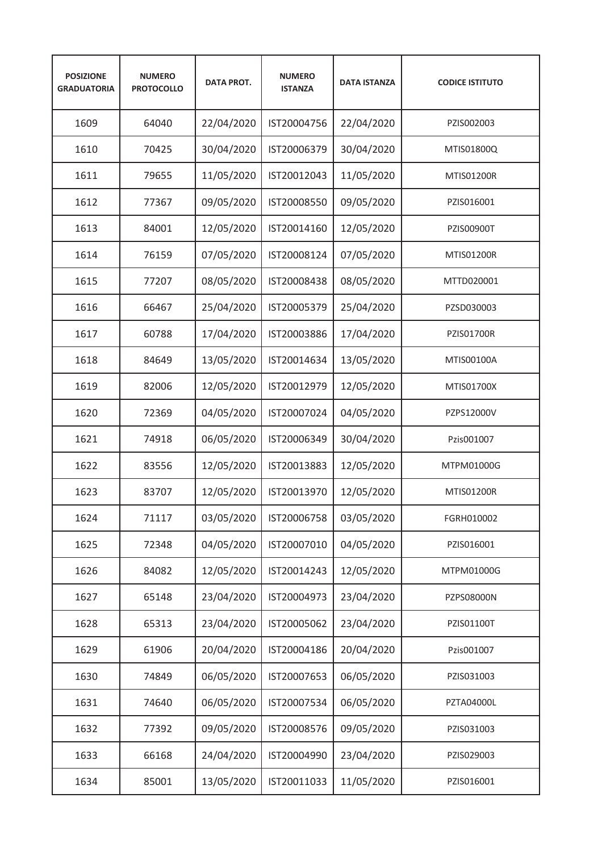| <b>POSIZIONE</b><br><b>GRADUATORIA</b> | <b>NUMERO</b><br><b>PROTOCOLLO</b> | <b>DATA PROT.</b> | <b>NUMERO</b><br><b>ISTANZA</b> | <b>DATA ISTANZA</b> | <b>CODICE ISTITUTO</b> |
|----------------------------------------|------------------------------------|-------------------|---------------------------------|---------------------|------------------------|
| 1609                                   | 64040                              | 22/04/2020        | IST20004756                     | 22/04/2020          | PZIS002003             |
| 1610                                   | 70425                              | 30/04/2020        | IST20006379                     | 30/04/2020          | MTIS01800Q             |
| 1611                                   | 79655                              | 11/05/2020        | IST20012043                     | 11/05/2020          | <b>MTIS01200R</b>      |
| 1612                                   | 77367                              | 09/05/2020        | IST20008550                     | 09/05/2020          | PZIS016001             |
| 1613                                   | 84001                              | 12/05/2020        | IST20014160                     | 12/05/2020          | <b>PZIS00900T</b>      |
| 1614                                   | 76159                              | 07/05/2020        | IST20008124                     | 07/05/2020          | <b>MTIS01200R</b>      |
| 1615                                   | 77207                              | 08/05/2020        | IST20008438                     | 08/05/2020          | MTTD020001             |
| 1616                                   | 66467                              | 25/04/2020        | IST20005379                     | 25/04/2020          | PZSD030003             |
| 1617                                   | 60788                              | 17/04/2020        | IST20003886                     | 17/04/2020          | <b>PZIS01700R</b>      |
| 1618                                   | 84649                              | 13/05/2020        | IST20014634                     | 13/05/2020          | MTIS00100A             |
| 1619                                   | 82006                              | 12/05/2020        | IST20012979                     | 12/05/2020          | MTIS01700X             |
| 1620                                   | 72369                              | 04/05/2020        | IST20007024                     | 04/05/2020          | PZPS12000V             |
| 1621                                   | 74918                              | 06/05/2020        | IST20006349                     | 30/04/2020          | Pzis001007             |
| 1622                                   | 83556                              | 12/05/2020        | IST20013883                     | 12/05/2020          | MTPM01000G             |
| 1623                                   | 83707                              | 12/05/2020        | IST20013970                     | 12/05/2020          | <b>MTIS01200R</b>      |
| 1624                                   | 71117                              | 03/05/2020        | IST20006758                     | 03/05/2020          | FGRH010002             |
| 1625                                   | 72348                              | 04/05/2020        | IST20007010                     | 04/05/2020          | PZIS016001             |
| 1626                                   | 84082                              | 12/05/2020        | IST20014243                     | 12/05/2020          | MTPM01000G             |
| 1627                                   | 65148                              | 23/04/2020        | IST20004973                     | 23/04/2020          | PZPS08000N             |
| 1628                                   | 65313                              | 23/04/2020        | IST20005062                     | 23/04/2020          | PZIS01100T             |
| 1629                                   | 61906                              | 20/04/2020        | IST20004186                     | 20/04/2020          | Pzis001007             |
| 1630                                   | 74849                              | 06/05/2020        | IST20007653                     | 06/05/2020          | PZIS031003             |
| 1631                                   | 74640                              | 06/05/2020        | IST20007534                     | 06/05/2020          | PZTA04000L             |
| 1632                                   | 77392                              | 09/05/2020        | IST20008576                     | 09/05/2020          | PZIS031003             |
| 1633                                   | 66168                              | 24/04/2020        | IST20004990                     | 23/04/2020          | PZIS029003             |
| 1634                                   | 85001                              | 13/05/2020        | IST20011033                     | 11/05/2020          | PZIS016001             |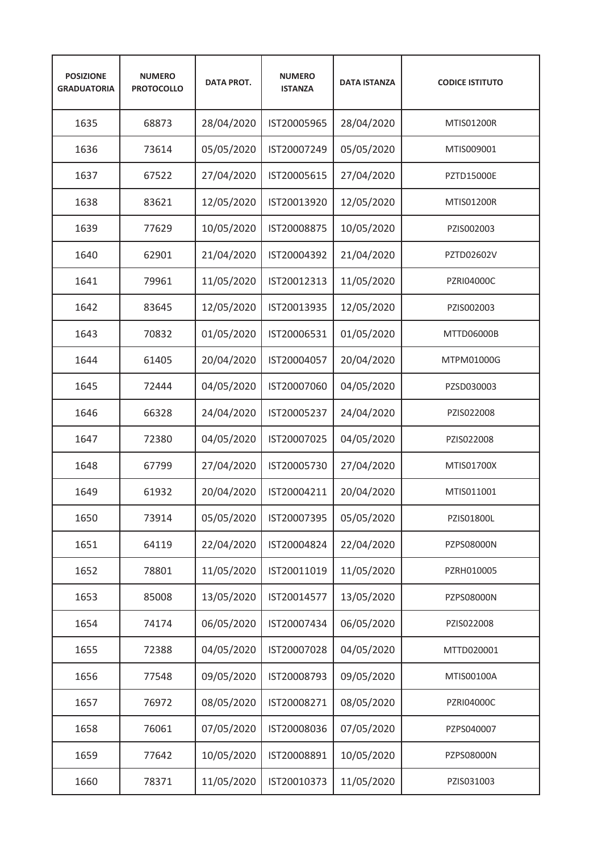| <b>POSIZIONE</b><br><b>GRADUATORIA</b> | <b>NUMERO</b><br><b>PROTOCOLLO</b> | <b>DATA PROT.</b> | <b>NUMERO</b><br><b>ISTANZA</b> | <b>DATA ISTANZA</b> | <b>CODICE ISTITUTO</b> |
|----------------------------------------|------------------------------------|-------------------|---------------------------------|---------------------|------------------------|
| 1635                                   | 68873                              | 28/04/2020        | IST20005965                     | 28/04/2020          | <b>MTIS01200R</b>      |
| 1636                                   | 73614                              | 05/05/2020        | IST20007249                     | 05/05/2020          | MTIS009001             |
| 1637                                   | 67522                              | 27/04/2020        | IST20005615                     | 27/04/2020          | <b>PZTD15000E</b>      |
| 1638                                   | 83621                              | 12/05/2020        | IST20013920                     | 12/05/2020          | <b>MTIS01200R</b>      |
| 1639                                   | 77629                              | 10/05/2020        | IST20008875                     | 10/05/2020          | PZIS002003             |
| 1640                                   | 62901                              | 21/04/2020        | IST20004392                     | 21/04/2020          | PZTD02602V             |
| 1641                                   | 79961                              | 11/05/2020        | IST20012313                     | 11/05/2020          | PZRI04000C             |
| 1642                                   | 83645                              | 12/05/2020        | IST20013935                     | 12/05/2020          | PZIS002003             |
| 1643                                   | 70832                              | 01/05/2020        | IST20006531                     | 01/05/2020          | MTTD06000B             |
| 1644                                   | 61405                              | 20/04/2020        | IST20004057                     | 20/04/2020          | MTPM01000G             |
| 1645                                   | 72444                              | 04/05/2020        | IST20007060                     | 04/05/2020          | PZSD030003             |
| 1646                                   | 66328                              | 24/04/2020        | IST20005237                     | 24/04/2020          | PZIS022008             |
| 1647                                   | 72380                              | 04/05/2020        | IST20007025                     | 04/05/2020          | PZIS022008             |
| 1648                                   | 67799                              | 27/04/2020        | IST20005730                     | 27/04/2020          | MTIS01700X             |
| 1649                                   | 61932                              | 20/04/2020        | IST20004211                     | 20/04/2020          | MTIS011001             |
| 1650                                   | 73914                              | 05/05/2020        | IST20007395                     | 05/05/2020          | PZIS01800L             |
| 1651                                   | 64119                              | 22/04/2020        | IST20004824                     | 22/04/2020          | PZPS08000N             |
| 1652                                   | 78801                              | 11/05/2020        | IST20011019                     | 11/05/2020          | PZRH010005             |
| 1653                                   | 85008                              | 13/05/2020        | IST20014577                     | 13/05/2020          | PZPS08000N             |
| 1654                                   | 74174                              | 06/05/2020        | IST20007434                     | 06/05/2020          | PZIS022008             |
| 1655                                   | 72388                              | 04/05/2020        | IST20007028                     | 04/05/2020          | MTTD020001             |
| 1656                                   | 77548                              | 09/05/2020        | IST20008793                     | 09/05/2020          | MTIS00100A             |
| 1657                                   | 76972                              | 08/05/2020        | IST20008271                     | 08/05/2020          | PZRI04000C             |
| 1658                                   | 76061                              | 07/05/2020        | IST20008036                     | 07/05/2020          | PZPS040007             |
| 1659                                   | 77642                              | 10/05/2020        | IST20008891                     | 10/05/2020          | PZPS08000N             |
| 1660                                   | 78371                              | 11/05/2020        | IST20010373                     | 11/05/2020          | PZIS031003             |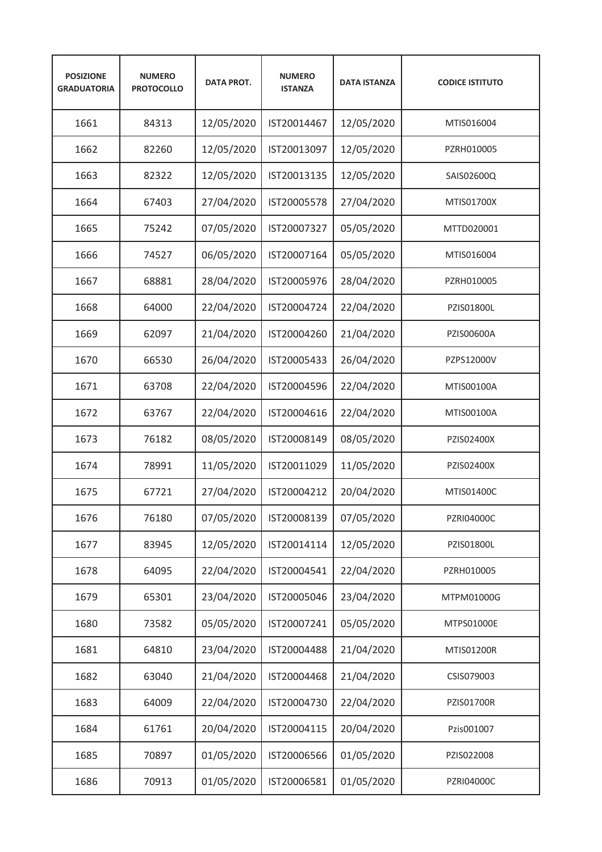| <b>POSIZIONE</b><br><b>GRADUATORIA</b> | <b>NUMERO</b><br><b>PROTOCOLLO</b> | <b>DATA PROT.</b> | <b>NUMERO</b><br><b>ISTANZA</b> | <b>DATA ISTANZA</b> | <b>CODICE ISTITUTO</b> |
|----------------------------------------|------------------------------------|-------------------|---------------------------------|---------------------|------------------------|
| 1661                                   | 84313                              | 12/05/2020        | IST20014467                     | 12/05/2020          | MTIS016004             |
| 1662                                   | 82260                              | 12/05/2020        | IST20013097                     | 12/05/2020          | PZRH010005             |
| 1663                                   | 82322                              | 12/05/2020        | IST20013135                     | 12/05/2020          | SAIS02600Q             |
| 1664                                   | 67403                              | 27/04/2020        | IST20005578                     | 27/04/2020          | MTIS01700X             |
| 1665                                   | 75242                              | 07/05/2020        | IST20007327                     | 05/05/2020          | MTTD020001             |
| 1666                                   | 74527                              | 06/05/2020        | IST20007164                     | 05/05/2020          | MTIS016004             |
| 1667                                   | 68881                              | 28/04/2020        | IST20005976                     | 28/04/2020          | PZRH010005             |
| 1668                                   | 64000                              | 22/04/2020        | IST20004724                     | 22/04/2020          | PZIS01800L             |
| 1669                                   | 62097                              | 21/04/2020        | IST20004260                     | 21/04/2020          | PZIS00600A             |
| 1670                                   | 66530                              | 26/04/2020        | IST20005433                     | 26/04/2020          | PZPS12000V             |
| 1671                                   | 63708                              | 22/04/2020        | IST20004596                     | 22/04/2020          | MTIS00100A             |
| 1672                                   | 63767                              | 22/04/2020        | IST20004616                     | 22/04/2020          | MTIS00100A             |
| 1673                                   | 76182                              | 08/05/2020        | IST20008149                     | 08/05/2020          | PZIS02400X             |
| 1674                                   | 78991                              | 11/05/2020        | IST20011029                     | 11/05/2020          | PZIS02400X             |
| 1675                                   | 67721                              | 27/04/2020        | IST20004212                     | 20/04/2020          | MTIS01400C             |
| 1676                                   | 76180                              | 07/05/2020        | IST20008139                     | 07/05/2020          | PZRI04000C             |
| 1677                                   | 83945                              | 12/05/2020        | IST20014114                     | 12/05/2020          | PZIS01800L             |
| 1678                                   | 64095                              | 22/04/2020        | IST20004541                     | 22/04/2020          | PZRH010005             |
| 1679                                   | 65301                              | 23/04/2020        | IST20005046                     | 23/04/2020          | MTPM01000G             |
| 1680                                   | 73582                              | 05/05/2020        | IST20007241                     | 05/05/2020          | MTPS01000E             |
| 1681                                   | 64810                              | 23/04/2020        | IST20004488                     | 21/04/2020          | MTIS01200R             |
| 1682                                   | 63040                              | 21/04/2020        | IST20004468                     | 21/04/2020          | CSIS079003             |
| 1683                                   | 64009                              | 22/04/2020        | IST20004730                     | 22/04/2020          | PZIS01700R             |
| 1684                                   | 61761                              | 20/04/2020        | IST20004115                     | 20/04/2020          | Pzis001007             |
| 1685                                   | 70897                              | 01/05/2020        | IST20006566                     | 01/05/2020          | PZIS022008             |
| 1686                                   | 70913                              | 01/05/2020        | IST20006581                     | 01/05/2020          | <b>PZRI04000C</b>      |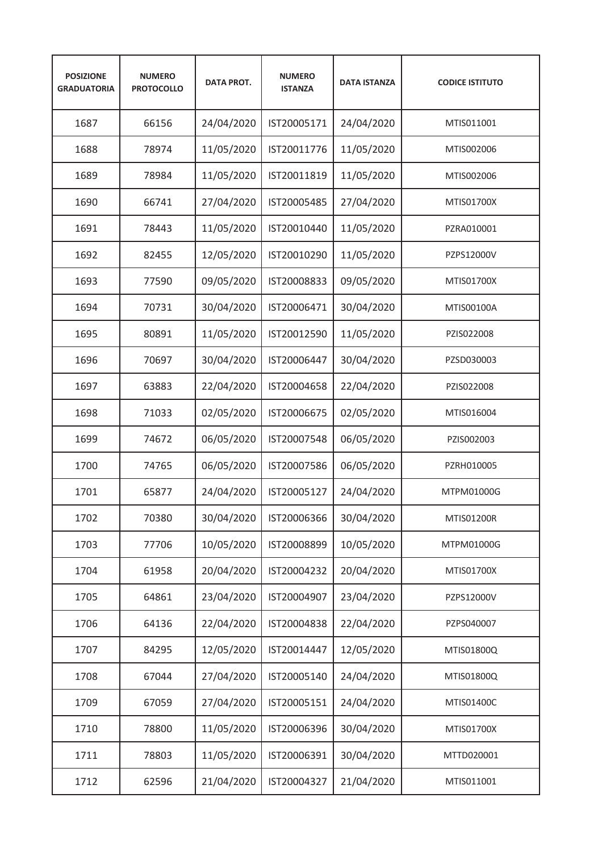| <b>POSIZIONE</b><br><b>GRADUATORIA</b> | <b>NUMERO</b><br><b>PROTOCOLLO</b> | <b>DATA PROT.</b> | <b>NUMERO</b><br><b>ISTANZA</b> | <b>DATA ISTANZA</b> | <b>CODICE ISTITUTO</b> |
|----------------------------------------|------------------------------------|-------------------|---------------------------------|---------------------|------------------------|
| 1687                                   | 66156                              | 24/04/2020        | IST20005171                     | 24/04/2020          | MTIS011001             |
| 1688                                   | 78974                              | 11/05/2020        | IST20011776                     | 11/05/2020          | MTIS002006             |
| 1689                                   | 78984                              | 11/05/2020        | IST20011819                     | 11/05/2020          | MTIS002006             |
| 1690                                   | 66741                              | 27/04/2020        | IST20005485                     | 27/04/2020          | MTIS01700X             |
| 1691                                   | 78443                              | 11/05/2020        | IST20010440                     | 11/05/2020          | PZRA010001             |
| 1692                                   | 82455                              | 12/05/2020        | IST20010290                     | 11/05/2020          | PZPS12000V             |
| 1693                                   | 77590                              | 09/05/2020        | IST20008833                     | 09/05/2020          | MTIS01700X             |
| 1694                                   | 70731                              | 30/04/2020        | IST20006471                     | 30/04/2020          | MTIS00100A             |
| 1695                                   | 80891                              | 11/05/2020        | IST20012590                     | 11/05/2020          | PZIS022008             |
| 1696                                   | 70697                              | 30/04/2020        | IST20006447                     | 30/04/2020          | PZSD030003             |
| 1697                                   | 63883                              | 22/04/2020        | IST20004658                     | 22/04/2020          | PZIS022008             |
| 1698                                   | 71033                              | 02/05/2020        | IST20006675                     | 02/05/2020          | MTIS016004             |
| 1699                                   | 74672                              | 06/05/2020        | IST20007548                     | 06/05/2020          | PZIS002003             |
| 1700                                   | 74765                              | 06/05/2020        | IST20007586                     | 06/05/2020          | PZRH010005             |
| 1701                                   | 65877                              | 24/04/2020        | IST20005127                     | 24/04/2020          | MTPM01000G             |
| 1702                                   | 70380                              | 30/04/2020        | IST20006366                     | 30/04/2020          | MTIS01200R             |
| 1703                                   | 77706                              | 10/05/2020        | IST20008899                     | 10/05/2020          | MTPM01000G             |
| 1704                                   | 61958                              | 20/04/2020        | IST20004232                     | 20/04/2020          | MTIS01700X             |
| 1705                                   | 64861                              | 23/04/2020        | IST20004907                     | 23/04/2020          | PZPS12000V             |
| 1706                                   | 64136                              | 22/04/2020        | IST20004838                     | 22/04/2020          | PZPS040007             |
| 1707                                   | 84295                              | 12/05/2020        | IST20014447                     | 12/05/2020          | MTIS01800Q             |
| 1708                                   | 67044                              | 27/04/2020        | IST20005140                     | 24/04/2020          | MTIS01800Q             |
| 1709                                   | 67059                              | 27/04/2020        | IST20005151                     | 24/04/2020          | MTIS01400C             |
| 1710                                   | 78800                              | 11/05/2020        | IST20006396                     | 30/04/2020          | MTIS01700X             |
| 1711                                   | 78803                              | 11/05/2020        | IST20006391                     | 30/04/2020          | MTTD020001             |
| 1712                                   | 62596                              | 21/04/2020        | IST20004327                     | 21/04/2020          | MTIS011001             |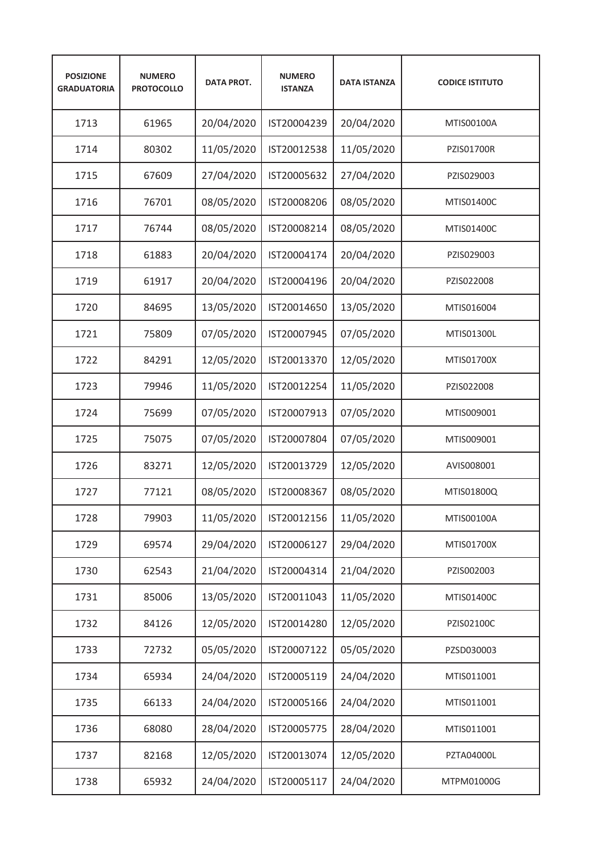| <b>POSIZIONE</b><br><b>GRADUATORIA</b> | <b>NUMERO</b><br><b>PROTOCOLLO</b> | <b>DATA PROT.</b> | <b>NUMERO</b><br><b>ISTANZA</b> | <b>DATA ISTANZA</b> | <b>CODICE ISTITUTO</b> |
|----------------------------------------|------------------------------------|-------------------|---------------------------------|---------------------|------------------------|
| 1713                                   | 61965                              | 20/04/2020        | IST20004239                     | 20/04/2020          | MTIS00100A             |
| 1714                                   | 80302                              | 11/05/2020        | IST20012538                     | 11/05/2020          | <b>PZIS01700R</b>      |
| 1715                                   | 67609                              | 27/04/2020        | IST20005632                     | 27/04/2020          | PZIS029003             |
| 1716                                   | 76701                              | 08/05/2020        | IST20008206                     | 08/05/2020          | MTIS01400C             |
| 1717                                   | 76744                              | 08/05/2020        | IST20008214                     | 08/05/2020          | MTIS01400C             |
| 1718                                   | 61883                              | 20/04/2020        | IST20004174                     | 20/04/2020          | PZIS029003             |
| 1719                                   | 61917                              | 20/04/2020        | IST20004196                     | 20/04/2020          | PZIS022008             |
| 1720                                   | 84695                              | 13/05/2020        | IST20014650                     | 13/05/2020          | MTIS016004             |
| 1721                                   | 75809                              | 07/05/2020        | IST20007945                     | 07/05/2020          | MTIS01300L             |
| 1722                                   | 84291                              | 12/05/2020        | IST20013370                     | 12/05/2020          | MTIS01700X             |
| 1723                                   | 79946                              | 11/05/2020        | IST20012254                     | 11/05/2020          | PZIS022008             |
| 1724                                   | 75699                              | 07/05/2020        | IST20007913                     | 07/05/2020          | MTIS009001             |
| 1725                                   | 75075                              | 07/05/2020        | IST20007804                     | 07/05/2020          | MTIS009001             |
| 1726                                   | 83271                              | 12/05/2020        | IST20013729                     | 12/05/2020          | AVIS008001             |
| 1727                                   | 77121                              | 08/05/2020        | IST20008367                     | 08/05/2020          | MTIS01800Q             |
| 1728                                   | 79903                              | 11/05/2020        | IST20012156                     | 11/05/2020          | MTIS00100A             |
| 1729                                   | 69574                              | 29/04/2020        | IST20006127                     | 29/04/2020          | MTIS01700X             |
| 1730                                   | 62543                              | 21/04/2020        | IST20004314                     | 21/04/2020          | PZIS002003             |
| 1731                                   | 85006                              | 13/05/2020        | IST20011043                     | 11/05/2020          | MTIS01400C             |
| 1732                                   | 84126                              | 12/05/2020        | IST20014280                     | 12/05/2020          | PZIS02100C             |
| 1733                                   | 72732                              | 05/05/2020        | IST20007122                     | 05/05/2020          | PZSD030003             |
| 1734                                   | 65934                              | 24/04/2020        | IST20005119                     | 24/04/2020          | MTIS011001             |
| 1735                                   | 66133                              | 24/04/2020        | IST20005166                     | 24/04/2020          | MTIS011001             |
| 1736                                   | 68080                              | 28/04/2020        | IST20005775                     | 28/04/2020          | MTIS011001             |
| 1737                                   | 82168                              | 12/05/2020        | IST20013074                     | 12/05/2020          | PZTA04000L             |
| 1738                                   | 65932                              | 24/04/2020        | IST20005117                     | 24/04/2020          | MTPM01000G             |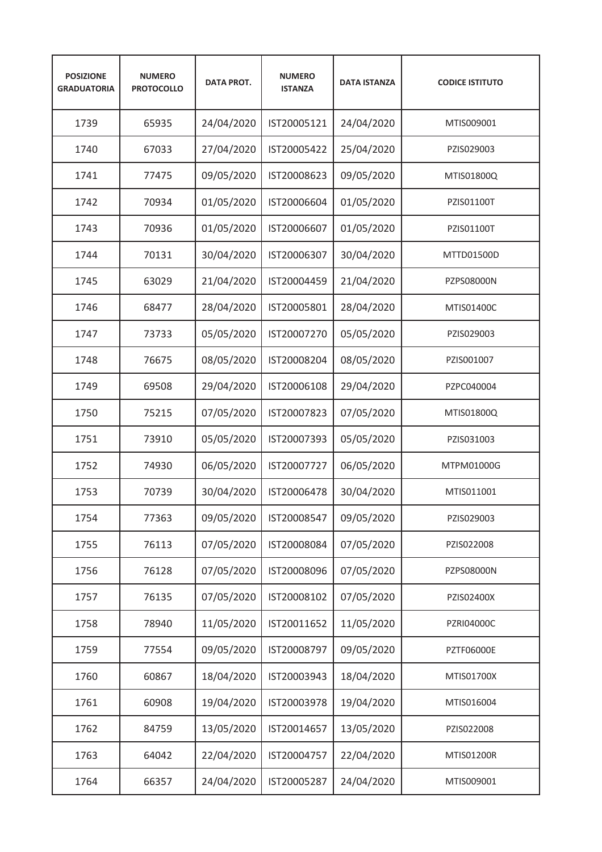| <b>POSIZIONE</b><br><b>GRADUATORIA</b> | <b>NUMERO</b><br><b>PROTOCOLLO</b> | <b>DATA PROT.</b> | <b>NUMERO</b><br><b>ISTANZA</b> | <b>DATA ISTANZA</b> | <b>CODICE ISTITUTO</b> |
|----------------------------------------|------------------------------------|-------------------|---------------------------------|---------------------|------------------------|
| 1739                                   | 65935                              | 24/04/2020        | IST20005121                     | 24/04/2020          | MTIS009001             |
| 1740                                   | 67033                              | 27/04/2020        | IST20005422                     | 25/04/2020          | PZIS029003             |
| 1741                                   | 77475                              | 09/05/2020        | IST20008623                     | 09/05/2020          | MTIS01800Q             |
| 1742                                   | 70934                              | 01/05/2020        | IST20006604                     | 01/05/2020          | PZIS01100T             |
| 1743                                   | 70936                              | 01/05/2020        | IST20006607                     | 01/05/2020          | PZIS01100T             |
| 1744                                   | 70131                              | 30/04/2020        | IST20006307                     | 30/04/2020          | MTTD01500D             |
| 1745                                   | 63029                              | 21/04/2020        | IST20004459                     | 21/04/2020          | PZPS08000N             |
| 1746                                   | 68477                              | 28/04/2020        | IST20005801                     | 28/04/2020          | MTIS01400C             |
| 1747                                   | 73733                              | 05/05/2020        | IST20007270                     | 05/05/2020          | PZIS029003             |
| 1748                                   | 76675                              | 08/05/2020        | IST20008204                     | 08/05/2020          | PZIS001007             |
| 1749                                   | 69508                              | 29/04/2020        | IST20006108                     | 29/04/2020          | PZPC040004             |
| 1750                                   | 75215                              | 07/05/2020        | IST20007823                     | 07/05/2020          | MTIS01800Q             |
| 1751                                   | 73910                              | 05/05/2020        | IST20007393                     | 05/05/2020          | PZIS031003             |
| 1752                                   | 74930                              | 06/05/2020        | IST20007727                     | 06/05/2020          | MTPM01000G             |
| 1753                                   | 70739                              | 30/04/2020        | IST20006478                     | 30/04/2020          | MTIS011001             |
| 1754                                   | 77363                              | 09/05/2020        | IST20008547                     | 09/05/2020          | PZIS029003             |
| 1755                                   | 76113                              | 07/05/2020        | IST20008084                     | 07/05/2020          | PZIS022008             |
| 1756                                   | 76128                              | 07/05/2020        | IST20008096                     | 07/05/2020          | PZPS08000N             |
| 1757                                   | 76135                              | 07/05/2020        | IST20008102                     | 07/05/2020          | PZIS02400X             |
| 1758                                   | 78940                              | 11/05/2020        | IST20011652                     | 11/05/2020          | PZRI04000C             |
| 1759                                   | 77554                              | 09/05/2020        | IST20008797                     | 09/05/2020          | <b>PZTF06000E</b>      |
| 1760                                   | 60867                              | 18/04/2020        | IST20003943                     | 18/04/2020          | MTIS01700X             |
| 1761                                   | 60908                              | 19/04/2020        | IST20003978                     | 19/04/2020          | MTIS016004             |
| 1762                                   | 84759                              | 13/05/2020        | IST20014657                     | 13/05/2020          | PZIS022008             |
| 1763                                   | 64042                              | 22/04/2020        | IST20004757                     | 22/04/2020          | MTIS01200R             |
| 1764                                   | 66357                              | 24/04/2020        | IST20005287                     | 24/04/2020          | MTIS009001             |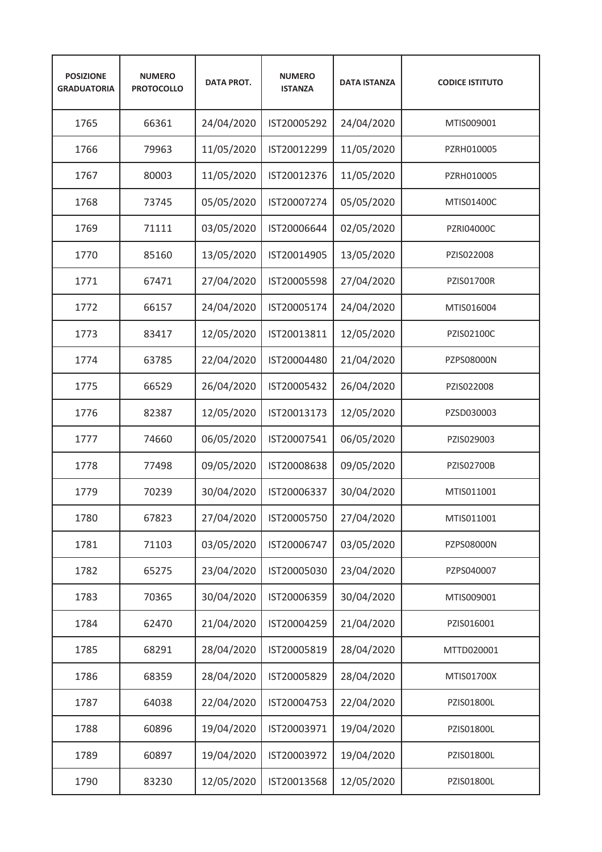| <b>POSIZIONE</b><br><b>GRADUATORIA</b> | <b>NUMERO</b><br><b>PROTOCOLLO</b> | <b>DATA PROT.</b> | <b>NUMERO</b><br><b>ISTANZA</b> | <b>DATA ISTANZA</b> | <b>CODICE ISTITUTO</b> |
|----------------------------------------|------------------------------------|-------------------|---------------------------------|---------------------|------------------------|
| 1765                                   | 66361                              | 24/04/2020        | IST20005292                     | 24/04/2020          | MTIS009001             |
| 1766                                   | 79963                              | 11/05/2020        | IST20012299                     | 11/05/2020          | PZRH010005             |
| 1767                                   | 80003                              | 11/05/2020        | IST20012376                     | 11/05/2020          | PZRH010005             |
| 1768                                   | 73745                              | 05/05/2020        | IST20007274                     | 05/05/2020          | MTIS01400C             |
| 1769                                   | 71111                              | 03/05/2020        | IST20006644                     | 02/05/2020          | <b>PZRI04000C</b>      |
| 1770                                   | 85160                              | 13/05/2020        | IST20014905                     | 13/05/2020          | PZIS022008             |
| 1771                                   | 67471                              | 27/04/2020        | IST20005598                     | 27/04/2020          | <b>PZIS01700R</b>      |
| 1772                                   | 66157                              | 24/04/2020        | IST20005174                     | 24/04/2020          | MTIS016004             |
| 1773                                   | 83417                              | 12/05/2020        | IST20013811                     | 12/05/2020          | PZIS02100C             |
| 1774                                   | 63785                              | 22/04/2020        | IST20004480                     | 21/04/2020          | PZPS08000N             |
| 1775                                   | 66529                              | 26/04/2020        | IST20005432                     | 26/04/2020          | PZIS022008             |
| 1776                                   | 82387                              | 12/05/2020        | IST20013173                     | 12/05/2020          | PZSD030003             |
| 1777                                   | 74660                              | 06/05/2020        | IST20007541                     | 06/05/2020          | PZIS029003             |
| 1778                                   | 77498                              | 09/05/2020        | IST20008638                     | 09/05/2020          | <b>PZIS02700B</b>      |
| 1779                                   | 70239                              | 30/04/2020        | IST20006337                     | 30/04/2020          | MTIS011001             |
| 1780                                   | 67823                              | 27/04/2020        | IST20005750                     | 27/04/2020          | MTIS011001             |
| 1781                                   | 71103                              | 03/05/2020        | IST20006747                     | 03/05/2020          | PZPS08000N             |
| 1782                                   | 65275                              | 23/04/2020        | IST20005030                     | 23/04/2020          | PZPS040007             |
| 1783                                   | 70365                              | 30/04/2020        | IST20006359                     | 30/04/2020          | MTIS009001             |
| 1784                                   | 62470                              | 21/04/2020        | IST20004259                     | 21/04/2020          | PZIS016001             |
| 1785                                   | 68291                              | 28/04/2020        | IST20005819                     | 28/04/2020          | MTTD020001             |
| 1786                                   | 68359                              | 28/04/2020        | IST20005829                     | 28/04/2020          | MTIS01700X             |
| 1787                                   | 64038                              | 22/04/2020        | IST20004753                     | 22/04/2020          | PZIS01800L             |
| 1788                                   | 60896                              | 19/04/2020        | IST20003971                     | 19/04/2020          | PZIS01800L             |
| 1789                                   | 60897                              | 19/04/2020        | IST20003972                     | 19/04/2020          | PZIS01800L             |
| 1790                                   | 83230                              | 12/05/2020        | IST20013568                     | 12/05/2020          | PZIS01800L             |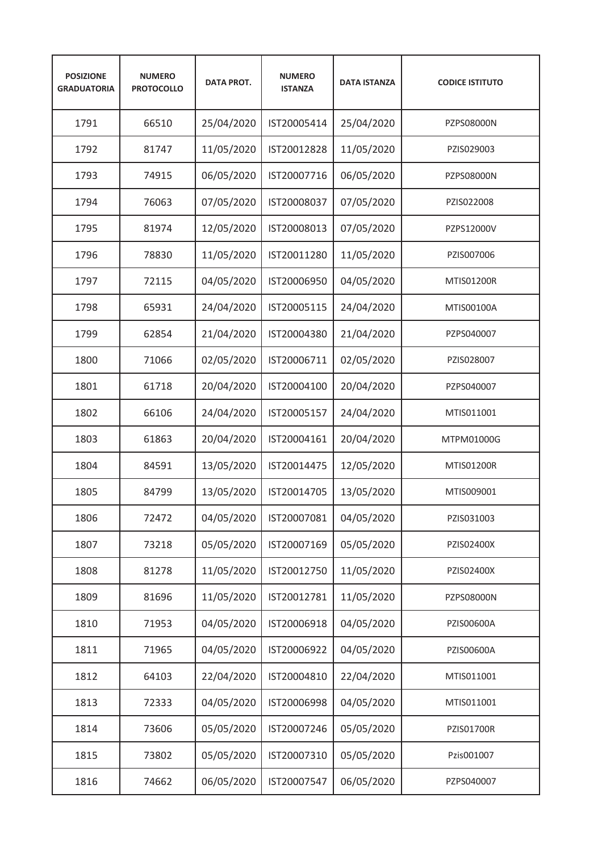| <b>POSIZIONE</b><br><b>GRADUATORIA</b> | <b>NUMERO</b><br><b>PROTOCOLLO</b> | <b>DATA PROT.</b> | <b>NUMERO</b><br><b>ISTANZA</b> | <b>DATA ISTANZA</b> | <b>CODICE ISTITUTO</b> |
|----------------------------------------|------------------------------------|-------------------|---------------------------------|---------------------|------------------------|
| 1791                                   | 66510                              | 25/04/2020        | IST20005414                     | 25/04/2020          | PZPS08000N             |
| 1792                                   | 81747                              | 11/05/2020        | IST20012828                     | 11/05/2020          | PZIS029003             |
| 1793                                   | 74915                              | 06/05/2020        | IST20007716                     | 06/05/2020          | <b>PZPS08000N</b>      |
| 1794                                   | 76063                              | 07/05/2020        | IST20008037                     | 07/05/2020          | PZIS022008             |
| 1795                                   | 81974                              | 12/05/2020        | IST20008013                     | 07/05/2020          | PZPS12000V             |
| 1796                                   | 78830                              | 11/05/2020        | IST20011280                     | 11/05/2020          | PZIS007006             |
| 1797                                   | 72115                              | 04/05/2020        | IST20006950                     | 04/05/2020          | MTIS01200R             |
| 1798                                   | 65931                              | 24/04/2020        | IST20005115                     | 24/04/2020          | MTIS00100A             |
| 1799                                   | 62854                              | 21/04/2020        | IST20004380                     | 21/04/2020          | PZPS040007             |
| 1800                                   | 71066                              | 02/05/2020        | IST20006711                     | 02/05/2020          | PZIS028007             |
| 1801                                   | 61718                              | 20/04/2020        | IST20004100                     | 20/04/2020          | PZPS040007             |
| 1802                                   | 66106                              | 24/04/2020        | IST20005157                     | 24/04/2020          | MTIS011001             |
| 1803                                   | 61863                              | 20/04/2020        | IST20004161                     | 20/04/2020          | MTPM01000G             |
| 1804                                   | 84591                              | 13/05/2020        | IST20014475                     | 12/05/2020          | <b>MTIS01200R</b>      |
| 1805                                   | 84799                              | 13/05/2020        | IST20014705                     | 13/05/2020          | MTIS009001             |
| 1806                                   | 72472                              | 04/05/2020        | IST20007081                     | 04/05/2020          | PZIS031003             |
| 1807                                   | 73218                              | 05/05/2020        | IST20007169                     | 05/05/2020          | PZIS02400X             |
| 1808                                   | 81278                              | 11/05/2020        | IST20012750                     | 11/05/2020          | PZIS02400X             |
| 1809                                   | 81696                              | 11/05/2020        | IST20012781                     | 11/05/2020          | PZPS08000N             |
| 1810                                   | 71953                              | 04/05/2020        | IST20006918                     | 04/05/2020          | PZIS00600A             |
| 1811                                   | 71965                              | 04/05/2020        | IST20006922                     | 04/05/2020          | PZIS00600A             |
| 1812                                   | 64103                              | 22/04/2020        | IST20004810                     | 22/04/2020          | MTIS011001             |
| 1813                                   | 72333                              | 04/05/2020        | IST20006998                     | 04/05/2020          | MTIS011001             |
| 1814                                   | 73606                              | 05/05/2020        | IST20007246                     | 05/05/2020          | PZIS01700R             |
| 1815                                   | 73802                              | 05/05/2020        | IST20007310                     | 05/05/2020          | Pzis001007             |
| 1816                                   | 74662                              | 06/05/2020        | IST20007547                     | 06/05/2020          | PZPS040007             |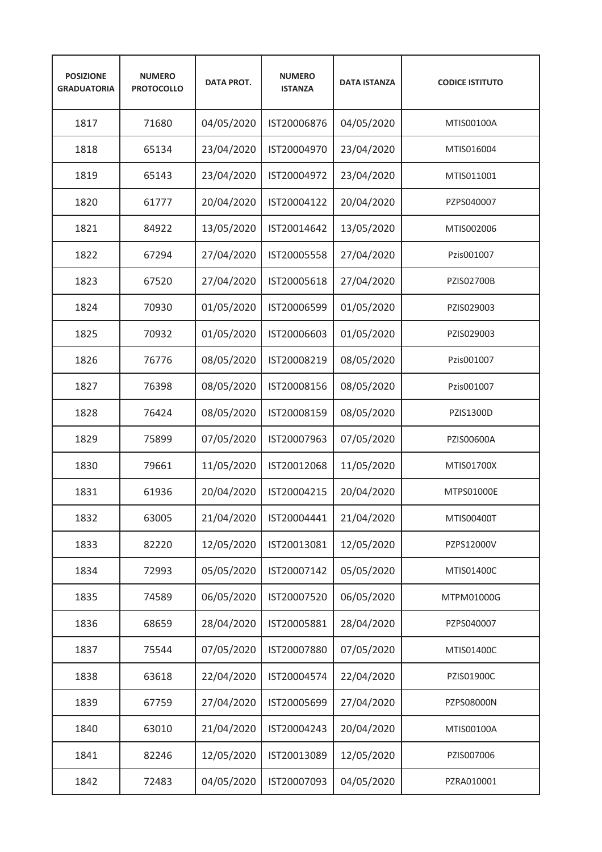| <b>POSIZIONE</b><br><b>GRADUATORIA</b> | <b>NUMERO</b><br><b>PROTOCOLLO</b> | <b>DATA PROT.</b> | <b>NUMERO</b><br><b>ISTANZA</b> | <b>DATA ISTANZA</b> | <b>CODICE ISTITUTO</b> |
|----------------------------------------|------------------------------------|-------------------|---------------------------------|---------------------|------------------------|
| 1817                                   | 71680                              | 04/05/2020        | IST20006876                     | 04/05/2020          | MTIS00100A             |
| 1818                                   | 65134                              | 23/04/2020        | IST20004970                     | 23/04/2020          | MTIS016004             |
| 1819                                   | 65143                              | 23/04/2020        | IST20004972                     | 23/04/2020          | MTIS011001             |
| 1820                                   | 61777                              | 20/04/2020        | IST20004122                     | 20/04/2020          | PZPS040007             |
| 1821                                   | 84922                              | 13/05/2020        | IST20014642                     | 13/05/2020          | MTIS002006             |
| 1822                                   | 67294                              | 27/04/2020        | IST20005558                     | 27/04/2020          | Pzis001007             |
| 1823                                   | 67520                              | 27/04/2020        | IST20005618                     | 27/04/2020          | PZIS02700B             |
| 1824                                   | 70930                              | 01/05/2020        | IST20006599                     | 01/05/2020          | PZIS029003             |
| 1825                                   | 70932                              | 01/05/2020        | IST20006603                     | 01/05/2020          | PZIS029003             |
| 1826                                   | 76776                              | 08/05/2020        | IST20008219                     | 08/05/2020          | Pzis001007             |
| 1827                                   | 76398                              | 08/05/2020        | IST20008156                     | 08/05/2020          | Pzis001007             |
| 1828                                   | 76424                              | 08/05/2020        | IST20008159                     | 08/05/2020          | PZIS1300D              |
| 1829                                   | 75899                              | 07/05/2020        | IST20007963                     | 07/05/2020          | PZIS00600A             |
| 1830                                   | 79661                              | 11/05/2020        | IST20012068                     | 11/05/2020          | MTIS01700X             |
| 1831                                   | 61936                              | 20/04/2020        | IST20004215                     | 20/04/2020          | MTPS01000E             |
| 1832                                   | 63005                              | 21/04/2020        | IST20004441                     | 21/04/2020          | MTIS00400T             |
| 1833                                   | 82220                              | 12/05/2020        | IST20013081                     | 12/05/2020          | PZPS12000V             |
| 1834                                   | 72993                              | 05/05/2020        | IST20007142                     | 05/05/2020          | MTIS01400C             |
| 1835                                   | 74589                              | 06/05/2020        | IST20007520                     | 06/05/2020          | MTPM01000G             |
| 1836                                   | 68659                              | 28/04/2020        | IST20005881                     | 28/04/2020          | PZPS040007             |
| 1837                                   | 75544                              | 07/05/2020        | IST20007880                     | 07/05/2020          | MTIS01400C             |
| 1838                                   | 63618                              | 22/04/2020        | IST20004574                     | 22/04/2020          | PZIS01900C             |
| 1839                                   | 67759                              | 27/04/2020        | IST20005699                     | 27/04/2020          | PZPS08000N             |
| 1840                                   | 63010                              | 21/04/2020        | IST20004243                     | 20/04/2020          | MTIS00100A             |
| 1841                                   | 82246                              | 12/05/2020        | IST20013089                     | 12/05/2020          | PZIS007006             |
| 1842                                   | 72483                              | 04/05/2020        | IST20007093                     | 04/05/2020          | PZRA010001             |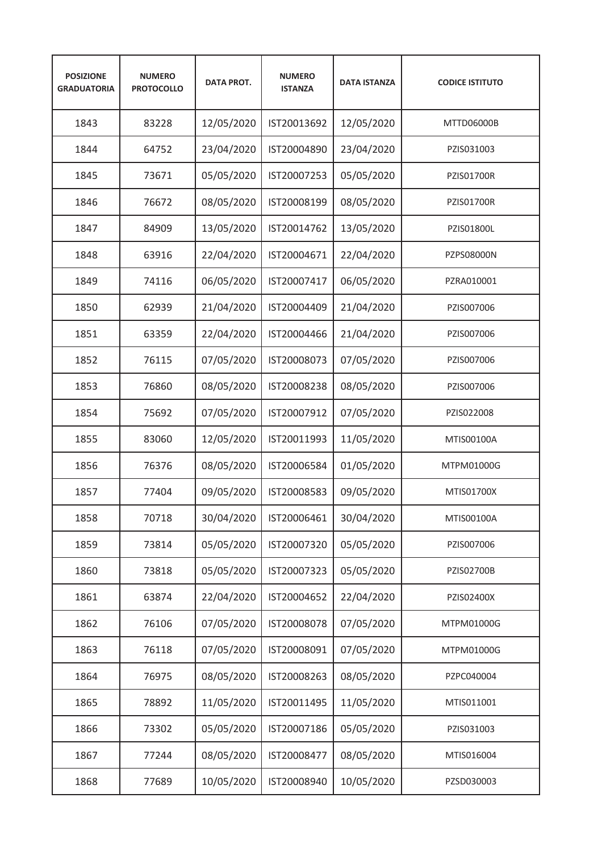| <b>POSIZIONE</b><br><b>GRADUATORIA</b> | <b>NUMERO</b><br><b>PROTOCOLLO</b> | <b>DATA PROT.</b> | <b>NUMERO</b><br><b>ISTANZA</b> | <b>DATA ISTANZA</b> | <b>CODICE ISTITUTO</b> |
|----------------------------------------|------------------------------------|-------------------|---------------------------------|---------------------|------------------------|
| 1843                                   | 83228                              | 12/05/2020        | IST20013692                     | 12/05/2020          | MTTD06000B             |
| 1844                                   | 64752                              | 23/04/2020        | IST20004890                     | 23/04/2020          | PZIS031003             |
| 1845                                   | 73671                              | 05/05/2020        | IST20007253                     | 05/05/2020          | <b>PZIS01700R</b>      |
| 1846                                   | 76672                              | 08/05/2020        | IST20008199                     | 08/05/2020          | <b>PZIS01700R</b>      |
| 1847                                   | 84909                              | 13/05/2020        | IST20014762                     | 13/05/2020          | PZIS01800L             |
| 1848                                   | 63916                              | 22/04/2020        | IST20004671                     | 22/04/2020          | <b>PZPS08000N</b>      |
| 1849                                   | 74116                              | 06/05/2020        | IST20007417                     | 06/05/2020          | PZRA010001             |
| 1850                                   | 62939                              | 21/04/2020        | IST20004409                     | 21/04/2020          | PZIS007006             |
| 1851                                   | 63359                              | 22/04/2020        | IST20004466                     | 21/04/2020          | PZIS007006             |
| 1852                                   | 76115                              | 07/05/2020        | IST20008073                     | 07/05/2020          | PZIS007006             |
| 1853                                   | 76860                              | 08/05/2020        | IST20008238                     | 08/05/2020          | PZIS007006             |
| 1854                                   | 75692                              | 07/05/2020        | IST20007912                     | 07/05/2020          | PZIS022008             |
| 1855                                   | 83060                              | 12/05/2020        | IST20011993                     | 11/05/2020          | MTIS00100A             |
| 1856                                   | 76376                              | 08/05/2020        | IST20006584                     | 01/05/2020          | MTPM01000G             |
| 1857                                   | 77404                              | 09/05/2020        | IST20008583                     | 09/05/2020          | MTIS01700X             |
| 1858                                   | 70718                              | 30/04/2020        | IST20006461                     | 30/04/2020          | MTIS00100A             |
| 1859                                   | 73814                              | 05/05/2020        | IST20007320                     | 05/05/2020          | PZIS007006             |
| 1860                                   | 73818                              | 05/05/2020        | IST20007323                     | 05/05/2020          | PZIS02700B             |
| 1861                                   | 63874                              | 22/04/2020        | IST20004652                     | 22/04/2020          | PZIS02400X             |
| 1862                                   | 76106                              | 07/05/2020        | IST20008078                     | 07/05/2020          | MTPM01000G             |
| 1863                                   | 76118                              | 07/05/2020        | IST20008091                     | 07/05/2020          | MTPM01000G             |
| 1864                                   | 76975                              | 08/05/2020        | IST20008263                     | 08/05/2020          | PZPC040004             |
| 1865                                   | 78892                              | 11/05/2020        | IST20011495                     | 11/05/2020          | MTIS011001             |
| 1866                                   | 73302                              | 05/05/2020        | IST20007186                     | 05/05/2020          | PZIS031003             |
| 1867                                   | 77244                              | 08/05/2020        | IST20008477                     | 08/05/2020          | MTIS016004             |
| 1868                                   | 77689                              | 10/05/2020        | IST20008940                     | 10/05/2020          | PZSD030003             |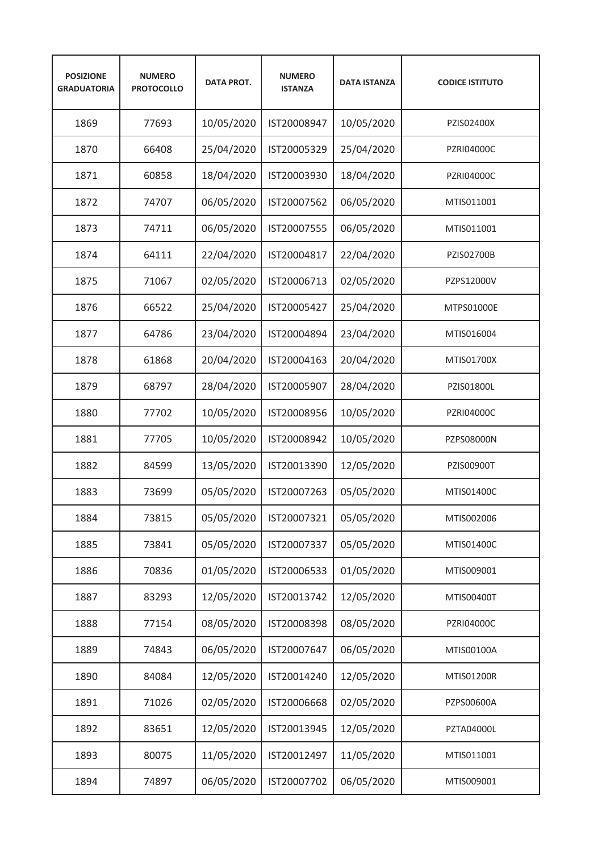| <b>POSIZIONE</b><br><b>GRADUATORIA</b> | <b>NUMERO</b><br><b>PROTOCOLLO</b> | <b>DATA PROT.</b> | <b>NUMERO</b><br><b>ISTANZA</b> | <b>DATA ISTANZA</b> | <b>CODICE ISTITUTO</b> |
|----------------------------------------|------------------------------------|-------------------|---------------------------------|---------------------|------------------------|
| 1869                                   | 77693                              | 10/05/2020        | IST20008947                     | 10/05/2020          | PZIS02400X             |
| 1870                                   | 66408                              | 25/04/2020        | IST20005329                     | 25/04/2020          | <b>PZRI04000C</b>      |
| 1871                                   | 60858                              | 18/04/2020        | IST20003930                     | 18/04/2020          | PZRI04000C             |
| 1872                                   | 74707                              | 06/05/2020        | IST20007562                     | 06/05/2020          | MTIS011001             |
| 1873                                   | 74711                              | 06/05/2020        | IST20007555                     | 06/05/2020          | MTIS011001             |
| 1874                                   | 64111                              | 22/04/2020        | IST20004817                     | 22/04/2020          | <b>PZIS02700B</b>      |
| 1875                                   | 71067                              | 02/05/2020        | IST20006713                     | 02/05/2020          | PZPS12000V             |
| 1876                                   | 66522                              | 25/04/2020        | IST20005427                     | 25/04/2020          | MTPS01000E             |
| 1877                                   | 64786                              | 23/04/2020        | IST20004894                     | 23/04/2020          | MTIS016004             |
| 1878                                   | 61868                              | 20/04/2020        | IST20004163                     | 20/04/2020          | MTIS01700X             |
| 1879                                   | 68797                              | 28/04/2020        | IST20005907                     | 28/04/2020          | PZIS01800L             |
| 1880                                   | 77702                              | 10/05/2020        | IST20008956                     | 10/05/2020          | <b>PZRI04000C</b>      |
| 1881                                   | 77705                              | 10/05/2020        | IST20008942                     | 10/05/2020          | PZPS08000N             |
| 1882                                   | 84599                              | 13/05/2020        | IST20013390                     | 12/05/2020          | <b>PZIS00900T</b>      |
| 1883                                   | 73699                              | 05/05/2020        | IST20007263                     | 05/05/2020          | MTIS01400C             |
| 1884                                   | 73815                              | 05/05/2020        | IST20007321                     | 05/05/2020          | MTIS002006             |
| 1885                                   | 73841                              | 05/05/2020        | IST20007337                     | 05/05/2020          | MTIS01400C             |
| 1886                                   | 70836                              | 01/05/2020        | IST20006533                     | 01/05/2020          | MTIS009001             |
| 1887                                   | 83293                              | 12/05/2020        | IST20013742                     | 12/05/2020          | MTIS00400T             |
| 1888                                   | 77154                              | 08/05/2020        | IST20008398                     | 08/05/2020          | PZRI04000C             |
| 1889                                   | 74843                              | 06/05/2020        | IST20007647                     | 06/05/2020          | MTIS00100A             |
| 1890                                   | 84084                              | 12/05/2020        | IST20014240                     | 12/05/2020          | MTIS01200R             |
| 1891                                   | 71026                              | 02/05/2020        | IST20006668                     | 02/05/2020          | PZPS00600A             |
| 1892                                   | 83651                              | 12/05/2020        | IST20013945                     | 12/05/2020          | PZTA04000L             |
| 1893                                   | 80075                              | 11/05/2020        | IST20012497                     | 11/05/2020          | MTIS011001             |
| 1894                                   | 74897                              | 06/05/2020        | IST20007702                     | 06/05/2020          | MTIS009001             |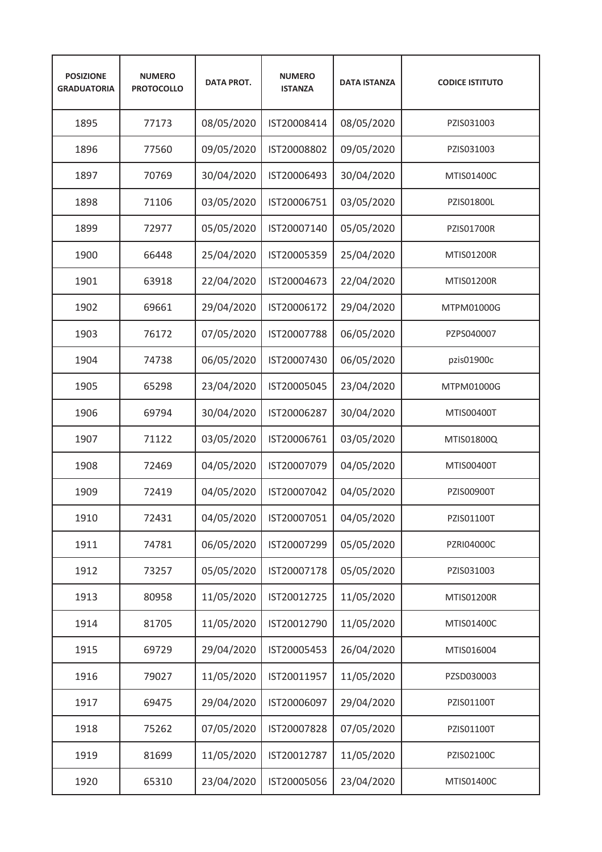| <b>POSIZIONE</b><br><b>GRADUATORIA</b> | <b>NUMERO</b><br><b>PROTOCOLLO</b> | <b>DATA PROT.</b> | <b>NUMERO</b><br><b>ISTANZA</b> | <b>DATA ISTANZA</b> | <b>CODICE ISTITUTO</b> |
|----------------------------------------|------------------------------------|-------------------|---------------------------------|---------------------|------------------------|
| 1895                                   | 77173                              | 08/05/2020        | IST20008414                     | 08/05/2020          | PZIS031003             |
| 1896                                   | 77560                              | 09/05/2020        | IST20008802                     | 09/05/2020          | PZIS031003             |
| 1897                                   | 70769                              | 30/04/2020        | IST20006493                     | 30/04/2020          | MTIS01400C             |
| 1898                                   | 71106                              | 03/05/2020        | IST20006751                     | 03/05/2020          | PZIS01800L             |
| 1899                                   | 72977                              | 05/05/2020        | IST20007140                     | 05/05/2020          | <b>PZIS01700R</b>      |
| 1900                                   | 66448                              | 25/04/2020        | IST20005359                     | 25/04/2020          | <b>MTIS01200R</b>      |
| 1901                                   | 63918                              | 22/04/2020        | IST20004673                     | 22/04/2020          | <b>MTIS01200R</b>      |
| 1902                                   | 69661                              | 29/04/2020        | IST20006172                     | 29/04/2020          | MTPM01000G             |
| 1903                                   | 76172                              | 07/05/2020        | IST20007788                     | 06/05/2020          | PZPS040007             |
| 1904                                   | 74738                              | 06/05/2020        | IST20007430                     | 06/05/2020          | pzis01900c             |
| 1905                                   | 65298                              | 23/04/2020        | IST20005045                     | 23/04/2020          | MTPM01000G             |
| 1906                                   | 69794                              | 30/04/2020        | IST20006287                     | 30/04/2020          | MTIS00400T             |
| 1907                                   | 71122                              | 03/05/2020        | IST20006761                     | 03/05/2020          | MTIS01800Q             |
| 1908                                   | 72469                              | 04/05/2020        | IST20007079                     | 04/05/2020          | MTIS00400T             |
| 1909                                   | 72419                              | 04/05/2020        | IST20007042                     | 04/05/2020          | <b>PZIS00900T</b>      |
| 1910                                   | 72431                              | 04/05/2020        | IST20007051                     | 04/05/2020          | PZIS01100T             |
| 1911                                   | 74781                              | 06/05/2020        | IST20007299                     | 05/05/2020          | PZRI04000C             |
| 1912                                   | 73257                              | 05/05/2020        | IST20007178                     | 05/05/2020          | PZIS031003             |
| 1913                                   | 80958                              | 11/05/2020        | IST20012725                     | 11/05/2020          | MTIS01200R             |
| 1914                                   | 81705                              | 11/05/2020        | IST20012790                     | 11/05/2020          | MTIS01400C             |
| 1915                                   | 69729                              | 29/04/2020        | IST20005453                     | 26/04/2020          | MTIS016004             |
| 1916                                   | 79027                              | 11/05/2020        | IST20011957                     | 11/05/2020          | PZSD030003             |
| 1917                                   | 69475                              | 29/04/2020        | IST20006097                     | 29/04/2020          | PZIS01100T             |
| 1918                                   | 75262                              | 07/05/2020        | IST20007828                     | 07/05/2020          | PZIS01100T             |
| 1919                                   | 81699                              | 11/05/2020        | IST20012787                     | 11/05/2020          | PZIS02100C             |
| 1920                                   | 65310                              | 23/04/2020        | IST20005056                     | 23/04/2020          | MTIS01400C             |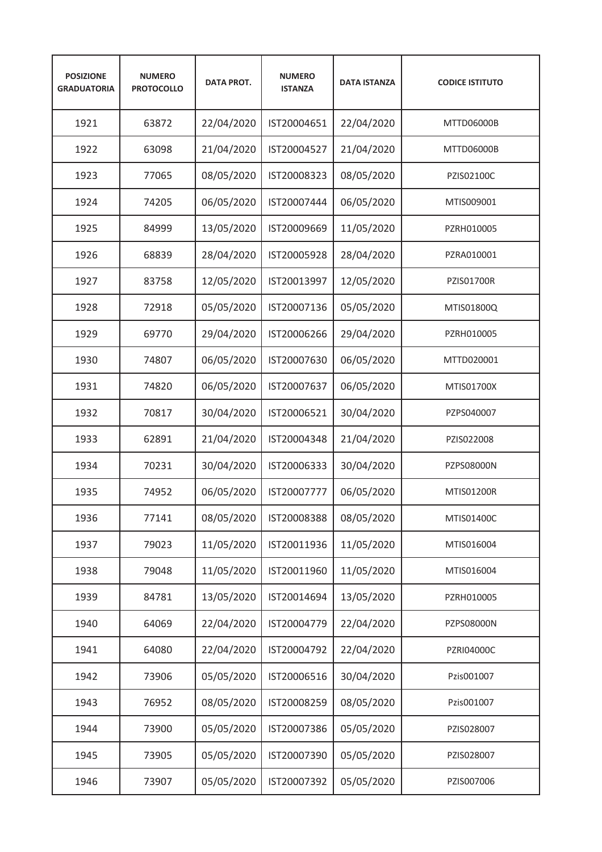| <b>POSIZIONE</b><br><b>GRADUATORIA</b> | <b>NUMERO</b><br><b>PROTOCOLLO</b> | <b>DATA PROT.</b> | <b>NUMERO</b><br><b>ISTANZA</b> | <b>DATA ISTANZA</b> | <b>CODICE ISTITUTO</b> |
|----------------------------------------|------------------------------------|-------------------|---------------------------------|---------------------|------------------------|
| 1921                                   | 63872                              | 22/04/2020        | IST20004651                     | 22/04/2020          | MTTD06000B             |
| 1922                                   | 63098                              | 21/04/2020        | IST20004527                     | 21/04/2020          | MTTD06000B             |
| 1923                                   | 77065                              | 08/05/2020        | IST20008323                     | 08/05/2020          | PZIS02100C             |
| 1924                                   | 74205                              | 06/05/2020        | IST20007444                     | 06/05/2020          | MTIS009001             |
| 1925                                   | 84999                              | 13/05/2020        | IST20009669                     | 11/05/2020          | PZRH010005             |
| 1926                                   | 68839                              | 28/04/2020        | IST20005928                     | 28/04/2020          | PZRA010001             |
| 1927                                   | 83758                              | 12/05/2020        | IST20013997                     | 12/05/2020          | PZIS01700R             |
| 1928                                   | 72918                              | 05/05/2020        | IST20007136                     | 05/05/2020          | MTIS01800Q             |
| 1929                                   | 69770                              | 29/04/2020        | IST20006266                     | 29/04/2020          | PZRH010005             |
| 1930                                   | 74807                              | 06/05/2020        | IST20007630                     | 06/05/2020          | MTTD020001             |
| 1931                                   | 74820                              | 06/05/2020        | IST20007637                     | 06/05/2020          | MTIS01700X             |
| 1932                                   | 70817                              | 30/04/2020        | IST20006521                     | 30/04/2020          | PZPS040007             |
| 1933                                   | 62891                              | 21/04/2020        | IST20004348                     | 21/04/2020          | PZIS022008             |
| 1934                                   | 70231                              | 30/04/2020        | IST20006333                     | 30/04/2020          | PZPS08000N             |
| 1935                                   | 74952                              | 06/05/2020        | IST20007777                     | 06/05/2020          | <b>MTIS01200R</b>      |
| 1936                                   | 77141                              | 08/05/2020        | IST20008388                     | 08/05/2020          | MTIS01400C             |
| 1937                                   | 79023                              | 11/05/2020        | IST20011936                     | 11/05/2020          | MTIS016004             |
| 1938                                   | 79048                              | 11/05/2020        | IST20011960                     | 11/05/2020          | MTIS016004             |
| 1939                                   | 84781                              | 13/05/2020        | IST20014694                     | 13/05/2020          | PZRH010005             |
| 1940                                   | 64069                              | 22/04/2020        | IST20004779                     | 22/04/2020          | PZPS08000N             |
| 1941                                   | 64080                              | 22/04/2020        | IST20004792                     | 22/04/2020          | <b>PZRI04000C</b>      |
| 1942                                   | 73906                              | 05/05/2020        | IST20006516                     | 30/04/2020          | Pzis001007             |
| 1943                                   | 76952                              | 08/05/2020        | IST20008259                     | 08/05/2020          | Pzis001007             |
| 1944                                   | 73900                              | 05/05/2020        | IST20007386                     | 05/05/2020          | PZIS028007             |
| 1945                                   | 73905                              | 05/05/2020        | IST20007390                     | 05/05/2020          | PZIS028007             |
| 1946                                   | 73907                              | 05/05/2020        | IST20007392                     | 05/05/2020          | PZIS007006             |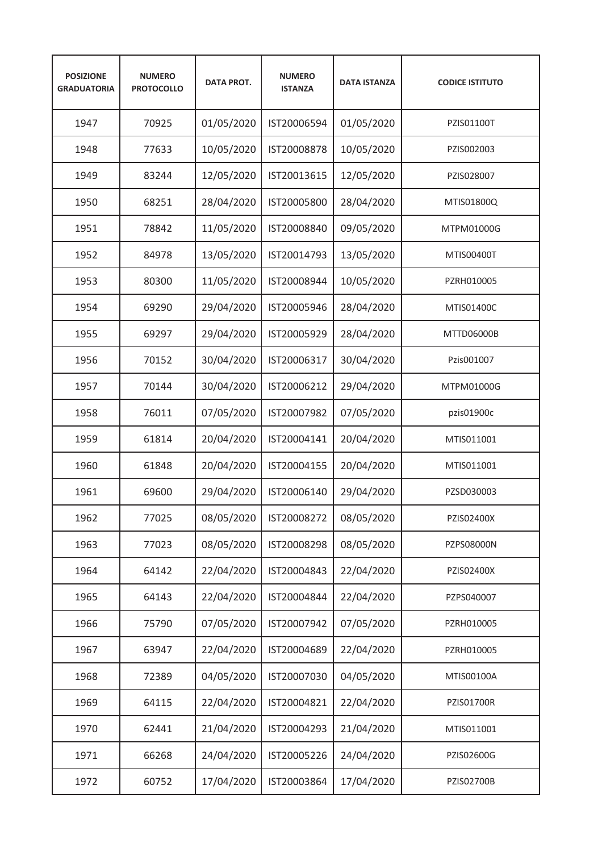| <b>POSIZIONE</b><br><b>GRADUATORIA</b> | <b>NUMERO</b><br><b>PROTOCOLLO</b> | <b>DATA PROT.</b> | <b>NUMERO</b><br><b>ISTANZA</b> | <b>DATA ISTANZA</b> | <b>CODICE ISTITUTO</b> |
|----------------------------------------|------------------------------------|-------------------|---------------------------------|---------------------|------------------------|
| 1947                                   | 70925                              | 01/05/2020        | IST20006594                     | 01/05/2020          | PZIS01100T             |
| 1948                                   | 77633                              | 10/05/2020        | IST20008878                     | 10/05/2020          | PZIS002003             |
| 1949                                   | 83244                              | 12/05/2020        | IST20013615                     | 12/05/2020          | PZIS028007             |
| 1950                                   | 68251                              | 28/04/2020        | IST20005800                     | 28/04/2020          | MTIS01800Q             |
| 1951                                   | 78842                              | 11/05/2020        | IST20008840                     | 09/05/2020          | MTPM01000G             |
| 1952                                   | 84978                              | 13/05/2020        | IST20014793                     | 13/05/2020          | MTIS00400T             |
| 1953                                   | 80300                              | 11/05/2020        | IST20008944                     | 10/05/2020          | PZRH010005             |
| 1954                                   | 69290                              | 29/04/2020        | IST20005946                     | 28/04/2020          | MTIS01400C             |
| 1955                                   | 69297                              | 29/04/2020        | IST20005929                     | 28/04/2020          | MTTD06000B             |
| 1956                                   | 70152                              | 30/04/2020        | IST20006317                     | 30/04/2020          | Pzis001007             |
| 1957                                   | 70144                              | 30/04/2020        | IST20006212                     | 29/04/2020          | MTPM01000G             |
| 1958                                   | 76011                              | 07/05/2020        | IST20007982                     | 07/05/2020          | pzis01900c             |
| 1959                                   | 61814                              | 20/04/2020        | IST20004141                     | 20/04/2020          | MTIS011001             |
| 1960                                   | 61848                              | 20/04/2020        | IST20004155                     | 20/04/2020          | MTIS011001             |
| 1961                                   | 69600                              | 29/04/2020        | IST20006140                     | 29/04/2020          | PZSD030003             |
| 1962                                   | 77025                              | 08/05/2020        | IST20008272                     | 08/05/2020          | PZIS02400X             |
| 1963                                   | 77023                              | 08/05/2020        | IST20008298                     | 08/05/2020          | PZPS08000N             |
| 1964                                   | 64142                              | 22/04/2020        | IST20004843                     | 22/04/2020          | PZIS02400X             |
| 1965                                   | 64143                              | 22/04/2020        | IST20004844                     | 22/04/2020          | PZPS040007             |
| 1966                                   | 75790                              | 07/05/2020        | IST20007942                     | 07/05/2020          | PZRH010005             |
| 1967                                   | 63947                              | 22/04/2020        | IST20004689                     | 22/04/2020          | PZRH010005             |
| 1968                                   | 72389                              | 04/05/2020        | IST20007030                     | 04/05/2020          | MTIS00100A             |
| 1969                                   | 64115                              | 22/04/2020        | IST20004821                     | 22/04/2020          | PZIS01700R             |
| 1970                                   | 62441                              | 21/04/2020        | IST20004293                     | 21/04/2020          | MTIS011001             |
| 1971                                   | 66268                              | 24/04/2020        | IST20005226                     | 24/04/2020          | PZIS02600G             |
| 1972                                   | 60752                              | 17/04/2020        | IST20003864                     | 17/04/2020          | PZIS02700B             |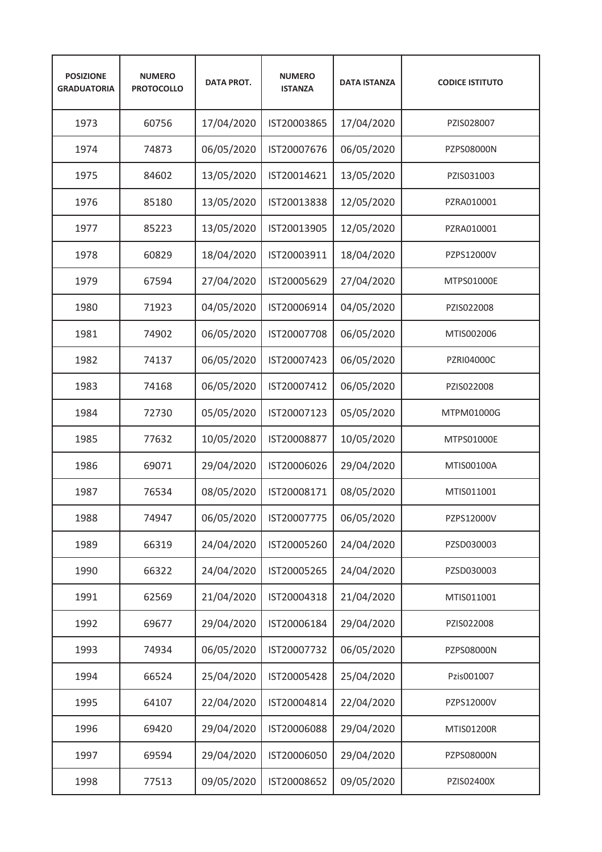| <b>POSIZIONE</b><br><b>GRADUATORIA</b> | <b>NUMERO</b><br><b>PROTOCOLLO</b> | <b>DATA PROT.</b> | <b>NUMERO</b><br><b>ISTANZA</b> | <b>DATA ISTANZA</b> | <b>CODICE ISTITUTO</b> |
|----------------------------------------|------------------------------------|-------------------|---------------------------------|---------------------|------------------------|
| 1973                                   | 60756                              | 17/04/2020        | IST20003865                     | 17/04/2020          | PZIS028007             |
| 1974                                   | 74873                              | 06/05/2020        | IST20007676                     | 06/05/2020          | PZPS08000N             |
| 1975                                   | 84602                              | 13/05/2020        | IST20014621                     | 13/05/2020          | PZIS031003             |
| 1976                                   | 85180                              | 13/05/2020        | IST20013838                     | 12/05/2020          | PZRA010001             |
| 1977                                   | 85223                              | 13/05/2020        | IST20013905                     | 12/05/2020          | PZRA010001             |
| 1978                                   | 60829                              | 18/04/2020        | IST20003911                     | 18/04/2020          | PZPS12000V             |
| 1979                                   | 67594                              | 27/04/2020        | IST20005629                     | 27/04/2020          | MTPS01000E             |
| 1980                                   | 71923                              | 04/05/2020        | IST20006914                     | 04/05/2020          | PZIS022008             |
| 1981                                   | 74902                              | 06/05/2020        | IST20007708                     | 06/05/2020          | MTIS002006             |
| 1982                                   | 74137                              | 06/05/2020        | IST20007423                     | 06/05/2020          | <b>PZRI04000C</b>      |
| 1983                                   | 74168                              | 06/05/2020        | IST20007412                     | 06/05/2020          | PZIS022008             |
| 1984                                   | 72730                              | 05/05/2020        | IST20007123                     | 05/05/2020          | MTPM01000G             |
| 1985                                   | 77632                              | 10/05/2020        | IST20008877                     | 10/05/2020          | MTPS01000E             |
| 1986                                   | 69071                              | 29/04/2020        | IST20006026                     | 29/04/2020          | MTIS00100A             |
| 1987                                   | 76534                              | 08/05/2020        | IST20008171                     | 08/05/2020          | MTIS011001             |
| 1988                                   | 74947                              | 06/05/2020        | IST20007775                     | 06/05/2020          | PZPS12000V             |
| 1989                                   | 66319                              | 24/04/2020        | IST20005260                     | 24/04/2020          | PZSD030003             |
| 1990                                   | 66322                              | 24/04/2020        | IST20005265                     | 24/04/2020          | PZSD030003             |
| 1991                                   | 62569                              | 21/04/2020        | IST20004318                     | 21/04/2020          | MTIS011001             |
| 1992                                   | 69677                              | 29/04/2020        | IST20006184                     | 29/04/2020          | PZIS022008             |
| 1993                                   | 74934                              | 06/05/2020        | IST20007732                     | 06/05/2020          | PZPS08000N             |
| 1994                                   | 66524                              | 25/04/2020        | IST20005428                     | 25/04/2020          | Pzis001007             |
| 1995                                   | 64107                              | 22/04/2020        | IST20004814                     | 22/04/2020          | PZPS12000V             |
| 1996                                   | 69420                              | 29/04/2020        | IST20006088                     | 29/04/2020          | MTIS01200R             |
| 1997                                   | 69594                              | 29/04/2020        | IST20006050                     | 29/04/2020          | PZPS08000N             |
| 1998                                   | 77513                              | 09/05/2020        | IST20008652                     | 09/05/2020          | PZIS02400X             |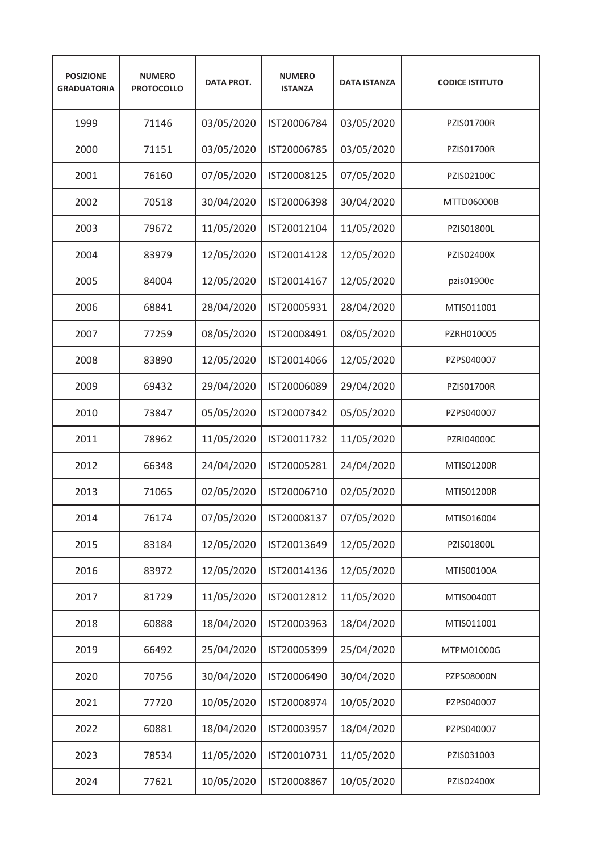| <b>POSIZIONE</b><br><b>GRADUATORIA</b> | <b>NUMERO</b><br><b>PROTOCOLLO</b> | <b>DATA PROT.</b> | <b>NUMERO</b><br><b>ISTANZA</b> | <b>DATA ISTANZA</b> | <b>CODICE ISTITUTO</b> |
|----------------------------------------|------------------------------------|-------------------|---------------------------------|---------------------|------------------------|
| 1999                                   | 71146                              | 03/05/2020        | IST20006784                     | 03/05/2020          | <b>PZIS01700R</b>      |
| 2000                                   | 71151                              | 03/05/2020        | IST20006785                     | 03/05/2020          | <b>PZIS01700R</b>      |
| 2001                                   | 76160                              | 07/05/2020        | IST20008125                     | 07/05/2020          | PZIS02100C             |
| 2002                                   | 70518                              | 30/04/2020        | IST20006398                     | 30/04/2020          | MTTD06000B             |
| 2003                                   | 79672                              | 11/05/2020        | IST20012104                     | 11/05/2020          | PZIS01800L             |
| 2004                                   | 83979                              | 12/05/2020        | IST20014128                     | 12/05/2020          | PZIS02400X             |
| 2005                                   | 84004                              | 12/05/2020        | IST20014167                     | 12/05/2020          | pzis01900c             |
| 2006                                   | 68841                              | 28/04/2020        | IST20005931                     | 28/04/2020          | MTIS011001             |
| 2007                                   | 77259                              | 08/05/2020        | IST20008491                     | 08/05/2020          | PZRH010005             |
| 2008                                   | 83890                              | 12/05/2020        | IST20014066                     | 12/05/2020          | PZPS040007             |
| 2009                                   | 69432                              | 29/04/2020        | IST20006089                     | 29/04/2020          | <b>PZIS01700R</b>      |
| 2010                                   | 73847                              | 05/05/2020        | IST20007342                     | 05/05/2020          | PZPS040007             |
| 2011                                   | 78962                              | 11/05/2020        | IST20011732                     | 11/05/2020          | PZRI04000C             |
| 2012                                   | 66348                              | 24/04/2020        | IST20005281                     | 24/04/2020          | MTIS01200R             |
| 2013                                   | 71065                              | 02/05/2020        | IST20006710                     | 02/05/2020          | <b>MTIS01200R</b>      |
| 2014                                   | 76174                              | 07/05/2020        | IST20008137                     | 07/05/2020          | MTIS016004             |
| 2015                                   | 83184                              | 12/05/2020        | IST20013649                     | 12/05/2020          | PZIS01800L             |
| 2016                                   | 83972                              | 12/05/2020        | IST20014136                     | 12/05/2020          | MTIS00100A             |
| 2017                                   | 81729                              | 11/05/2020        | IST20012812                     | 11/05/2020          | MTIS00400T             |
| 2018                                   | 60888                              | 18/04/2020        | IST20003963                     | 18/04/2020          | MTIS011001             |
| 2019                                   | 66492                              | 25/04/2020        | IST20005399                     | 25/04/2020          | MTPM01000G             |
| 2020                                   | 70756                              | 30/04/2020        | IST20006490                     | 30/04/2020          | PZPS08000N             |
| 2021                                   | 77720                              | 10/05/2020        | IST20008974                     | 10/05/2020          | PZPS040007             |
| 2022                                   | 60881                              | 18/04/2020        | IST20003957                     | 18/04/2020          | PZPS040007             |
| 2023                                   | 78534                              | 11/05/2020        | IST20010731                     | 11/05/2020          | PZIS031003             |
| 2024                                   | 77621                              | 10/05/2020        | IST20008867                     | 10/05/2020          | PZIS02400X             |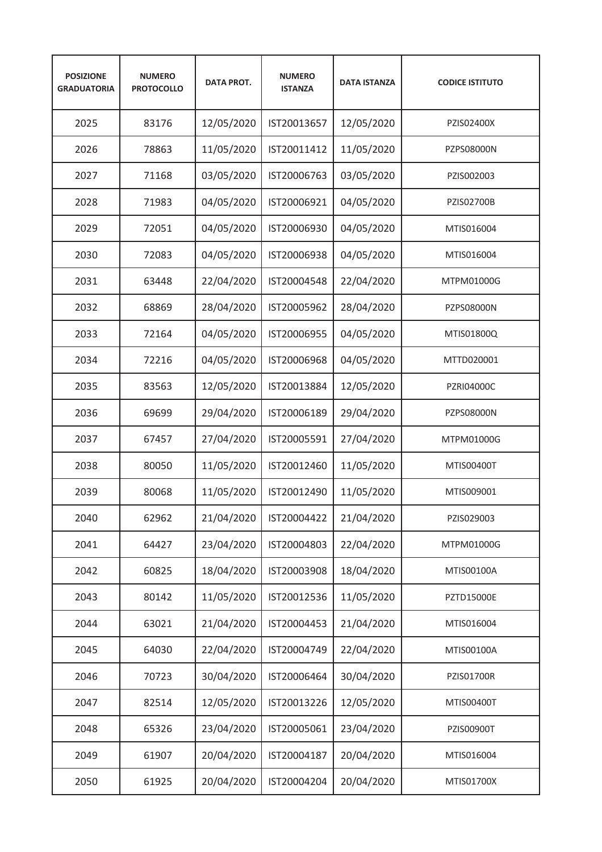| <b>POSIZIONE</b><br><b>GRADUATORIA</b> | <b>NUMERO</b><br><b>PROTOCOLLO</b> | <b>DATA PROT.</b> | <b>NUMERO</b><br><b>ISTANZA</b> | <b>DATA ISTANZA</b> | <b>CODICE ISTITUTO</b> |
|----------------------------------------|------------------------------------|-------------------|---------------------------------|---------------------|------------------------|
| 2025                                   | 83176                              | 12/05/2020        | IST20013657                     | 12/05/2020          | PZIS02400X             |
| 2026                                   | 78863                              | 11/05/2020        | IST20011412                     | 11/05/2020          | PZPS08000N             |
| 2027                                   | 71168                              | 03/05/2020        | IST20006763                     | 03/05/2020          | PZIS002003             |
| 2028                                   | 71983                              | 04/05/2020        | IST20006921                     | 04/05/2020          | <b>PZIS02700B</b>      |
| 2029                                   | 72051                              | 04/05/2020        | IST20006930                     | 04/05/2020          | MTIS016004             |
| 2030                                   | 72083                              | 04/05/2020        | IST20006938                     | 04/05/2020          | MTIS016004             |
| 2031                                   | 63448                              | 22/04/2020        | IST20004548                     | 22/04/2020          | MTPM01000G             |
| 2032                                   | 68869                              | 28/04/2020        | IST20005962                     | 28/04/2020          | <b>PZPS08000N</b>      |
| 2033                                   | 72164                              | 04/05/2020        | IST20006955                     | 04/05/2020          | MTIS01800Q             |
| 2034                                   | 72216                              | 04/05/2020        | IST20006968                     | 04/05/2020          | MTTD020001             |
| 2035                                   | 83563                              | 12/05/2020        | IST20013884                     | 12/05/2020          | <b>PZRI04000C</b>      |
| 2036                                   | 69699                              | 29/04/2020        | IST20006189                     | 29/04/2020          | PZPS08000N             |
| 2037                                   | 67457                              | 27/04/2020        | IST20005591                     | 27/04/2020          | MTPM01000G             |
| 2038                                   | 80050                              | 11/05/2020        | IST20012460                     | 11/05/2020          | MTIS00400T             |
| 2039                                   | 80068                              | 11/05/2020        | IST20012490                     | 11/05/2020          | MTIS009001             |
| 2040                                   | 62962                              | 21/04/2020        | IST20004422                     | 21/04/2020          | PZIS029003             |
| 2041                                   | 64427                              | 23/04/2020        | IST20004803                     | 22/04/2020          | MTPM01000G             |
| 2042                                   | 60825                              | 18/04/2020        | IST20003908                     | 18/04/2020          | MTIS00100A             |
| 2043                                   | 80142                              | 11/05/2020        | IST20012536                     | 11/05/2020          | <b>PZTD15000E</b>      |
| 2044                                   | 63021                              | 21/04/2020        | IST20004453                     | 21/04/2020          | MTIS016004             |
| 2045                                   | 64030                              | 22/04/2020        | IST20004749                     | 22/04/2020          | MTIS00100A             |
| 2046                                   | 70723                              | 30/04/2020        | IST20006464                     | 30/04/2020          | PZIS01700R             |
| 2047                                   | 82514                              | 12/05/2020        | IST20013226                     | 12/05/2020          | MTIS00400T             |
| 2048                                   | 65326                              | 23/04/2020        | IST20005061                     | 23/04/2020          | PZIS00900T             |
| 2049                                   | 61907                              | 20/04/2020        | IST20004187                     | 20/04/2020          | MTIS016004             |
| 2050                                   | 61925                              | 20/04/2020        | IST20004204                     | 20/04/2020          | MTIS01700X             |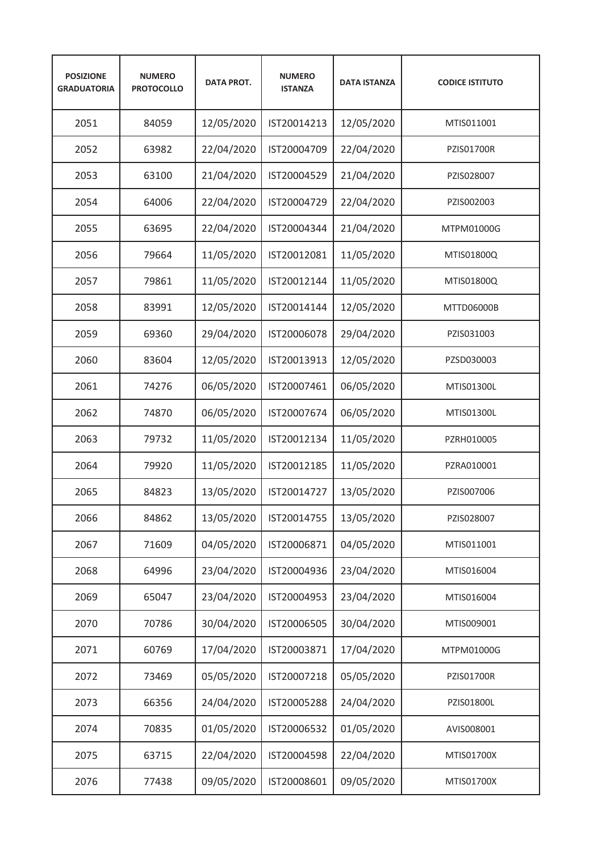| <b>POSIZIONE</b><br><b>GRADUATORIA</b> | <b>NUMERO</b><br><b>PROTOCOLLO</b> | <b>DATA PROT.</b> | <b>NUMERO</b><br><b>ISTANZA</b> | <b>DATA ISTANZA</b> | <b>CODICE ISTITUTO</b> |
|----------------------------------------|------------------------------------|-------------------|---------------------------------|---------------------|------------------------|
| 2051                                   | 84059                              | 12/05/2020        | IST20014213                     | 12/05/2020          | MTIS011001             |
| 2052                                   | 63982                              | 22/04/2020        | IST20004709                     | 22/04/2020          | <b>PZIS01700R</b>      |
| 2053                                   | 63100                              | 21/04/2020        | IST20004529                     | 21/04/2020          | PZIS028007             |
| 2054                                   | 64006                              | 22/04/2020        | IST20004729                     | 22/04/2020          | PZIS002003             |
| 2055                                   | 63695                              | 22/04/2020        | IST20004344                     | 21/04/2020          | MTPM01000G             |
| 2056                                   | 79664                              | 11/05/2020        | IST20012081                     | 11/05/2020          | MTIS01800Q             |
| 2057                                   | 79861                              | 11/05/2020        | IST20012144                     | 11/05/2020          | MTIS01800Q             |
| 2058                                   | 83991                              | 12/05/2020        | IST20014144                     | 12/05/2020          | MTTD06000B             |
| 2059                                   | 69360                              | 29/04/2020        | IST20006078                     | 29/04/2020          | PZIS031003             |
| 2060                                   | 83604                              | 12/05/2020        | IST20013913                     | 12/05/2020          | PZSD030003             |
| 2061                                   | 74276                              | 06/05/2020        | IST20007461                     | 06/05/2020          | MTIS01300L             |
| 2062                                   | 74870                              | 06/05/2020        | IST20007674                     | 06/05/2020          | MTIS01300L             |
| 2063                                   | 79732                              | 11/05/2020        | IST20012134                     | 11/05/2020          | PZRH010005             |
| 2064                                   | 79920                              | 11/05/2020        | IST20012185                     | 11/05/2020          | PZRA010001             |
| 2065                                   | 84823                              | 13/05/2020        | IST20014727                     | 13/05/2020          | PZIS007006             |
| 2066                                   | 84862                              | 13/05/2020        | IST20014755                     | 13/05/2020          | PZIS028007             |
| 2067                                   | 71609                              | 04/05/2020        | IST20006871                     | 04/05/2020          | MTIS011001             |
| 2068                                   | 64996                              | 23/04/2020        | IST20004936                     | 23/04/2020          | MTIS016004             |
| 2069                                   | 65047                              | 23/04/2020        | IST20004953                     | 23/04/2020          | MTIS016004             |
| 2070                                   | 70786                              | 30/04/2020        | IST20006505                     | 30/04/2020          | MTIS009001             |
| 2071                                   | 60769                              | 17/04/2020        | IST20003871                     | 17/04/2020          | MTPM01000G             |
| 2072                                   | 73469                              | 05/05/2020        | IST20007218                     | 05/05/2020          | PZIS01700R             |
| 2073                                   | 66356                              | 24/04/2020        | IST20005288                     | 24/04/2020          | PZIS01800L             |
| 2074                                   | 70835                              | 01/05/2020        | IST20006532                     | 01/05/2020          | AVIS008001             |
| 2075                                   | 63715                              | 22/04/2020        | IST20004598                     | 22/04/2020          | MTIS01700X             |
| 2076                                   | 77438                              | 09/05/2020        | IST20008601                     | 09/05/2020          | MTIS01700X             |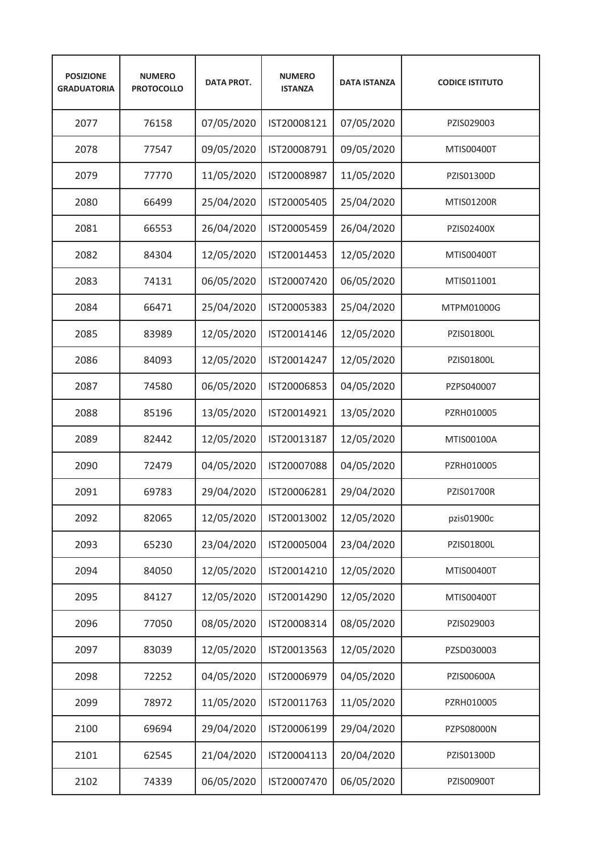| <b>POSIZIONE</b><br><b>GRADUATORIA</b> | <b>NUMERO</b><br><b>PROTOCOLLO</b> | <b>DATA PROT.</b> | <b>NUMERO</b><br><b>ISTANZA</b> | <b>DATA ISTANZA</b> | <b>CODICE ISTITUTO</b> |
|----------------------------------------|------------------------------------|-------------------|---------------------------------|---------------------|------------------------|
| 2077                                   | 76158                              | 07/05/2020        | IST20008121                     | 07/05/2020          | PZIS029003             |
| 2078                                   | 77547                              | 09/05/2020        | IST20008791                     | 09/05/2020          | MTIS00400T             |
| 2079                                   | 77770                              | 11/05/2020        | IST20008987                     | 11/05/2020          | PZIS01300D             |
| 2080                                   | 66499                              | 25/04/2020        | IST20005405                     | 25/04/2020          | <b>MTIS01200R</b>      |
| 2081                                   | 66553                              | 26/04/2020        | IST20005459                     | 26/04/2020          | PZIS02400X             |
| 2082                                   | 84304                              | 12/05/2020        | IST20014453                     | 12/05/2020          | MTIS00400T             |
| 2083                                   | 74131                              | 06/05/2020        | IST20007420                     | 06/05/2020          | MTIS011001             |
| 2084                                   | 66471                              | 25/04/2020        | IST20005383                     | 25/04/2020          | MTPM01000G             |
| 2085                                   | 83989                              | 12/05/2020        | IST20014146                     | 12/05/2020          | PZIS01800L             |
| 2086                                   | 84093                              | 12/05/2020        | IST20014247                     | 12/05/2020          | PZIS01800L             |
| 2087                                   | 74580                              | 06/05/2020        | IST20006853                     | 04/05/2020          | PZPS040007             |
| 2088                                   | 85196                              | 13/05/2020        | IST20014921                     | 13/05/2020          | PZRH010005             |
| 2089                                   | 82442                              | 12/05/2020        | IST20013187                     | 12/05/2020          | MTIS00100A             |
| 2090                                   | 72479                              | 04/05/2020        | IST20007088                     | 04/05/2020          | PZRH010005             |
| 2091                                   | 69783                              | 29/04/2020        | IST20006281                     | 29/04/2020          | <b>PZIS01700R</b>      |
| 2092                                   | 82065                              | 12/05/2020        | IST20013002                     | 12/05/2020          | pzis01900c             |
| 2093                                   | 65230                              | 23/04/2020        | IST20005004                     | 23/04/2020          | PZIS01800L             |
| 2094                                   | 84050                              | 12/05/2020        | IST20014210                     | 12/05/2020          | MTIS00400T             |
| 2095                                   | 84127                              | 12/05/2020        | IST20014290                     | 12/05/2020          | MTIS00400T             |
| 2096                                   | 77050                              | 08/05/2020        | IST20008314                     | 08/05/2020          | PZIS029003             |
| 2097                                   | 83039                              | 12/05/2020        | IST20013563                     | 12/05/2020          | PZSD030003             |
| 2098                                   | 72252                              | 04/05/2020        | IST20006979                     | 04/05/2020          | PZIS00600A             |
| 2099                                   | 78972                              | 11/05/2020        | IST20011763                     | 11/05/2020          | PZRH010005             |
| 2100                                   | 69694                              | 29/04/2020        | IST20006199                     | 29/04/2020          | PZPS08000N             |
| 2101                                   | 62545                              | 21/04/2020        | IST20004113                     | 20/04/2020          | PZIS01300D             |
| 2102                                   | 74339                              | 06/05/2020        | IST20007470                     | 06/05/2020          | PZIS00900T             |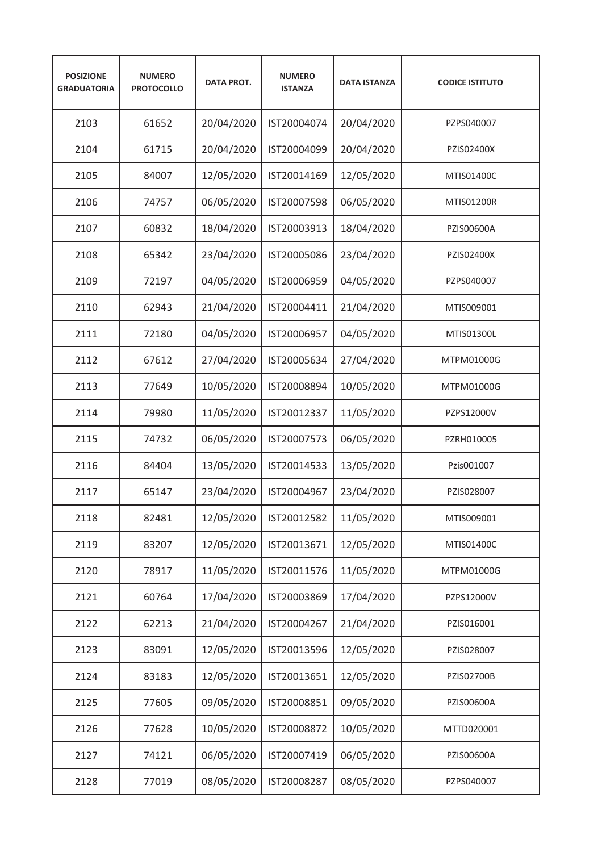| <b>POSIZIONE</b><br><b>GRADUATORIA</b> | <b>NUMERO</b><br><b>PROTOCOLLO</b> | <b>DATA PROT.</b> | <b>NUMERO</b><br><b>ISTANZA</b> | <b>DATA ISTANZA</b> | <b>CODICE ISTITUTO</b> |
|----------------------------------------|------------------------------------|-------------------|---------------------------------|---------------------|------------------------|
| 2103                                   | 61652                              | 20/04/2020        | IST20004074                     | 20/04/2020          | PZPS040007             |
| 2104                                   | 61715                              | 20/04/2020        | IST20004099                     | 20/04/2020          | PZIS02400X             |
| 2105                                   | 84007                              | 12/05/2020        | IST20014169                     | 12/05/2020          | MTIS01400C             |
| 2106                                   | 74757                              | 06/05/2020        | IST20007598                     | 06/05/2020          | <b>MTIS01200R</b>      |
| 2107                                   | 60832                              | 18/04/2020        | IST20003913                     | 18/04/2020          | PZIS00600A             |
| 2108                                   | 65342                              | 23/04/2020        | IST20005086                     | 23/04/2020          | PZIS02400X             |
| 2109                                   | 72197                              | 04/05/2020        | IST20006959                     | 04/05/2020          | PZPS040007             |
| 2110                                   | 62943                              | 21/04/2020        | IST20004411                     | 21/04/2020          | MTIS009001             |
| 2111                                   | 72180                              | 04/05/2020        | IST20006957                     | 04/05/2020          | MTIS01300L             |
| 2112                                   | 67612                              | 27/04/2020        | IST20005634                     | 27/04/2020          | MTPM01000G             |
| 2113                                   | 77649                              | 10/05/2020        | IST20008894                     | 10/05/2020          | MTPM01000G             |
| 2114                                   | 79980                              | 11/05/2020        | IST20012337                     | 11/05/2020          | PZPS12000V             |
| 2115                                   | 74732                              | 06/05/2020        | IST20007573                     | 06/05/2020          | PZRH010005             |
| 2116                                   | 84404                              | 13/05/2020        | IST20014533                     | 13/05/2020          | Pzis001007             |
| 2117                                   | 65147                              | 23/04/2020        | IST20004967                     | 23/04/2020          | PZIS028007             |
| 2118                                   | 82481                              | 12/05/2020        | IST20012582                     | 11/05/2020          | MTIS009001             |
| 2119                                   | 83207                              | 12/05/2020        | IST20013671                     | 12/05/2020          | MTIS01400C             |
| 2120                                   | 78917                              | 11/05/2020        | IST20011576                     | 11/05/2020          | MTPM01000G             |
| 2121                                   | 60764                              | 17/04/2020        | IST20003869                     | 17/04/2020          | PZPS12000V             |
| 2122                                   | 62213                              | 21/04/2020        | IST20004267                     | 21/04/2020          | PZIS016001             |
| 2123                                   | 83091                              | 12/05/2020        | IST20013596                     | 12/05/2020          | PZIS028007             |
| 2124                                   | 83183                              | 12/05/2020        | IST20013651                     | 12/05/2020          | PZIS02700B             |
| 2125                                   | 77605                              | 09/05/2020        | IST20008851                     | 09/05/2020          | PZIS00600A             |
| 2126                                   | 77628                              | 10/05/2020        | IST20008872                     | 10/05/2020          | MTTD020001             |
| 2127                                   | 74121                              | 06/05/2020        | IST20007419                     | 06/05/2020          | PZIS00600A             |
| 2128                                   | 77019                              | 08/05/2020        | IST20008287                     | 08/05/2020          | PZPS040007             |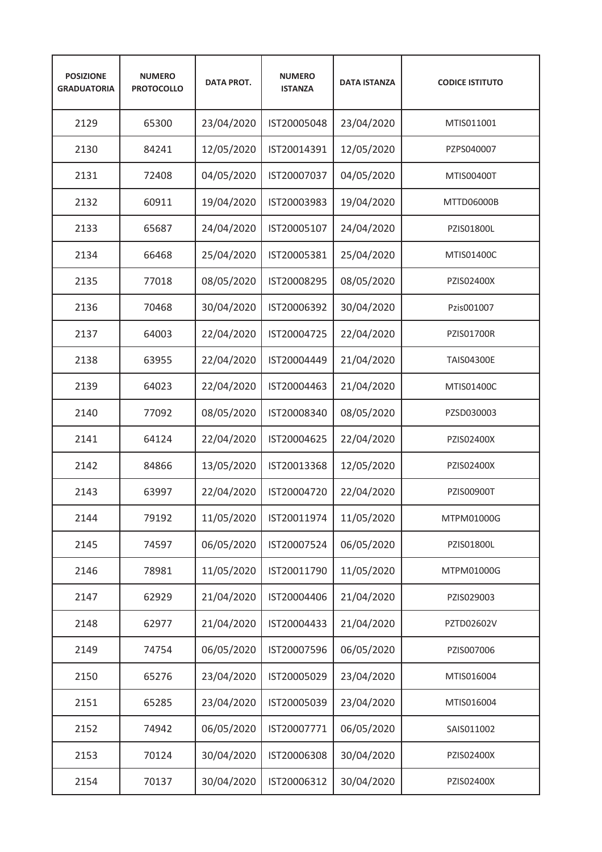| <b>POSIZIONE</b><br><b>GRADUATORIA</b> | <b>NUMERO</b><br><b>PROTOCOLLO</b> | <b>DATA PROT.</b> | <b>NUMERO</b><br><b>ISTANZA</b> | <b>DATA ISTANZA</b> | <b>CODICE ISTITUTO</b> |
|----------------------------------------|------------------------------------|-------------------|---------------------------------|---------------------|------------------------|
| 2129                                   | 65300                              | 23/04/2020        | IST20005048                     | 23/04/2020          | MTIS011001             |
| 2130                                   | 84241                              | 12/05/2020        | IST20014391                     | 12/05/2020          | PZPS040007             |
| 2131                                   | 72408                              | 04/05/2020        | IST20007037                     | 04/05/2020          | MTIS00400T             |
| 2132                                   | 60911                              | 19/04/2020        | IST20003983                     | 19/04/2020          | MTTD06000B             |
| 2133                                   | 65687                              | 24/04/2020        | IST20005107                     | 24/04/2020          | PZIS01800L             |
| 2134                                   | 66468                              | 25/04/2020        | IST20005381                     | 25/04/2020          | MTIS01400C             |
| 2135                                   | 77018                              | 08/05/2020        | IST20008295                     | 08/05/2020          | PZIS02400X             |
| 2136                                   | 70468                              | 30/04/2020        | IST20006392                     | 30/04/2020          | Pzis001007             |
| 2137                                   | 64003                              | 22/04/2020        | IST20004725                     | 22/04/2020          | <b>PZIS01700R</b>      |
| 2138                                   | 63955                              | 22/04/2020        | IST20004449                     | 21/04/2020          | <b>TAIS04300E</b>      |
| 2139                                   | 64023                              | 22/04/2020        | IST20004463                     | 21/04/2020          | MTIS01400C             |
| 2140                                   | 77092                              | 08/05/2020        | IST20008340                     | 08/05/2020          | PZSD030003             |
| 2141                                   | 64124                              | 22/04/2020        | IST20004625                     | 22/04/2020          | PZIS02400X             |
| 2142                                   | 84866                              | 13/05/2020        | IST20013368                     | 12/05/2020          | PZIS02400X             |
| 2143                                   | 63997                              | 22/04/2020        | IST20004720                     | 22/04/2020          | <b>PZIS00900T</b>      |
| 2144                                   | 79192                              | 11/05/2020        | IST20011974                     | 11/05/2020          | MTPM01000G             |
| 2145                                   | 74597                              | 06/05/2020        | IST20007524                     | 06/05/2020          | PZIS01800L             |
| 2146                                   | 78981                              | 11/05/2020        | IST20011790                     | 11/05/2020          | MTPM01000G             |
| 2147                                   | 62929                              | 21/04/2020        | IST20004406                     | 21/04/2020          | PZIS029003             |
| 2148                                   | 62977                              | 21/04/2020        | IST20004433                     | 21/04/2020          | PZTD02602V             |
| 2149                                   | 74754                              | 06/05/2020        | IST20007596                     | 06/05/2020          | PZIS007006             |
| 2150                                   | 65276                              | 23/04/2020        | IST20005029                     | 23/04/2020          | MTIS016004             |
| 2151                                   | 65285                              | 23/04/2020        | IST20005039                     | 23/04/2020          | MTIS016004             |
| 2152                                   | 74942                              | 06/05/2020        | IST20007771                     | 06/05/2020          | SAIS011002             |
| 2153                                   | 70124                              | 30/04/2020        | IST20006308                     | 30/04/2020          | PZIS02400X             |
| 2154                                   | 70137                              | 30/04/2020        | IST20006312                     | 30/04/2020          | PZIS02400X             |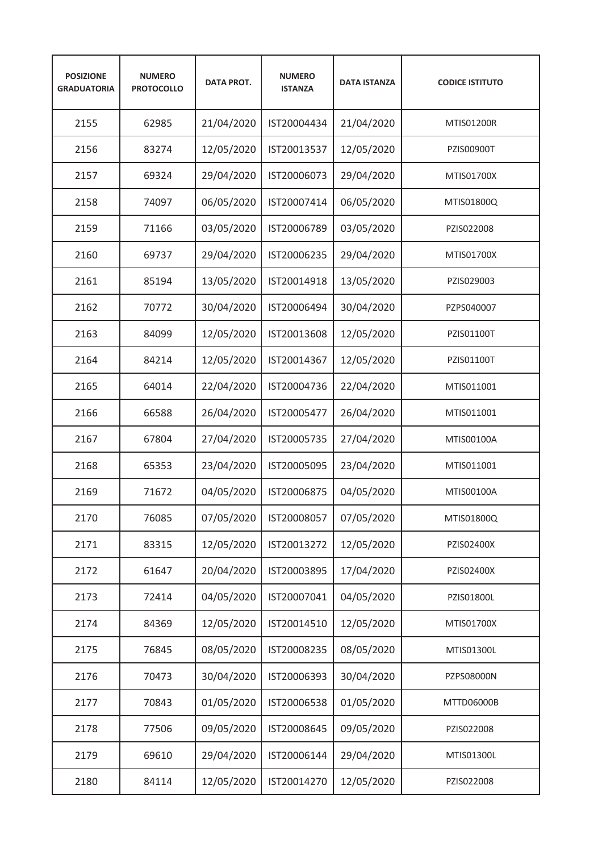| <b>POSIZIONE</b><br><b>GRADUATORIA</b> | <b>NUMERO</b><br><b>PROTOCOLLO</b> | <b>DATA PROT.</b> | <b>NUMERO</b><br><b>ISTANZA</b> | <b>DATA ISTANZA</b> | <b>CODICE ISTITUTO</b> |
|----------------------------------------|------------------------------------|-------------------|---------------------------------|---------------------|------------------------|
| 2155                                   | 62985                              | 21/04/2020        | IST20004434                     | 21/04/2020          | MTIS01200R             |
| 2156                                   | 83274                              | 12/05/2020        | IST20013537                     | 12/05/2020          | <b>PZIS00900T</b>      |
| 2157                                   | 69324                              | 29/04/2020        | IST20006073                     | 29/04/2020          | MTIS01700X             |
| 2158                                   | 74097                              | 06/05/2020        | IST20007414                     | 06/05/2020          | MTIS01800Q             |
| 2159                                   | 71166                              | 03/05/2020        | IST20006789                     | 03/05/2020          | PZIS022008             |
| 2160                                   | 69737                              | 29/04/2020        | IST20006235                     | 29/04/2020          | MTIS01700X             |
| 2161                                   | 85194                              | 13/05/2020        | IST20014918                     | 13/05/2020          | PZIS029003             |
| 2162                                   | 70772                              | 30/04/2020        | IST20006494                     | 30/04/2020          | PZPS040007             |
| 2163                                   | 84099                              | 12/05/2020        | IST20013608                     | 12/05/2020          | PZIS01100T             |
| 2164                                   | 84214                              | 12/05/2020        | IST20014367                     | 12/05/2020          | PZIS01100T             |
| 2165                                   | 64014                              | 22/04/2020        | IST20004736                     | 22/04/2020          | MTIS011001             |
| 2166                                   | 66588                              | 26/04/2020        | IST20005477                     | 26/04/2020          | MTIS011001             |
| 2167                                   | 67804                              | 27/04/2020        | IST20005735                     | 27/04/2020          | MTIS00100A             |
| 2168                                   | 65353                              | 23/04/2020        | IST20005095                     | 23/04/2020          | MTIS011001             |
| 2169                                   | 71672                              | 04/05/2020        | IST20006875                     | 04/05/2020          | MTIS00100A             |
| 2170                                   | 76085                              | 07/05/2020        | IST20008057                     | 07/05/2020          | MTIS01800Q             |
| 2171                                   | 83315                              | 12/05/2020        | IST20013272                     | 12/05/2020          | PZIS02400X             |
| 2172                                   | 61647                              | 20/04/2020        | IST20003895                     | 17/04/2020          | PZIS02400X             |
| 2173                                   | 72414                              | 04/05/2020        | IST20007041                     | 04/05/2020          | PZIS01800L             |
| 2174                                   | 84369                              | 12/05/2020        | IST20014510                     | 12/05/2020          | MTIS01700X             |
| 2175                                   | 76845                              | 08/05/2020        | IST20008235                     | 08/05/2020          | MTIS01300L             |
| 2176                                   | 70473                              | 30/04/2020        | IST20006393                     | 30/04/2020          | PZPS08000N             |
| 2177                                   | 70843                              | 01/05/2020        | IST20006538                     | 01/05/2020          | MTTD06000B             |
| 2178                                   | 77506                              | 09/05/2020        | IST20008645                     | 09/05/2020          | PZIS022008             |
| 2179                                   | 69610                              | 29/04/2020        | IST20006144                     | 29/04/2020          | MTIS01300L             |
| 2180                                   | 84114                              | 12/05/2020        | IST20014270                     | 12/05/2020          | PZIS022008             |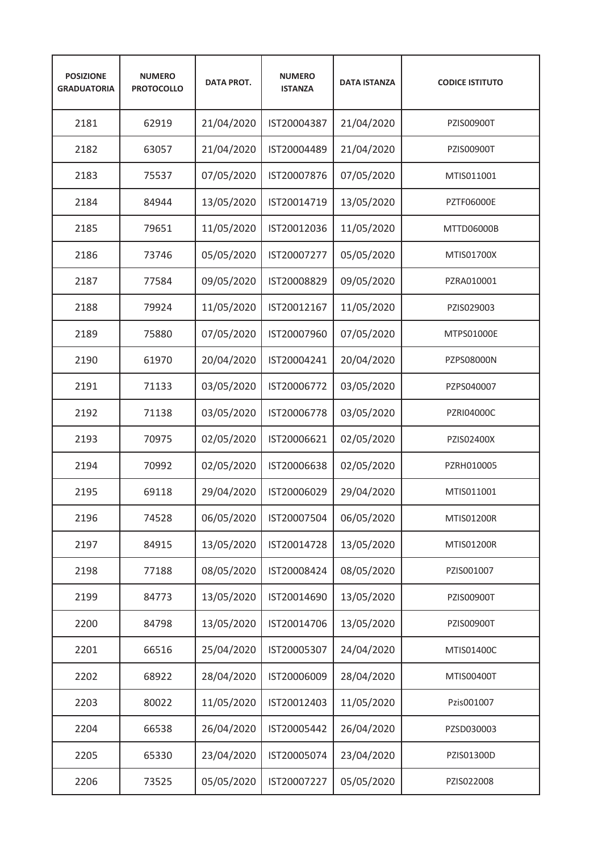| <b>POSIZIONE</b><br><b>GRADUATORIA</b> | <b>NUMERO</b><br><b>PROTOCOLLO</b> | <b>DATA PROT.</b> | <b>NUMERO</b><br><b>ISTANZA</b> | <b>DATA ISTANZA</b> | <b>CODICE ISTITUTO</b> |
|----------------------------------------|------------------------------------|-------------------|---------------------------------|---------------------|------------------------|
| 2181                                   | 62919                              | 21/04/2020        | IST20004387                     | 21/04/2020          | PZIS00900T             |
| 2182                                   | 63057                              | 21/04/2020        | IST20004489                     | 21/04/2020          | PZIS00900T             |
| 2183                                   | 75537                              | 07/05/2020        | IST20007876                     | 07/05/2020          | MTIS011001             |
| 2184                                   | 84944                              | 13/05/2020        | IST20014719                     | 13/05/2020          | <b>PZTF06000E</b>      |
| 2185                                   | 79651                              | 11/05/2020        | IST20012036                     | 11/05/2020          | MTTD06000B             |
| 2186                                   | 73746                              | 05/05/2020        | IST20007277                     | 05/05/2020          | MTIS01700X             |
| 2187                                   | 77584                              | 09/05/2020        | IST20008829                     | 09/05/2020          | PZRA010001             |
| 2188                                   | 79924                              | 11/05/2020        | IST20012167                     | 11/05/2020          | PZIS029003             |
| 2189                                   | 75880                              | 07/05/2020        | IST20007960                     | 07/05/2020          | MTPS01000E             |
| 2190                                   | 61970                              | 20/04/2020        | IST20004241                     | 20/04/2020          | <b>PZPS08000N</b>      |
| 2191                                   | 71133                              | 03/05/2020        | IST20006772                     | 03/05/2020          | PZPS040007             |
| 2192                                   | 71138                              | 03/05/2020        | IST20006778                     | 03/05/2020          | <b>PZRI04000C</b>      |
| 2193                                   | 70975                              | 02/05/2020        | IST20006621                     | 02/05/2020          | PZIS02400X             |
| 2194                                   | 70992                              | 02/05/2020        | IST20006638                     | 02/05/2020          | PZRH010005             |
| 2195                                   | 69118                              | 29/04/2020        | IST20006029                     | 29/04/2020          | MTIS011001             |
| 2196                                   | 74528                              | 06/05/2020        | IST20007504                     | 06/05/2020          | MTIS01200R             |
| 2197                                   | 84915                              | 13/05/2020        | IST20014728                     | 13/05/2020          | MTIS01200R             |
| 2198                                   | 77188                              | 08/05/2020        | IST20008424                     | 08/05/2020          | PZIS001007             |
| 2199                                   | 84773                              | 13/05/2020        | IST20014690                     | 13/05/2020          | PZIS00900T             |
| 2200                                   | 84798                              | 13/05/2020        | IST20014706                     | 13/05/2020          | PZIS00900T             |
| 2201                                   | 66516                              | 25/04/2020        | IST20005307                     | 24/04/2020          | MTIS01400C             |
| 2202                                   | 68922                              | 28/04/2020        | IST20006009                     | 28/04/2020          | MTIS00400T             |
| 2203                                   | 80022                              | 11/05/2020        | IST20012403                     | 11/05/2020          | Pzis001007             |
| 2204                                   | 66538                              | 26/04/2020        | IST20005442                     | 26/04/2020          | PZSD030003             |
| 2205                                   | 65330                              | 23/04/2020        | IST20005074                     | 23/04/2020          | PZIS01300D             |
| 2206                                   | 73525                              | 05/05/2020        | IST20007227                     | 05/05/2020          | PZIS022008             |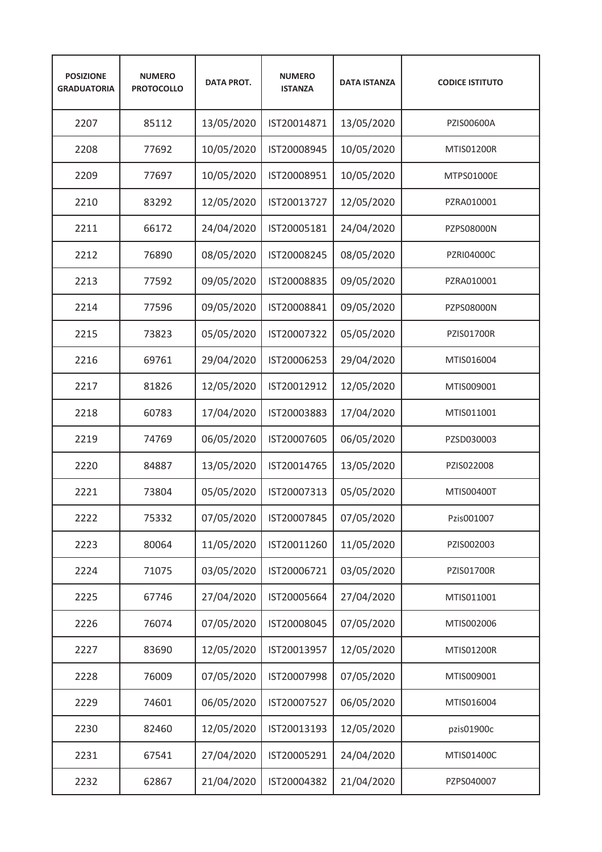| <b>POSIZIONE</b><br><b>GRADUATORIA</b> | <b>NUMERO</b><br><b>PROTOCOLLO</b> | <b>DATA PROT.</b> | <b>NUMERO</b><br><b>ISTANZA</b> | <b>DATA ISTANZA</b> | <b>CODICE ISTITUTO</b> |
|----------------------------------------|------------------------------------|-------------------|---------------------------------|---------------------|------------------------|
| 2207                                   | 85112                              | 13/05/2020        | IST20014871                     | 13/05/2020          | PZIS00600A             |
| 2208                                   | 77692                              | 10/05/2020        | IST20008945                     | 10/05/2020          | <b>MTIS01200R</b>      |
| 2209                                   | 77697                              | 10/05/2020        | IST20008951                     | 10/05/2020          | MTPS01000E             |
| 2210                                   | 83292                              | 12/05/2020        | IST20013727                     | 12/05/2020          | PZRA010001             |
| 2211                                   | 66172                              | 24/04/2020        | IST20005181                     | 24/04/2020          | PZPS08000N             |
| 2212                                   | 76890                              | 08/05/2020        | IST20008245                     | 08/05/2020          | <b>PZRI04000C</b>      |
| 2213                                   | 77592                              | 09/05/2020        | IST20008835                     | 09/05/2020          | PZRA010001             |
| 2214                                   | 77596                              | 09/05/2020        | IST20008841                     | 09/05/2020          | <b>PZPS08000N</b>      |
| 2215                                   | 73823                              | 05/05/2020        | IST20007322                     | 05/05/2020          | <b>PZIS01700R</b>      |
| 2216                                   | 69761                              | 29/04/2020        | IST20006253                     | 29/04/2020          | MTIS016004             |
| 2217                                   | 81826                              | 12/05/2020        | IST20012912                     | 12/05/2020          | MTIS009001             |
| 2218                                   | 60783                              | 17/04/2020        | IST20003883                     | 17/04/2020          | MTIS011001             |
| 2219                                   | 74769                              | 06/05/2020        | IST20007605                     | 06/05/2020          | PZSD030003             |
| 2220                                   | 84887                              | 13/05/2020        | IST20014765                     | 13/05/2020          | PZIS022008             |
| 2221                                   | 73804                              | 05/05/2020        | IST20007313                     | 05/05/2020          | MTIS00400T             |
| 2222                                   | 75332                              | 07/05/2020        | IST20007845                     | 07/05/2020          | Pzis001007             |
| 2223                                   | 80064                              | 11/05/2020        | IST20011260                     | 11/05/2020          | PZIS002003             |
| 2224                                   | 71075                              | 03/05/2020        | IST20006721                     | 03/05/2020          | PZIS01700R             |
| 2225                                   | 67746                              | 27/04/2020        | IST20005664                     | 27/04/2020          | MTIS011001             |
| 2226                                   | 76074                              | 07/05/2020        | IST20008045                     | 07/05/2020          | MTIS002006             |
| 2227                                   | 83690                              | 12/05/2020        | IST20013957                     | 12/05/2020          | MTIS01200R             |
| 2228                                   | 76009                              | 07/05/2020        | IST20007998                     | 07/05/2020          | MTIS009001             |
| 2229                                   | 74601                              | 06/05/2020        | IST20007527                     | 06/05/2020          | MTIS016004             |
| 2230                                   | 82460                              | 12/05/2020        | IST20013193                     | 12/05/2020          | pzis01900c             |
| 2231                                   | 67541                              | 27/04/2020        | IST20005291                     | 24/04/2020          | MTIS01400C             |
| 2232                                   | 62867                              | 21/04/2020        | IST20004382                     | 21/04/2020          | PZPS040007             |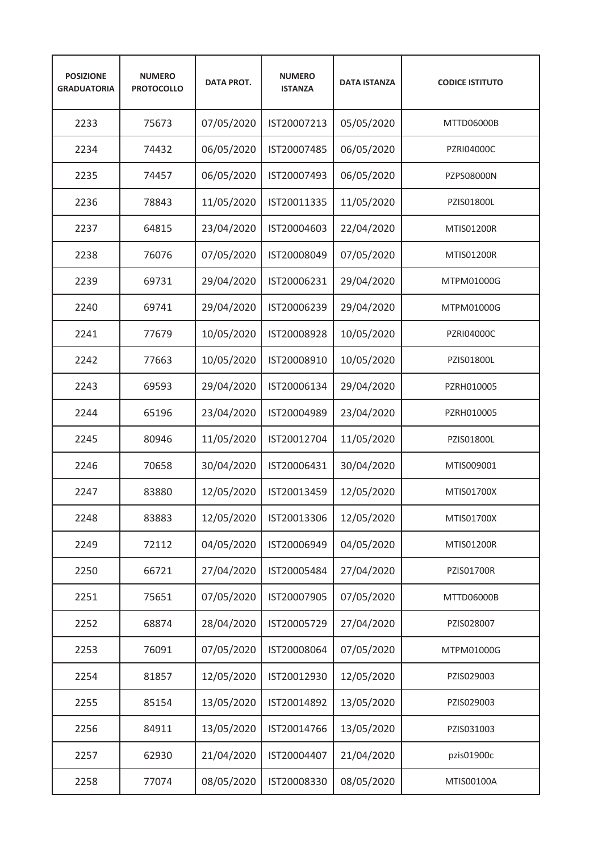| <b>POSIZIONE</b><br><b>GRADUATORIA</b> | <b>NUMERO</b><br><b>PROTOCOLLO</b> | <b>DATA PROT.</b> | <b>NUMERO</b><br><b>ISTANZA</b> | <b>DATA ISTANZA</b> | <b>CODICE ISTITUTO</b> |
|----------------------------------------|------------------------------------|-------------------|---------------------------------|---------------------|------------------------|
| 2233                                   | 75673                              | 07/05/2020        | IST20007213                     | 05/05/2020          | MTTD06000B             |
| 2234                                   | 74432                              | 06/05/2020        | IST20007485                     | 06/05/2020          | <b>PZRI04000C</b>      |
| 2235                                   | 74457                              | 06/05/2020        | IST20007493                     | 06/05/2020          | PZPS08000N             |
| 2236                                   | 78843                              | 11/05/2020        | IST20011335                     | 11/05/2020          | PZIS01800L             |
| 2237                                   | 64815                              | 23/04/2020        | IST20004603                     | 22/04/2020          | <b>MTIS01200R</b>      |
| 2238                                   | 76076                              | 07/05/2020        | IST20008049                     | 07/05/2020          | <b>MTIS01200R</b>      |
| 2239                                   | 69731                              | 29/04/2020        | IST20006231                     | 29/04/2020          | MTPM01000G             |
| 2240                                   | 69741                              | 29/04/2020        | IST20006239                     | 29/04/2020          | MTPM01000G             |
| 2241                                   | 77679                              | 10/05/2020        | IST20008928                     | 10/05/2020          | PZRI04000C             |
| 2242                                   | 77663                              | 10/05/2020        | IST20008910                     | 10/05/2020          | PZIS01800L             |
| 2243                                   | 69593                              | 29/04/2020        | IST20006134                     | 29/04/2020          | PZRH010005             |
| 2244                                   | 65196                              | 23/04/2020        | IST20004989                     | 23/04/2020          | PZRH010005             |
| 2245                                   | 80946                              | 11/05/2020        | IST20012704                     | 11/05/2020          | PZIS01800L             |
| 2246                                   | 70658                              | 30/04/2020        | IST20006431                     | 30/04/2020          | MTIS009001             |
| 2247                                   | 83880                              | 12/05/2020        | IST20013459                     | 12/05/2020          | MTIS01700X             |
| 2248                                   | 83883                              | 12/05/2020        | IST20013306                     | 12/05/2020          | MTIS01700X             |
| 2249                                   | 72112                              | 04/05/2020        | IST20006949                     | 04/05/2020          | <b>MTIS01200R</b>      |
| 2250                                   | 66721                              | 27/04/2020        | IST20005484                     | 27/04/2020          | PZIS01700R             |
| 2251                                   | 75651                              | 07/05/2020        | IST20007905                     | 07/05/2020          | MTTD06000B             |
| 2252                                   | 68874                              | 28/04/2020        | IST20005729                     | 27/04/2020          | PZIS028007             |
| 2253                                   | 76091                              | 07/05/2020        | IST20008064                     | 07/05/2020          | MTPM01000G             |
| 2254                                   | 81857                              | 12/05/2020        | IST20012930                     | 12/05/2020          | PZIS029003             |
| 2255                                   | 85154                              | 13/05/2020        | IST20014892                     | 13/05/2020          | PZIS029003             |
| 2256                                   | 84911                              | 13/05/2020        | IST20014766                     | 13/05/2020          | PZIS031003             |
| 2257                                   | 62930                              | 21/04/2020        | IST20004407                     | 21/04/2020          | pzis01900c             |
| 2258                                   | 77074                              | 08/05/2020        | IST20008330                     | 08/05/2020          | MTIS00100A             |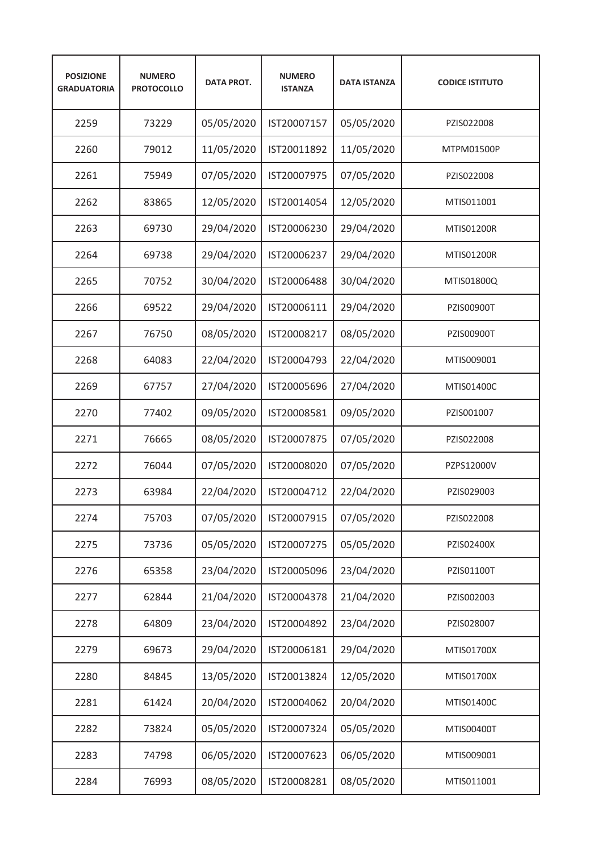| <b>POSIZIONE</b><br><b>GRADUATORIA</b> | <b>NUMERO</b><br><b>PROTOCOLLO</b> | <b>DATA PROT.</b> | <b>NUMERO</b><br><b>ISTANZA</b> | <b>DATA ISTANZA</b> | <b>CODICE ISTITUTO</b> |
|----------------------------------------|------------------------------------|-------------------|---------------------------------|---------------------|------------------------|
| 2259                                   | 73229                              | 05/05/2020        | IST20007157                     | 05/05/2020          | PZIS022008             |
| 2260                                   | 79012                              | 11/05/2020        | IST20011892                     | 11/05/2020          | MTPM01500P             |
| 2261                                   | 75949                              | 07/05/2020        | IST20007975                     | 07/05/2020          | PZIS022008             |
| 2262                                   | 83865                              | 12/05/2020        | IST20014054                     | 12/05/2020          | MTIS011001             |
| 2263                                   | 69730                              | 29/04/2020        | IST20006230                     | 29/04/2020          | <b>MTIS01200R</b>      |
| 2264                                   | 69738                              | 29/04/2020        | IST20006237                     | 29/04/2020          | <b>MTIS01200R</b>      |
| 2265                                   | 70752                              | 30/04/2020        | IST20006488                     | 30/04/2020          | MTIS01800Q             |
| 2266                                   | 69522                              | 29/04/2020        | IST20006111                     | 29/04/2020          | <b>PZIS00900T</b>      |
| 2267                                   | 76750                              | 08/05/2020        | IST20008217                     | 08/05/2020          | PZIS00900T             |
| 2268                                   | 64083                              | 22/04/2020        | IST20004793                     | 22/04/2020          | MTIS009001             |
| 2269                                   | 67757                              | 27/04/2020        | IST20005696                     | 27/04/2020          | MTIS01400C             |
| 2270                                   | 77402                              | 09/05/2020        | IST20008581                     | 09/05/2020          | PZIS001007             |
| 2271                                   | 76665                              | 08/05/2020        | IST20007875                     | 07/05/2020          | PZIS022008             |
| 2272                                   | 76044                              | 07/05/2020        | IST20008020                     | 07/05/2020          | PZPS12000V             |
| 2273                                   | 63984                              | 22/04/2020        | IST20004712                     | 22/04/2020          | PZIS029003             |
| 2274                                   | 75703                              | 07/05/2020        | IST20007915                     | 07/05/2020          | PZIS022008             |
| 2275                                   | 73736                              | 05/05/2020        | IST20007275                     | 05/05/2020          | PZIS02400X             |
| 2276                                   | 65358                              | 23/04/2020        | IST20005096                     | 23/04/2020          | PZIS01100T             |
| 2277                                   | 62844                              | 21/04/2020        | IST20004378                     | 21/04/2020          | PZIS002003             |
| 2278                                   | 64809                              | 23/04/2020        | IST20004892                     | 23/04/2020          | PZIS028007             |
| 2279                                   | 69673                              | 29/04/2020        | IST20006181                     | 29/04/2020          | MTIS01700X             |
| 2280                                   | 84845                              | 13/05/2020        | IST20013824                     | 12/05/2020          | MTIS01700X             |
| 2281                                   | 61424                              | 20/04/2020        | IST20004062                     | 20/04/2020          | MTIS01400C             |
| 2282                                   | 73824                              | 05/05/2020        | IST20007324                     | 05/05/2020          | MTIS00400T             |
| 2283                                   | 74798                              | 06/05/2020        | IST20007623                     | 06/05/2020          | MTIS009001             |
| 2284                                   | 76993                              | 08/05/2020        | IST20008281                     | 08/05/2020          | MTIS011001             |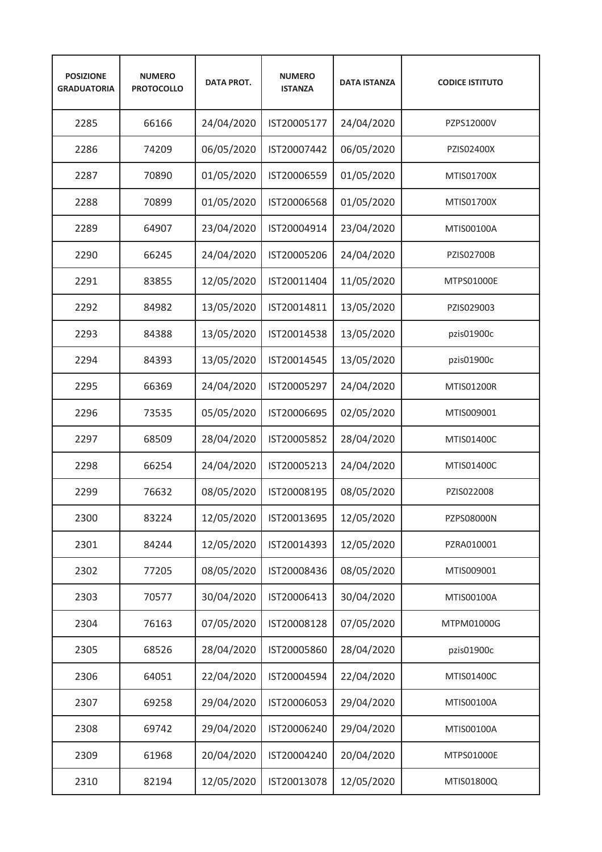| <b>POSIZIONE</b><br><b>GRADUATORIA</b> | <b>NUMERO</b><br><b>PROTOCOLLO</b> | <b>DATA PROT.</b> | <b>NUMERO</b><br><b>ISTANZA</b> | <b>DATA ISTANZA</b> | <b>CODICE ISTITUTO</b> |
|----------------------------------------|------------------------------------|-------------------|---------------------------------|---------------------|------------------------|
| 2285                                   | 66166                              | 24/04/2020        | IST20005177                     | 24/04/2020          | PZPS12000V             |
| 2286                                   | 74209                              | 06/05/2020        | IST20007442                     | 06/05/2020          | PZIS02400X             |
| 2287                                   | 70890                              | 01/05/2020        | IST20006559                     | 01/05/2020          | MTIS01700X             |
| 2288                                   | 70899                              | 01/05/2020        | IST20006568                     | 01/05/2020          | MTIS01700X             |
| 2289                                   | 64907                              | 23/04/2020        | IST20004914                     | 23/04/2020          | MTIS00100A             |
| 2290                                   | 66245                              | 24/04/2020        | IST20005206                     | 24/04/2020          | <b>PZIS02700B</b>      |
| 2291                                   | 83855                              | 12/05/2020        | IST20011404                     | 11/05/2020          | MTPS01000E             |
| 2292                                   | 84982                              | 13/05/2020        | IST20014811                     | 13/05/2020          | PZIS029003             |
| 2293                                   | 84388                              | 13/05/2020        | IST20014538                     | 13/05/2020          | pzis01900c             |
| 2294                                   | 84393                              | 13/05/2020        | IST20014545                     | 13/05/2020          | pzis01900c             |
| 2295                                   | 66369                              | 24/04/2020        | IST20005297                     | 24/04/2020          | <b>MTIS01200R</b>      |
| 2296                                   | 73535                              | 05/05/2020        | IST20006695                     | 02/05/2020          | MTIS009001             |
| 2297                                   | 68509                              | 28/04/2020        | IST20005852                     | 28/04/2020          | MTIS01400C             |
| 2298                                   | 66254                              | 24/04/2020        | IST20005213                     | 24/04/2020          | MTIS01400C             |
| 2299                                   | 76632                              | 08/05/2020        | IST20008195                     | 08/05/2020          | PZIS022008             |
| 2300                                   | 83224                              | 12/05/2020        | IST20013695                     | 12/05/2020          | PZPS08000N             |
| 2301                                   | 84244                              | 12/05/2020        | IST20014393                     | 12/05/2020          | PZRA010001             |
| 2302                                   | 77205                              | 08/05/2020        | IST20008436                     | 08/05/2020          | MTIS009001             |
| 2303                                   | 70577                              | 30/04/2020        | IST20006413                     | 30/04/2020          | MTIS00100A             |
| 2304                                   | 76163                              | 07/05/2020        | IST20008128                     | 07/05/2020          | MTPM01000G             |
| 2305                                   | 68526                              | 28/04/2020        | IST20005860                     | 28/04/2020          | pzis01900c             |
| 2306                                   | 64051                              | 22/04/2020        | IST20004594                     | 22/04/2020          | MTIS01400C             |
| 2307                                   | 69258                              | 29/04/2020        | IST20006053                     | 29/04/2020          | MTIS00100A             |
| 2308                                   | 69742                              | 29/04/2020        | IST20006240                     | 29/04/2020          | MTIS00100A             |
| 2309                                   | 61968                              | 20/04/2020        | IST20004240                     | 20/04/2020          | MTPS01000E             |
| 2310                                   | 82194                              | 12/05/2020        | IST20013078                     | 12/05/2020          | MTIS01800Q             |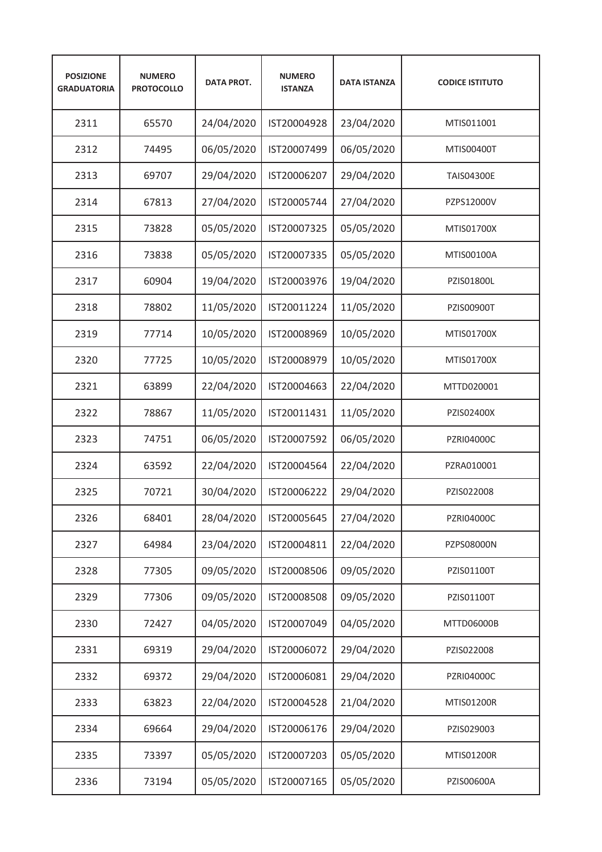| <b>POSIZIONE</b><br><b>GRADUATORIA</b> | <b>NUMERO</b><br><b>PROTOCOLLO</b> | <b>DATA PROT.</b> | <b>NUMERO</b><br><b>ISTANZA</b> | <b>DATA ISTANZA</b> | <b>CODICE ISTITUTO</b> |
|----------------------------------------|------------------------------------|-------------------|---------------------------------|---------------------|------------------------|
| 2311                                   | 65570                              | 24/04/2020        | IST20004928                     | 23/04/2020          | MTIS011001             |
| 2312                                   | 74495                              | 06/05/2020        | IST20007499                     | 06/05/2020          | MTIS00400T             |
| 2313                                   | 69707                              | 29/04/2020        | IST20006207                     | 29/04/2020          | <b>TAIS04300E</b>      |
| 2314                                   | 67813                              | 27/04/2020        | IST20005744                     | 27/04/2020          | PZPS12000V             |
| 2315                                   | 73828                              | 05/05/2020        | IST20007325                     | 05/05/2020          | MTIS01700X             |
| 2316                                   | 73838                              | 05/05/2020        | IST20007335                     | 05/05/2020          | MTIS00100A             |
| 2317                                   | 60904                              | 19/04/2020        | IST20003976                     | 19/04/2020          | PZIS01800L             |
| 2318                                   | 78802                              | 11/05/2020        | IST20011224                     | 11/05/2020          | <b>PZIS00900T</b>      |
| 2319                                   | 77714                              | 10/05/2020        | IST20008969                     | 10/05/2020          | <b>MTIS01700X</b>      |
| 2320                                   | 77725                              | 10/05/2020        | IST20008979                     | 10/05/2020          | MTIS01700X             |
| 2321                                   | 63899                              | 22/04/2020        | IST20004663                     | 22/04/2020          | MTTD020001             |
| 2322                                   | 78867                              | 11/05/2020        | IST20011431                     | 11/05/2020          | PZIS02400X             |
| 2323                                   | 74751                              | 06/05/2020        | IST20007592                     | 06/05/2020          | PZRI04000C             |
| 2324                                   | 63592                              | 22/04/2020        | IST20004564                     | 22/04/2020          | PZRA010001             |
| 2325                                   | 70721                              | 30/04/2020        | IST20006222                     | 29/04/2020          | PZIS022008             |
| 2326                                   | 68401                              | 28/04/2020        | IST20005645                     | 27/04/2020          | PZRI04000C             |
| 2327                                   | 64984                              | 23/04/2020        | IST20004811                     | 22/04/2020          | PZPS08000N             |
| 2328                                   | 77305                              | 09/05/2020        | IST20008506                     | 09/05/2020          | PZIS01100T             |
| 2329                                   | 77306                              | 09/05/2020        | IST20008508                     | 09/05/2020          | PZIS01100T             |
| 2330                                   | 72427                              | 04/05/2020        | IST20007049                     | 04/05/2020          | MTTD06000B             |
| 2331                                   | 69319                              | 29/04/2020        | IST20006072                     | 29/04/2020          | PZIS022008             |
| 2332                                   | 69372                              | 29/04/2020        | IST20006081                     | 29/04/2020          | PZRI04000C             |
| 2333                                   | 63823                              | 22/04/2020        | IST20004528                     | 21/04/2020          | MTIS01200R             |
| 2334                                   | 69664                              | 29/04/2020        | IST20006176                     | 29/04/2020          | PZIS029003             |
| 2335                                   | 73397                              | 05/05/2020        | IST20007203                     | 05/05/2020          | MTIS01200R             |
| 2336                                   | 73194                              | 05/05/2020        | IST20007165                     | 05/05/2020          | PZIS00600A             |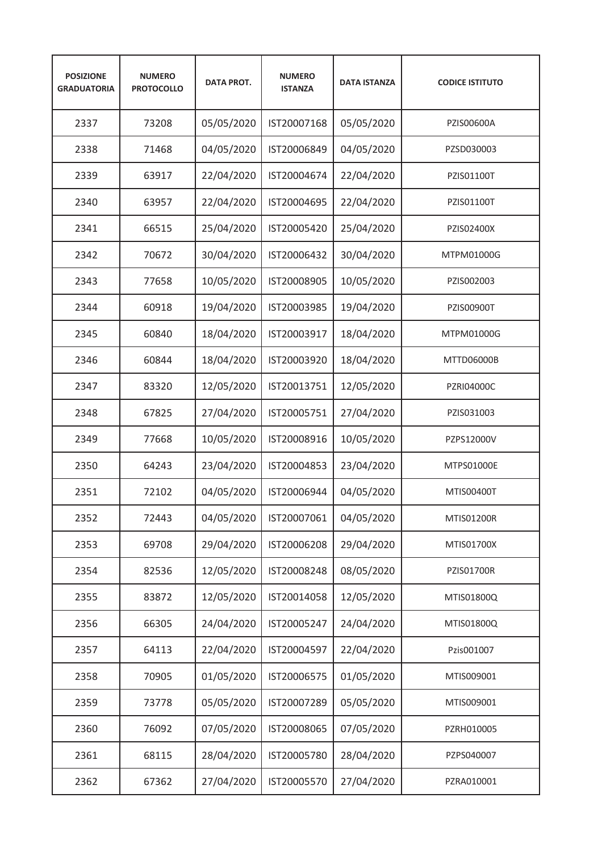| <b>POSIZIONE</b><br><b>GRADUATORIA</b> | <b>NUMERO</b><br><b>PROTOCOLLO</b> | <b>DATA PROT.</b> | <b>NUMERO</b><br><b>ISTANZA</b> | <b>DATA ISTANZA</b> | <b>CODICE ISTITUTO</b> |
|----------------------------------------|------------------------------------|-------------------|---------------------------------|---------------------|------------------------|
| 2337                                   | 73208                              | 05/05/2020        | IST20007168                     | 05/05/2020          | PZIS00600A             |
| 2338                                   | 71468                              | 04/05/2020        | IST20006849                     | 04/05/2020          | PZSD030003             |
| 2339                                   | 63917                              | 22/04/2020        | IST20004674                     | 22/04/2020          | PZIS01100T             |
| 2340                                   | 63957                              | 22/04/2020        | IST20004695                     | 22/04/2020          | PZIS01100T             |
| 2341                                   | 66515                              | 25/04/2020        | IST20005420                     | 25/04/2020          | PZIS02400X             |
| 2342                                   | 70672                              | 30/04/2020        | IST20006432                     | 30/04/2020          | MTPM01000G             |
| 2343                                   | 77658                              | 10/05/2020        | IST20008905                     | 10/05/2020          | PZIS002003             |
| 2344                                   | 60918                              | 19/04/2020        | IST20003985                     | 19/04/2020          | PZIS00900T             |
| 2345                                   | 60840                              | 18/04/2020        | IST20003917                     | 18/04/2020          | MTPM01000G             |
| 2346                                   | 60844                              | 18/04/2020        | IST20003920                     | 18/04/2020          | <b>MTTD06000B</b>      |
| 2347                                   | 83320                              | 12/05/2020        | IST20013751                     | 12/05/2020          | <b>PZRI04000C</b>      |
| 2348                                   | 67825                              | 27/04/2020        | IST20005751                     | 27/04/2020          | PZIS031003             |
| 2349                                   | 77668                              | 10/05/2020        | IST20008916                     | 10/05/2020          | PZPS12000V             |
| 2350                                   | 64243                              | 23/04/2020        | IST20004853                     | 23/04/2020          | MTPS01000E             |
| 2351                                   | 72102                              | 04/05/2020        | IST20006944                     | 04/05/2020          | MTIS00400T             |
| 2352                                   | 72443                              | 04/05/2020        | IST20007061                     | 04/05/2020          | MTIS01200R             |
| 2353                                   | 69708                              | 29/04/2020        | IST20006208                     | 29/04/2020          | MTIS01700X             |
| 2354                                   | 82536                              | 12/05/2020        | IST20008248                     | 08/05/2020          | PZIS01700R             |
| 2355                                   | 83872                              | 12/05/2020        | IST20014058                     | 12/05/2020          | MTIS01800Q             |
| 2356                                   | 66305                              | 24/04/2020        | IST20005247                     | 24/04/2020          | MTIS01800Q             |
| 2357                                   | 64113                              | 22/04/2020        | IST20004597                     | 22/04/2020          | Pzis001007             |
| 2358                                   | 70905                              | 01/05/2020        | IST20006575                     | 01/05/2020          | MTIS009001             |
| 2359                                   | 73778                              | 05/05/2020        | IST20007289                     | 05/05/2020          | MTIS009001             |
| 2360                                   | 76092                              | 07/05/2020        | IST20008065                     | 07/05/2020          | PZRH010005             |
| 2361                                   | 68115                              | 28/04/2020        | IST20005780                     | 28/04/2020          | PZPS040007             |
| 2362                                   | 67362                              | 27/04/2020        | IST20005570                     | 27/04/2020          | PZRA010001             |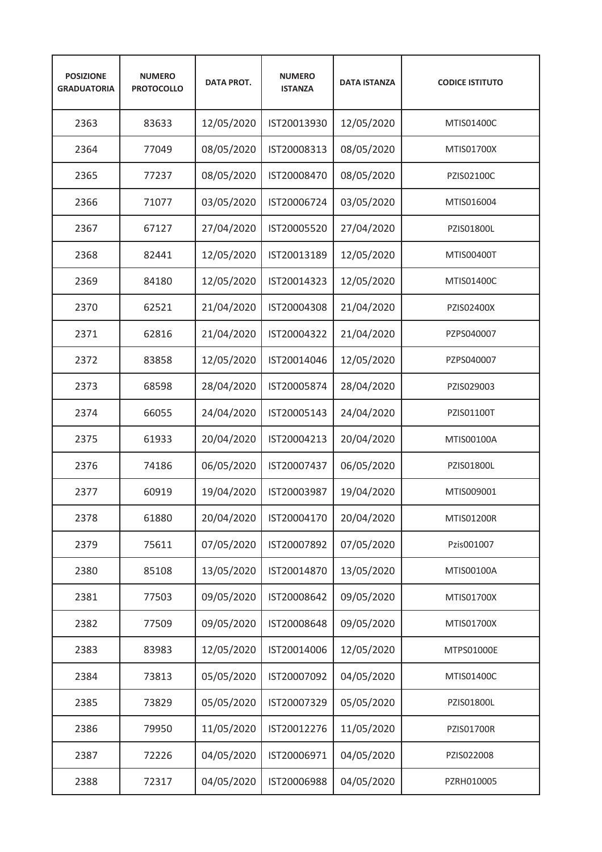| <b>POSIZIONE</b><br><b>GRADUATORIA</b> | <b>NUMERO</b><br><b>PROTOCOLLO</b> | <b>DATA PROT.</b> | <b>NUMERO</b><br><b>ISTANZA</b> | <b>DATA ISTANZA</b> | <b>CODICE ISTITUTO</b> |
|----------------------------------------|------------------------------------|-------------------|---------------------------------|---------------------|------------------------|
| 2363                                   | 83633                              | 12/05/2020        | IST20013930                     | 12/05/2020          | MTIS01400C             |
| 2364                                   | 77049                              | 08/05/2020        | IST20008313                     | 08/05/2020          | MTIS01700X             |
| 2365                                   | 77237                              | 08/05/2020        | IST20008470                     | 08/05/2020          | PZIS02100C             |
| 2366                                   | 71077                              | 03/05/2020        | IST20006724                     | 03/05/2020          | MTIS016004             |
| 2367                                   | 67127                              | 27/04/2020        | IST20005520                     | 27/04/2020          | PZIS01800L             |
| 2368                                   | 82441                              | 12/05/2020        | IST20013189                     | 12/05/2020          | MTIS00400T             |
| 2369                                   | 84180                              | 12/05/2020        | IST20014323                     | 12/05/2020          | MTIS01400C             |
| 2370                                   | 62521                              | 21/04/2020        | IST20004308                     | 21/04/2020          | PZIS02400X             |
| 2371                                   | 62816                              | 21/04/2020        | IST20004322                     | 21/04/2020          | PZPS040007             |
| 2372                                   | 83858                              | 12/05/2020        | IST20014046                     | 12/05/2020          | PZPS040007             |
| 2373                                   | 68598                              | 28/04/2020        | IST20005874                     | 28/04/2020          | PZIS029003             |
| 2374                                   | 66055                              | 24/04/2020        | IST20005143                     | 24/04/2020          | PZIS01100T             |
| 2375                                   | 61933                              | 20/04/2020        | IST20004213                     | 20/04/2020          | MTIS00100A             |
| 2376                                   | 74186                              | 06/05/2020        | IST20007437                     | 06/05/2020          | PZIS01800L             |
| 2377                                   | 60919                              | 19/04/2020        | IST20003987                     | 19/04/2020          | MTIS009001             |
| 2378                                   | 61880                              | 20/04/2020        | IST20004170                     | 20/04/2020          | MTIS01200R             |
| 2379                                   | 75611                              | 07/05/2020        | IST20007892                     | 07/05/2020          | Pzis001007             |
| 2380                                   | 85108                              | 13/05/2020        | IST20014870                     | 13/05/2020          | MTIS00100A             |
| 2381                                   | 77503                              | 09/05/2020        | IST20008642                     | 09/05/2020          | MTIS01700X             |
| 2382                                   | 77509                              | 09/05/2020        | IST20008648                     | 09/05/2020          | MTIS01700X             |
| 2383                                   | 83983                              | 12/05/2020        | IST20014006                     | 12/05/2020          | MTPS01000E             |
| 2384                                   | 73813                              | 05/05/2020        | IST20007092                     | 04/05/2020          | MTIS01400C             |
| 2385                                   | 73829                              | 05/05/2020        | IST20007329                     | 05/05/2020          | PZIS01800L             |
| 2386                                   | 79950                              | 11/05/2020        | IST20012276                     | 11/05/2020          | PZIS01700R             |
| 2387                                   | 72226                              | 04/05/2020        | IST20006971                     | 04/05/2020          | PZIS022008             |
| 2388                                   | 72317                              | 04/05/2020        | IST20006988                     | 04/05/2020          | PZRH010005             |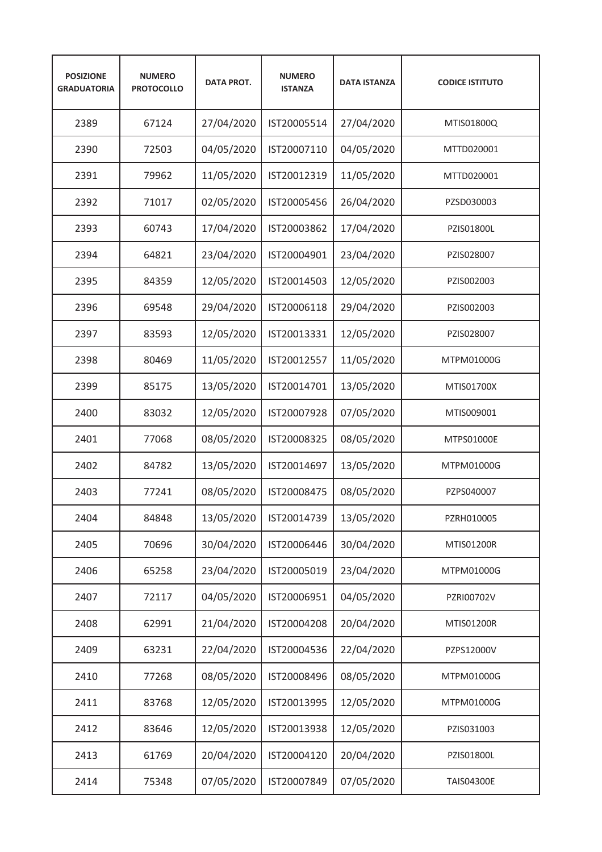| <b>POSIZIONE</b><br><b>GRADUATORIA</b> | <b>NUMERO</b><br><b>PROTOCOLLO</b> | <b>DATA PROT.</b> | <b>NUMERO</b><br><b>ISTANZA</b> | <b>DATA ISTANZA</b> | <b>CODICE ISTITUTO</b> |
|----------------------------------------|------------------------------------|-------------------|---------------------------------|---------------------|------------------------|
| 2389                                   | 67124                              | 27/04/2020        | IST20005514                     | 27/04/2020          | MTIS01800Q             |
| 2390                                   | 72503                              | 04/05/2020        | IST20007110                     | 04/05/2020          | MTTD020001             |
| 2391                                   | 79962                              | 11/05/2020        | IST20012319                     | 11/05/2020          | MTTD020001             |
| 2392                                   | 71017                              | 02/05/2020        | IST20005456                     | 26/04/2020          | PZSD030003             |
| 2393                                   | 60743                              | 17/04/2020        | IST20003862                     | 17/04/2020          | PZIS01800L             |
| 2394                                   | 64821                              | 23/04/2020        | IST20004901                     | 23/04/2020          | PZIS028007             |
| 2395                                   | 84359                              | 12/05/2020        | IST20014503                     | 12/05/2020          | PZIS002003             |
| 2396                                   | 69548                              | 29/04/2020        | IST20006118                     | 29/04/2020          | PZIS002003             |
| 2397                                   | 83593                              | 12/05/2020        | IST20013331                     | 12/05/2020          | PZIS028007             |
| 2398                                   | 80469                              | 11/05/2020        | IST20012557                     | 11/05/2020          | MTPM01000G             |
| 2399                                   | 85175                              | 13/05/2020        | IST20014701                     | 13/05/2020          | MTIS01700X             |
| 2400                                   | 83032                              | 12/05/2020        | IST20007928                     | 07/05/2020          | MTIS009001             |
| 2401                                   | 77068                              | 08/05/2020        | IST20008325                     | 08/05/2020          | MTPS01000E             |
| 2402                                   | 84782                              | 13/05/2020        | IST20014697                     | 13/05/2020          | MTPM01000G             |
| 2403                                   | 77241                              | 08/05/2020        | IST20008475                     | 08/05/2020          | PZPS040007             |
| 2404                                   | 84848                              | 13/05/2020        | IST20014739                     | 13/05/2020          | PZRH010005             |
| 2405                                   | 70696                              | 30/04/2020        | IST20006446                     | 30/04/2020          | MTIS01200R             |
| 2406                                   | 65258                              | 23/04/2020        | IST20005019                     | 23/04/2020          | MTPM01000G             |
| 2407                                   | 72117                              | 04/05/2020        | IST20006951                     | 04/05/2020          | PZRI00702V             |
| 2408                                   | 62991                              | 21/04/2020        | IST20004208                     | 20/04/2020          | MTIS01200R             |
| 2409                                   | 63231                              | 22/04/2020        | IST20004536                     | 22/04/2020          | PZPS12000V             |
| 2410                                   | 77268                              | 08/05/2020        | IST20008496                     | 08/05/2020          | MTPM01000G             |
| 2411                                   | 83768                              | 12/05/2020        | IST20013995                     | 12/05/2020          | MTPM01000G             |
| 2412                                   | 83646                              | 12/05/2020        | IST20013938                     | 12/05/2020          | PZIS031003             |
| 2413                                   | 61769                              | 20/04/2020        | IST20004120                     | 20/04/2020          | PZIS01800L             |
| 2414                                   | 75348                              | 07/05/2020        | IST20007849                     | 07/05/2020          | <b>TAIS04300E</b>      |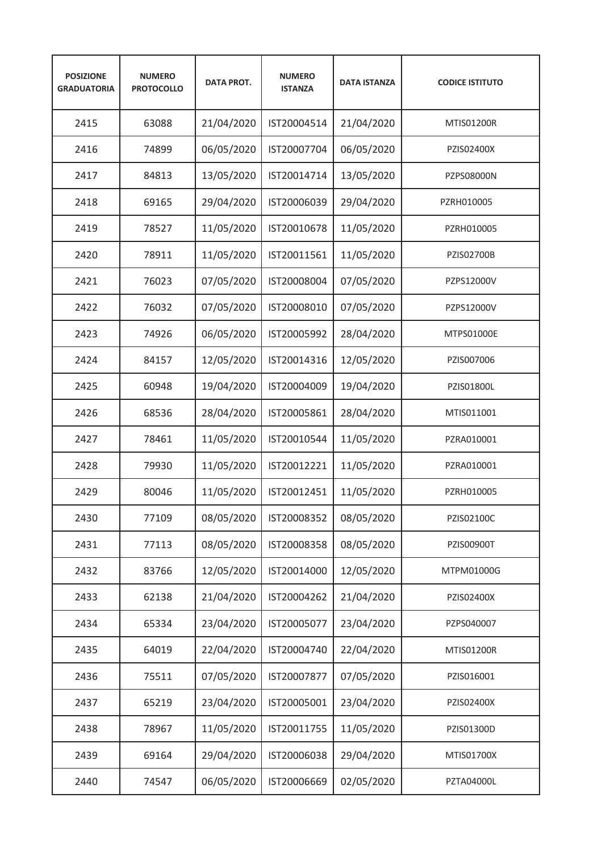| <b>POSIZIONE</b><br><b>GRADUATORIA</b> | <b>NUMERO</b><br><b>PROTOCOLLO</b> | <b>DATA PROT.</b> | <b>NUMERO</b><br><b>ISTANZA</b> | <b>DATA ISTANZA</b> | <b>CODICE ISTITUTO</b> |
|----------------------------------------|------------------------------------|-------------------|---------------------------------|---------------------|------------------------|
| 2415                                   | 63088                              | 21/04/2020        | IST20004514                     | 21/04/2020          | <b>MTIS01200R</b>      |
| 2416                                   | 74899                              | 06/05/2020        | IST20007704                     | 06/05/2020          | PZIS02400X             |
| 2417                                   | 84813                              | 13/05/2020        | IST20014714                     | 13/05/2020          | PZPS08000N             |
| 2418                                   | 69165                              | 29/04/2020        | IST20006039                     | 29/04/2020          | PZRH010005             |
| 2419                                   | 78527                              | 11/05/2020        | IST20010678                     | 11/05/2020          | PZRH010005             |
| 2420                                   | 78911                              | 11/05/2020        | IST20011561                     | 11/05/2020          | <b>PZIS02700B</b>      |
| 2421                                   | 76023                              | 07/05/2020        | IST20008004                     | 07/05/2020          | PZPS12000V             |
| 2422                                   | 76032                              | 07/05/2020        | IST20008010                     | 07/05/2020          | PZPS12000V             |
| 2423                                   | 74926                              | 06/05/2020        | IST20005992                     | 28/04/2020          | MTPS01000E             |
| 2424                                   | 84157                              | 12/05/2020        | IST20014316                     | 12/05/2020          | PZIS007006             |
| 2425                                   | 60948                              | 19/04/2020        | IST20004009                     | 19/04/2020          | PZIS01800L             |
| 2426                                   | 68536                              | 28/04/2020        | IST20005861                     | 28/04/2020          | MTIS011001             |
| 2427                                   | 78461                              | 11/05/2020        | IST20010544                     | 11/05/2020          | PZRA010001             |
| 2428                                   | 79930                              | 11/05/2020        | IST20012221                     | 11/05/2020          | PZRA010001             |
| 2429                                   | 80046                              | 11/05/2020        | IST20012451                     | 11/05/2020          | PZRH010005             |
| 2430                                   | 77109                              | 08/05/2020        | IST20008352                     | 08/05/2020          | PZIS02100C             |
| 2431                                   | 77113                              | 08/05/2020        | IST20008358                     | 08/05/2020          | PZIS00900T             |
| 2432                                   | 83766                              | 12/05/2020        | IST20014000                     | 12/05/2020          | MTPM01000G             |
| 2433                                   | 62138                              | 21/04/2020        | IST20004262                     | 21/04/2020          | PZIS02400X             |
| 2434                                   | 65334                              | 23/04/2020        | IST20005077                     | 23/04/2020          | PZPS040007             |
| 2435                                   | 64019                              | 22/04/2020        | IST20004740                     | 22/04/2020          | MTIS01200R             |
| 2436                                   | 75511                              | 07/05/2020        | IST20007877                     | 07/05/2020          | PZIS016001             |
| 2437                                   | 65219                              | 23/04/2020        | IST20005001                     | 23/04/2020          | PZIS02400X             |
| 2438                                   | 78967                              | 11/05/2020        | IST20011755                     | 11/05/2020          | PZIS01300D             |
| 2439                                   | 69164                              | 29/04/2020        | IST20006038                     | 29/04/2020          | MTIS01700X             |
| 2440                                   | 74547                              | 06/05/2020        | IST20006669                     | 02/05/2020          | PZTA04000L             |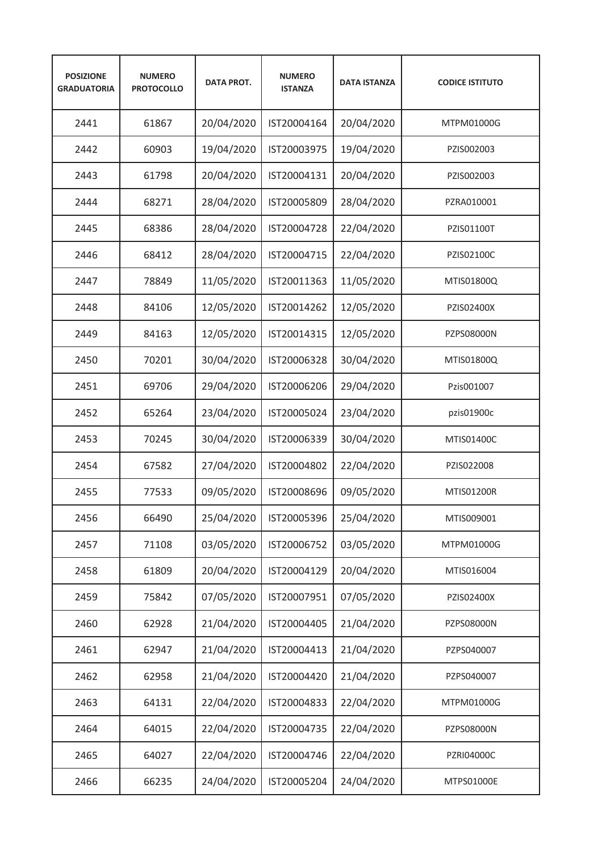| <b>POSIZIONE</b><br><b>GRADUATORIA</b> | <b>NUMERO</b><br><b>PROTOCOLLO</b> | <b>DATA PROT.</b> | <b>NUMERO</b><br><b>ISTANZA</b> | <b>DATA ISTANZA</b> | <b>CODICE ISTITUTO</b> |
|----------------------------------------|------------------------------------|-------------------|---------------------------------|---------------------|------------------------|
| 2441                                   | 61867                              | 20/04/2020        | IST20004164                     | 20/04/2020          | MTPM01000G             |
| 2442                                   | 60903                              | 19/04/2020        | IST20003975                     | 19/04/2020          | PZIS002003             |
| 2443                                   | 61798                              | 20/04/2020        | IST20004131                     | 20/04/2020          | PZIS002003             |
| 2444                                   | 68271                              | 28/04/2020        | IST20005809                     | 28/04/2020          | PZRA010001             |
| 2445                                   | 68386                              | 28/04/2020        | IST20004728                     | 22/04/2020          | PZIS01100T             |
| 2446                                   | 68412                              | 28/04/2020        | IST20004715                     | 22/04/2020          | PZIS02100C             |
| 2447                                   | 78849                              | 11/05/2020        | IST20011363                     | 11/05/2020          | MTIS01800Q             |
| 2448                                   | 84106                              | 12/05/2020        | IST20014262                     | 12/05/2020          | PZIS02400X             |
| 2449                                   | 84163                              | 12/05/2020        | IST20014315                     | 12/05/2020          | PZPS08000N             |
| 2450                                   | 70201                              | 30/04/2020        | IST20006328                     | 30/04/2020          | MTIS01800Q             |
| 2451                                   | 69706                              | 29/04/2020        | IST20006206                     | 29/04/2020          | Pzis001007             |
| 2452                                   | 65264                              | 23/04/2020        | IST20005024                     | 23/04/2020          | pzis01900c             |
| 2453                                   | 70245                              | 30/04/2020        | IST20006339                     | 30/04/2020          | MTIS01400C             |
| 2454                                   | 67582                              | 27/04/2020        | IST20004802                     | 22/04/2020          | PZIS022008             |
| 2455                                   | 77533                              | 09/05/2020        | IST20008696                     | 09/05/2020          | <b>MTIS01200R</b>      |
| 2456                                   | 66490                              | 25/04/2020        | IST20005396                     | 25/04/2020          | MTIS009001             |
| 2457                                   | 71108                              | 03/05/2020        | IST20006752                     | 03/05/2020          | MTPM01000G             |
| 2458                                   | 61809                              | 20/04/2020        | IST20004129                     | 20/04/2020          | MTIS016004             |
| 2459                                   | 75842                              | 07/05/2020        | IST20007951                     | 07/05/2020          | PZIS02400X             |
| 2460                                   | 62928                              | 21/04/2020        | IST20004405                     | 21/04/2020          | PZPS08000N             |
| 2461                                   | 62947                              | 21/04/2020        | IST20004413                     | 21/04/2020          | PZPS040007             |
| 2462                                   | 62958                              | 21/04/2020        | IST20004420                     | 21/04/2020          | PZPS040007             |
| 2463                                   | 64131                              | 22/04/2020        | IST20004833                     | 22/04/2020          | MTPM01000G             |
| 2464                                   | 64015                              | 22/04/2020        | IST20004735                     | 22/04/2020          | PZPS08000N             |
| 2465                                   | 64027                              | 22/04/2020        | IST20004746                     | 22/04/2020          | PZRI04000C             |
| 2466                                   | 66235                              | 24/04/2020        | IST20005204                     | 24/04/2020          | MTPS01000E             |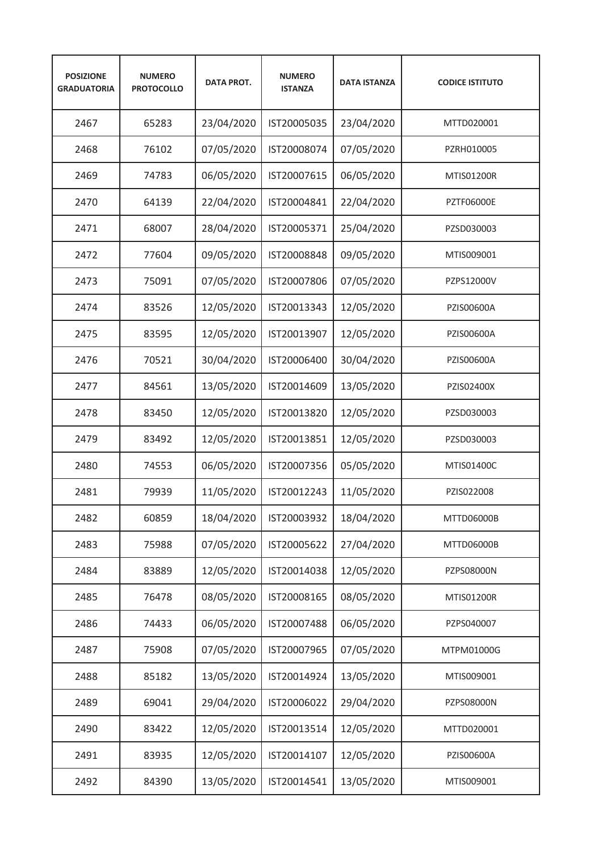| <b>POSIZIONE</b><br><b>GRADUATORIA</b> | <b>NUMERO</b><br><b>PROTOCOLLO</b> | <b>DATA PROT.</b> | <b>NUMERO</b><br><b>ISTANZA</b> | <b>DATA ISTANZA</b> | <b>CODICE ISTITUTO</b> |
|----------------------------------------|------------------------------------|-------------------|---------------------------------|---------------------|------------------------|
| 2467                                   | 65283                              | 23/04/2020        | IST20005035                     | 23/04/2020          | MTTD020001             |
| 2468                                   | 76102                              | 07/05/2020        | IST20008074                     | 07/05/2020          | PZRH010005             |
| 2469                                   | 74783                              | 06/05/2020        | IST20007615                     | 06/05/2020          | <b>MTIS01200R</b>      |
| 2470                                   | 64139                              | 22/04/2020        | IST20004841                     | 22/04/2020          | <b>PZTF06000E</b>      |
| 2471                                   | 68007                              | 28/04/2020        | IST20005371                     | 25/04/2020          | PZSD030003             |
| 2472                                   | 77604                              | 09/05/2020        | IST20008848                     | 09/05/2020          | MTIS009001             |
| 2473                                   | 75091                              | 07/05/2020        | IST20007806                     | 07/05/2020          | PZPS12000V             |
| 2474                                   | 83526                              | 12/05/2020        | IST20013343                     | 12/05/2020          | PZIS00600A             |
| 2475                                   | 83595                              | 12/05/2020        | IST20013907                     | 12/05/2020          | PZIS00600A             |
| 2476                                   | 70521                              | 30/04/2020        | IST20006400                     | 30/04/2020          | PZIS00600A             |
| 2477                                   | 84561                              | 13/05/2020        | IST20014609                     | 13/05/2020          | PZIS02400X             |
| 2478                                   | 83450                              | 12/05/2020        | IST20013820                     | 12/05/2020          | PZSD030003             |
| 2479                                   | 83492                              | 12/05/2020        | IST20013851                     | 12/05/2020          | PZSD030003             |
| 2480                                   | 74553                              | 06/05/2020        | IST20007356                     | 05/05/2020          | MTIS01400C             |
| 2481                                   | 79939                              | 11/05/2020        | IST20012243                     | 11/05/2020          | PZIS022008             |
| 2482                                   | 60859                              | 18/04/2020        | IST20003932                     | 18/04/2020          | MTTD06000B             |
| 2483                                   | 75988                              | 07/05/2020        | IST20005622                     | 27/04/2020          | MTTD06000B             |
| 2484                                   | 83889                              | 12/05/2020        | IST20014038                     | 12/05/2020          | PZPS08000N             |
| 2485                                   | 76478                              | 08/05/2020        | IST20008165                     | 08/05/2020          | MTIS01200R             |
| 2486                                   | 74433                              | 06/05/2020        | IST20007488                     | 06/05/2020          | PZPS040007             |
| 2487                                   | 75908                              | 07/05/2020        | IST20007965                     | 07/05/2020          | MTPM01000G             |
| 2488                                   | 85182                              | 13/05/2020        | IST20014924                     | 13/05/2020          | MTIS009001             |
| 2489                                   | 69041                              | 29/04/2020        | IST20006022                     | 29/04/2020          | PZPS08000N             |
| 2490                                   | 83422                              | 12/05/2020        | IST20013514                     | 12/05/2020          | MTTD020001             |
| 2491                                   | 83935                              | 12/05/2020        | IST20014107                     | 12/05/2020          | PZIS00600A             |
| 2492                                   | 84390                              | 13/05/2020        | IST20014541                     | 13/05/2020          | MTIS009001             |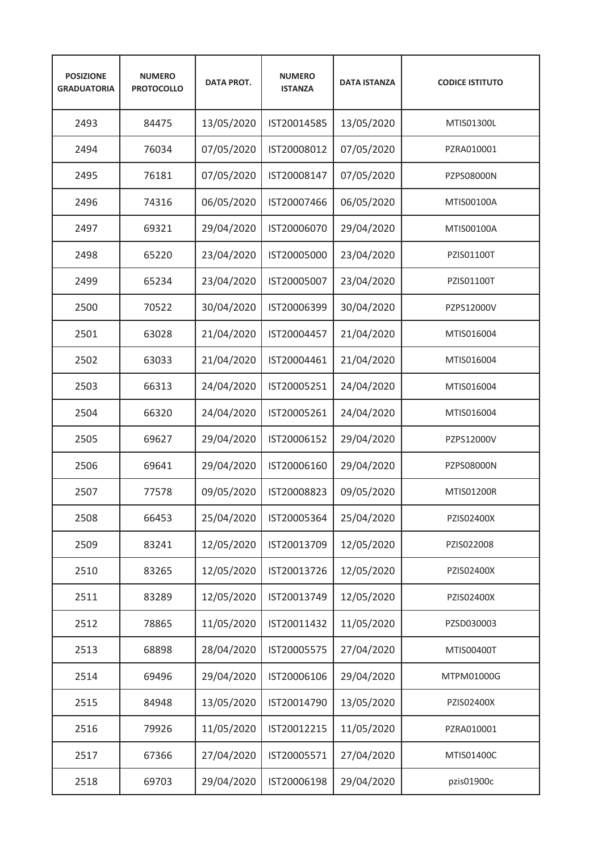| <b>POSIZIONE</b><br><b>GRADUATORIA</b> | <b>NUMERO</b><br><b>PROTOCOLLO</b> | <b>DATA PROT.</b> | <b>NUMERO</b><br><b>ISTANZA</b> | <b>DATA ISTANZA</b> | <b>CODICE ISTITUTO</b> |
|----------------------------------------|------------------------------------|-------------------|---------------------------------|---------------------|------------------------|
| 2493                                   | 84475                              | 13/05/2020        | IST20014585                     | 13/05/2020          | MTIS01300L             |
| 2494                                   | 76034                              | 07/05/2020        | IST20008012                     | 07/05/2020          | PZRA010001             |
| 2495                                   | 76181                              | 07/05/2020        | IST20008147                     | 07/05/2020          | PZPS08000N             |
| 2496                                   | 74316                              | 06/05/2020        | IST20007466                     | 06/05/2020          | MTIS00100A             |
| 2497                                   | 69321                              | 29/04/2020        | IST20006070                     | 29/04/2020          | MTIS00100A             |
| 2498                                   | 65220                              | 23/04/2020        | IST20005000                     | 23/04/2020          | PZIS01100T             |
| 2499                                   | 65234                              | 23/04/2020        | IST20005007                     | 23/04/2020          | PZIS01100T             |
| 2500                                   | 70522                              | 30/04/2020        | IST20006399                     | 30/04/2020          | PZPS12000V             |
| 2501                                   | 63028                              | 21/04/2020        | IST20004457                     | 21/04/2020          | MTIS016004             |
| 2502                                   | 63033                              | 21/04/2020        | IST20004461                     | 21/04/2020          | MTIS016004             |
| 2503                                   | 66313                              | 24/04/2020        | IST20005251                     | 24/04/2020          | MTIS016004             |
| 2504                                   | 66320                              | 24/04/2020        | IST20005261                     | 24/04/2020          | MTIS016004             |
| 2505                                   | 69627                              | 29/04/2020        | IST20006152                     | 29/04/2020          | PZPS12000V             |
| 2506                                   | 69641                              | 29/04/2020        | IST20006160                     | 29/04/2020          | <b>PZPS08000N</b>      |
| 2507                                   | 77578                              | 09/05/2020        | IST20008823                     | 09/05/2020          | <b>MTIS01200R</b>      |
| 2508                                   | 66453                              | 25/04/2020        | IST20005364                     | 25/04/2020          | PZIS02400X             |
| 2509                                   | 83241                              | 12/05/2020        | IST20013709                     | 12/05/2020          | PZIS022008             |
| 2510                                   | 83265                              | 12/05/2020        | IST20013726                     | 12/05/2020          | PZIS02400X             |
| 2511                                   | 83289                              | 12/05/2020        | IST20013749                     | 12/05/2020          | PZIS02400X             |
| 2512                                   | 78865                              | 11/05/2020        | IST20011432                     | 11/05/2020          | PZSD030003             |
| 2513                                   | 68898                              | 28/04/2020        | IST20005575                     | 27/04/2020          | MTIS00400T             |
| 2514                                   | 69496                              | 29/04/2020        | IST20006106                     | 29/04/2020          | MTPM01000G             |
| 2515                                   | 84948                              | 13/05/2020        | IST20014790                     | 13/05/2020          | PZIS02400X             |
| 2516                                   | 79926                              | 11/05/2020        | IST20012215                     | 11/05/2020          | PZRA010001             |
| 2517                                   | 67366                              | 27/04/2020        | IST20005571                     | 27/04/2020          | MTIS01400C             |
| 2518                                   | 69703                              | 29/04/2020        | IST20006198                     | 29/04/2020          | pzis01900c             |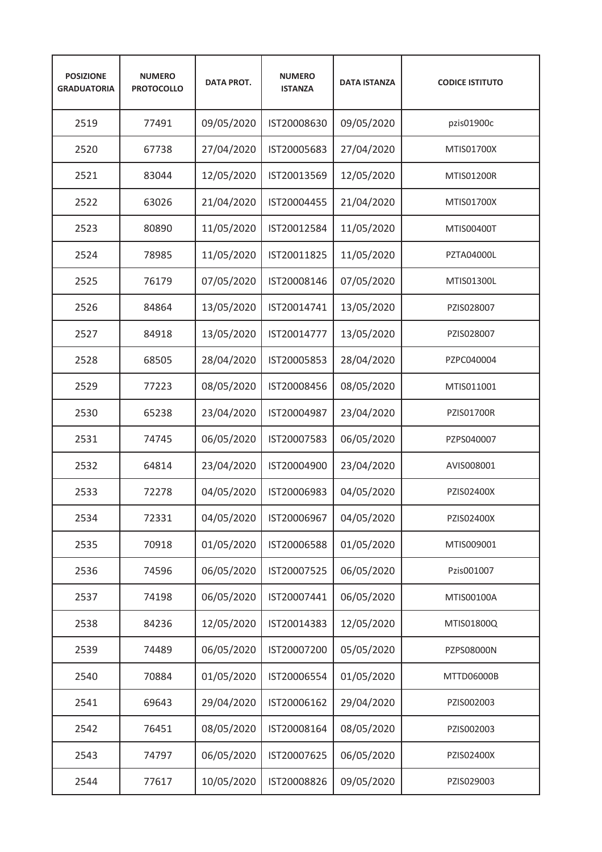| <b>POSIZIONE</b><br><b>GRADUATORIA</b> | <b>NUMERO</b><br><b>PROTOCOLLO</b> | <b>DATA PROT.</b> | <b>NUMERO</b><br><b>ISTANZA</b> | <b>DATA ISTANZA</b> | <b>CODICE ISTITUTO</b> |
|----------------------------------------|------------------------------------|-------------------|---------------------------------|---------------------|------------------------|
| 2519                                   | 77491                              | 09/05/2020        | IST20008630                     | 09/05/2020          | pzis01900c             |
| 2520                                   | 67738                              | 27/04/2020        | IST20005683                     | 27/04/2020          | MTIS01700X             |
| 2521                                   | 83044                              | 12/05/2020        | IST20013569                     | 12/05/2020          | <b>MTIS01200R</b>      |
| 2522                                   | 63026                              | 21/04/2020        | IST20004455                     | 21/04/2020          | MTIS01700X             |
| 2523                                   | 80890                              | 11/05/2020        | IST20012584                     | 11/05/2020          | MTIS00400T             |
| 2524                                   | 78985                              | 11/05/2020        | IST20011825                     | 11/05/2020          | <b>PZTA04000L</b>      |
| 2525                                   | 76179                              | 07/05/2020        | IST20008146                     | 07/05/2020          | MTIS01300L             |
| 2526                                   | 84864                              | 13/05/2020        | IST20014741                     | 13/05/2020          | PZIS028007             |
| 2527                                   | 84918                              | 13/05/2020        | IST20014777                     | 13/05/2020          | PZIS028007             |
| 2528                                   | 68505                              | 28/04/2020        | IST20005853                     | 28/04/2020          | PZPC040004             |
| 2529                                   | 77223                              | 08/05/2020        | IST20008456                     | 08/05/2020          | MTIS011001             |
| 2530                                   | 65238                              | 23/04/2020        | IST20004987                     | 23/04/2020          | <b>PZIS01700R</b>      |
| 2531                                   | 74745                              | 06/05/2020        | IST20007583                     | 06/05/2020          | PZPS040007             |
| 2532                                   | 64814                              | 23/04/2020        | IST20004900                     | 23/04/2020          | AVIS008001             |
| 2533                                   | 72278                              | 04/05/2020        | IST20006983                     | 04/05/2020          | PZIS02400X             |
| 2534                                   | 72331                              | 04/05/2020        | IST20006967                     | 04/05/2020          | PZIS02400X             |
| 2535                                   | 70918                              | 01/05/2020        | IST20006588                     | 01/05/2020          | MTIS009001             |
| 2536                                   | 74596                              | 06/05/2020        | IST20007525                     | 06/05/2020          | Pzis001007             |
| 2537                                   | 74198                              | 06/05/2020        | IST20007441                     | 06/05/2020          | MTIS00100A             |
| 2538                                   | 84236                              | 12/05/2020        | IST20014383                     | 12/05/2020          | MTIS01800Q             |
| 2539                                   | 74489                              | 06/05/2020        | IST20007200                     | 05/05/2020          | PZPS08000N             |
| 2540                                   | 70884                              | 01/05/2020        | IST20006554                     | 01/05/2020          | MTTD06000B             |
| 2541                                   | 69643                              | 29/04/2020        | IST20006162                     | 29/04/2020          | PZIS002003             |
| 2542                                   | 76451                              | 08/05/2020        | IST20008164                     | 08/05/2020          | PZIS002003             |
| 2543                                   | 74797                              | 06/05/2020        | IST20007625                     | 06/05/2020          | PZIS02400X             |
| 2544                                   | 77617                              | 10/05/2020        | IST20008826                     | 09/05/2020          | PZIS029003             |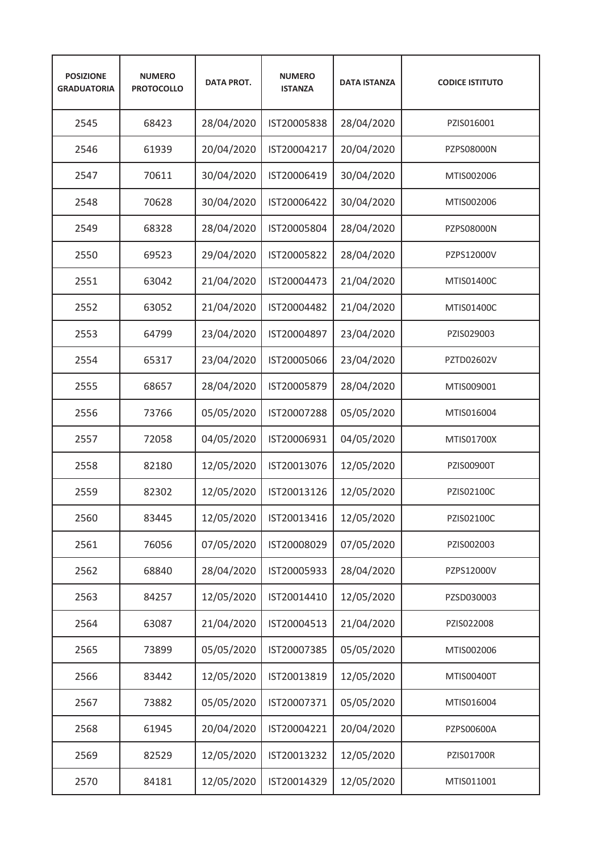| <b>POSIZIONE</b><br><b>GRADUATORIA</b> | <b>NUMERO</b><br><b>PROTOCOLLO</b> | <b>DATA PROT.</b> | <b>NUMERO</b><br><b>ISTANZA</b> | <b>DATA ISTANZA</b> | <b>CODICE ISTITUTO</b> |
|----------------------------------------|------------------------------------|-------------------|---------------------------------|---------------------|------------------------|
| 2545                                   | 68423                              | 28/04/2020        | IST20005838                     | 28/04/2020          | PZIS016001             |
| 2546                                   | 61939                              | 20/04/2020        | IST20004217                     | 20/04/2020          | PZPS08000N             |
| 2547                                   | 70611                              | 30/04/2020        | IST20006419                     | 30/04/2020          | MTIS002006             |
| 2548                                   | 70628                              | 30/04/2020        | IST20006422                     | 30/04/2020          | MTIS002006             |
| 2549                                   | 68328                              | 28/04/2020        | IST20005804                     | 28/04/2020          | PZPS08000N             |
| 2550                                   | 69523                              | 29/04/2020        | IST20005822                     | 28/04/2020          | PZPS12000V             |
| 2551                                   | 63042                              | 21/04/2020        | IST20004473                     | 21/04/2020          | MTIS01400C             |
| 2552                                   | 63052                              | 21/04/2020        | IST20004482                     | 21/04/2020          | MTIS01400C             |
| 2553                                   | 64799                              | 23/04/2020        | IST20004897                     | 23/04/2020          | PZIS029003             |
| 2554                                   | 65317                              | 23/04/2020        | IST20005066                     | 23/04/2020          | PZTD02602V             |
| 2555                                   | 68657                              | 28/04/2020        | IST20005879                     | 28/04/2020          | MTIS009001             |
| 2556                                   | 73766                              | 05/05/2020        | IST20007288                     | 05/05/2020          | MTIS016004             |
| 2557                                   | 72058                              | 04/05/2020        | IST20006931                     | 04/05/2020          | MTIS01700X             |
| 2558                                   | 82180                              | 12/05/2020        | IST20013076                     | 12/05/2020          | PZIS00900T             |
| 2559                                   | 82302                              | 12/05/2020        | IST20013126                     | 12/05/2020          | PZIS02100C             |
| 2560                                   | 83445                              | 12/05/2020        | IST20013416                     | 12/05/2020          | PZIS02100C             |
| 2561                                   | 76056                              | 07/05/2020        | IST20008029                     | 07/05/2020          | PZIS002003             |
| 2562                                   | 68840                              | 28/04/2020        | IST20005933                     | 28/04/2020          | PZPS12000V             |
| 2563                                   | 84257                              | 12/05/2020        | IST20014410                     | 12/05/2020          | PZSD030003             |
| 2564                                   | 63087                              | 21/04/2020        | IST20004513                     | 21/04/2020          | PZIS022008             |
| 2565                                   | 73899                              | 05/05/2020        | IST20007385                     | 05/05/2020          | MTIS002006             |
| 2566                                   | 83442                              | 12/05/2020        | IST20013819                     | 12/05/2020          | MTIS00400T             |
| 2567                                   | 73882                              | 05/05/2020        | IST20007371                     | 05/05/2020          | MTIS016004             |
| 2568                                   | 61945                              | 20/04/2020        | IST20004221                     | 20/04/2020          | PZPS00600A             |
| 2569                                   | 82529                              | 12/05/2020        | IST20013232                     | 12/05/2020          | PZIS01700R             |
| 2570                                   | 84181                              | 12/05/2020        | IST20014329                     | 12/05/2020          | MTIS011001             |